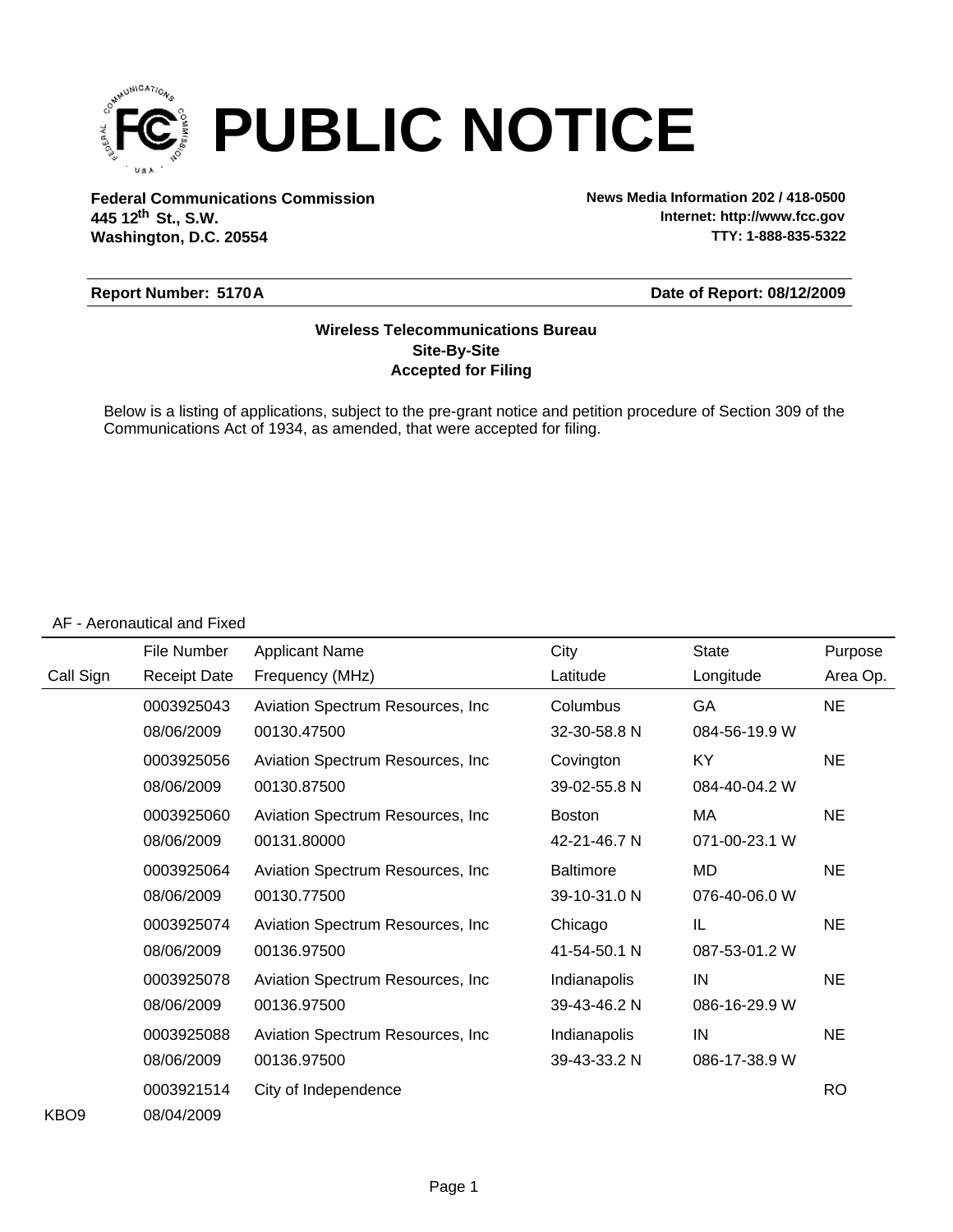

**Federal Communications Commission News Media Information 202 / 418-0500 Washington, D.C. 20554 th 445 12 St., S.W.**

**Internet: http://www.fcc.gov TTY: 1-888-835-5322**

### **Report Number: 5170A**

#### **Date of Report: 08/12/2009**

### **Accepted for Filing Site-By-Site Wireless Telecommunications Bureau**

Below is a listing of applications, subject to the pre-grant notice and petition procedure of Section 309 of the Communications Act of 1934, as amended, that were accepted for filing.

#### AF - Aeronautical and Fixed

|                  | File Number         | <b>Applicant Name</b>             | City             | <b>State</b>  | Purpose   |
|------------------|---------------------|-----------------------------------|------------------|---------------|-----------|
| Call Sign        | <b>Receipt Date</b> | Frequency (MHz)                   | Latitude         | Longitude     | Area Op.  |
|                  | 0003925043          | Aviation Spectrum Resources, Inc. | Columbus         | GA            | <b>NE</b> |
|                  | 08/06/2009          | 00130.47500                       | 32-30-58.8 N     | 084-56-19.9 W |           |
|                  | 0003925056          | Aviation Spectrum Resources, Inc. | Covington        | KY            | <b>NE</b> |
|                  | 08/06/2009          | 00130.87500                       | 39-02-55.8 N     | 084-40-04.2 W |           |
|                  | 0003925060          | Aviation Spectrum Resources, Inc. | <b>Boston</b>    | MA            | <b>NE</b> |
|                  | 08/06/2009          | 00131.80000                       | 42-21-46.7 N     | 071-00-23.1 W |           |
|                  | 0003925064          | Aviation Spectrum Resources, Inc. | <b>Baltimore</b> | <b>MD</b>     | <b>NE</b> |
|                  | 08/06/2009          | 00130.77500                       | 39-10-31.0 N     | 076-40-06.0 W |           |
|                  | 0003925074          | Aviation Spectrum Resources, Inc. | Chicago          | IL            | NE.       |
|                  | 08/06/2009          | 00136.97500                       | 41-54-50.1 N     | 087-53-01.2 W |           |
|                  | 0003925078          | Aviation Spectrum Resources, Inc. | Indianapolis     | IN            | <b>NE</b> |
|                  | 08/06/2009          | 00136.97500                       | 39-43-46.2 N     | 086-16-29.9 W |           |
|                  | 0003925088          | Aviation Spectrum Resources, Inc. | Indianapolis     | IN            | <b>NE</b> |
|                  | 08/06/2009          | 00136.97500                       | 39-43-33.2 N     | 086-17-38.9 W |           |
|                  | 0003921514          | City of Independence              |                  |               | <b>RO</b> |
| KBO <sub>9</sub> | 08/04/2009          |                                   |                  |               |           |

KBO9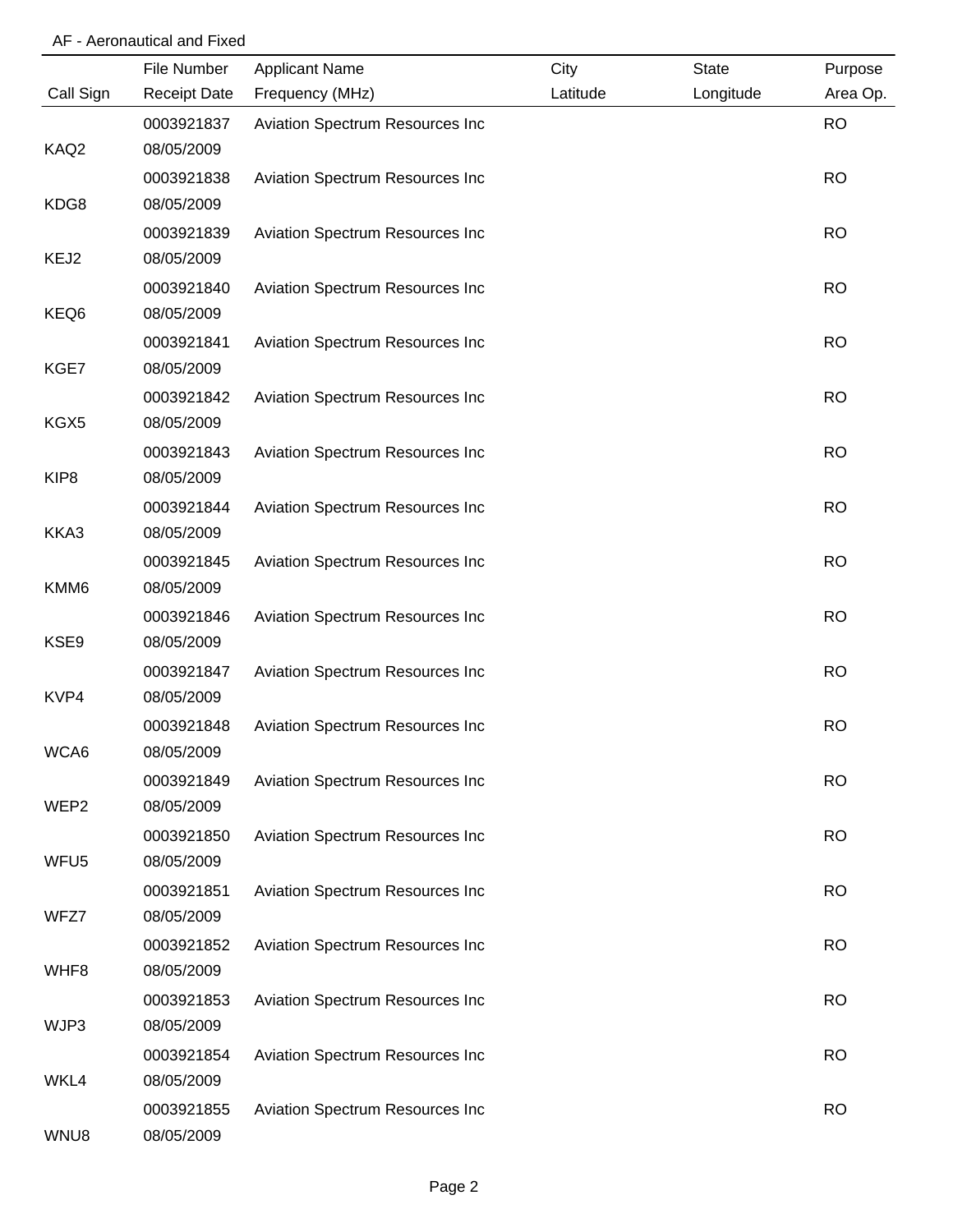# AF - Aeronautical and Fixed

|                  | File Number              | <b>Applicant Name</b>           | City     | <b>State</b> | Purpose   |
|------------------|--------------------------|---------------------------------|----------|--------------|-----------|
| Call Sign        | <b>Receipt Date</b>      | Frequency (MHz)                 | Latitude | Longitude    | Area Op.  |
|                  | 0003921837               | Aviation Spectrum Resources Inc |          |              | <b>RO</b> |
| KAQ2             | 08/05/2009               |                                 |          |              |           |
|                  | 0003921838               | Aviation Spectrum Resources Inc |          |              | <b>RO</b> |
| KDG8             | 08/05/2009               |                                 |          |              |           |
|                  | 0003921839               | Aviation Spectrum Resources Inc |          |              | <b>RO</b> |
| KEJ2             | 08/05/2009               |                                 |          |              |           |
|                  | 0003921840               | Aviation Spectrum Resources Inc |          |              | <b>RO</b> |
| KEQ6             | 08/05/2009               |                                 |          |              |           |
|                  | 0003921841               | Aviation Spectrum Resources Inc |          |              | <b>RO</b> |
| KGE7             | 08/05/2009               |                                 |          |              |           |
| KGX5             | 0003921842<br>08/05/2009 | Aviation Spectrum Resources Inc |          |              | <b>RO</b> |
|                  | 0003921843               | Aviation Spectrum Resources Inc |          |              | <b>RO</b> |
| KIP <sub>8</sub> | 08/05/2009               |                                 |          |              |           |
|                  | 0003921844               | Aviation Spectrum Resources Inc |          |              | <b>RO</b> |
| KKA3             | 08/05/2009               |                                 |          |              |           |
|                  | 0003921845               | Aviation Spectrum Resources Inc |          |              | <b>RO</b> |
| KMM6             | 08/05/2009               |                                 |          |              |           |
|                  | 0003921846               | Aviation Spectrum Resources Inc |          |              | <b>RO</b> |
| KSE9             | 08/05/2009               |                                 |          |              |           |
|                  | 0003921847               | Aviation Spectrum Resources Inc |          |              | <b>RO</b> |
| KVP4             | 08/05/2009               |                                 |          |              |           |
|                  | 0003921848               | Aviation Spectrum Resources Inc |          |              | <b>RO</b> |
| WCA6             | 08/05/2009               |                                 |          |              |           |
|                  | 0003921849               | Aviation Spectrum Resources Inc |          |              | <b>RO</b> |
| WEP <sub>2</sub> | 08/05/2009               |                                 |          |              |           |
|                  | 0003921850               | Aviation Spectrum Resources Inc |          |              | <b>RO</b> |
| WFU <sub>5</sub> | 08/05/2009               |                                 |          |              |           |
|                  | 0003921851               | Aviation Spectrum Resources Inc |          |              | <b>RO</b> |
| WFZ7             | 08/05/2009               |                                 |          |              |           |
|                  | 0003921852               | Aviation Spectrum Resources Inc |          |              | <b>RO</b> |
| WHF8             | 08/05/2009               |                                 |          |              |           |
|                  | 0003921853               | Aviation Spectrum Resources Inc |          |              | <b>RO</b> |
| WJP3             | 08/05/2009               |                                 |          |              |           |
|                  | 0003921854               | Aviation Spectrum Resources Inc |          |              | <b>RO</b> |
| WKL4             | 08/05/2009               |                                 |          |              |           |
|                  | 0003921855               | Aviation Spectrum Resources Inc |          |              | <b>RO</b> |
| WNU8             | 08/05/2009               |                                 |          |              |           |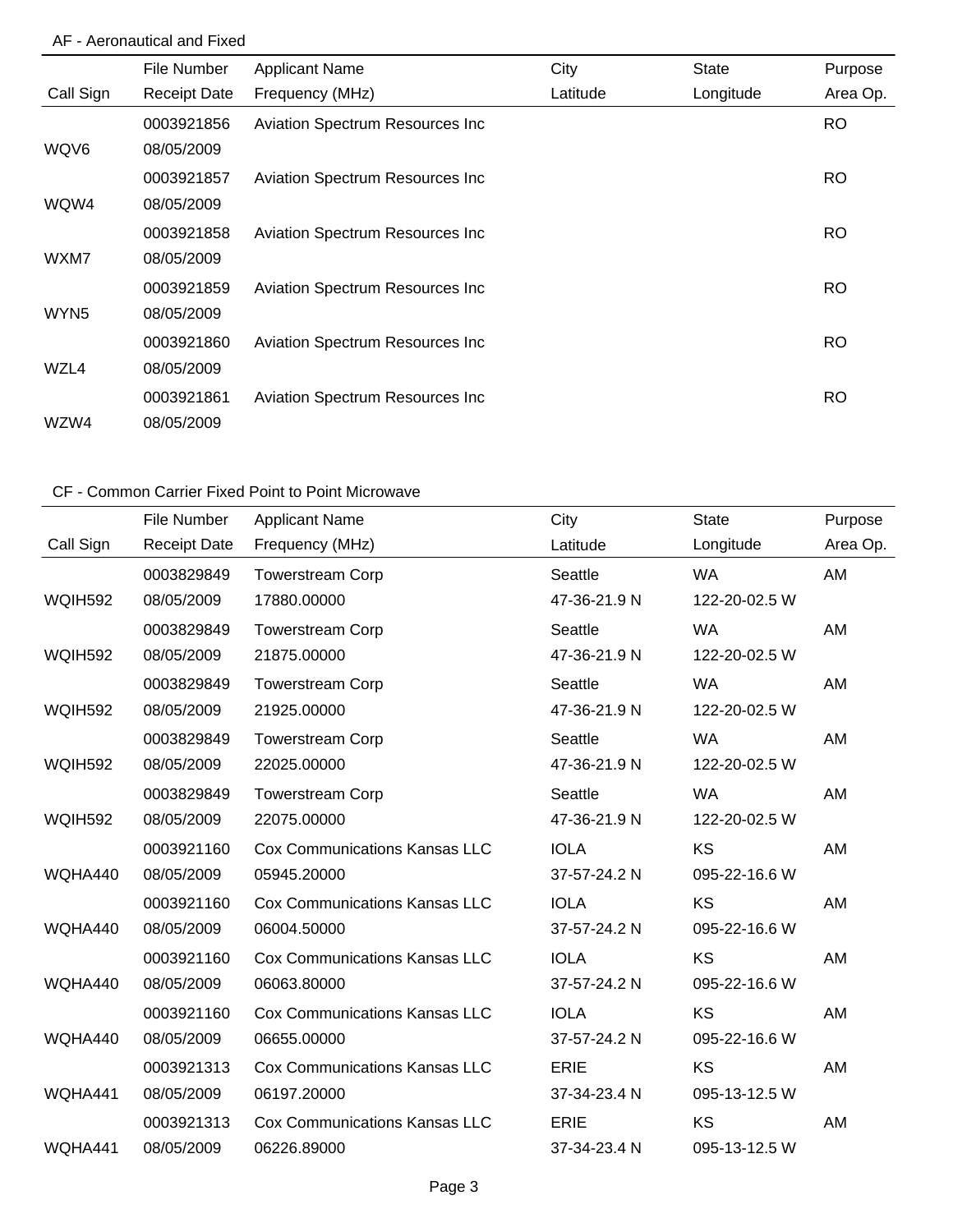# AF - Aeronautical and Fixed

|                  | File Number         | <b>Applicant Name</b>           | City     | <b>State</b> | Purpose   |
|------------------|---------------------|---------------------------------|----------|--------------|-----------|
| Call Sign        | <b>Receipt Date</b> | Frequency (MHz)                 | Latitude | Longitude    | Area Op.  |
|                  | 0003921856          | Aviation Spectrum Resources Inc |          |              | <b>RO</b> |
| WQV6             | 08/05/2009          |                                 |          |              |           |
|                  | 0003921857          | Aviation Spectrum Resources Inc |          |              | <b>RO</b> |
| WQW4             | 08/05/2009          |                                 |          |              |           |
|                  | 0003921858          | Aviation Spectrum Resources Inc |          |              | <b>RO</b> |
| WXM7             | 08/05/2009          |                                 |          |              |           |
|                  | 0003921859          | Aviation Spectrum Resources Inc |          |              | <b>RO</b> |
| WYN <sub>5</sub> | 08/05/2009          |                                 |          |              |           |
|                  | 0003921860          | Aviation Spectrum Resources Inc |          |              | <b>RO</b> |
| WZL4             | 08/05/2009          |                                 |          |              |           |
|                  | 0003921861          | Aviation Spectrum Resources Inc |          |              | <b>RO</b> |
| WZW4             | 08/05/2009          |                                 |          |              |           |

|                | File Number         | <b>Applicant Name</b>                | City         | <b>State</b>  | Purpose  |
|----------------|---------------------|--------------------------------------|--------------|---------------|----------|
| Call Sign      | <b>Receipt Date</b> | Frequency (MHz)                      | Latitude     | Longitude     | Area Op. |
|                | 0003829849          | <b>Towerstream Corp</b>              | Seattle      | <b>WA</b>     | AM       |
| <b>WQIH592</b> | 08/05/2009          | 17880.00000                          | 47-36-21.9 N | 122-20-02.5 W |          |
|                | 0003829849          | <b>Towerstream Corp</b>              | Seattle      | <b>WA</b>     | AM       |
| WQIH592        | 08/05/2009          | 21875.00000                          | 47-36-21.9 N | 122-20-02.5 W |          |
|                | 0003829849          | <b>Towerstream Corp</b>              | Seattle      | <b>WA</b>     | AM       |
| <b>WQIH592</b> | 08/05/2009          | 21925.00000                          | 47-36-21.9 N | 122-20-02.5 W |          |
|                | 0003829849          | <b>Towerstream Corp</b>              | Seattle      | <b>WA</b>     | AM       |
| <b>WQIH592</b> | 08/05/2009          | 22025.00000                          | 47-36-21.9 N | 122-20-02.5 W |          |
|                | 0003829849          | <b>Towerstream Corp</b>              | Seattle      | <b>WA</b>     | AM       |
| <b>WQIH592</b> | 08/05/2009          | 22075.00000                          | 47-36-21.9 N | 122-20-02.5 W |          |
|                | 0003921160          | <b>Cox Communications Kansas LLC</b> | <b>IOLA</b>  | <b>KS</b>     | AM       |
| WQHA440        | 08/05/2009          | 05945.20000                          | 37-57-24.2 N | 095-22-16.6 W |          |
|                | 0003921160          | <b>Cox Communications Kansas LLC</b> | <b>IOLA</b>  | KS            | AM       |
| WQHA440        | 08/05/2009          | 06004.50000                          | 37-57-24.2 N | 095-22-16.6 W |          |
|                | 0003921160          | <b>Cox Communications Kansas LLC</b> | <b>IOLA</b>  | <b>KS</b>     | AM       |
| WQHA440        | 08/05/2009          | 06063.80000                          | 37-57-24.2 N | 095-22-16.6 W |          |
|                | 0003921160          | <b>Cox Communications Kansas LLC</b> | <b>IOLA</b>  | <b>KS</b>     | AM       |
| WQHA440        | 08/05/2009          | 06655.00000                          | 37-57-24.2 N | 095-22-16.6 W |          |
|                | 0003921313          | <b>Cox Communications Kansas LLC</b> | <b>ERIE</b>  | KS            | AM       |
| WQHA441        | 08/05/2009          | 06197.20000                          | 37-34-23.4 N | 095-13-12.5 W |          |
|                | 0003921313          | <b>Cox Communications Kansas LLC</b> | <b>ERIE</b>  | KS            | AM       |
| WQHA441        | 08/05/2009          | 06226.89000                          | 37-34-23.4 N | 095-13-12.5 W |          |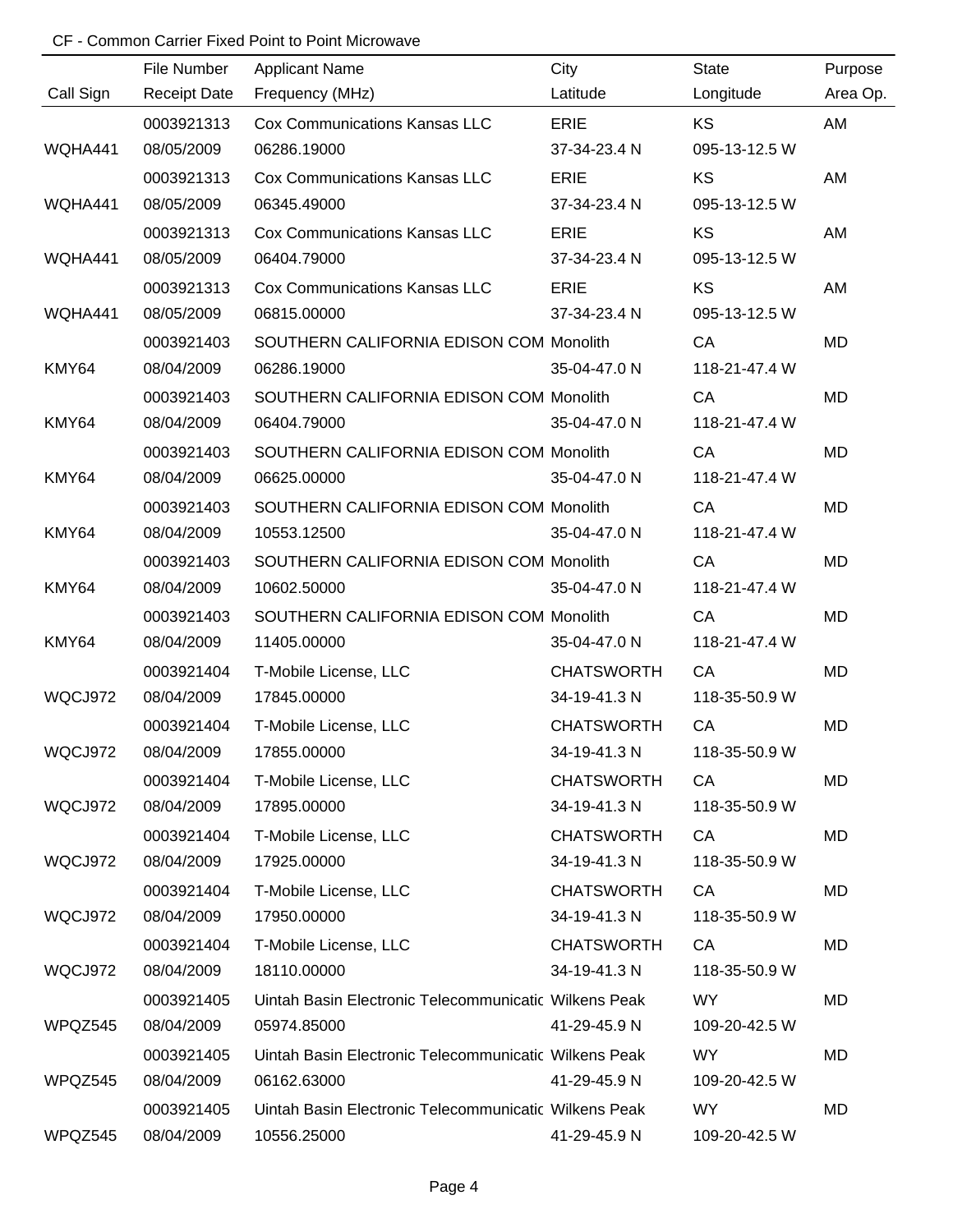|           | File Number         | <b>Applicant Name</b>                                 | City              | <b>State</b>  | Purpose   |
|-----------|---------------------|-------------------------------------------------------|-------------------|---------------|-----------|
| Call Sign | <b>Receipt Date</b> | Frequency (MHz)                                       | Latitude          | Longitude     | Area Op.  |
|           | 0003921313          | Cox Communications Kansas LLC                         | <b>ERIE</b>       | <b>KS</b>     | AM        |
| WQHA441   | 08/05/2009          | 06286.19000                                           | 37-34-23.4 N      | 095-13-12.5 W |           |
|           | 0003921313          | Cox Communications Kansas LLC                         | <b>ERIE</b>       | <b>KS</b>     | AM        |
| WQHA441   | 08/05/2009          | 06345.49000                                           | 37-34-23.4 N      | 095-13-12.5 W |           |
|           | 0003921313          | Cox Communications Kansas LLC                         | <b>ERIE</b>       | KS            | AM        |
| WQHA441   | 08/05/2009          | 06404.79000                                           | 37-34-23.4 N      | 095-13-12.5 W |           |
|           | 0003921313          | Cox Communications Kansas LLC                         | <b>ERIE</b>       | KS            | AM        |
| WQHA441   | 08/05/2009          | 06815.00000                                           | 37-34-23.4 N      | 095-13-12.5 W |           |
|           | 0003921403          | SOUTHERN CALIFORNIA EDISON COM Monolith               |                   | CA            | <b>MD</b> |
| KMY64     | 08/04/2009          | 06286.19000                                           | 35-04-47.0 N      | 118-21-47.4 W |           |
|           | 0003921403          | SOUTHERN CALIFORNIA EDISON COM Monolith               |                   | CA            | <b>MD</b> |
| KMY64     | 08/04/2009          | 06404.79000                                           | 35-04-47.0 N      | 118-21-47.4 W |           |
|           | 0003921403          | SOUTHERN CALIFORNIA EDISON COM Monolith               |                   | CA            | <b>MD</b> |
| KMY64     | 08/04/2009          | 06625.00000                                           | 35-04-47.0 N      | 118-21-47.4 W |           |
|           | 0003921403          | SOUTHERN CALIFORNIA EDISON COM Monolith               |                   | CA            | <b>MD</b> |
| KMY64     | 08/04/2009          | 10553.12500                                           | 35-04-47.0 N      | 118-21-47.4 W |           |
|           | 0003921403          | SOUTHERN CALIFORNIA EDISON COM Monolith               |                   | CA            | <b>MD</b> |
| KMY64     | 08/04/2009          | 10602.50000                                           | 35-04-47.0 N      | 118-21-47.4 W |           |
|           | 0003921403          | SOUTHERN CALIFORNIA EDISON COM Monolith               |                   | CA            | <b>MD</b> |
| KMY64     | 08/04/2009          | 11405.00000                                           | 35-04-47.0 N      | 118-21-47.4 W |           |
|           | 0003921404          | T-Mobile License, LLC                                 | <b>CHATSWORTH</b> | CA            | <b>MD</b> |
| WQCJ972   | 08/04/2009          | 17845.00000                                           | 34-19-41.3 N      | 118-35-50.9 W |           |
|           | 0003921404          | T-Mobile License, LLC                                 | <b>CHATSWORTH</b> | CA            | <b>MD</b> |
| WQCJ972   | 08/04/2009          | 17855.00000                                           | 34-19-41.3 N      | 118-35-50.9 W |           |
|           | 0003921404          | T-Mobile License, LLC                                 | <b>CHATSWORTH</b> | CA            | MD        |
| WQCJ972   | 08/04/2009          | 17895.00000                                           | 34-19-41.3 N      | 118-35-50.9 W |           |
|           | 0003921404          | T-Mobile License, LLC                                 | <b>CHATSWORTH</b> | CA            | MD        |
| WQCJ972   | 08/04/2009          | 17925.00000                                           | 34-19-41.3 N      | 118-35-50.9 W |           |
|           | 0003921404          | T-Mobile License, LLC                                 | <b>CHATSWORTH</b> | CA            | MD        |
| WQCJ972   | 08/04/2009          | 17950.00000                                           | 34-19-41.3 N      | 118-35-50.9 W |           |
|           | 0003921404          | T-Mobile License, LLC                                 | <b>CHATSWORTH</b> | CA            | MD        |
| WQCJ972   | 08/04/2009          | 18110.00000                                           | 34-19-41.3 N      | 118-35-50.9 W |           |
|           | 0003921405          | Uintah Basin Electronic Telecommunicatic Wilkens Peak |                   | WY            | MD        |
| WPQZ545   | 08/04/2009          | 05974.85000                                           | 41-29-45.9 N      | 109-20-42.5 W |           |
|           | 0003921405          | Uintah Basin Electronic Telecommunicatic Wilkens Peak |                   | WY            | MD        |
| WPQZ545   | 08/04/2009          | 06162.63000                                           | 41-29-45.9 N      | 109-20-42.5 W |           |
|           | 0003921405          | Uintah Basin Electronic Telecommunicatic Wilkens Peak |                   | WY            | MD        |
| WPQZ545   | 08/04/2009          | 10556.25000                                           | 41-29-45.9 N      | 109-20-42.5 W |           |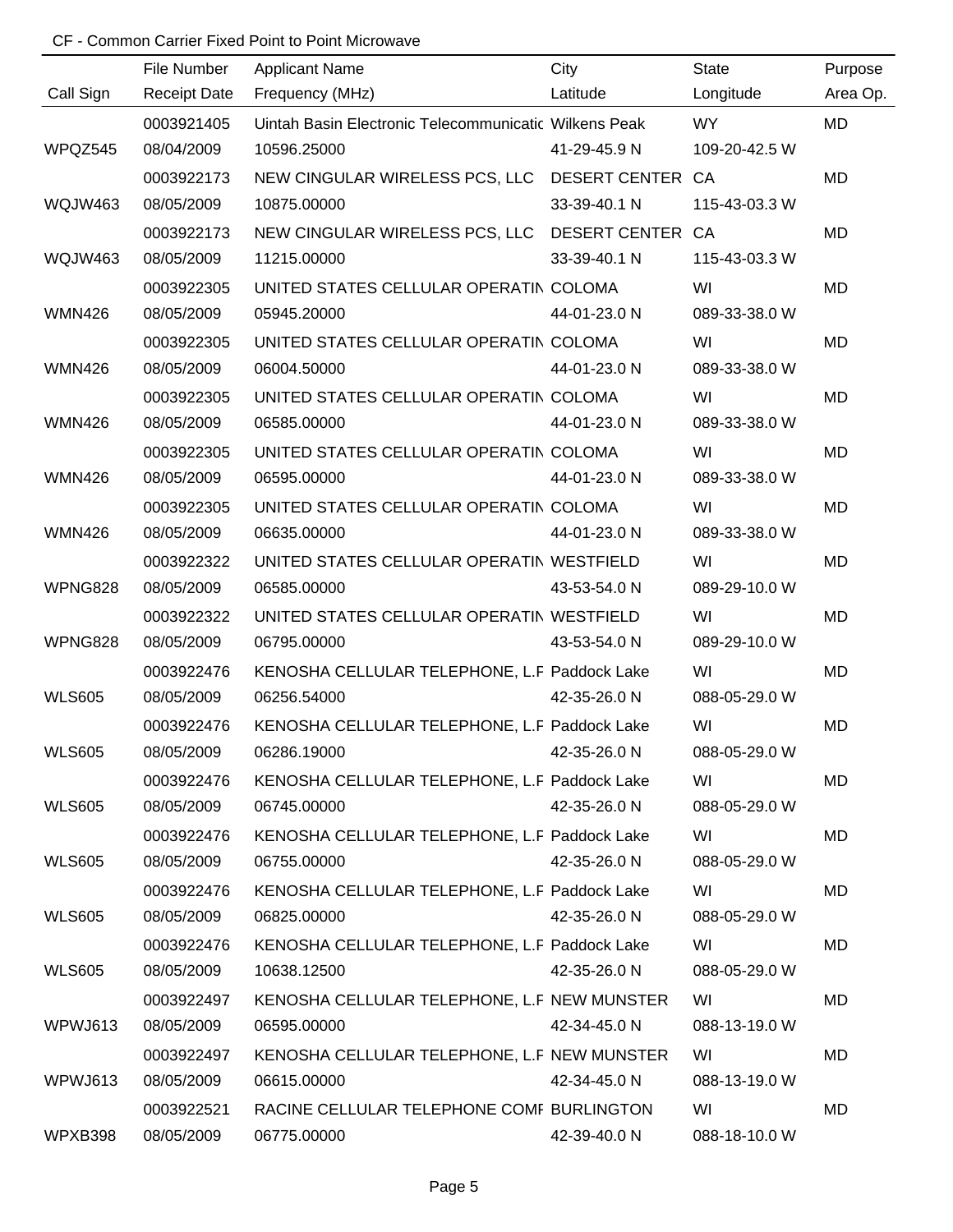|               | File Number         | <b>Applicant Name</b>                                 | City         | <b>State</b>  | Purpose   |
|---------------|---------------------|-------------------------------------------------------|--------------|---------------|-----------|
| Call Sign     | <b>Receipt Date</b> | Frequency (MHz)                                       | Latitude     | Longitude     | Area Op.  |
|               | 0003921405          | Uintah Basin Electronic Telecommunicatic Wilkens Peak |              | WY            | <b>MD</b> |
| WPQZ545       | 08/04/2009          | 10596.25000                                           | 41-29-45.9 N | 109-20-42.5 W |           |
|               | 0003922173          | NEW CINGULAR WIRELESS PCS, LLC DESERT CENTER CA       |              |               | <b>MD</b> |
| WQJW463       | 08/05/2009          | 10875.00000                                           | 33-39-40.1 N | 115-43-03.3 W |           |
|               | 0003922173          | NEW CINGULAR WIRELESS PCS, LLC DESERT CENTER CA       |              |               | <b>MD</b> |
| WQJW463       | 08/05/2009          | 11215.00000                                           | 33-39-40.1 N | 115-43-03.3 W |           |
|               | 0003922305          | UNITED STATES CELLULAR OPERATIN COLOMA                |              | WI            | <b>MD</b> |
| <b>WMN426</b> | 08/05/2009          | 05945.20000                                           | 44-01-23.0 N | 089-33-38.0 W |           |
|               | 0003922305          | UNITED STATES CELLULAR OPERATIN COLOMA                |              | WI            | MD        |
| <b>WMN426</b> | 08/05/2009          | 06004.50000                                           | 44-01-23.0 N | 089-33-38.0 W |           |
|               | 0003922305          | UNITED STATES CELLULAR OPERATIN COLOMA                |              | WI            | <b>MD</b> |
| <b>WMN426</b> | 08/05/2009          | 06585.00000                                           | 44-01-23.0 N | 089-33-38.0 W |           |
|               | 0003922305          | UNITED STATES CELLULAR OPERATIN COLOMA                |              | WI            | MD        |
| <b>WMN426</b> | 08/05/2009          | 06595.00000                                           | 44-01-23.0 N | 089-33-38.0 W |           |
|               | 0003922305          | UNITED STATES CELLULAR OPERATIN COLOMA                |              | WI            | MD        |
| <b>WMN426</b> | 08/05/2009          | 06635.00000                                           | 44-01-23.0 N | 089-33-38.0 W |           |
|               | 0003922322          | UNITED STATES CELLULAR OPERATIN WESTFIELD             |              | WI            | MD        |
| WPNG828       | 08/05/2009          | 06585.00000                                           | 43-53-54.0 N | 089-29-10.0 W |           |
|               | 0003922322          | UNITED STATES CELLULAR OPERATIN WESTFIELD             |              | WI            | <b>MD</b> |
| WPNG828       | 08/05/2009          | 06795.00000                                           | 43-53-54.0 N | 089-29-10.0 W |           |
|               | 0003922476          | KENOSHA CELLULAR TELEPHONE, L.F Paddock Lake          |              | WI            | MD        |
| <b>WLS605</b> | 08/05/2009          | 06256.54000                                           | 42-35-26.0 N | 088-05-29.0 W |           |
|               | 0003922476          | KENOSHA CELLULAR TELEPHONE, L.F Paddock Lake          |              | WI            | MD        |
| <b>WLS605</b> | 08/05/2009          | 06286.19000                                           | 42-35-26.0 N | 088-05-29.0 W |           |
|               | 0003922476          | KENOSHA CELLULAR TELEPHONE, L.F Paddock Lake          |              | WI            | MD        |
| <b>WLS605</b> | 08/05/2009          | 06745.00000                                           | 42-35-26.0 N | 088-05-29.0 W |           |
|               | 0003922476          | KENOSHA CELLULAR TELEPHONE, L.F Paddock Lake          |              | WI            | MD        |
| <b>WLS605</b> | 08/05/2009          | 06755.00000                                           | 42-35-26.0 N | 088-05-29.0 W |           |
|               | 0003922476          | KENOSHA CELLULAR TELEPHONE, L.F Paddock Lake          |              | WI            | MD        |
| <b>WLS605</b> | 08/05/2009          | 06825.00000                                           | 42-35-26.0 N | 088-05-29.0 W |           |
|               | 0003922476          | KENOSHA CELLULAR TELEPHONE, L.F Paddock Lake          |              | WI            | MD        |
| <b>WLS605</b> | 08/05/2009          | 10638.12500                                           | 42-35-26.0 N | 088-05-29.0 W |           |
|               | 0003922497          | KENOSHA CELLULAR TELEPHONE, L.F NEW MUNSTER           |              | WI            | MD        |
| WPWJ613       | 08/05/2009          | 06595.00000                                           | 42-34-45.0 N | 088-13-19.0 W |           |
|               | 0003922497          | KENOSHA CELLULAR TELEPHONE, L.F NEW MUNSTER           |              | WI            | MD        |
| WPWJ613       | 08/05/2009          | 06615.00000                                           | 42-34-45.0 N | 088-13-19.0 W |           |
|               | 0003922521          | RACINE CELLULAR TELEPHONE COMF BURLINGTON             |              | WI            | MD        |
| WPXB398       | 08/05/2009          | 06775.00000                                           | 42-39-40.0 N | 088-18-10.0 W |           |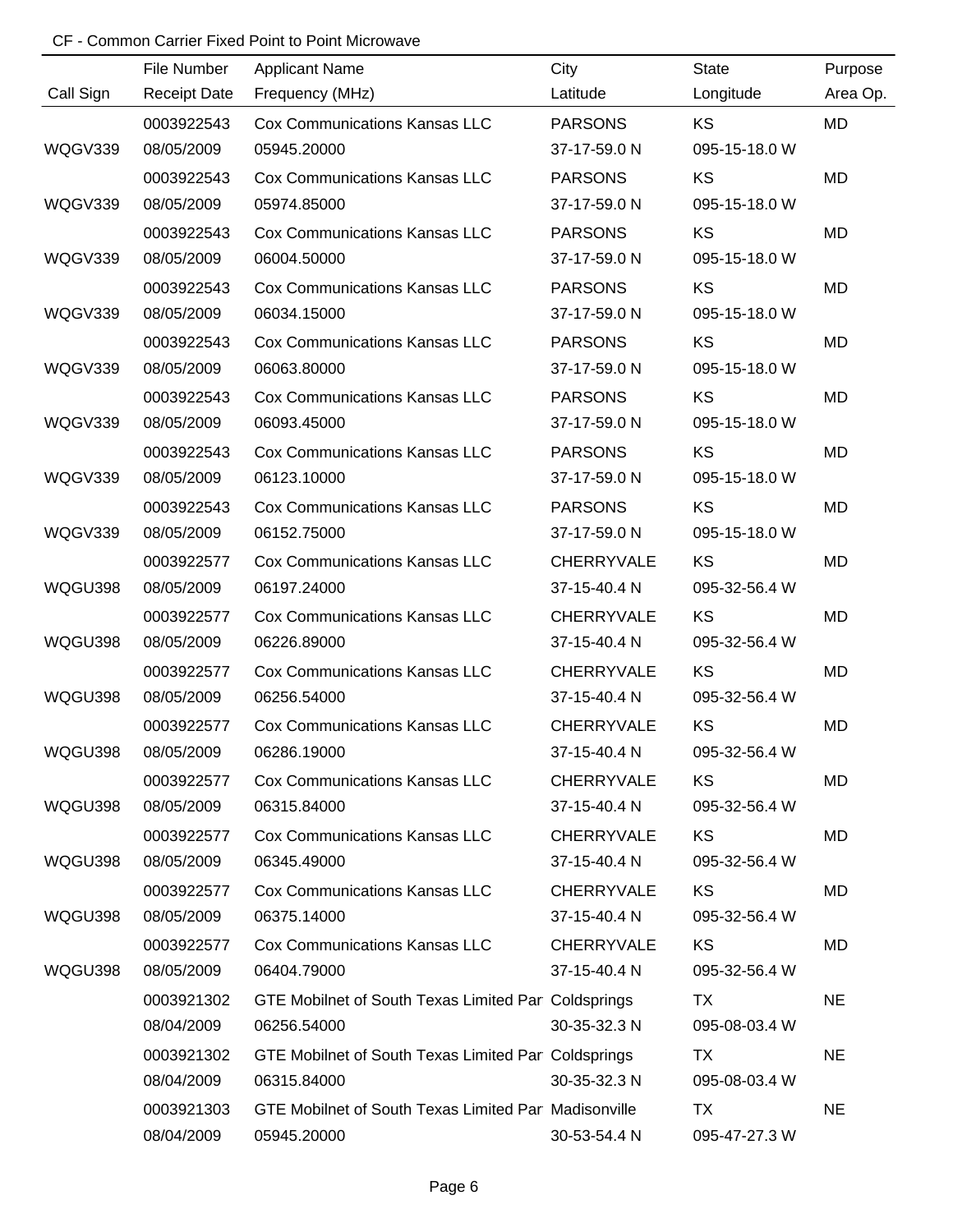|           | File Number         | <b>Applicant Name</b>                                | City              | <b>State</b>  | Purpose   |
|-----------|---------------------|------------------------------------------------------|-------------------|---------------|-----------|
| Call Sign | <b>Receipt Date</b> | Frequency (MHz)                                      | Latitude          | Longitude     | Area Op.  |
|           | 0003922543          | <b>Cox Communications Kansas LLC</b>                 | <b>PARSONS</b>    | <b>KS</b>     | <b>MD</b> |
| WQGV339   | 08/05/2009          | 05945.20000                                          | 37-17-59.0 N      | 095-15-18.0 W |           |
|           | 0003922543          | <b>Cox Communications Kansas LLC</b>                 | <b>PARSONS</b>    | KS            | <b>MD</b> |
| WQGV339   | 08/05/2009          | 05974.85000                                          | 37-17-59.0 N      | 095-15-18.0 W |           |
|           | 0003922543          | <b>Cox Communications Kansas LLC</b>                 | <b>PARSONS</b>    | KS            | <b>MD</b> |
| WQGV339   | 08/05/2009          | 06004.50000                                          | 37-17-59.0 N      | 095-15-18.0 W |           |
|           | 0003922543          | <b>Cox Communications Kansas LLC</b>                 | <b>PARSONS</b>    | KS            | MD        |
| WQGV339   | 08/05/2009          | 06034.15000                                          | 37-17-59.0 N      | 095-15-18.0 W |           |
|           | 0003922543          | <b>Cox Communications Kansas LLC</b>                 | <b>PARSONS</b>    | KS            | MD        |
| WQGV339   | 08/05/2009          | 06063.80000                                          | 37-17-59.0 N      | 095-15-18.0 W |           |
|           | 0003922543          | <b>Cox Communications Kansas LLC</b>                 | <b>PARSONS</b>    | KS            | MD        |
| WQGV339   | 08/05/2009          | 06093.45000                                          | 37-17-59.0 N      | 095-15-18.0 W |           |
|           | 0003922543          | <b>Cox Communications Kansas LLC</b>                 | <b>PARSONS</b>    | KS            | <b>MD</b> |
| WQGV339   | 08/05/2009          | 06123.10000                                          | 37-17-59.0 N      | 095-15-18.0 W |           |
|           | 0003922543          | <b>Cox Communications Kansas LLC</b>                 | <b>PARSONS</b>    | KS            | MD        |
| WQGV339   | 08/05/2009          | 06152.75000                                          | 37-17-59.0 N      | 095-15-18.0 W |           |
|           | 0003922577          | <b>Cox Communications Kansas LLC</b>                 | <b>CHERRYVALE</b> | KS            | MD        |
| WQGU398   | 08/05/2009          | 06197.24000                                          | 37-15-40.4 N      | 095-32-56.4 W |           |
|           | 0003922577          | <b>Cox Communications Kansas LLC</b>                 | CHERRYVALE        | KS            | MD        |
| WQGU398   | 08/05/2009          | 06226.89000                                          | 37-15-40.4 N      | 095-32-56.4 W |           |
|           | 0003922577          | <b>Cox Communications Kansas LLC</b>                 | <b>CHERRYVALE</b> | KS            | <b>MD</b> |
| WQGU398   | 08/05/2009          | 06256.54000                                          | 37-15-40.4 N      | 095-32-56.4 W |           |
|           | 0003922577          | <b>Cox Communications Kansas LLC</b>                 | CHERRYVALE        | KS            | MD        |
| WQGU398   | 08/05/2009          | 06286.19000                                          | 37-15-40.4 N      | 095-32-56.4 W |           |
|           | 0003922577          | <b>Cox Communications Kansas LLC</b>                 | <b>CHERRYVALE</b> | <b>KS</b>     | MD        |
| WQGU398   | 08/05/2009          | 06315.84000                                          | 37-15-40.4 N      | 095-32-56.4 W |           |
|           | 0003922577          | <b>Cox Communications Kansas LLC</b>                 | <b>CHERRYVALE</b> | KS            | MD        |
| WQGU398   | 08/05/2009          | 06345.49000                                          | 37-15-40.4 N      | 095-32-56.4 W |           |
|           | 0003922577          | <b>Cox Communications Kansas LLC</b>                 | CHERRYVALE        | KS            | MD        |
| WQGU398   | 08/05/2009          | 06375.14000                                          | 37-15-40.4 N      | 095-32-56.4 W |           |
|           | 0003922577          | <b>Cox Communications Kansas LLC</b>                 | <b>CHERRYVALE</b> | KS            | MD        |
| WQGU398   | 08/05/2009          | 06404.79000                                          | 37-15-40.4 N      | 095-32-56.4 W |           |
|           | 0003921302          | GTE Mobilnet of South Texas Limited Par Coldsprings  |                   | TX            | <b>NE</b> |
|           | 08/04/2009          | 06256.54000                                          | 30-35-32.3 N      | 095-08-03.4 W |           |
|           | 0003921302          | GTE Mobilnet of South Texas Limited Par Coldsprings  |                   | TX            | <b>NE</b> |
|           | 08/04/2009          | 06315.84000                                          | 30-35-32.3 N      | 095-08-03.4 W |           |
|           | 0003921303          | GTE Mobilnet of South Texas Limited Par Madisonville |                   | <b>TX</b>     | <b>NE</b> |
|           | 08/04/2009          | 05945.20000                                          | 30-53-54.4 N      | 095-47-27.3 W |           |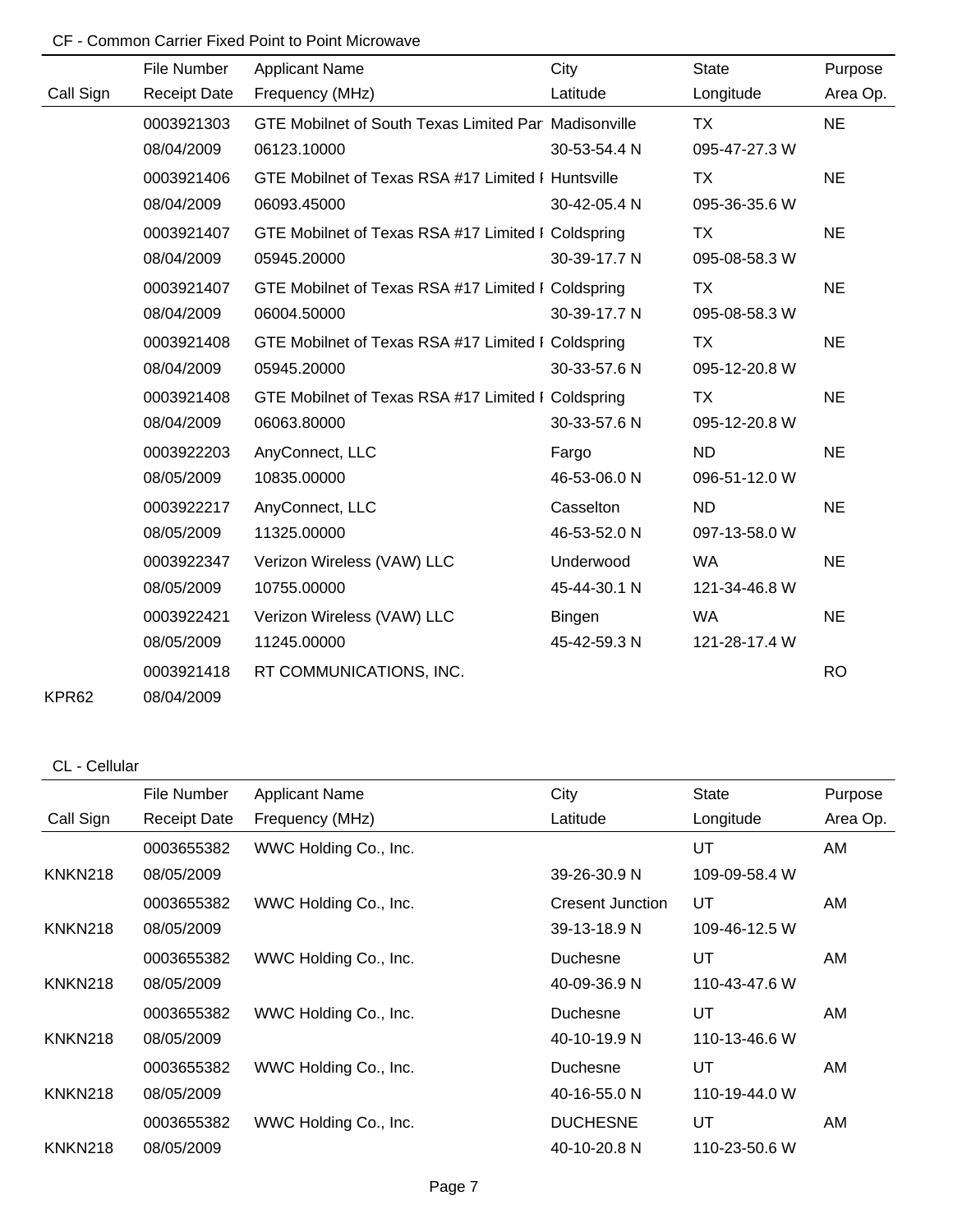|           | File Number         | <b>Applicant Name</b>                                | City          | <b>State</b>  | Purpose   |
|-----------|---------------------|------------------------------------------------------|---------------|---------------|-----------|
| Call Sign | <b>Receipt Date</b> | Frequency (MHz)                                      | Latitude      | Longitude     | Area Op.  |
|           | 0003921303          | GTE Mobilnet of South Texas Limited Par Madisonville |               | TX.           | <b>NE</b> |
|           | 08/04/2009          | 06123.10000                                          | 30-53-54.4 N  | 095-47-27.3 W |           |
|           | 0003921406          | GTE Mobilnet of Texas RSA #17 Limited I Huntsville   |               | <b>TX</b>     | <b>NE</b> |
|           | 08/04/2009          | 06093.45000                                          | 30-42-05.4 N  | 095-36-35.6 W |           |
|           | 0003921407          | GTE Mobilnet of Texas RSA #17 Limited I Coldspring   |               | TX            | <b>NE</b> |
|           | 08/04/2009          | 05945.20000                                          | 30-39-17.7 N  | 095-08-58.3 W |           |
|           | 0003921407          | GTE Mobilnet of Texas RSA #17 Limited I Coldspring   |               | TX            | <b>NE</b> |
|           | 08/04/2009          | 06004.50000                                          | 30-39-17.7 N  | 095-08-58.3 W |           |
|           | 0003921408          | GTE Mobilnet of Texas RSA #17 Limited I Coldspring   |               | TX            | <b>NE</b> |
|           | 08/04/2009          | 05945.20000                                          | 30-33-57.6 N  | 095-12-20.8 W |           |
|           | 0003921408          | GTE Mobilnet of Texas RSA #17 Limited I Coldspring   |               | TX            | <b>NE</b> |
|           | 08/04/2009          | 06063.80000                                          | 30-33-57.6 N  | 095-12-20.8 W |           |
|           | 0003922203          | AnyConnect, LLC                                      | Fargo         | <b>ND</b>     | <b>NE</b> |
|           | 08/05/2009          | 10835.00000                                          | 46-53-06.0 N  | 096-51-12.0 W |           |
|           | 0003922217          | AnyConnect, LLC                                      | Casselton     | <b>ND</b>     | <b>NE</b> |
|           | 08/05/2009          | 11325.00000                                          | 46-53-52.0 N  | 097-13-58.0 W |           |
|           | 0003922347          | Verizon Wireless (VAW) LLC                           | Underwood     | <b>WA</b>     | <b>NE</b> |
|           | 08/05/2009          | 10755.00000                                          | 45-44-30.1 N  | 121-34-46.8 W |           |
|           | 0003922421          | Verizon Wireless (VAW) LLC                           | <b>Bingen</b> | <b>WA</b>     | <b>NE</b> |
|           | 08/05/2009          | 11245.00000                                          | 45-42-59.3 N  | 121-28-17.4 W |           |
|           | 0003921418          | RT COMMUNICATIONS, INC.                              |               |               | <b>RO</b> |
| KPR62     | 08/04/2009          |                                                      |               |               |           |

CL - Cellular

|                | File Number         | <b>Applicant Name</b> | City             | <b>State</b>  | Purpose  |
|----------------|---------------------|-----------------------|------------------|---------------|----------|
| Call Sign      | <b>Receipt Date</b> | Frequency (MHz)       | Latitude         | Longitude     | Area Op. |
|                | 0003655382          | WWC Holding Co., Inc. |                  | UT            | AM       |
| <b>KNKN218</b> | 08/05/2009          |                       | 39-26-30.9 N     | 109-09-58.4 W |          |
|                | 0003655382          | WWC Holding Co., Inc. | Cresent Junction | UT            | AM       |
| <b>KNKN218</b> | 08/05/2009          |                       | 39-13-18.9 N     | 109-46-12.5 W |          |
|                | 0003655382          | WWC Holding Co., Inc. | Duchesne         | UT            | AM.      |
| <b>KNKN218</b> | 08/05/2009          |                       | 40-09-36.9 N     | 110-43-47.6 W |          |
|                | 0003655382          | WWC Holding Co., Inc. | Duchesne         | UT            | AM       |
| <b>KNKN218</b> | 08/05/2009          |                       | 40-10-19.9 N     | 110-13-46.6 W |          |
|                | 0003655382          | WWC Holding Co., Inc. | Duchesne         | UT            | AM       |
| <b>KNKN218</b> | 08/05/2009          |                       | 40-16-55.0 N     | 110-19-44.0 W |          |
|                | 0003655382          | WWC Holding Co., Inc. | <b>DUCHESNE</b>  | UT            | AM       |
| <b>KNKN218</b> | 08/05/2009          |                       | 40-10-20.8 N     | 110-23-50.6 W |          |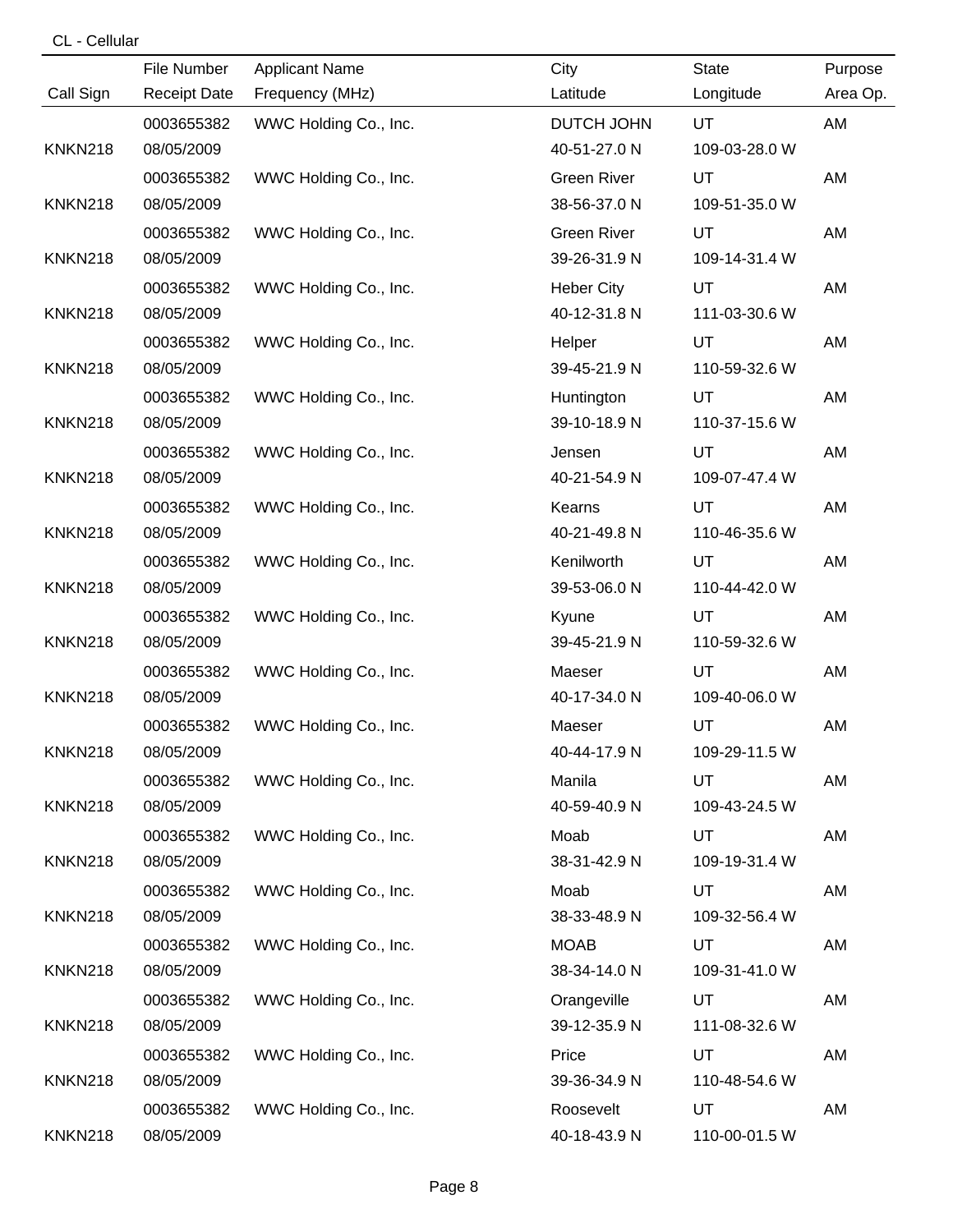## CL - Cellular

|                | File Number         | <b>Applicant Name</b> | City               | State         | Purpose  |
|----------------|---------------------|-----------------------|--------------------|---------------|----------|
| Call Sign      | <b>Receipt Date</b> | Frequency (MHz)       | Latitude           | Longitude     | Area Op. |
|                | 0003655382          | WWC Holding Co., Inc. | DUTCH JOHN         | UT            | AM       |
| <b>KNKN218</b> | 08/05/2009          |                       | 40-51-27.0 N       | 109-03-28.0 W |          |
|                | 0003655382          | WWC Holding Co., Inc. | <b>Green River</b> | UT            | AM       |
| <b>KNKN218</b> | 08/05/2009          |                       | 38-56-37.0 N       | 109-51-35.0 W |          |
|                | 0003655382          | WWC Holding Co., Inc. | <b>Green River</b> | UT            | AM       |
| <b>KNKN218</b> | 08/05/2009          |                       | 39-26-31.9 N       | 109-14-31.4 W |          |
|                | 0003655382          | WWC Holding Co., Inc. | <b>Heber City</b>  | UT            | AM       |
| <b>KNKN218</b> | 08/05/2009          |                       | 40-12-31.8 N       | 111-03-30.6 W |          |
|                | 0003655382          | WWC Holding Co., Inc. | Helper             | UT            | AM       |
| <b>KNKN218</b> | 08/05/2009          |                       | 39-45-21.9 N       | 110-59-32.6 W |          |
|                | 0003655382          | WWC Holding Co., Inc. | Huntington         | UT            | AM       |
| <b>KNKN218</b> | 08/05/2009          |                       | 39-10-18.9 N       | 110-37-15.6 W |          |
|                | 0003655382          | WWC Holding Co., Inc. | Jensen             | UT            | AM       |
| <b>KNKN218</b> | 08/05/2009          |                       | 40-21-54.9 N       | 109-07-47.4 W |          |
|                | 0003655382          | WWC Holding Co., Inc. | Kearns             | UT            | AM       |
| <b>KNKN218</b> | 08/05/2009          |                       | 40-21-49.8 N       | 110-46-35.6 W |          |
|                | 0003655382          | WWC Holding Co., Inc. | Kenilworth         | UT            | AM       |
| <b>KNKN218</b> | 08/05/2009          |                       | 39-53-06.0 N       | 110-44-42.0 W |          |
|                | 0003655382          | WWC Holding Co., Inc. | Kyune              | UT            | AM       |
| <b>KNKN218</b> | 08/05/2009          |                       | 39-45-21.9 N       | 110-59-32.6 W |          |
|                | 0003655382          | WWC Holding Co., Inc. | Maeser             | UT            | AM       |
| <b>KNKN218</b> | 08/05/2009          |                       | 40-17-34.0 N       | 109-40-06.0 W |          |
|                | 0003655382          | WWC Holding Co., Inc. | Maeser             | UT            | AM       |
| <b>KNKN218</b> | 08/05/2009          |                       | 40-44-17.9 N       | 109-29-11.5 W |          |
|                | 0003655382          | WWC Holding Co., Inc. | Manila             | UT            | AM       |
| <b>KNKN218</b> | 08/05/2009          |                       | 40-59-40.9 N       | 109-43-24.5 W |          |
|                | 0003655382          | WWC Holding Co., Inc. | Moab               | UT            | AM       |
| <b>KNKN218</b> | 08/05/2009          |                       | 38-31-42.9 N       | 109-19-31.4 W |          |
|                | 0003655382          | WWC Holding Co., Inc. | Moab               | UT            | AM       |
| <b>KNKN218</b> | 08/05/2009          |                       | 38-33-48.9 N       | 109-32-56.4 W |          |
|                | 0003655382          | WWC Holding Co., Inc. | <b>MOAB</b>        | UT            | AM       |
| <b>KNKN218</b> | 08/05/2009          |                       | 38-34-14.0 N       | 109-31-41.0 W |          |
|                | 0003655382          | WWC Holding Co., Inc. | Orangeville        | UT            | AM       |
| <b>KNKN218</b> | 08/05/2009          |                       | 39-12-35.9 N       | 111-08-32.6 W |          |
|                | 0003655382          | WWC Holding Co., Inc. | Price              | UT            | AM       |
| <b>KNKN218</b> | 08/05/2009          |                       | 39-36-34.9 N       | 110-48-54.6 W |          |
|                | 0003655382          | WWC Holding Co., Inc. | Roosevelt          | UT            | AM       |
| <b>KNKN218</b> | 08/05/2009          |                       | 40-18-43.9 N       | 110-00-01.5 W |          |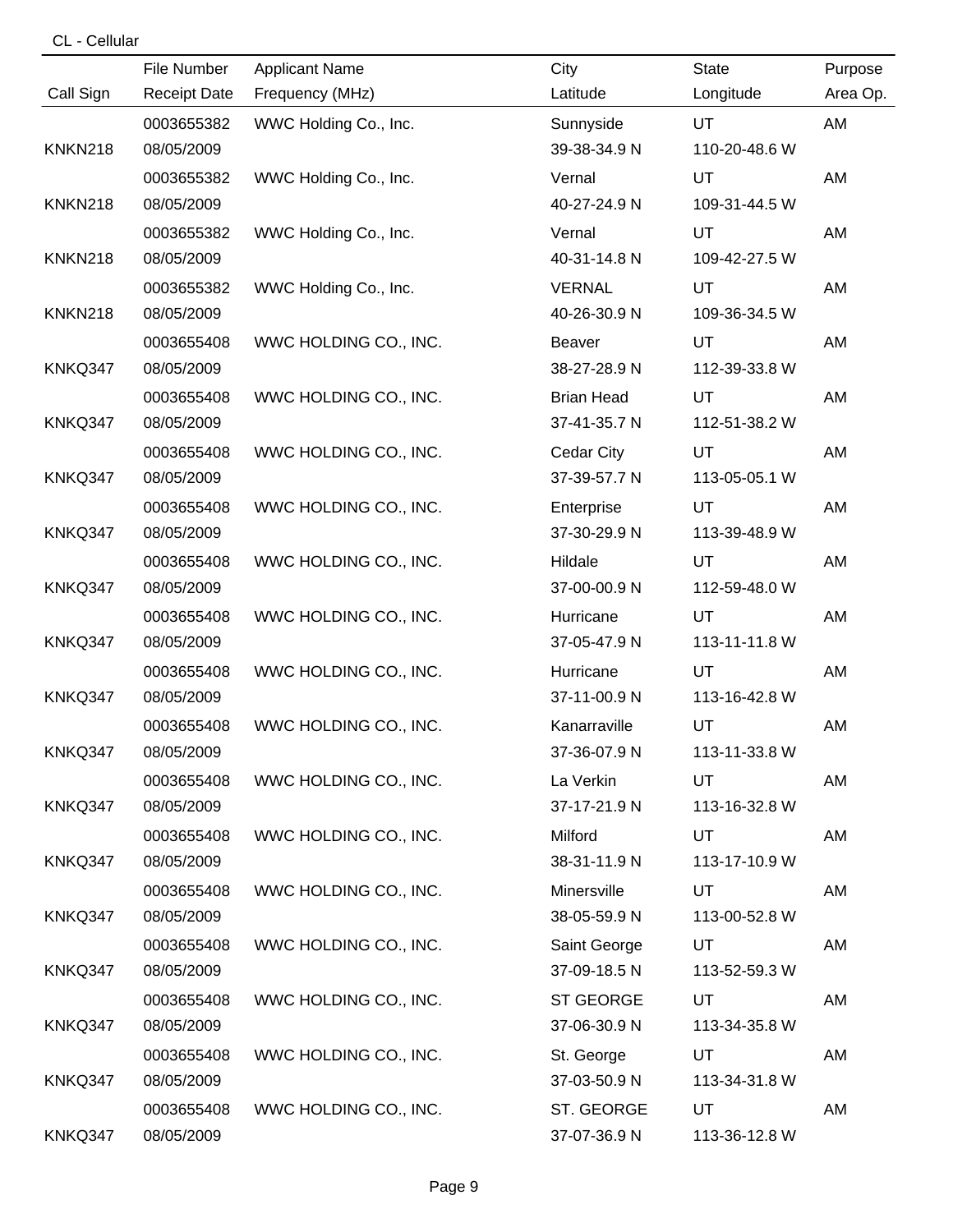# CL - Cellular

|                | File Number         | <b>Applicant Name</b> | City              | State         | Purpose  |
|----------------|---------------------|-----------------------|-------------------|---------------|----------|
| Call Sign      | <b>Receipt Date</b> | Frequency (MHz)       | Latitude          | Longitude     | Area Op. |
|                | 0003655382          | WWC Holding Co., Inc. | Sunnyside         | UT.           | AM       |
| <b>KNKN218</b> | 08/05/2009          |                       | 39-38-34.9 N      | 110-20-48.6 W |          |
|                | 0003655382          | WWC Holding Co., Inc. | Vernal            | UT            | AM       |
| <b>KNKN218</b> | 08/05/2009          |                       | 40-27-24.9 N      | 109-31-44.5 W |          |
|                | 0003655382          | WWC Holding Co., Inc. | Vernal            | UT            | AM       |
| <b>KNKN218</b> | 08/05/2009          |                       | 40-31-14.8 N      | 109-42-27.5 W |          |
|                | 0003655382          | WWC Holding Co., Inc. | <b>VERNAL</b>     | UT            | AM       |
| <b>KNKN218</b> | 08/05/2009          |                       | 40-26-30.9 N      | 109-36-34.5 W |          |
|                | 0003655408          | WWC HOLDING CO., INC. | Beaver            | UT            | AM       |
| KNKQ347        | 08/05/2009          |                       | 38-27-28.9 N      | 112-39-33.8 W |          |
|                | 0003655408          | WWC HOLDING CO., INC. | <b>Brian Head</b> | <b>UT</b>     | AM       |
| KNKQ347        | 08/05/2009          |                       | 37-41-35.7 N      | 112-51-38.2 W |          |
|                | 0003655408          | WWC HOLDING CO., INC. | Cedar City        | UT            | AM       |
| KNKQ347        | 08/05/2009          |                       | 37-39-57.7 N      | 113-05-05.1 W |          |
|                | 0003655408          | WWC HOLDING CO., INC. | Enterprise        | UT            | AM       |
| KNKQ347        | 08/05/2009          |                       | 37-30-29.9 N      | 113-39-48.9 W |          |
|                | 0003655408          | WWC HOLDING CO., INC. | Hildale           | UT.           | AM       |
| KNKQ347        | 08/05/2009          |                       | 37-00-00.9 N      | 112-59-48.0 W |          |
|                | 0003655408          | WWC HOLDING CO., INC. | Hurricane         | UT            | AM       |
| KNKQ347        | 08/05/2009          |                       | 37-05-47.9 N      | 113-11-11.8 W |          |
|                | 0003655408          | WWC HOLDING CO., INC. | Hurricane         | UT            | AM       |
| KNKQ347        | 08/05/2009          |                       | 37-11-00.9 N      | 113-16-42.8 W |          |
|                | 0003655408          | WWC HOLDING CO., INC. | Kanarraville      | UT            | AM       |
| KNKQ347        | 08/05/2009          |                       | 37-36-07.9 N      | 113-11-33.8 W |          |
|                | 0003655408          | WWC HOLDING CO., INC. | La Verkin         | UT            | AM       |
| KNKQ347        | 08/05/2009          |                       | 37-17-21.9 N      | 113-16-32.8 W |          |
|                | 0003655408          | WWC HOLDING CO., INC. | Milford           | UT            | AM       |
| KNKQ347        | 08/05/2009          |                       | 38-31-11.9 N      | 113-17-10.9 W |          |
|                | 0003655408          | WWC HOLDING CO., INC. | Minersville       | UT            | AM       |
| KNKQ347        | 08/05/2009          |                       | 38-05-59.9 N      | 113-00-52.8 W |          |
|                | 0003655408          | WWC HOLDING CO., INC. | Saint George      | UT.           | AM       |
| KNKQ347        | 08/05/2009          |                       | 37-09-18.5 N      | 113-52-59.3 W |          |
|                | 0003655408          | WWC HOLDING CO., INC. | ST GEORGE         | <b>UT</b>     | AM       |
| KNKQ347        | 08/05/2009          |                       | 37-06-30.9 N      | 113-34-35.8 W |          |
|                | 0003655408          | WWC HOLDING CO., INC. | St. George        | UT            | AM       |
| KNKQ347        | 08/05/2009          |                       | 37-03-50.9 N      | 113-34-31.8 W |          |
|                | 0003655408          | WWC HOLDING CO., INC. | ST. GEORGE        | <b>UT</b>     | AM       |
| KNKQ347        | 08/05/2009          |                       | 37-07-36.9 N      | 113-36-12.8 W |          |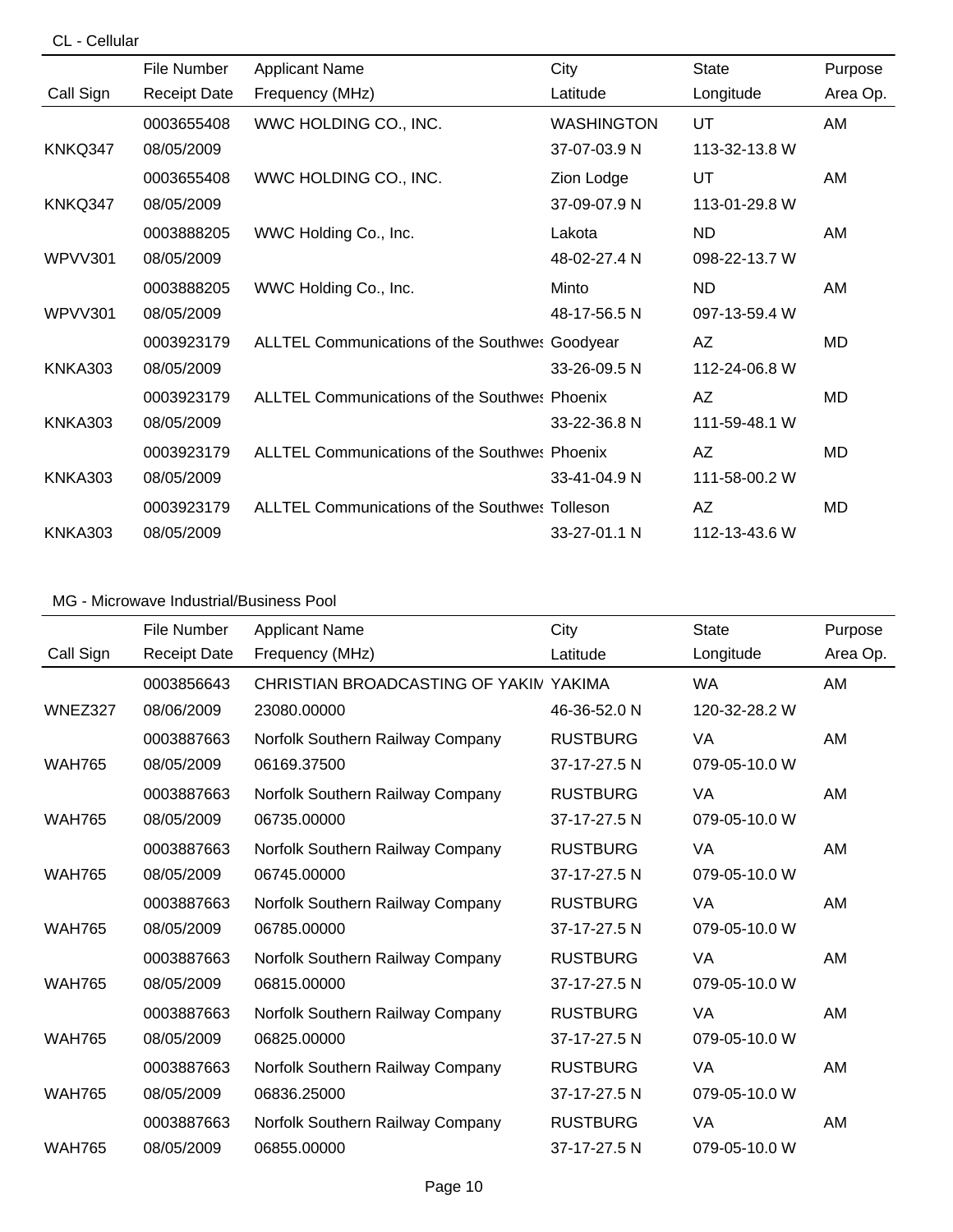### CL - Cellular

|                | File Number         | <b>Applicant Name</b>                                 | City              | <b>State</b>  | Purpose   |
|----------------|---------------------|-------------------------------------------------------|-------------------|---------------|-----------|
| Call Sign      | <b>Receipt Date</b> | Frequency (MHz)                                       | Latitude          | Longitude     | Area Op.  |
|                | 0003655408          | WWC HOLDING CO., INC.                                 | <b>WASHINGTON</b> | UT            | AM        |
| KNKQ347        | 08/05/2009          |                                                       | 37-07-03.9 N      | 113-32-13.8 W |           |
|                | 0003655408          | WWC HOLDING CO., INC.                                 | Zion Lodge        | UT            | AM        |
| KNKQ347        | 08/05/2009          |                                                       | 37-09-07.9 N      | 113-01-29.8 W |           |
|                | 0003888205          | WWC Holding Co., Inc.                                 | Lakota            | ND.           | AM        |
| WPVV301        | 08/05/2009          |                                                       | 48-02-27.4 N      | 098-22-13.7 W |           |
|                | 0003888205          | WWC Holding Co., Inc.                                 | Minto             | <b>ND</b>     | AM        |
| WPVV301        | 08/05/2009          |                                                       | 48-17-56.5 N      | 097-13-59.4 W |           |
|                | 0003923179          | <b>ALLTEL Communications of the Southwes Goodyear</b> |                   | AZ            | MD        |
| KNKA303        | 08/05/2009          |                                                       | 33-26-09.5 N      | 112-24-06.8 W |           |
|                | 0003923179          | <b>ALLTEL Communications of the Southwes Phoenix</b>  |                   | AZ            | <b>MD</b> |
| <b>KNKA303</b> | 08/05/2009          |                                                       | 33-22-36.8 N      | 111-59-48.1 W |           |
|                | 0003923179          | <b>ALLTEL Communications of the Southwes Phoenix</b>  |                   | AZ            | MD        |
| <b>KNKA303</b> | 08/05/2009          |                                                       | 33-41-04.9 N      | 111-58-00.2 W |           |
|                | 0003923179          | <b>ALLTEL Communications of the Southwes Tolleson</b> |                   | AZ            | MD        |
| <b>KNKA303</b> | 08/05/2009          |                                                       | 33-27-01.1 N      | 112-13-43.6 W |           |

|               | File Number         | <b>Applicant Name</b>                  | City            | <b>State</b>  | Purpose  |
|---------------|---------------------|----------------------------------------|-----------------|---------------|----------|
| Call Sign     | <b>Receipt Date</b> | Frequency (MHz)                        | Latitude        | Longitude     | Area Op. |
|               | 0003856643          | CHRISTIAN BROADCASTING OF YAKIN YAKIMA |                 | <b>WA</b>     | AM       |
| WNEZ327       | 08/06/2009          | 23080.00000                            | 46-36-52.0 N    | 120-32-28.2 W |          |
|               | 0003887663          | Norfolk Southern Railway Company       | <b>RUSTBURG</b> | VA            | AM       |
| <b>WAH765</b> | 08/05/2009          | 06169.37500                            | 37-17-27.5 N    | 079-05-10.0 W |          |
|               | 0003887663          | Norfolk Southern Railway Company       | <b>RUSTBURG</b> | VA            | AM       |
| <b>WAH765</b> | 08/05/2009          | 06735.00000                            | 37-17-27.5 N    | 079-05-10.0 W |          |
|               | 0003887663          | Norfolk Southern Railway Company       | <b>RUSTBURG</b> | VA            | AM       |
| <b>WAH765</b> | 08/05/2009          | 06745.00000                            | 37-17-27.5 N    | 079-05-10.0 W |          |
|               | 0003887663          | Norfolk Southern Railway Company       | <b>RUSTBURG</b> | VA            | AM       |
| <b>WAH765</b> | 08/05/2009          | 06785.00000                            | 37-17-27.5 N    | 079-05-10.0 W |          |
|               | 0003887663          | Norfolk Southern Railway Company       | <b>RUSTBURG</b> | VA            | AM       |
| <b>WAH765</b> | 08/05/2009          | 06815.00000                            | 37-17-27.5 N    | 079-05-10.0 W |          |
|               | 0003887663          | Norfolk Southern Railway Company       | <b>RUSTBURG</b> | VA            | AM       |
| <b>WAH765</b> | 08/05/2009          | 06825.00000                            | 37-17-27.5 N    | 079-05-10.0 W |          |
|               | 0003887663          | Norfolk Southern Railway Company       | <b>RUSTBURG</b> | VA            | AM       |
| <b>WAH765</b> | 08/05/2009          | 06836.25000                            | 37-17-27.5 N    | 079-05-10.0 W |          |
|               | 0003887663          | Norfolk Southern Railway Company       | <b>RUSTBURG</b> | VA            | AM       |
| <b>WAH765</b> | 08/05/2009          | 06855.00000                            | 37-17-27.5 N    | 079-05-10.0 W |          |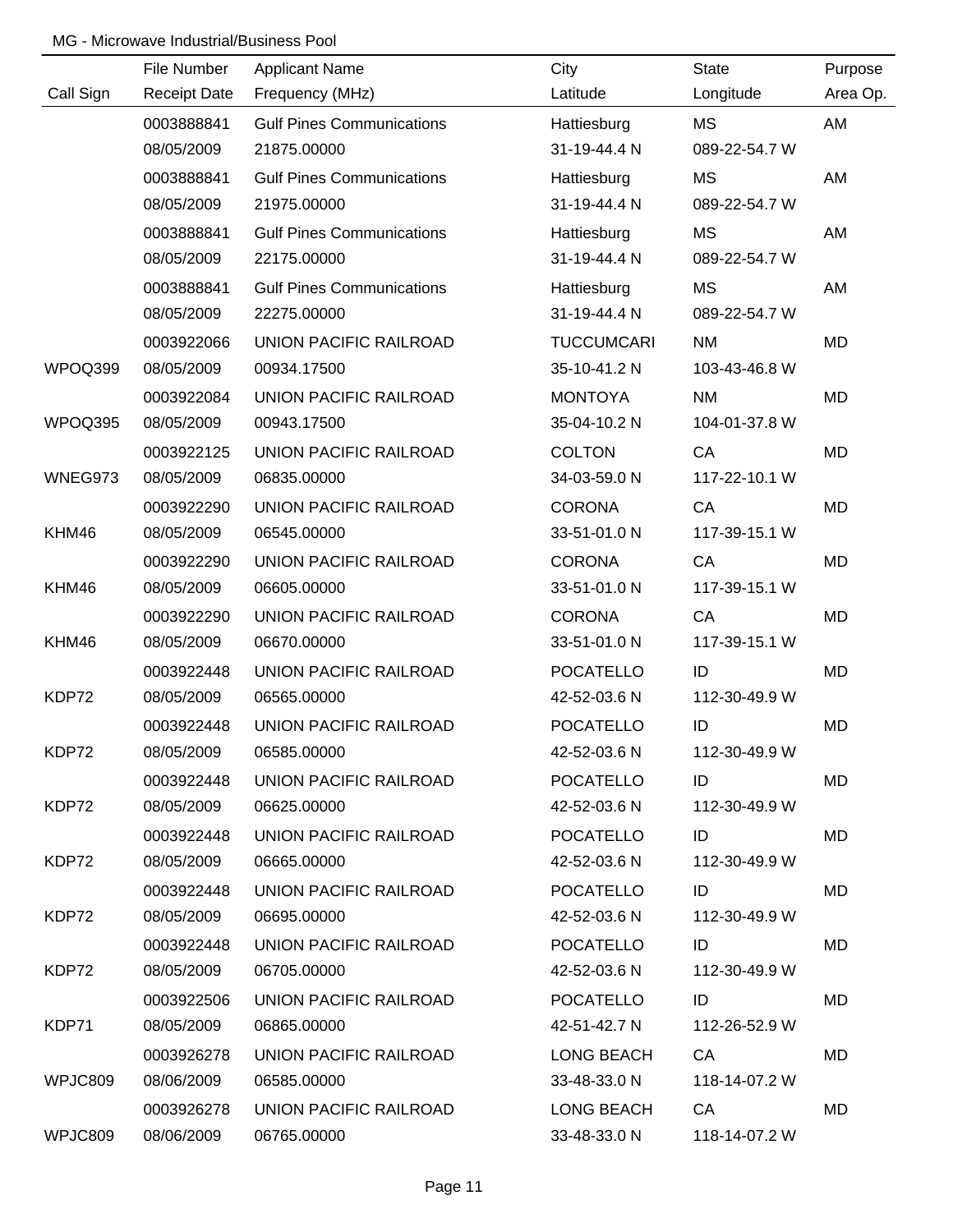|           | File Number         | <b>Applicant Name</b>            | City              | <b>State</b>  | Purpose   |
|-----------|---------------------|----------------------------------|-------------------|---------------|-----------|
| Call Sign | <b>Receipt Date</b> | Frequency (MHz)                  | Latitude          | Longitude     | Area Op.  |
|           | 0003888841          | <b>Gulf Pines Communications</b> | Hattiesburg       | MS            | AM        |
|           | 08/05/2009          | 21875.00000                      | 31-19-44.4 N      | 089-22-54.7 W |           |
|           | 0003888841          | <b>Gulf Pines Communications</b> | Hattiesburg       | MS            | AM        |
|           | 08/05/2009          | 21975.00000                      | 31-19-44.4 N      | 089-22-54.7 W |           |
|           | 0003888841          | <b>Gulf Pines Communications</b> | Hattiesburg       | MS            | AM        |
|           | 08/05/2009          | 22175.00000                      | 31-19-44.4 N      | 089-22-54.7 W |           |
|           | 0003888841          | <b>Gulf Pines Communications</b> | Hattiesburg       | MS            | AM        |
|           | 08/05/2009          | 22275.00000                      | 31-19-44.4 N      | 089-22-54.7 W |           |
|           | 0003922066          | UNION PACIFIC RAILROAD           | <b>TUCCUMCARI</b> | <b>NM</b>     | <b>MD</b> |
| WPOQ399   | 08/05/2009          | 00934.17500                      | 35-10-41.2 N      | 103-43-46.8 W |           |
|           | 0003922084          | UNION PACIFIC RAILROAD           | <b>MONTOYA</b>    | <b>NM</b>     | <b>MD</b> |
| WPOQ395   | 08/05/2009          | 00943.17500                      | 35-04-10.2 N      | 104-01-37.8 W |           |
|           | 0003922125          | UNION PACIFIC RAILROAD           | <b>COLTON</b>     | CA            | <b>MD</b> |
| WNEG973   | 08/05/2009          | 06835.00000                      | 34-03-59.0 N      | 117-22-10.1 W |           |
|           | 0003922290          | UNION PACIFIC RAILROAD           | <b>CORONA</b>     | CA            | <b>MD</b> |
| KHM46     | 08/05/2009          | 06545.00000                      | 33-51-01.0 N      | 117-39-15.1 W |           |
|           | 0003922290          | UNION PACIFIC RAILROAD           | <b>CORONA</b>     | CA            | <b>MD</b> |
| KHM46     | 08/05/2009          | 06605.00000                      | 33-51-01.0 N      | 117-39-15.1 W |           |
|           | 0003922290          | UNION PACIFIC RAILROAD           | <b>CORONA</b>     | CA            | <b>MD</b> |
| KHM46     | 08/05/2009          | 06670.00000                      | 33-51-01.0 N      | 117-39-15.1 W |           |
|           | 0003922448          | UNION PACIFIC RAILROAD           | <b>POCATELLO</b>  | ID            | <b>MD</b> |
| KDP72     | 08/05/2009          | 06565.00000                      | 42-52-03.6 N      | 112-30-49.9 W |           |
|           | 0003922448          | UNION PACIFIC RAILROAD           | <b>POCATELLO</b>  | ID            | <b>MD</b> |
| KDP72     | 08/05/2009          | 06585.00000                      | 42-52-03.6 N      | 112-30-49.9 W |           |
|           | 0003922448          | UNION PACIFIC RAILROAD           | <b>POCATELLO</b>  | ID            | MD        |
| KDP72     | 08/05/2009          | 06625.00000                      | 42-52-03.6 N      | 112-30-49.9 W |           |
|           | 0003922448          | UNION PACIFIC RAILROAD           | <b>POCATELLO</b>  | ID            | MD.       |
| KDP72     | 08/05/2009          | 06665.00000                      | 42-52-03.6 N      | 112-30-49.9 W |           |
|           | 0003922448          | UNION PACIFIC RAILROAD           | <b>POCATELLO</b>  | ID            | MD        |
| KDP72     | 08/05/2009          | 06695.00000                      | 42-52-03.6 N      | 112-30-49.9 W |           |
|           | 0003922448          | UNION PACIFIC RAILROAD           | <b>POCATELLO</b>  | ID            | MD        |
| KDP72     | 08/05/2009          | 06705.00000                      | 42-52-03.6 N      | 112-30-49.9 W |           |
|           | 0003922506          | UNION PACIFIC RAILROAD           | <b>POCATELLO</b>  | ID            | MD.       |
| KDP71     | 08/05/2009          | 06865.00000                      | 42-51-42.7 N      | 112-26-52.9 W |           |
|           | 0003926278          | UNION PACIFIC RAILROAD           | LONG BEACH        | CA            | MD.       |
| WPJC809   | 08/06/2009          | 06585.00000                      | 33-48-33.0 N      | 118-14-07.2 W |           |
|           | 0003926278          | UNION PACIFIC RAILROAD           | LONG BEACH        | CA            | MD        |
| WPJC809   | 08/06/2009          | 06765.00000                      | 33-48-33.0 N      | 118-14-07.2 W |           |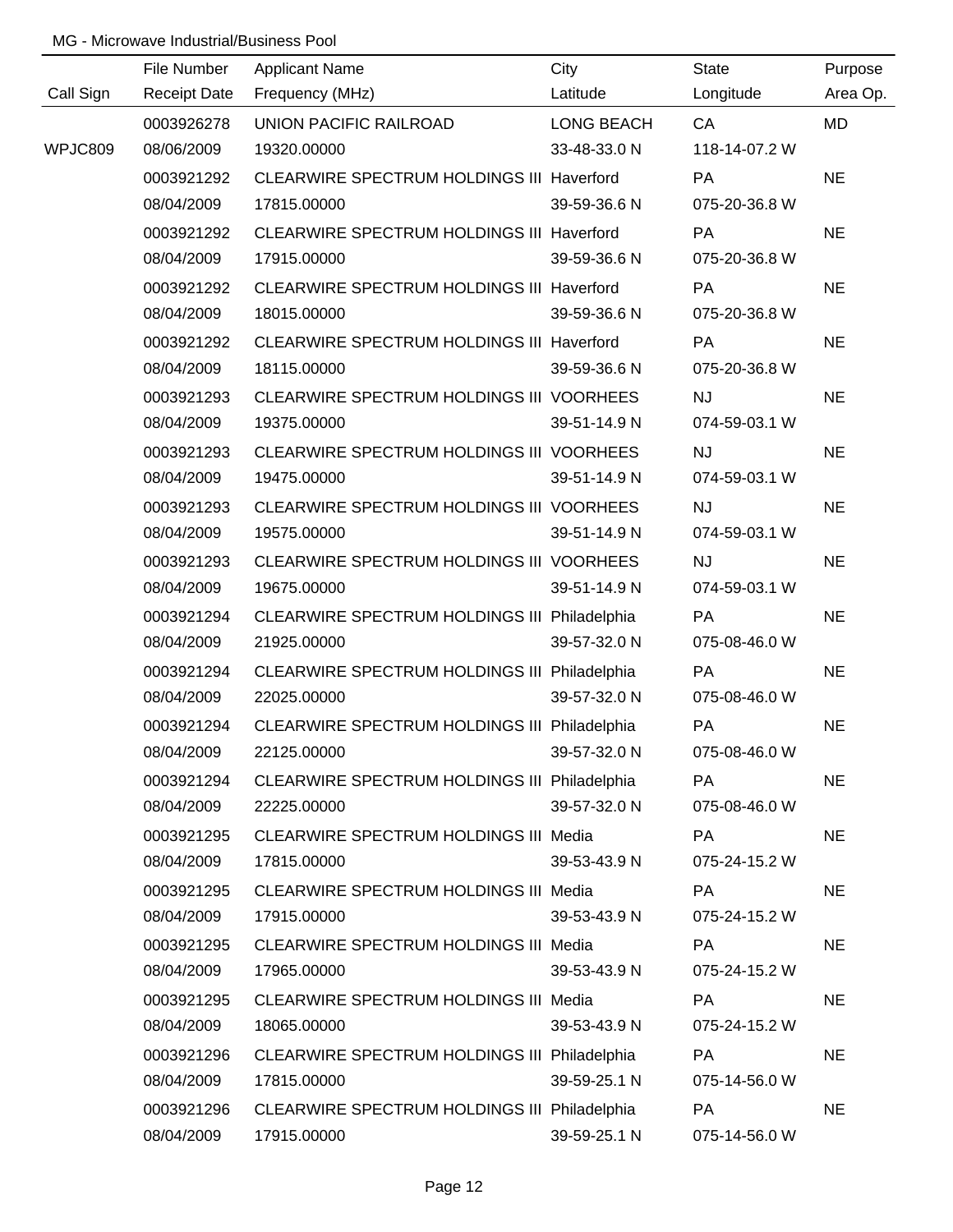|           | File Number         | <b>Applicant Name</b>                        | City         | State         | Purpose   |
|-----------|---------------------|----------------------------------------------|--------------|---------------|-----------|
| Call Sign | <b>Receipt Date</b> | Frequency (MHz)                              | Latitude     | Longitude     | Area Op.  |
|           | 0003926278          | UNION PACIFIC RAILROAD                       | LONG BEACH   | CA            | MD        |
| WPJC809   | 08/06/2009          | 19320.00000                                  | 33-48-33.0 N | 118-14-07.2 W |           |
|           | 0003921292          | CLEARWIRE SPECTRUM HOLDINGS III Haverford    |              | PA            | <b>NE</b> |
|           | 08/04/2009          | 17815.00000                                  | 39-59-36.6 N | 075-20-36.8 W |           |
|           | 0003921292          | CLEARWIRE SPECTRUM HOLDINGS III Haverford    |              | <b>PA</b>     | <b>NE</b> |
|           | 08/04/2009          | 17915.00000                                  | 39-59-36.6 N | 075-20-36.8 W |           |
|           | 0003921292          | CLEARWIRE SPECTRUM HOLDINGS III Haverford    |              | PA            | <b>NE</b> |
|           | 08/04/2009          | 18015.00000                                  | 39-59-36.6 N | 075-20-36.8 W |           |
|           | 0003921292          | CLEARWIRE SPECTRUM HOLDINGS III Haverford    |              | PA            | <b>NE</b> |
|           | 08/04/2009          | 18115.00000                                  | 39-59-36.6 N | 075-20-36.8 W |           |
|           | 0003921293          | CLEARWIRE SPECTRUM HOLDINGS III VOORHEES     |              | <b>NJ</b>     | <b>NE</b> |
|           | 08/04/2009          | 19375.00000                                  | 39-51-14.9 N | 074-59-03.1 W |           |
|           | 0003921293          | CLEARWIRE SPECTRUM HOLDINGS III VOORHEES     |              | <b>NJ</b>     | <b>NE</b> |
|           | 08/04/2009          | 19475.00000                                  | 39-51-14.9 N | 074-59-03.1 W |           |
|           | 0003921293          | CLEARWIRE SPECTRUM HOLDINGS III VOORHEES     |              | <b>NJ</b>     | <b>NE</b> |
|           | 08/04/2009          | 19575.00000                                  | 39-51-14.9 N | 074-59-03.1 W |           |
|           | 0003921293          | CLEARWIRE SPECTRUM HOLDINGS III VOORHEES     |              | <b>NJ</b>     | <b>NE</b> |
|           | 08/04/2009          | 19675.00000                                  | 39-51-14.9 N | 074-59-03.1 W |           |
|           | 0003921294          | CLEARWIRE SPECTRUM HOLDINGS III Philadelphia |              | PA            | <b>NE</b> |
|           | 08/04/2009          | 21925.00000                                  | 39-57-32.0 N | 075-08-46.0 W |           |
|           | 0003921294          | CLEARWIRE SPECTRUM HOLDINGS III Philadelphia |              | PA            | <b>NE</b> |
|           | 08/04/2009          | 22025.00000                                  | 39-57-32.0 N | 075-08-46.0 W |           |
|           | 0003921294          | CLEARWIRE SPECTRUM HOLDINGS III Philadelphia |              | PA            | <b>NE</b> |
|           | 08/04/2009          | 22125.00000                                  | 39-57-32.0 N | 075-08-46.0 W |           |
|           | 0003921294          | CLEARWIRE SPECTRUM HOLDINGS III Philadelphia |              | <b>PA</b>     | <b>NE</b> |
|           | 08/04/2009          | 22225.00000                                  | 39-57-32.0 N | 075-08-46.0 W |           |
|           | 0003921295          | CLEARWIRE SPECTRUM HOLDINGS III Media        |              | PA            | <b>NE</b> |
|           | 08/04/2009          | 17815.00000                                  | 39-53-43.9 N | 075-24-15.2 W |           |
|           | 0003921295          | CLEARWIRE SPECTRUM HOLDINGS III Media        |              | <b>PA</b>     | <b>NE</b> |
|           | 08/04/2009          | 17915.00000                                  | 39-53-43.9 N | 075-24-15.2 W |           |
|           | 0003921295          | <b>CLEARWIRE SPECTRUM HOLDINGS III Media</b> |              | <b>PA</b>     | <b>NE</b> |
|           | 08/04/2009          | 17965.00000                                  | 39-53-43.9 N | 075-24-15.2 W |           |
|           | 0003921295          | CLEARWIRE SPECTRUM HOLDINGS III Media        |              | PA            | <b>NE</b> |
|           | 08/04/2009          | 18065.00000                                  | 39-53-43.9 N | 075-24-15.2 W |           |
|           | 0003921296          | CLEARWIRE SPECTRUM HOLDINGS III Philadelphia |              | <b>PA</b>     | <b>NE</b> |
|           | 08/04/2009          | 17815.00000                                  | 39-59-25.1 N | 075-14-56.0 W |           |
|           | 0003921296          | CLEARWIRE SPECTRUM HOLDINGS III Philadelphia |              | PA            | <b>NE</b> |
|           | 08/04/2009          | 17915.00000                                  | 39-59-25.1 N | 075-14-56.0 W |           |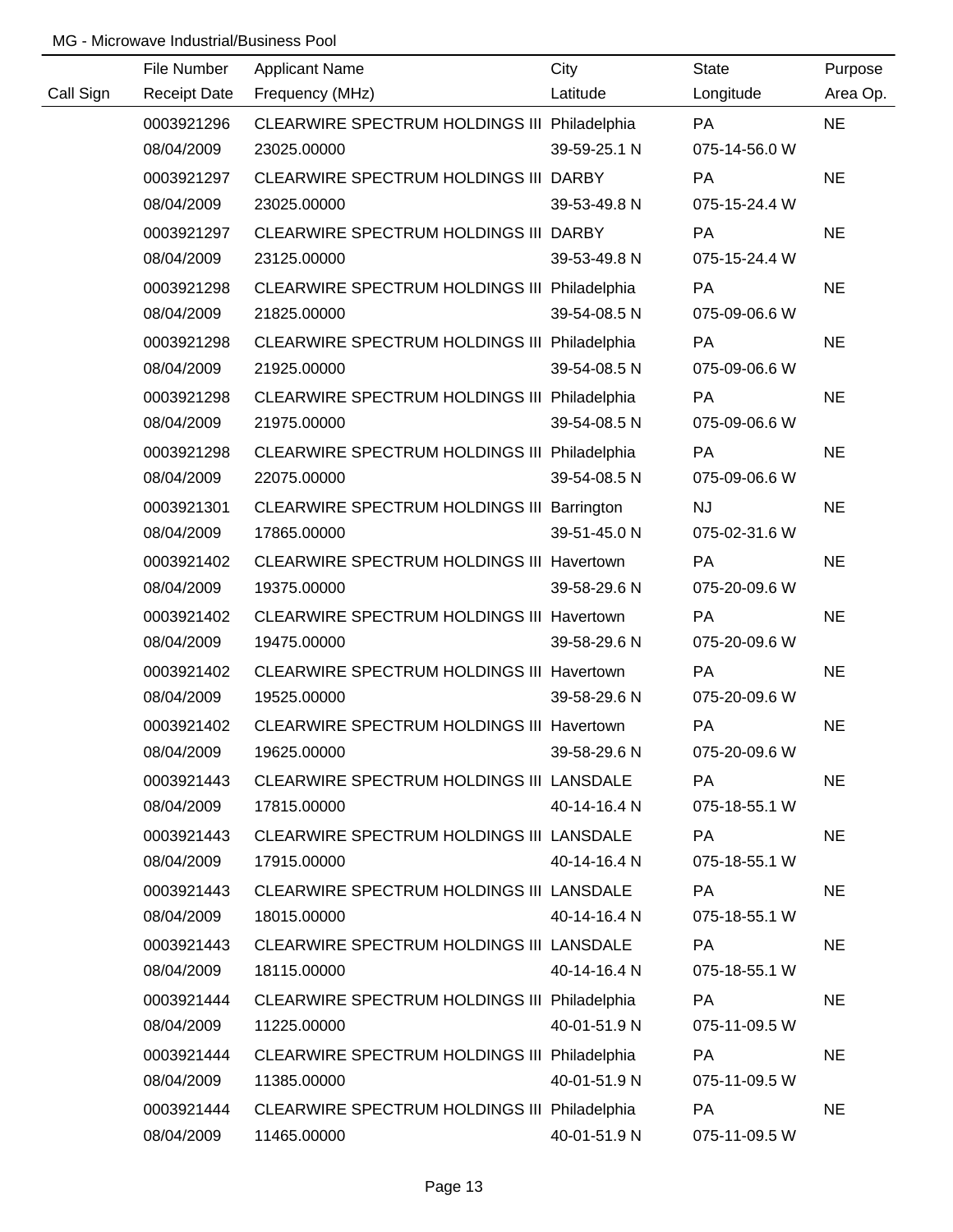|           | File Number         | <b>Applicant Name</b>                        | City         | <b>State</b>  | Purpose   |
|-----------|---------------------|----------------------------------------------|--------------|---------------|-----------|
| Call Sign | <b>Receipt Date</b> | Frequency (MHz)                              | Latitude     | Longitude     | Area Op.  |
|           | 0003921296          | CLEARWIRE SPECTRUM HOLDINGS III Philadelphia |              | <b>PA</b>     | <b>NE</b> |
|           | 08/04/2009          | 23025.00000                                  | 39-59-25.1 N | 075-14-56.0 W |           |
|           | 0003921297          | CLEARWIRE SPECTRUM HOLDINGS III DARBY        |              | PA            | <b>NE</b> |
|           | 08/04/2009          | 23025.00000                                  | 39-53-49.8 N | 075-15-24.4 W |           |
|           | 0003921297          | CLEARWIRE SPECTRUM HOLDINGS III DARBY        |              | PA            | <b>NE</b> |
|           | 08/04/2009          | 23125.00000                                  | 39-53-49.8 N | 075-15-24.4 W |           |
|           | 0003921298          | CLEARWIRE SPECTRUM HOLDINGS III Philadelphia |              | PA            | <b>NE</b> |
|           | 08/04/2009          | 21825.00000                                  | 39-54-08.5 N | 075-09-06.6 W |           |
|           | 0003921298          | CLEARWIRE SPECTRUM HOLDINGS III Philadelphia |              | PA            | <b>NE</b> |
|           | 08/04/2009          | 21925.00000                                  | 39-54-08.5 N | 075-09-06.6 W |           |
|           | 0003921298          | CLEARWIRE SPECTRUM HOLDINGS III Philadelphia |              | PA            | <b>NE</b> |
|           | 08/04/2009          | 21975.00000                                  | 39-54-08.5 N | 075-09-06.6 W |           |
|           | 0003921298          | CLEARWIRE SPECTRUM HOLDINGS III Philadelphia |              | PA            | <b>NE</b> |
|           | 08/04/2009          | 22075.00000                                  | 39-54-08.5 N | 075-09-06.6 W |           |
|           | 0003921301          | CLEARWIRE SPECTRUM HOLDINGS III Barrington   |              | <b>NJ</b>     | <b>NE</b> |
|           | 08/04/2009          | 17865.00000                                  | 39-51-45.0 N | 075-02-31.6 W |           |
|           | 0003921402          | CLEARWIRE SPECTRUM HOLDINGS III Havertown    |              | <b>PA</b>     | <b>NE</b> |
|           | 08/04/2009          | 19375.00000                                  | 39-58-29.6 N | 075-20-09.6 W |           |
|           | 0003921402          | CLEARWIRE SPECTRUM HOLDINGS III Havertown    |              | PA            | <b>NE</b> |
|           | 08/04/2009          | 19475.00000                                  | 39-58-29.6 N | 075-20-09.6 W |           |
|           | 0003921402          | CLEARWIRE SPECTRUM HOLDINGS III Havertown    |              | PA            | <b>NE</b> |
|           | 08/04/2009          | 19525.00000                                  | 39-58-29.6 N | 075-20-09.6 W |           |
|           | 0003921402          | CLEARWIRE SPECTRUM HOLDINGS III Havertown    |              | PA            | <b>NE</b> |
|           | 08/04/2009          | 19625.00000                                  | 39-58-29.6 N | 075-20-09.6 W |           |
|           | 0003921443          | CLEARWIRE SPECTRUM HOLDINGS III LANSDALE     |              | <b>PA</b>     | <b>NE</b> |
|           | 08/04/2009          | 17815.00000                                  | 40-14-16.4 N | 075-18-55.1 W |           |
|           | 0003921443          | CLEARWIRE SPECTRUM HOLDINGS III LANSDALE     |              | PA            | <b>NE</b> |
|           | 08/04/2009          | 17915.00000                                  | 40-14-16.4 N | 075-18-55.1 W |           |
|           | 0003921443          | CLEARWIRE SPECTRUM HOLDINGS III LANSDALE     |              | PA            | <b>NE</b> |
|           | 08/04/2009          | 18015.00000                                  | 40-14-16.4 N | 075-18-55.1 W |           |
|           | 0003921443          | CLEARWIRE SPECTRUM HOLDINGS III LANSDALE     |              | PA            | <b>NE</b> |
|           | 08/04/2009          | 18115.00000                                  | 40-14-16.4 N | 075-18-55.1 W |           |
|           | 0003921444          | CLEARWIRE SPECTRUM HOLDINGS III Philadelphia |              | PA            | <b>NE</b> |
|           | 08/04/2009          | 11225.00000                                  | 40-01-51.9 N | 075-11-09.5 W |           |
|           | 0003921444          | CLEARWIRE SPECTRUM HOLDINGS III Philadelphia |              | PA            | <b>NE</b> |
|           | 08/04/2009          | 11385.00000                                  | 40-01-51.9 N | 075-11-09.5 W |           |
|           | 0003921444          | CLEARWIRE SPECTRUM HOLDINGS III Philadelphia |              | PA            | <b>NE</b> |
|           | 08/04/2009          | 11465.00000                                  | 40-01-51.9 N | 075-11-09.5 W |           |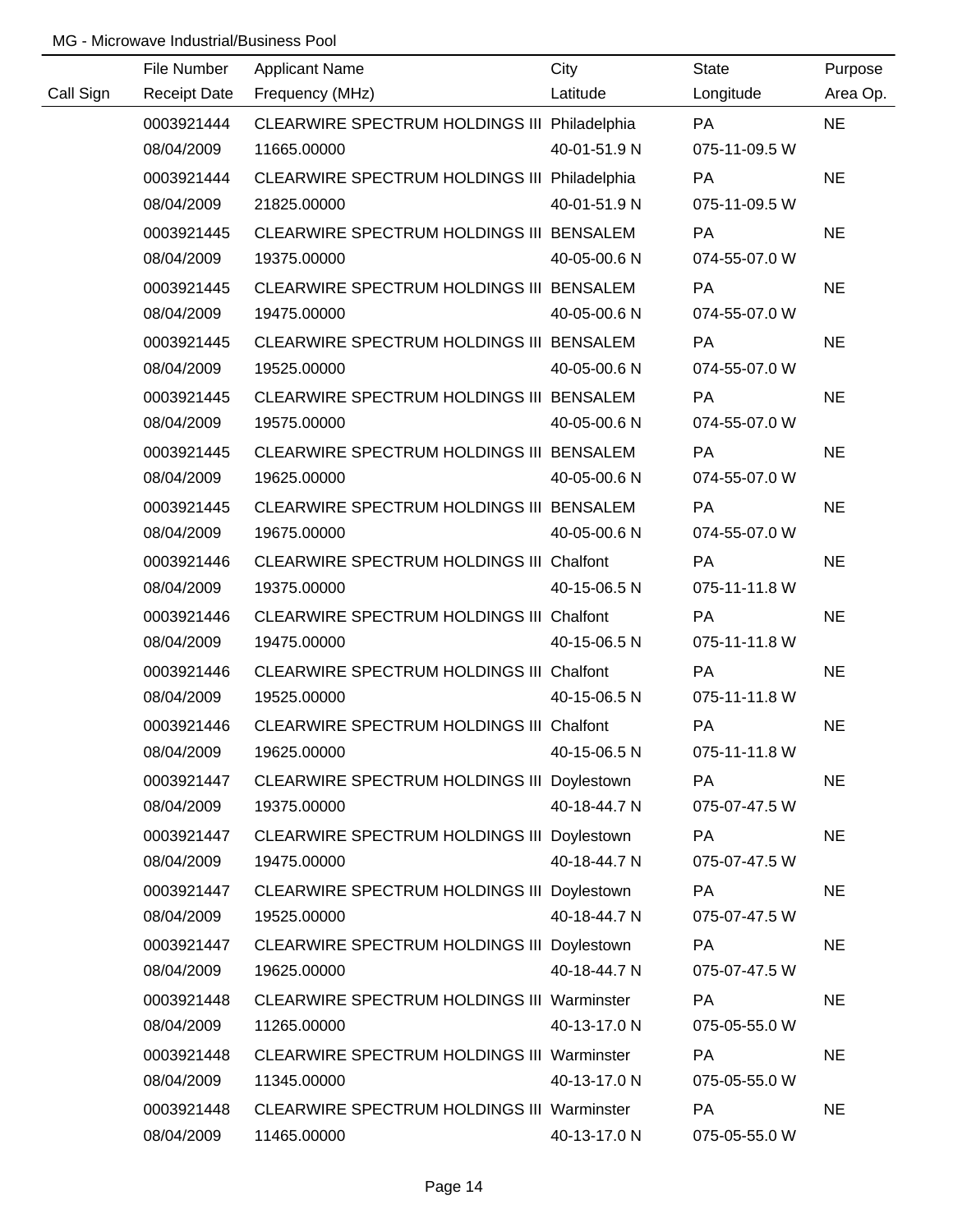|           | File Number         | <b>Applicant Name</b>                        | City         | <b>State</b>  | Purpose   |
|-----------|---------------------|----------------------------------------------|--------------|---------------|-----------|
| Call Sign | <b>Receipt Date</b> | Frequency (MHz)                              | Latitude     | Longitude     | Area Op.  |
|           | 0003921444          | CLEARWIRE SPECTRUM HOLDINGS III Philadelphia |              | <b>PA</b>     | <b>NE</b> |
|           | 08/04/2009          | 11665.00000                                  | 40-01-51.9 N | 075-11-09.5 W |           |
|           | 0003921444          | CLEARWIRE SPECTRUM HOLDINGS III Philadelphia |              | <b>PA</b>     | <b>NE</b> |
|           | 08/04/2009          | 21825.00000                                  | 40-01-51.9 N | 075-11-09.5 W |           |
|           | 0003921445          | CLEARWIRE SPECTRUM HOLDINGS III BENSALEM     |              | <b>PA</b>     | <b>NE</b> |
|           | 08/04/2009          | 19375.00000                                  | 40-05-00.6 N | 074-55-07.0 W |           |
|           | 0003921445          | CLEARWIRE SPECTRUM HOLDINGS III BENSALEM     |              | <b>PA</b>     | <b>NE</b> |
|           | 08/04/2009          | 19475.00000                                  | 40-05-00.6 N | 074-55-07.0 W |           |
|           | 0003921445          | CLEARWIRE SPECTRUM HOLDINGS III BENSALEM     |              | PA            | <b>NE</b> |
|           | 08/04/2009          | 19525.00000                                  | 40-05-00.6 N | 074-55-07.0 W |           |
|           | 0003921445          | CLEARWIRE SPECTRUM HOLDINGS III BENSALEM     |              | PA            | <b>NE</b> |
|           | 08/04/2009          | 19575.00000                                  | 40-05-00.6 N | 074-55-07.0 W |           |
|           | 0003921445          | CLEARWIRE SPECTRUM HOLDINGS III BENSALEM     |              | PA            | <b>NE</b> |
|           | 08/04/2009          | 19625.00000                                  | 40-05-00.6 N | 074-55-07.0 W |           |
|           | 0003921445          | CLEARWIRE SPECTRUM HOLDINGS III BENSALEM     |              | PA            | <b>NE</b> |
|           | 08/04/2009          | 19675.00000                                  | 40-05-00.6 N | 074-55-07.0 W |           |
|           | 0003921446          | CLEARWIRE SPECTRUM HOLDINGS III Chalfont     |              | PA            | <b>NE</b> |
|           | 08/04/2009          | 19375.00000                                  | 40-15-06.5 N | 075-11-11.8 W |           |
|           | 0003921446          | CLEARWIRE SPECTRUM HOLDINGS III Chalfont     |              | PA            | <b>NE</b> |
|           | 08/04/2009          | 19475.00000                                  | 40-15-06.5 N | 075-11-11.8 W |           |
|           | 0003921446          | CLEARWIRE SPECTRUM HOLDINGS III Chalfont     |              | PA            | <b>NE</b> |
|           | 08/04/2009          | 19525.00000                                  | 40-15-06.5 N | 075-11-11.8 W |           |
|           | 0003921446          | CLEARWIRE SPECTRUM HOLDINGS III Chalfont     |              | PA            | <b>NE</b> |
|           | 08/04/2009          | 19625.00000                                  | 40-15-06.5 N | 075-11-11.8 W |           |
|           | 0003921447          | CLEARWIRE SPECTRUM HOLDINGS III Doylestown   |              | <b>PA</b>     | <b>NE</b> |
|           | 08/04/2009          | 19375.00000                                  | 40-18-44.7 N | 075-07-47.5 W |           |
|           | 0003921447          | CLEARWIRE SPECTRUM HOLDINGS III Doylestown   |              | PA            | <b>NE</b> |
|           | 08/04/2009          | 19475.00000                                  | 40-18-44.7 N | 075-07-47.5 W |           |
|           | 0003921447          | CLEARWIRE SPECTRUM HOLDINGS III Doylestown   |              | PA            | <b>NE</b> |
|           | 08/04/2009          | 19525.00000                                  | 40-18-44.7 N | 075-07-47.5 W |           |
|           | 0003921447          | CLEARWIRE SPECTRUM HOLDINGS III Doylestown   |              | <b>PA</b>     | <b>NE</b> |
|           | 08/04/2009          | 19625.00000                                  | 40-18-44.7 N | 075-07-47.5 W |           |
|           | 0003921448          | CLEARWIRE SPECTRUM HOLDINGS III Warminster   |              | <b>PA</b>     | <b>NE</b> |
|           | 08/04/2009          | 11265.00000                                  | 40-13-17.0 N | 075-05-55.0 W |           |
|           | 0003921448          | CLEARWIRE SPECTRUM HOLDINGS III Warminster   |              | PA            | <b>NE</b> |
|           | 08/04/2009          | 11345.00000                                  | 40-13-17.0 N | 075-05-55.0 W |           |
|           | 0003921448          | CLEARWIRE SPECTRUM HOLDINGS III Warminster   |              | PA            | <b>NE</b> |
|           | 08/04/2009          | 11465.00000                                  | 40-13-17.0 N | 075-05-55.0 W |           |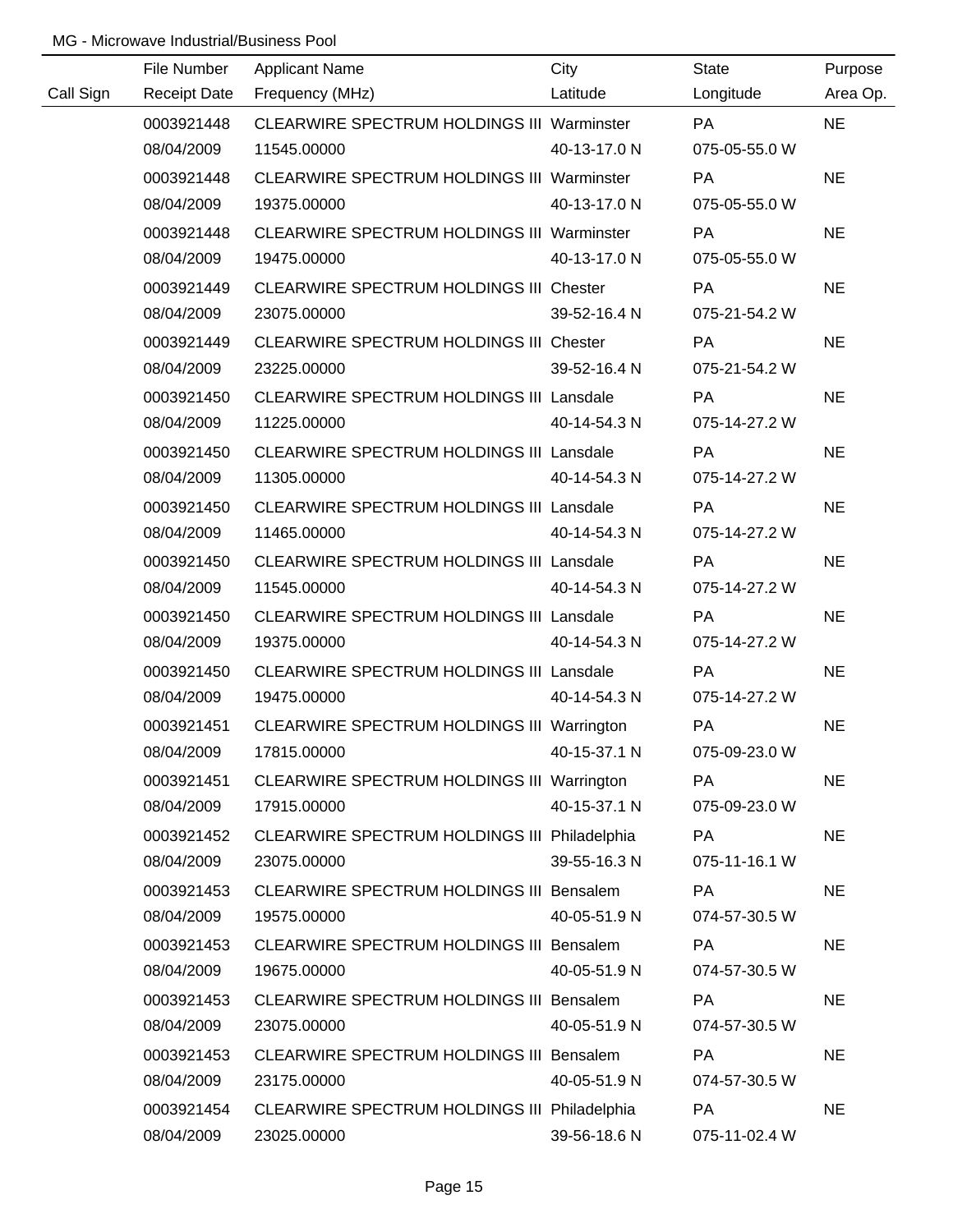|           | File Number         | <b>Applicant Name</b>                             | City         | State         | Purpose   |
|-----------|---------------------|---------------------------------------------------|--------------|---------------|-----------|
| Call Sign | <b>Receipt Date</b> | Frequency (MHz)                                   | Latitude     | Longitude     | Area Op.  |
|           | 0003921448          | CLEARWIRE SPECTRUM HOLDINGS III Warminster        |              | <b>PA</b>     | <b>NE</b> |
|           | 08/04/2009          | 11545.00000                                       | 40-13-17.0 N | 075-05-55.0 W |           |
|           | 0003921448          | <b>CLEARWIRE SPECTRUM HOLDINGS III Warminster</b> |              | <b>PA</b>     | <b>NE</b> |
|           | 08/04/2009          | 19375.00000                                       | 40-13-17.0 N | 075-05-55.0 W |           |
|           | 0003921448          | <b>CLEARWIRE SPECTRUM HOLDINGS III Warminster</b> |              | PA            | <b>NE</b> |
|           | 08/04/2009          | 19475.00000                                       | 40-13-17.0 N | 075-05-55.0 W |           |
|           | 0003921449          | CLEARWIRE SPECTRUM HOLDINGS III Chester           |              | <b>PA</b>     | <b>NE</b> |
|           | 08/04/2009          | 23075.00000                                       | 39-52-16.4 N | 075-21-54.2 W |           |
|           | 0003921449          | CLEARWIRE SPECTRUM HOLDINGS III Chester           |              | PA            | <b>NE</b> |
|           | 08/04/2009          | 23225.00000                                       | 39-52-16.4 N | 075-21-54.2 W |           |
|           | 0003921450          | CLEARWIRE SPECTRUM HOLDINGS III Lansdale          |              | <b>PA</b>     | <b>NE</b> |
|           | 08/04/2009          | 11225.00000                                       | 40-14-54.3 N | 075-14-27.2 W |           |
|           | 0003921450          | CLEARWIRE SPECTRUM HOLDINGS III Lansdale          |              | <b>PA</b>     | <b>NE</b> |
|           | 08/04/2009          | 11305.00000                                       | 40-14-54.3 N | 075-14-27.2 W |           |
|           | 0003921450          | CLEARWIRE SPECTRUM HOLDINGS III Lansdale          |              | <b>PA</b>     | <b>NE</b> |
|           | 08/04/2009          | 11465.00000                                       | 40-14-54.3 N | 075-14-27.2 W |           |
|           | 0003921450          | <b>CLEARWIRE SPECTRUM HOLDINGS III Lansdale</b>   |              | <b>PA</b>     | <b>NE</b> |
|           | 08/04/2009          | 11545.00000                                       | 40-14-54.3 N | 075-14-27.2 W |           |
|           | 0003921450          | CLEARWIRE SPECTRUM HOLDINGS III Lansdale          |              | PA            | <b>NE</b> |
|           | 08/04/2009          | 19375.00000                                       | 40-14-54.3 N | 075-14-27.2 W |           |
|           | 0003921450          | <b>CLEARWIRE SPECTRUM HOLDINGS III Lansdale</b>   |              | PA            | <b>NE</b> |
|           | 08/04/2009          | 19475.00000                                       | 40-14-54.3 N | 075-14-27.2 W |           |
|           | 0003921451          | CLEARWIRE SPECTRUM HOLDINGS III Warrington        |              | PA            | <b>NE</b> |
|           | 08/04/2009          | 17815.00000                                       | 40-15-37.1 N | 075-09-23.0 W |           |
|           | 0003921451          | CLEARWIRE SPECTRUM HOLDINGS III Warrington        |              | <b>PA</b>     | <b>NE</b> |
|           | 08/04/2009          | 17915.00000                                       | 40-15-37.1 N | 075-09-23.0 W |           |
|           | 0003921452          | CLEARWIRE SPECTRUM HOLDINGS III Philadelphia      |              | PA            | <b>NE</b> |
|           | 08/04/2009          | 23075.00000                                       | 39-55-16.3 N | 075-11-16.1 W |           |
|           | 0003921453          | <b>CLEARWIRE SPECTRUM HOLDINGS III Bensalem</b>   |              | <b>PA</b>     | <b>NE</b> |
|           | 08/04/2009          | 19575.00000                                       | 40-05-51.9 N | 074-57-30.5 W |           |
|           | 0003921453          | CLEARWIRE SPECTRUM HOLDINGS III Bensalem          |              | <b>PA</b>     | <b>NE</b> |
|           | 08/04/2009          | 19675.00000                                       | 40-05-51.9 N | 074-57-30.5 W |           |
|           | 0003921453          | CLEARWIRE SPECTRUM HOLDINGS III Bensalem          |              | <b>PA</b>     | <b>NE</b> |
|           | 08/04/2009          | 23075.00000                                       | 40-05-51.9 N | 074-57-30.5 W |           |
|           | 0003921453          | CLEARWIRE SPECTRUM HOLDINGS III Bensalem          |              | PA            | <b>NE</b> |
|           | 08/04/2009          | 23175.00000                                       | 40-05-51.9 N | 074-57-30.5 W |           |
|           | 0003921454          | CLEARWIRE SPECTRUM HOLDINGS III Philadelphia      |              | PA            | <b>NE</b> |
|           | 08/04/2009          | 23025.00000                                       | 39-56-18.6 N | 075-11-02.4 W |           |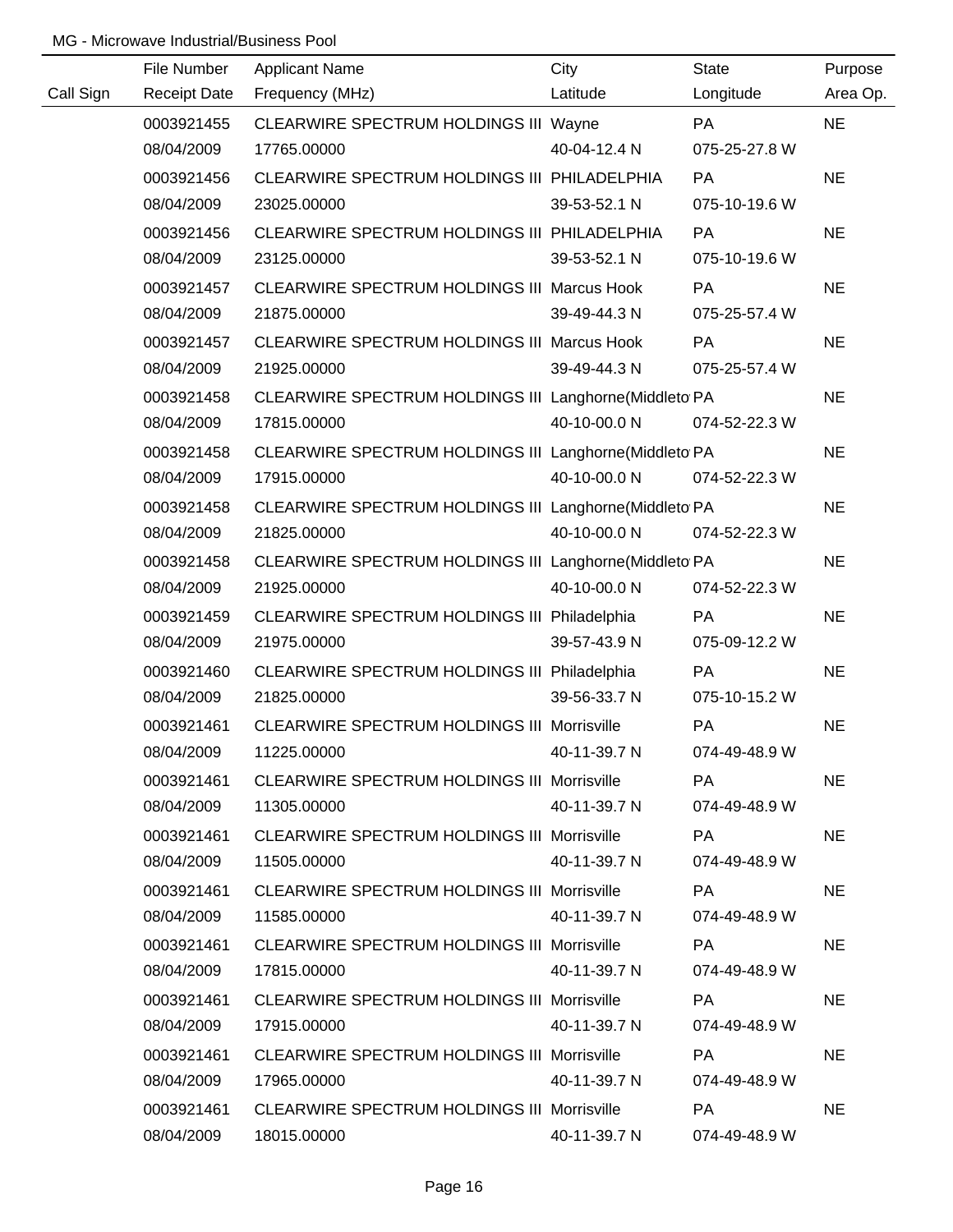|           | File Number         | <b>Applicant Name</b>                                  | City         | <b>State</b>  | Purpose   |
|-----------|---------------------|--------------------------------------------------------|--------------|---------------|-----------|
| Call Sign | <b>Receipt Date</b> | Frequency (MHz)                                        | Latitude     | Longitude     | Area Op.  |
|           | 0003921455          | CLEARWIRE SPECTRUM HOLDINGS III Wayne                  |              | PA            | <b>NE</b> |
|           | 08/04/2009          | 17765.00000                                            | 40-04-12.4 N | 075-25-27.8 W |           |
|           | 0003921456          | CLEARWIRE SPECTRUM HOLDINGS III PHILADELPHIA           |              | <b>PA</b>     | <b>NE</b> |
|           | 08/04/2009          | 23025.00000                                            | 39-53-52.1 N | 075-10-19.6 W |           |
|           | 0003921456          | CLEARWIRE SPECTRUM HOLDINGS III PHILADELPHIA           |              | PA            | <b>NE</b> |
|           | 08/04/2009          | 23125.00000                                            | 39-53-52.1 N | 075-10-19.6 W |           |
|           | 0003921457          | CLEARWIRE SPECTRUM HOLDINGS III Marcus Hook            |              | PA            | <b>NE</b> |
|           | 08/04/2009          | 21875.00000                                            | 39-49-44.3 N | 075-25-57.4 W |           |
|           | 0003921457          | CLEARWIRE SPECTRUM HOLDINGS III Marcus Hook            |              | <b>PA</b>     | <b>NE</b> |
|           | 08/04/2009          | 21925.00000                                            | 39-49-44.3 N | 075-25-57.4 W |           |
|           | 0003921458          | CLEARWIRE SPECTRUM HOLDINGS III Langhorne(Middleto PA  |              |               | <b>NE</b> |
|           | 08/04/2009          | 17815.00000                                            | 40-10-00.0 N | 074-52-22.3 W |           |
|           | 0003921458          | CLEARWIRE SPECTRUM HOLDINGS III Langhorne (Middleto PA |              |               | <b>NE</b> |
|           | 08/04/2009          | 17915.00000                                            | 40-10-00.0 N | 074-52-22.3 W |           |
|           | 0003921458          | CLEARWIRE SPECTRUM HOLDINGS III Langhorne (Middleto PA |              |               | <b>NE</b> |
|           | 08/04/2009          | 21825.00000                                            | 40-10-00.0 N | 074-52-22.3 W |           |
|           | 0003921458          | CLEARWIRE SPECTRUM HOLDINGS III Langhorne(Middleto PA  |              |               | <b>NE</b> |
|           | 08/04/2009          | 21925.00000                                            | 40-10-00.0 N | 074-52-22.3 W |           |
|           | 0003921459          | CLEARWIRE SPECTRUM HOLDINGS III Philadelphia           |              | PA            | <b>NE</b> |
|           | 08/04/2009          | 21975.00000                                            | 39-57-43.9 N | 075-09-12.2 W |           |
|           | 0003921460          | CLEARWIRE SPECTRUM HOLDINGS III Philadelphia           |              | PA            | <b>NE</b> |
|           | 08/04/2009          | 21825.00000                                            | 39-56-33.7 N | 075-10-15.2 W |           |
|           | 0003921461          | CLEARWIRE SPECTRUM HOLDINGS III Morrisville            |              | PA            | <b>NE</b> |
|           | 08/04/2009          | 11225.00000                                            | 40-11-39.7 N | 074-49-48.9 W |           |
|           | 0003921461          | CLEARWIRE SPECTRUM HOLDINGS III Morrisville            |              | PA.           | <b>NE</b> |
|           | 08/04/2009          | 11305.00000                                            | 40-11-39.7 N | 074-49-48.9 W |           |
|           | 0003921461          | <b>CLEARWIRE SPECTRUM HOLDINGS III Morrisville</b>     |              | PA            | <b>NE</b> |
|           | 08/04/2009          | 11505.00000                                            | 40-11-39.7 N | 074-49-48.9 W |           |
|           | 0003921461          | <b>CLEARWIRE SPECTRUM HOLDINGS III Morrisville</b>     |              | PA.           | <b>NE</b> |
|           | 08/04/2009          | 11585.00000                                            | 40-11-39.7 N | 074-49-48.9 W |           |
|           | 0003921461          | <b>CLEARWIRE SPECTRUM HOLDINGS III Morrisville</b>     |              | PA.           | <b>NE</b> |
|           | 08/04/2009          | 17815.00000                                            | 40-11-39.7 N | 074-49-48.9 W |           |
|           | 0003921461          | <b>CLEARWIRE SPECTRUM HOLDINGS III Morrisville</b>     |              | PA            | <b>NE</b> |
|           | 08/04/2009          | 17915.00000                                            | 40-11-39.7 N | 074-49-48.9 W |           |
|           | 0003921461          | <b>CLEARWIRE SPECTRUM HOLDINGS III Morrisville</b>     |              | PA            | <b>NE</b> |
|           | 08/04/2009          | 17965.00000                                            | 40-11-39.7 N | 074-49-48.9 W |           |
|           | 0003921461          | <b>CLEARWIRE SPECTRUM HOLDINGS III Morrisville</b>     |              | PA            | <b>NE</b> |
|           | 08/04/2009          | 18015.00000                                            | 40-11-39.7 N | 074-49-48.9 W |           |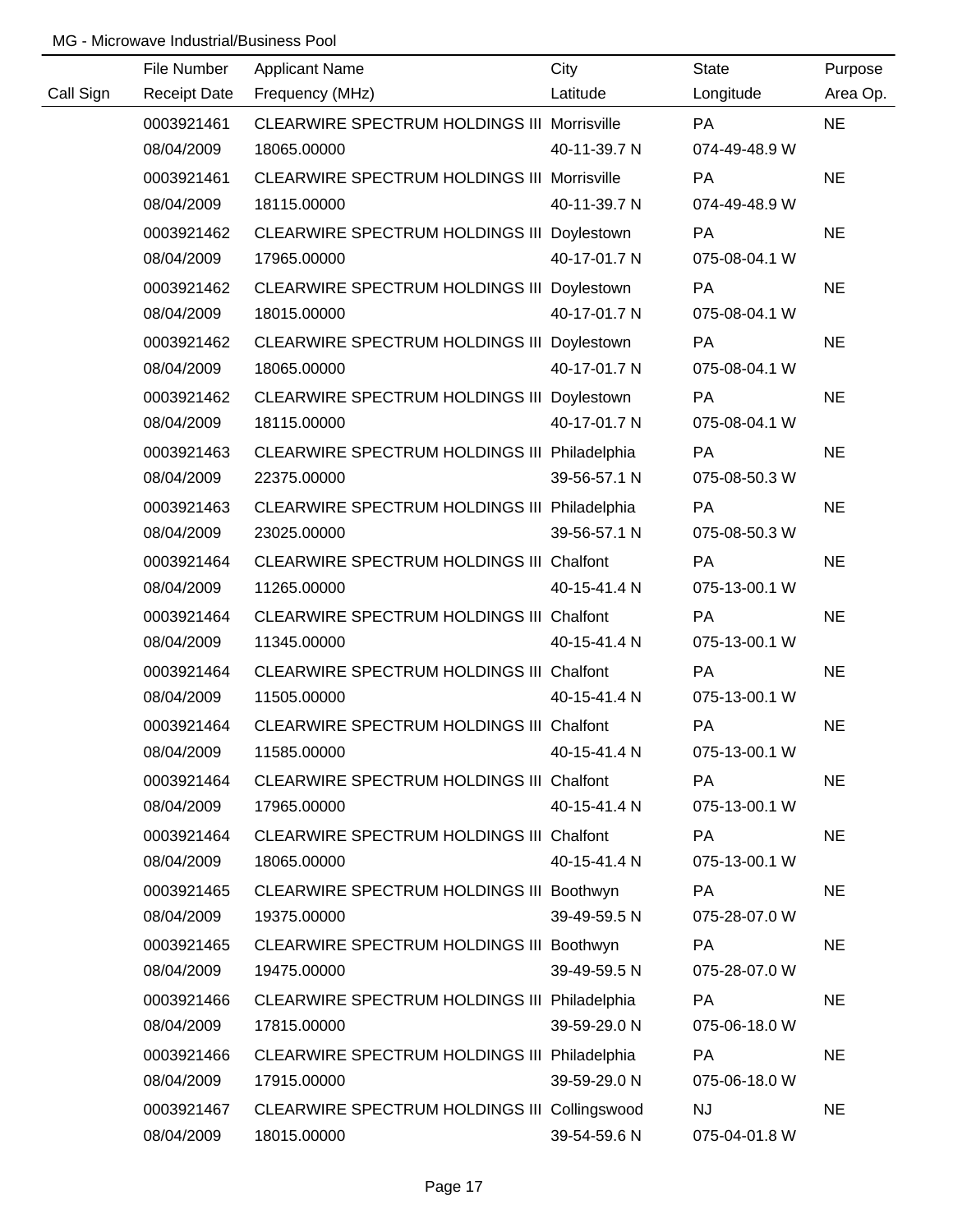|           | File Number         | <b>Applicant Name</b>                              | City         | <b>State</b>  | Purpose   |
|-----------|---------------------|----------------------------------------------------|--------------|---------------|-----------|
| Call Sign | <b>Receipt Date</b> | Frequency (MHz)                                    | Latitude     | Longitude     | Area Op.  |
|           | 0003921461          | CLEARWIRE SPECTRUM HOLDINGS III Morrisville        |              | <b>PA</b>     | <b>NE</b> |
|           | 08/04/2009          | 18065.00000                                        | 40-11-39.7 N | 074-49-48.9 W |           |
|           | 0003921461          | <b>CLEARWIRE SPECTRUM HOLDINGS III Morrisville</b> |              | PA            | <b>NE</b> |
|           | 08/04/2009          | 18115.00000                                        | 40-11-39.7 N | 074-49-48.9 W |           |
|           | 0003921462          | CLEARWIRE SPECTRUM HOLDINGS III Doylestown         |              | PA            | <b>NE</b> |
|           | 08/04/2009          | 17965.00000                                        | 40-17-01.7 N | 075-08-04.1 W |           |
|           | 0003921462          | CLEARWIRE SPECTRUM HOLDINGS III Doylestown         |              | PA            | <b>NE</b> |
|           | 08/04/2009          | 18015.00000                                        | 40-17-01.7 N | 075-08-04.1 W |           |
|           | 0003921462          | CLEARWIRE SPECTRUM HOLDINGS III Doylestown         |              | PA            | <b>NE</b> |
|           | 08/04/2009          | 18065.00000                                        | 40-17-01.7 N | 075-08-04.1 W |           |
|           | 0003921462          | CLEARWIRE SPECTRUM HOLDINGS III Doylestown         |              | PA            | <b>NE</b> |
|           | 08/04/2009          | 18115.00000                                        | 40-17-01.7 N | 075-08-04.1 W |           |
|           | 0003921463          | CLEARWIRE SPECTRUM HOLDINGS III Philadelphia       |              | PA            | <b>NE</b> |
|           | 08/04/2009          | 22375.00000                                        | 39-56-57.1 N | 075-08-50.3 W |           |
|           | 0003921463          | CLEARWIRE SPECTRUM HOLDINGS III Philadelphia       |              | PA            | <b>NE</b> |
|           | 08/04/2009          | 23025.00000                                        | 39-56-57.1 N | 075-08-50.3 W |           |
|           | 0003921464          | CLEARWIRE SPECTRUM HOLDINGS III Chalfont           |              | <b>PA</b>     | <b>NE</b> |
|           | 08/04/2009          | 11265.00000                                        | 40-15-41.4 N | 075-13-00.1 W |           |
|           | 0003921464          | CLEARWIRE SPECTRUM HOLDINGS III Chalfont           |              | PA            | <b>NE</b> |
|           | 08/04/2009          | 11345.00000                                        | 40-15-41.4 N | 075-13-00.1 W |           |
|           | 0003921464          | CLEARWIRE SPECTRUM HOLDINGS III Chalfont           |              | PA            | <b>NE</b> |
|           | 08/04/2009          | 11505.00000                                        | 40-15-41.4 N | 075-13-00.1 W |           |
|           | 0003921464          | CLEARWIRE SPECTRUM HOLDINGS III Chalfont           |              | PA            | <b>NE</b> |
|           | 08/04/2009          | 11585.00000                                        | 40-15-41.4 N | 075-13-00.1 W |           |
|           | 0003921464          | CLEARWIRE SPECTRUM HOLDINGS III Chalfont           |              | PA            | <b>NE</b> |
|           | 08/04/2009          | 17965.00000                                        | 40-15-41.4 N | 075-13-00.1 W |           |
|           | 0003921464          | CLEARWIRE SPECTRUM HOLDINGS III Chalfont           |              | PA            | <b>NE</b> |
|           | 08/04/2009          | 18065.00000                                        | 40-15-41.4 N | 075-13-00.1 W |           |
|           | 0003921465          | CLEARWIRE SPECTRUM HOLDINGS III Boothwyn           |              | <b>PA</b>     | <b>NE</b> |
|           | 08/04/2009          | 19375.00000                                        | 39-49-59.5 N | 075-28-07.0 W |           |
|           | 0003921465          | CLEARWIRE SPECTRUM HOLDINGS III Boothwyn           |              | <b>PA</b>     | <b>NE</b> |
|           | 08/04/2009          | 19475.00000                                        | 39-49-59.5 N | 075-28-07.0 W |           |
|           | 0003921466          | CLEARWIRE SPECTRUM HOLDINGS III Philadelphia       |              | <b>PA</b>     | <b>NE</b> |
|           | 08/04/2009          | 17815.00000                                        | 39-59-29.0 N | 075-06-18.0 W |           |
|           | 0003921466          | CLEARWIRE SPECTRUM HOLDINGS III Philadelphia       |              | PA            | <b>NE</b> |
|           | 08/04/2009          | 17915.00000                                        | 39-59-29.0 N | 075-06-18.0 W |           |
|           | 0003921467          | CLEARWIRE SPECTRUM HOLDINGS III Collingswood       |              | <b>NJ</b>     | <b>NE</b> |
|           | 08/04/2009          | 18015.00000                                        | 39-54-59.6 N | 075-04-01.8 W |           |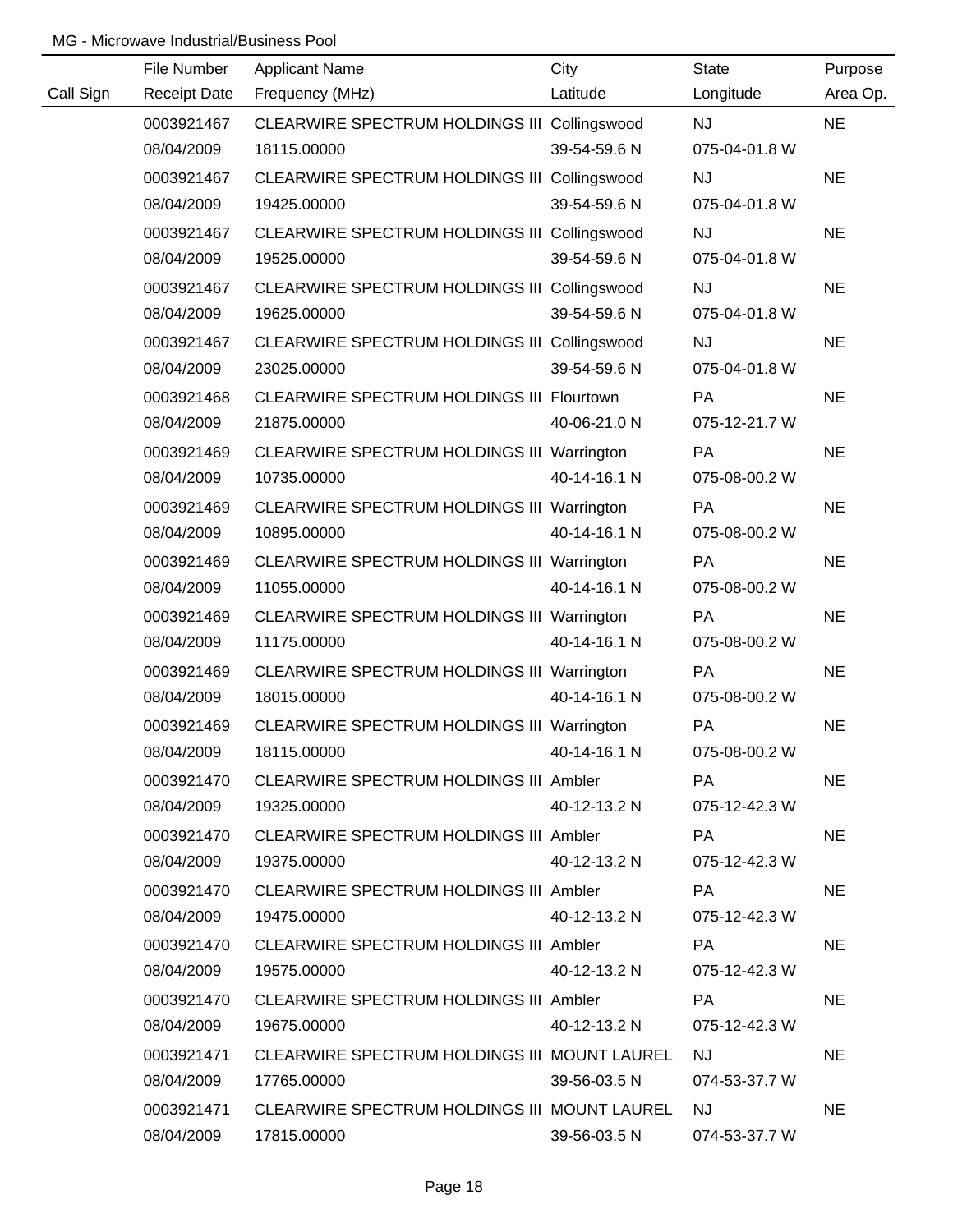|           | File Number         | <b>Applicant Name</b>                        | City         | <b>State</b>  | Purpose   |
|-----------|---------------------|----------------------------------------------|--------------|---------------|-----------|
| Call Sign | <b>Receipt Date</b> | Frequency (MHz)                              | Latitude     | Longitude     | Area Op.  |
|           | 0003921467          | CLEARWIRE SPECTRUM HOLDINGS III Collingswood |              | <b>NJ</b>     | <b>NE</b> |
|           | 08/04/2009          | 18115.00000                                  | 39-54-59.6 N | 075-04-01.8 W |           |
|           | 0003921467          | CLEARWIRE SPECTRUM HOLDINGS III Collingswood |              | <b>NJ</b>     | <b>NE</b> |
|           | 08/04/2009          | 19425.00000                                  | 39-54-59.6 N | 075-04-01.8 W |           |
|           | 0003921467          | CLEARWIRE SPECTRUM HOLDINGS III Collingswood |              | <b>NJ</b>     | <b>NE</b> |
|           | 08/04/2009          | 19525.00000                                  | 39-54-59.6 N | 075-04-01.8 W |           |
|           | 0003921467          | CLEARWIRE SPECTRUM HOLDINGS III Collingswood |              | <b>NJ</b>     | <b>NE</b> |
|           | 08/04/2009          | 19625.00000                                  | 39-54-59.6 N | 075-04-01.8 W |           |
|           | 0003921467          | CLEARWIRE SPECTRUM HOLDINGS III Collingswood |              | <b>NJ</b>     | <b>NE</b> |
|           | 08/04/2009          | 23025.00000                                  | 39-54-59.6 N | 075-04-01.8 W |           |
|           | 0003921468          | CLEARWIRE SPECTRUM HOLDINGS III Flourtown    |              | PA            | <b>NE</b> |
|           | 08/04/2009          | 21875.00000                                  | 40-06-21.0 N | 075-12-21.7 W |           |
|           | 0003921469          | CLEARWIRE SPECTRUM HOLDINGS III Warrington   |              | PA            | <b>NE</b> |
|           | 08/04/2009          | 10735.00000                                  | 40-14-16.1 N | 075-08-00.2 W |           |
|           | 0003921469          | CLEARWIRE SPECTRUM HOLDINGS III Warrington   |              | PA            | <b>NE</b> |
|           | 08/04/2009          | 10895.00000                                  | 40-14-16.1 N | 075-08-00.2 W |           |
|           | 0003921469          | CLEARWIRE SPECTRUM HOLDINGS III Warrington   |              | <b>PA</b>     | <b>NE</b> |
|           | 08/04/2009          | 11055.00000                                  | 40-14-16.1 N | 075-08-00.2 W |           |
|           | 0003921469          | CLEARWIRE SPECTRUM HOLDINGS III Warrington   |              | PA            | <b>NE</b> |
|           | 08/04/2009          | 11175.00000                                  | 40-14-16.1 N | 075-08-00.2 W |           |
|           | 0003921469          | CLEARWIRE SPECTRUM HOLDINGS III Warrington   |              | PA            | <b>NE</b> |
|           | 08/04/2009          | 18015.00000                                  | 40-14-16.1 N | 075-08-00.2 W |           |
|           | 0003921469          | CLEARWIRE SPECTRUM HOLDINGS III Warrington   |              | PA            | <b>NE</b> |
|           | 08/04/2009          | 18115.00000                                  | 40-14-16.1 N | 075-08-00.2 W |           |
|           | 0003921470          | CLEARWIRE SPECTRUM HOLDINGS III Ambler       |              | <b>PA</b>     | <b>NE</b> |
|           | 08/04/2009          | 19325.00000                                  | 40-12-13.2 N | 075-12-42.3 W |           |
|           | 0003921470          | CLEARWIRE SPECTRUM HOLDINGS III Ambler       |              | <b>PA</b>     | <b>NE</b> |
|           | 08/04/2009          | 19375.00000                                  | 40-12-13.2 N | 075-12-42.3 W |           |
|           | 0003921470          | CLEARWIRE SPECTRUM HOLDINGS III Ambler       |              | PA            | <b>NE</b> |
|           | 08/04/2009          | 19475.00000                                  | 40-12-13.2 N | 075-12-42.3 W |           |
|           | 0003921470          | CLEARWIRE SPECTRUM HOLDINGS III Ambler       |              | <b>PA</b>     | <b>NE</b> |
|           | 08/04/2009          | 19575.00000                                  | 40-12-13.2 N | 075-12-42.3 W |           |
|           | 0003921470          | CLEARWIRE SPECTRUM HOLDINGS III Ambler       |              | PA            | <b>NE</b> |
|           | 08/04/2009          | 19675.00000                                  | 40-12-13.2 N | 075-12-42.3 W |           |
|           | 0003921471          | CLEARWIRE SPECTRUM HOLDINGS III MOUNT LAUREL |              | <b>NJ</b>     | <b>NE</b> |
|           | 08/04/2009          | 17765.00000                                  | 39-56-03.5 N | 074-53-37.7 W |           |
|           | 0003921471          | CLEARWIRE SPECTRUM HOLDINGS III MOUNT LAUREL |              | <b>NJ</b>     | <b>NE</b> |
|           | 08/04/2009          | 17815.00000                                  | 39-56-03.5 N | 074-53-37.7 W |           |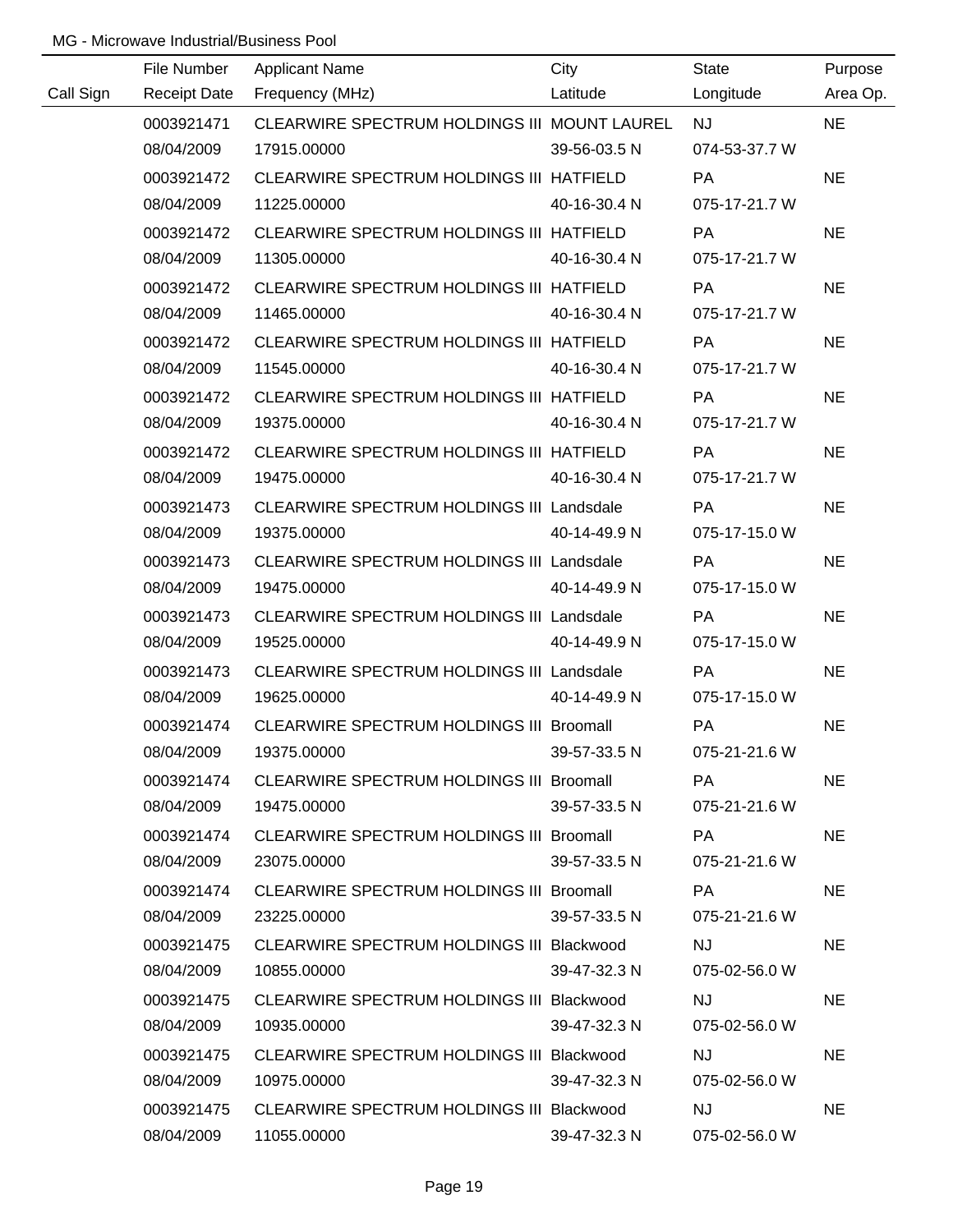|           | File Number | <b>Applicant Name</b>                           | City               | State                                                                                                          | Purpose   |
|-----------|-------------|-------------------------------------------------|--------------------|----------------------------------------------------------------------------------------------------------------|-----------|
| Call Sign |             | Receipt Date Frequency (MHz)                    | Latitude Longitude |                                                                                                                | Area Op.  |
|           | 0003921471  | CLEARWIRE SPECTRUM HOLDINGS III MOUNT LAUREL    |                    | NJ PORTUGAL PRODUCTION OF THE STATE OF THE STATE OF THE STATE OF THE STATE OF THE STATE OF THE STATE OF THE ST | <b>NE</b> |
|           | 08/04/2009  | 17915.00000                                     | 39-56-03.5 N       | 074-53-37.7 W                                                                                                  |           |
|           | 0003921472  | CLEARWIRE SPECTRUM HOLDINGS III HATFIELD        |                    | <b>PA</b>                                                                                                      | <b>NE</b> |
|           | 08/04/2009  | 11225.00000                                     | 40-16-30.4 N       | 075-17-21.7 W                                                                                                  |           |
|           | 0003921472  | CLEARWIRE SPECTRUM HOLDINGS III HATFIELD        |                    | <b>PA</b>                                                                                                      | <b>NE</b> |
|           | 08/04/2009  | 11305.00000                                     | 40-16-30.4 N       | 075-17-21.7 W                                                                                                  |           |
|           | 0003921472  | CLEARWIRE SPECTRUM HOLDINGS III HATFIELD        |                    | <b>PA</b>                                                                                                      | <b>NE</b> |
|           | 08/04/2009  | 11465.00000                                     | 40-16-30.4 N       | 075-17-21.7 W                                                                                                  |           |
|           | 0003921472  | CLEARWIRE SPECTRUM HOLDINGS III HATFIELD        |                    | <b>PA</b>                                                                                                      | <b>NE</b> |
|           | 08/04/2009  | 11545.00000                                     | 40-16-30.4 N       | 075-17-21.7 W                                                                                                  |           |
|           | 0003921472  | CLEARWIRE SPECTRUM HOLDINGS III HATFIELD        |                    | <b>PA</b>                                                                                                      | <b>NE</b> |
|           | 08/04/2009  | 19375.00000                                     | 40-16-30.4 N       | 075-17-21.7 W                                                                                                  |           |
|           | 0003921472  | CLEARWIRE SPECTRUM HOLDINGS III HATFIELD        |                    | <b>PA</b>                                                                                                      | <b>NE</b> |
|           | 08/04/2009  | 19475.00000                                     | 40-16-30.4 N       | 075-17-21.7 W                                                                                                  |           |
|           | 0003921473  | CLEARWIRE SPECTRUM HOLDINGS III Landsdale       |                    | PA                                                                                                             | <b>NE</b> |
|           | 08/04/2009  | 19375.00000                                     | 40-14-49.9 N       | 075-17-15.0 W                                                                                                  |           |
|           | 0003921473  | CLEARWIRE SPECTRUM HOLDINGS III Landsdale       |                    | PA                                                                                                             | <b>NE</b> |
|           | 08/04/2009  | 19475.00000                                     | 40-14-49.9 N       | 075-17-15.0 W                                                                                                  |           |
|           | 0003921473  | CLEARWIRE SPECTRUM HOLDINGS III Landsdale       |                    | <b>PA</b>                                                                                                      | <b>NE</b> |
|           | 08/04/2009  | 19525.00000                                     | 40-14-49.9 N       | 075-17-15.0 W                                                                                                  |           |
|           | 0003921473  | CLEARWIRE SPECTRUM HOLDINGS III Landsdale       |                    | <b>PA</b>                                                                                                      | <b>NE</b> |
|           | 08/04/2009  | 19625.00000                                     | 40-14-49.9 N       | 075-17-15.0 W                                                                                                  |           |
|           | 0003921474  | CLEARWIRE SPECTRUM HOLDINGS III Broomall        |                    | PA                                                                                                             | <b>NE</b> |
|           | 08/04/2009  | 19375.00000                                     | 39-57-33.5 N       | 075-21-21.6 W                                                                                                  |           |
|           | 0003921474  | <b>CLEARWIRE SPECTRUM HOLDINGS III Broomall</b> |                    | PA.                                                                                                            | <b>NE</b> |
|           | 08/04/2009  | 19475.00000                                     | 39-57-33.5 N       | 075-21-21.6 W                                                                                                  |           |
|           | 0003921474  | CLEARWIRE SPECTRUM HOLDINGS III Broomall        |                    | PA                                                                                                             | <b>NE</b> |
|           | 08/04/2009  | 23075.00000                                     | 39-57-33.5 N       | 075-21-21.6 W                                                                                                  |           |
|           | 0003921474  | CLEARWIRE SPECTRUM HOLDINGS III Broomall        |                    | PA                                                                                                             | <b>NE</b> |
|           | 08/04/2009  | 23225.00000                                     | 39-57-33.5 N       | 075-21-21.6 W                                                                                                  |           |
|           | 0003921475  | CLEARWIRE SPECTRUM HOLDINGS III Blackwood       |                    | <b>NJ</b>                                                                                                      | <b>NE</b> |
|           | 08/04/2009  | 10855.00000                                     | 39-47-32.3 N       | 075-02-56.0 W                                                                                                  |           |
|           | 0003921475  | CLEARWIRE SPECTRUM HOLDINGS III Blackwood       |                    | NJ.                                                                                                            | <b>NE</b> |
|           | 08/04/2009  | 10935.00000                                     | 39-47-32.3 N       | 075-02-56.0 W                                                                                                  |           |
|           | 0003921475  | CLEARWIRE SPECTRUM HOLDINGS III Blackwood       |                    | <b>NJ</b>                                                                                                      | <b>NE</b> |
|           | 08/04/2009  | 10975.00000                                     | 39-47-32.3 N       | 075-02-56.0 W                                                                                                  |           |
|           | 0003921475  | CLEARWIRE SPECTRUM HOLDINGS III Blackwood       |                    | <b>NJ</b>                                                                                                      | <b>NE</b> |
|           | 08/04/2009  | 11055.00000                                     | 39-47-32.3 N       | 075-02-56.0 W                                                                                                  |           |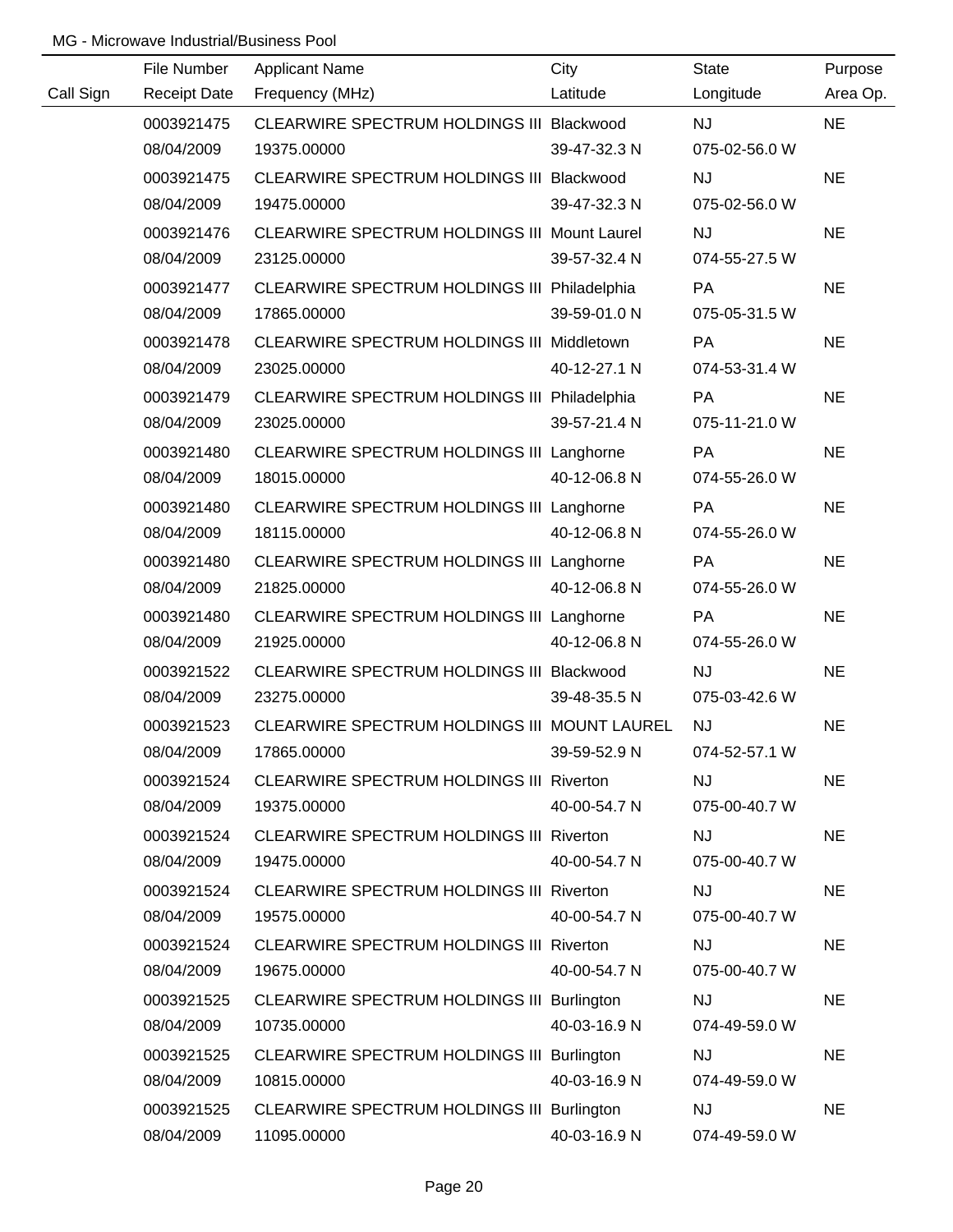|           | File Number         | <b>Applicant Name</b>                           | City         | <b>State</b>  | Purpose   |
|-----------|---------------------|-------------------------------------------------|--------------|---------------|-----------|
| Call Sign | <b>Receipt Date</b> | Frequency (MHz)                                 | Latitude     | Longitude     | Area Op.  |
|           | 0003921475          | CLEARWIRE SPECTRUM HOLDINGS III Blackwood       |              | <b>NJ</b>     | <b>NE</b> |
|           | 08/04/2009          | 19375.00000                                     | 39-47-32.3 N | 075-02-56.0 W |           |
|           | 0003921475          | CLEARWIRE SPECTRUM HOLDINGS III Blackwood       |              | <b>NJ</b>     | <b>NE</b> |
|           | 08/04/2009          | 19475.00000                                     | 39-47-32.3 N | 075-02-56.0 W |           |
|           | 0003921476          | CLEARWIRE SPECTRUM HOLDINGS III Mount Laurel    |              | <b>NJ</b>     | <b>NE</b> |
|           | 08/04/2009          | 23125.00000                                     | 39-57-32.4 N | 074-55-27.5 W |           |
|           | 0003921477          | CLEARWIRE SPECTRUM HOLDINGS III Philadelphia    |              | PA            | <b>NE</b> |
|           | 08/04/2009          | 17865.00000                                     | 39-59-01.0 N | 075-05-31.5 W |           |
|           | 0003921478          | CLEARWIRE SPECTRUM HOLDINGS III Middletown      |              | PA            | <b>NE</b> |
|           | 08/04/2009          | 23025.00000                                     | 40-12-27.1 N | 074-53-31.4 W |           |
|           | 0003921479          | CLEARWIRE SPECTRUM HOLDINGS III Philadelphia    |              | PA            | <b>NE</b> |
|           | 08/04/2009          | 23025.00000                                     | 39-57-21.4 N | 075-11-21.0 W |           |
|           | 0003921480          | CLEARWIRE SPECTRUM HOLDINGS III Langhorne       |              | <b>PA</b>     | <b>NE</b> |
|           | 08/04/2009          | 18015.00000                                     | 40-12-06.8 N | 074-55-26.0 W |           |
|           | 0003921480          | CLEARWIRE SPECTRUM HOLDINGS III Langhorne       |              | PA            | <b>NE</b> |
|           | 08/04/2009          | 18115.00000                                     | 40-12-06.8 N | 074-55-26.0 W |           |
|           | 0003921480          | CLEARWIRE SPECTRUM HOLDINGS III Langhorne       |              | <b>PA</b>     | <b>NE</b> |
|           | 08/04/2009          | 21825.00000                                     | 40-12-06.8 N | 074-55-26.0 W |           |
|           | 0003921480          | CLEARWIRE SPECTRUM HOLDINGS III Langhorne       |              | PA            | <b>NE</b> |
|           | 08/04/2009          | 21925.00000                                     | 40-12-06.8 N | 074-55-26.0 W |           |
|           | 0003921522          | CLEARWIRE SPECTRUM HOLDINGS III Blackwood       |              | <b>NJ</b>     | <b>NE</b> |
|           | 08/04/2009          | 23275.00000                                     | 39-48-35.5 N | 075-03-42.6 W |           |
|           | 0003921523          | CLEARWIRE SPECTRUM HOLDINGS III MOUNT LAUREL    |              | <b>NJ</b>     | <b>NE</b> |
|           | 08/04/2009          | 17865.00000                                     | 39-59-52.9 N | 074-52-57.1 W |           |
|           | 0003921524          | CLEARWIRE SPECTRUM HOLDINGS III Riverton        |              | <b>NJ</b>     | <b>NE</b> |
|           | 08/04/2009          | 19375.00000                                     | 40-00-54.7 N | 075-00-40.7 W |           |
|           | 0003921524          | <b>CLEARWIRE SPECTRUM HOLDINGS III Riverton</b> |              | <b>NJ</b>     | <b>NE</b> |
|           | 08/04/2009          | 19475.00000                                     | 40-00-54.7 N | 075-00-40.7 W |           |
|           | 0003921524          | <b>CLEARWIRE SPECTRUM HOLDINGS III Riverton</b> |              | <b>NJ</b>     | <b>NE</b> |
|           | 08/04/2009          | 19575.00000                                     | 40-00-54.7 N | 075-00-40.7 W |           |
|           | 0003921524          | CLEARWIRE SPECTRUM HOLDINGS III Riverton        |              | <b>NJ</b>     | <b>NE</b> |
|           | 08/04/2009          | 19675.00000                                     | 40-00-54.7 N | 075-00-40.7 W |           |
|           | 0003921525          | CLEARWIRE SPECTRUM HOLDINGS III Burlington      |              | <b>NJ</b>     | <b>NE</b> |
|           | 08/04/2009          | 10735.00000                                     | 40-03-16.9 N | 074-49-59.0 W |           |
|           | 0003921525          | CLEARWIRE SPECTRUM HOLDINGS III Burlington      |              | <b>NJ</b>     | <b>NE</b> |
|           | 08/04/2009          | 10815.00000                                     | 40-03-16.9 N | 074-49-59.0 W |           |
|           | 0003921525          | CLEARWIRE SPECTRUM HOLDINGS III Burlington      |              | <b>NJ</b>     | <b>NE</b> |
|           | 08/04/2009          | 11095.00000                                     | 40-03-16.9 N | 074-49-59.0 W |           |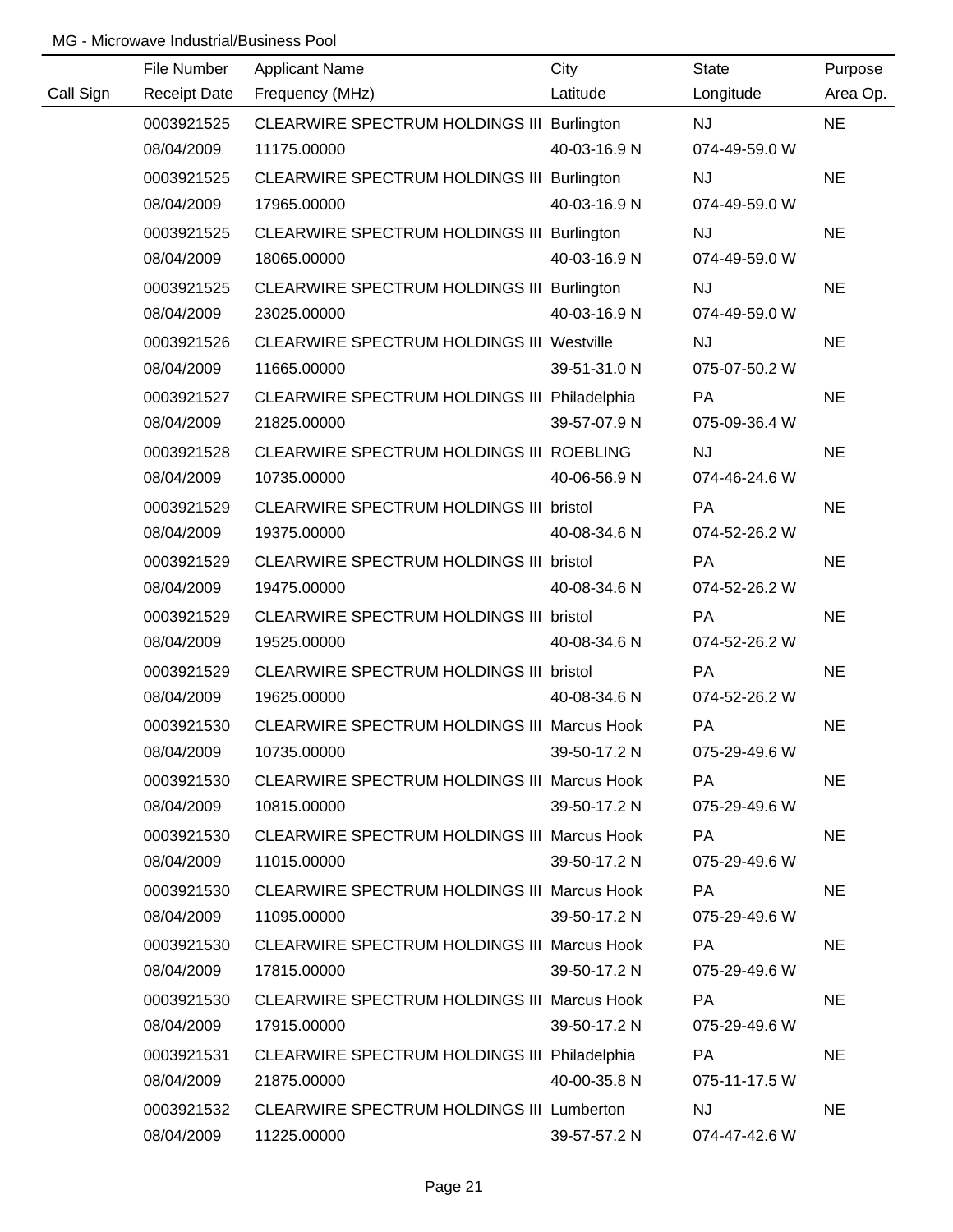|           | File Number         | <b>Applicant Name</b>                              | City         | <b>State</b>  | Purpose   |
|-----------|---------------------|----------------------------------------------------|--------------|---------------|-----------|
| Call Sign | <b>Receipt Date</b> | Frequency (MHz)                                    | Latitude     | Longitude     | Area Op.  |
|           | 0003921525          | CLEARWIRE SPECTRUM HOLDINGS III Burlington         |              | <b>NJ</b>     | <b>NE</b> |
|           | 08/04/2009          | 11175.00000                                        | 40-03-16.9 N | 074-49-59.0 W |           |
|           | 0003921525          | CLEARWIRE SPECTRUM HOLDINGS III Burlington         |              | <b>NJ</b>     | <b>NE</b> |
|           | 08/04/2009          | 17965.00000                                        | 40-03-16.9 N | 074-49-59.0 W |           |
|           | 0003921525          | CLEARWIRE SPECTRUM HOLDINGS III Burlington         |              | <b>NJ</b>     | <b>NE</b> |
|           | 08/04/2009          | 18065.00000                                        | 40-03-16.9 N | 074-49-59.0 W |           |
|           | 0003921525          | CLEARWIRE SPECTRUM HOLDINGS III Burlington         |              | <b>NJ</b>     | <b>NE</b> |
|           | 08/04/2009          | 23025.00000                                        | 40-03-16.9 N | 074-49-59.0 W |           |
|           | 0003921526          | <b>CLEARWIRE SPECTRUM HOLDINGS III Westville</b>   |              | <b>NJ</b>     | <b>NE</b> |
|           | 08/04/2009          | 11665.00000                                        | 39-51-31.0 N | 075-07-50.2 W |           |
|           | 0003921527          | CLEARWIRE SPECTRUM HOLDINGS III Philadelphia       |              | PA            | <b>NE</b> |
|           | 08/04/2009          | 21825.00000                                        | 39-57-07.9 N | 075-09-36.4 W |           |
|           | 0003921528          | CLEARWIRE SPECTRUM HOLDINGS III ROEBLING           |              | <b>NJ</b>     | <b>NE</b> |
|           | 08/04/2009          | 10735.00000                                        | 40-06-56.9 N | 074-46-24.6 W |           |
|           | 0003921529          | CLEARWIRE SPECTRUM HOLDINGS III bristol            |              | PA            | <b>NE</b> |
|           | 08/04/2009          | 19375.00000                                        | 40-08-34.6 N | 074-52-26.2 W |           |
|           | 0003921529          | CLEARWIRE SPECTRUM HOLDINGS III bristol            |              | PA            | <b>NE</b> |
|           | 08/04/2009          | 19475.00000                                        | 40-08-34.6 N | 074-52-26.2 W |           |
|           | 0003921529          | CLEARWIRE SPECTRUM HOLDINGS III bristol            |              | PA            | <b>NE</b> |
|           | 08/04/2009          | 19525.00000                                        | 40-08-34.6 N | 074-52-26.2 W |           |
|           | 0003921529          | CLEARWIRE SPECTRUM HOLDINGS III bristol            |              | PA            | <b>NE</b> |
|           | 08/04/2009          | 19625.00000                                        | 40-08-34.6 N | 074-52-26.2 W |           |
|           | 0003921530          | CLEARWIRE SPECTRUM HOLDINGS III Marcus Hook        |              | PA            | <b>NE</b> |
|           | 08/04/2009          | 10735.00000                                        | 39-50-17.2 N | 075-29-49.6 W |           |
|           | 0003921530          | <b>CLEARWIRE SPECTRUM HOLDINGS III Marcus Hook</b> |              | <b>PA</b>     | <b>NE</b> |
|           | 08/04/2009          | 10815.00000                                        | 39-50-17.2 N | 075-29-49.6 W |           |
|           | 0003921530          | CLEARWIRE SPECTRUM HOLDINGS III Marcus Hook        |              | PA            | <b>NE</b> |
|           | 08/04/2009          | 11015.00000                                        | 39-50-17.2 N | 075-29-49.6 W |           |
|           | 0003921530          | CLEARWIRE SPECTRUM HOLDINGS III Marcus Hook        |              | PA            | <b>NE</b> |
|           | 08/04/2009          | 11095.00000                                        | 39-50-17.2 N | 075-29-49.6 W |           |
|           | 0003921530          | CLEARWIRE SPECTRUM HOLDINGS III Marcus Hook        |              | <b>PA</b>     | <b>NE</b> |
|           | 08/04/2009          | 17815.00000                                        | 39-50-17.2 N | 075-29-49.6 W |           |
|           | 0003921530          | <b>CLEARWIRE SPECTRUM HOLDINGS III Marcus Hook</b> |              | <b>PA</b>     | <b>NE</b> |
|           | 08/04/2009          | 17915.00000                                        | 39-50-17.2 N | 075-29-49.6 W |           |
|           | 0003921531          | CLEARWIRE SPECTRUM HOLDINGS III Philadelphia       |              | PA            | <b>NE</b> |
|           | 08/04/2009          | 21875.00000                                        | 40-00-35.8 N | 075-11-17.5 W |           |
|           | 0003921532          | <b>CLEARWIRE SPECTRUM HOLDINGS III Lumberton</b>   |              | <b>NJ</b>     | <b>NE</b> |
|           | 08/04/2009          | 11225.00000                                        | 39-57-57.2 N | 074-47-42.6 W |           |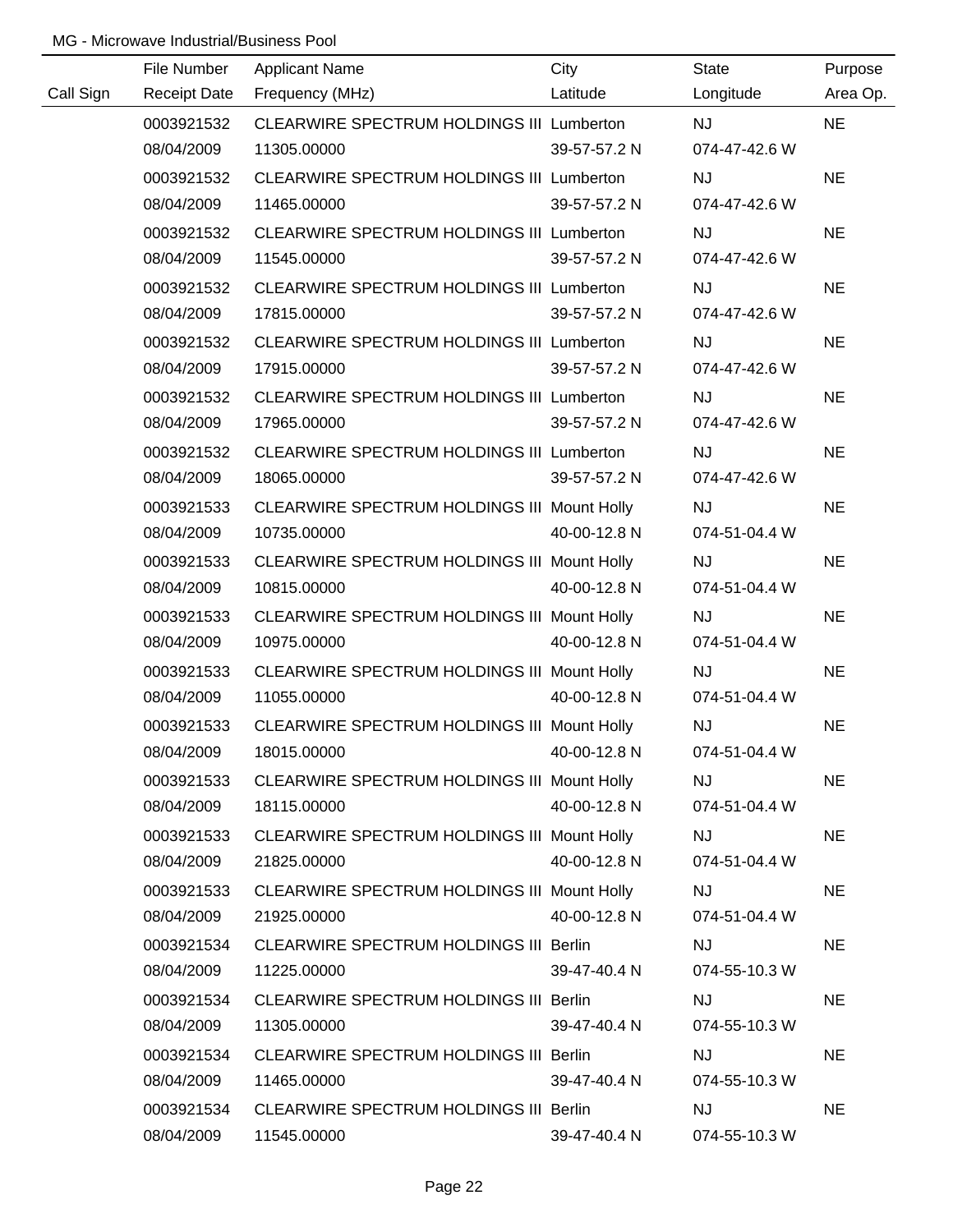|           | File Number         | <b>Applicant Name</b>                            | City         | <b>State</b>  | Purpose   |
|-----------|---------------------|--------------------------------------------------|--------------|---------------|-----------|
| Call Sign | <b>Receipt Date</b> | Frequency (MHz)                                  | Latitude     | Longitude     | Area Op.  |
|           | 0003921532          | CLEARWIRE SPECTRUM HOLDINGS III Lumberton        |              | <b>NJ</b>     | <b>NE</b> |
|           | 08/04/2009          | 11305.00000                                      | 39-57-57.2 N | 074-47-42.6 W |           |
|           | 0003921532          | CLEARWIRE SPECTRUM HOLDINGS III Lumberton        |              | <b>NJ</b>     | <b>NE</b> |
|           | 08/04/2009          | 11465.00000                                      | 39-57-57.2 N | 074-47-42.6 W |           |
|           | 0003921532          | CLEARWIRE SPECTRUM HOLDINGS III Lumberton        |              | <b>NJ</b>     | <b>NE</b> |
|           | 08/04/2009          | 11545.00000                                      | 39-57-57.2 N | 074-47-42.6 W |           |
|           | 0003921532          | CLEARWIRE SPECTRUM HOLDINGS III Lumberton        |              | <b>NJ</b>     | <b>NE</b> |
|           | 08/04/2009          | 17815.00000                                      | 39-57-57.2 N | 074-47-42.6 W |           |
|           | 0003921532          | CLEARWIRE SPECTRUM HOLDINGS III Lumberton        |              | <b>NJ</b>     | <b>NE</b> |
|           | 08/04/2009          | 17915.00000                                      | 39-57-57.2 N | 074-47-42.6 W |           |
|           | 0003921532          | CLEARWIRE SPECTRUM HOLDINGS III Lumberton        |              | <b>NJ</b>     | <b>NE</b> |
|           | 08/04/2009          | 17965.00000                                      | 39-57-57.2 N | 074-47-42.6 W |           |
|           | 0003921532          | <b>CLEARWIRE SPECTRUM HOLDINGS III Lumberton</b> |              | <b>NJ</b>     | <b>NE</b> |
|           | 08/04/2009          | 18065.00000                                      | 39-57-57.2 N | 074-47-42.6 W |           |
|           | 0003921533          | CLEARWIRE SPECTRUM HOLDINGS III Mount Holly      |              | <b>NJ</b>     | <b>NE</b> |
|           | 08/04/2009          | 10735.00000                                      | 40-00-12.8 N | 074-51-04.4 W |           |
|           | 0003921533          | CLEARWIRE SPECTRUM HOLDINGS III Mount Holly      |              | NJ            | <b>NE</b> |
|           | 08/04/2009          | 10815.00000                                      | 40-00-12.8 N | 074-51-04.4 W |           |
|           | 0003921533          | CLEARWIRE SPECTRUM HOLDINGS III Mount Holly      |              | NJ            | <b>NE</b> |
|           | 08/04/2009          | 10975.00000                                      | 40-00-12.8 N | 074-51-04.4 W |           |
|           | 0003921533          | CLEARWIRE SPECTRUM HOLDINGS III Mount Holly      |              | <b>NJ</b>     | <b>NE</b> |
|           | 08/04/2009          | 11055.00000                                      | 40-00-12.8 N | 074-51-04.4 W |           |
|           | 0003921533          | CLEARWIRE SPECTRUM HOLDINGS III Mount Holly      |              | <b>NJ</b>     | <b>NE</b> |
|           | 08/04/2009          | 18015.00000                                      | 40-00-12.8 N | 074-51-04.4 W |           |
|           | 0003921533          | CLEARWIRE SPECTRUM HOLDINGS III Mount Holly      |              | <b>NJ</b>     | <b>NE</b> |
|           | 08/04/2009          | 18115.00000                                      | 40-00-12.8 N | 074-51-04.4 W |           |
|           | 0003921533          | CLEARWIRE SPECTRUM HOLDINGS III Mount Holly      |              | <b>NJ</b>     | <b>NE</b> |
|           | 08/04/2009          | 21825.00000                                      | 40-00-12.8 N | 074-51-04.4 W |           |
|           | 0003921533          | CLEARWIRE SPECTRUM HOLDINGS III Mount Holly      |              | <b>NJ</b>     | <b>NE</b> |
|           | 08/04/2009          | 21925.00000                                      | 40-00-12.8 N | 074-51-04.4 W |           |
|           | 0003921534          | CLEARWIRE SPECTRUM HOLDINGS III Berlin           |              | <b>NJ</b>     | <b>NE</b> |
|           | 08/04/2009          | 11225.00000                                      | 39-47-40.4 N | 074-55-10.3 W |           |
|           | 0003921534          | CLEARWIRE SPECTRUM HOLDINGS III Berlin           |              | <b>NJ</b>     | <b>NE</b> |
|           | 08/04/2009          | 11305.00000                                      | 39-47-40.4 N | 074-55-10.3 W |           |
|           | 0003921534          | CLEARWIRE SPECTRUM HOLDINGS III Berlin           |              | <b>NJ</b>     | <b>NE</b> |
|           | 08/04/2009          | 11465.00000                                      | 39-47-40.4 N | 074-55-10.3 W |           |
|           | 0003921534          | CLEARWIRE SPECTRUM HOLDINGS III Berlin           |              | <b>NJ</b>     | <b>NE</b> |
|           | 08/04/2009          | 11545.00000                                      | 39-47-40.4 N | 074-55-10.3 W |           |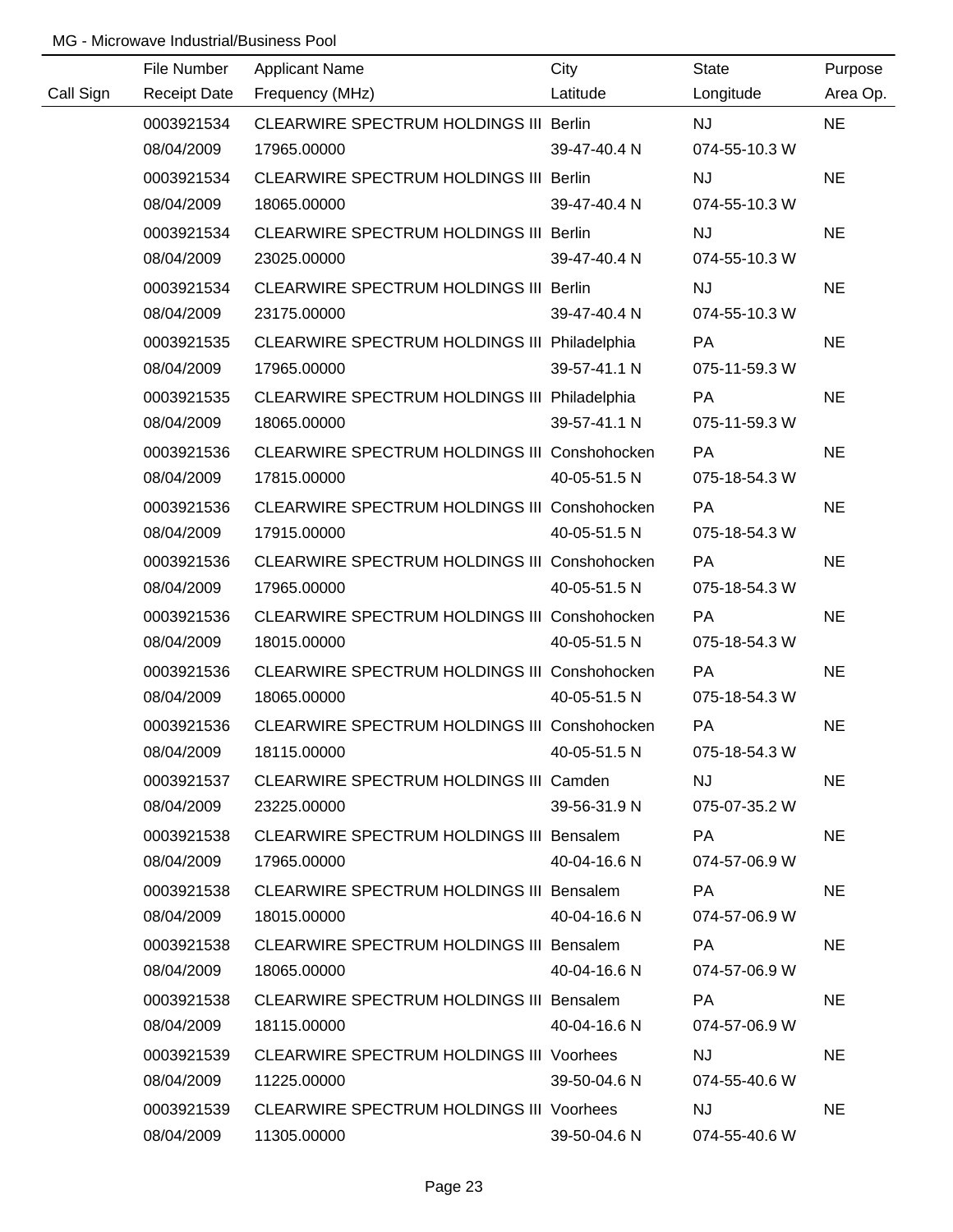|           | File Number         | <b>Applicant Name</b>                           | City         | <b>State</b>  | Purpose   |
|-----------|---------------------|-------------------------------------------------|--------------|---------------|-----------|
| Call Sign | <b>Receipt Date</b> | Frequency (MHz)                                 | Latitude     | Longitude     | Area Op.  |
|           | 0003921534          | CLEARWIRE SPECTRUM HOLDINGS III Berlin          |              | NJ            | <b>NE</b> |
|           | 08/04/2009          | 17965.00000                                     | 39-47-40.4 N | 074-55-10.3 W |           |
|           | 0003921534          | CLEARWIRE SPECTRUM HOLDINGS III Berlin          |              | <b>NJ</b>     | <b>NE</b> |
|           | 08/04/2009          | 18065.00000                                     | 39-47-40.4 N | 074-55-10.3 W |           |
|           | 0003921534          | CLEARWIRE SPECTRUM HOLDINGS III Berlin          |              | <b>NJ</b>     | <b>NE</b> |
|           | 08/04/2009          | 23025.00000                                     | 39-47-40.4 N | 074-55-10.3 W |           |
|           | 0003921534          | CLEARWIRE SPECTRUM HOLDINGS III Berlin          |              | <b>NJ</b>     | <b>NE</b> |
|           | 08/04/2009          | 23175.00000                                     | 39-47-40.4 N | 074-55-10.3 W |           |
|           | 0003921535          | CLEARWIRE SPECTRUM HOLDINGS III Philadelphia    |              | PA            | <b>NE</b> |
|           | 08/04/2009          | 17965.00000                                     | 39-57-41.1 N | 075-11-59.3 W |           |
|           | 0003921535          | CLEARWIRE SPECTRUM HOLDINGS III Philadelphia    |              | PA            | <b>NE</b> |
|           | 08/04/2009          | 18065.00000                                     | 39-57-41.1 N | 075-11-59.3 W |           |
|           | 0003921536          | CLEARWIRE SPECTRUM HOLDINGS III Conshohocken    |              | PA            | <b>NE</b> |
|           | 08/04/2009          | 17815.00000                                     | 40-05-51.5 N | 075-18-54.3 W |           |
|           | 0003921536          | CLEARWIRE SPECTRUM HOLDINGS III Conshohocken    |              | PA            | <b>NE</b> |
|           | 08/04/2009          | 17915.00000                                     | 40-05-51.5 N | 075-18-54.3 W |           |
|           | 0003921536          | CLEARWIRE SPECTRUM HOLDINGS III Conshohocken    |              | PA            | <b>NE</b> |
|           | 08/04/2009          | 17965.00000                                     | 40-05-51.5 N | 075-18-54.3 W |           |
|           | 0003921536          | CLEARWIRE SPECTRUM HOLDINGS III Conshohocken    |              | PA            | <b>NE</b> |
|           | 08/04/2009          | 18015.00000                                     | 40-05-51.5 N | 075-18-54.3 W |           |
|           | 0003921536          | CLEARWIRE SPECTRUM HOLDINGS III Conshohocken    |              | PA            | <b>NE</b> |
|           | 08/04/2009          | 18065.00000                                     | 40-05-51.5 N | 075-18-54.3 W |           |
|           | 0003921536          | CLEARWIRE SPECTRUM HOLDINGS III Conshohocken    |              | PA            | <b>NE</b> |
|           | 08/04/2009          | 18115.00000                                     | 40-05-51.5 N | 075-18-54.3 W |           |
|           | 0003921537          | CLEARWIRE SPECTRUM HOLDINGS III Camden          |              | <b>NJ</b>     | <b>NE</b> |
|           | 08/04/2009          | 23225.00000                                     | 39-56-31.9 N | 075-07-35.2 W |           |
|           | 0003921538          | CLEARWIRE SPECTRUM HOLDINGS III Bensalem        |              | PA            | <b>NE</b> |
|           | 08/04/2009          | 17965.00000                                     | 40-04-16.6 N | 074-57-06.9 W |           |
|           | 0003921538          | CLEARWIRE SPECTRUM HOLDINGS III Bensalem        |              | PA            | <b>NE</b> |
|           | 08/04/2009          | 18015.00000                                     | 40-04-16.6 N | 074-57-06.9 W |           |
|           | 0003921538          | CLEARWIRE SPECTRUM HOLDINGS III Bensalem        |              | PA            | <b>NE</b> |
|           | 08/04/2009          | 18065.00000                                     | 40-04-16.6 N | 074-57-06.9 W |           |
|           | 0003921538          | CLEARWIRE SPECTRUM HOLDINGS III Bensalem        |              | <b>PA</b>     | <b>NE</b> |
|           | 08/04/2009          | 18115.00000                                     | 40-04-16.6 N | 074-57-06.9 W |           |
|           | 0003921539          | <b>CLEARWIRE SPECTRUM HOLDINGS III Voorhees</b> |              | <b>NJ</b>     | <b>NE</b> |
|           | 08/04/2009          | 11225.00000                                     | 39-50-04.6 N | 074-55-40.6 W |           |
|           | 0003921539          | <b>CLEARWIRE SPECTRUM HOLDINGS III Voorhees</b> |              | <b>NJ</b>     | <b>NE</b> |
|           | 08/04/2009          | 11305.00000                                     | 39-50-04.6 N | 074-55-40.6 W |           |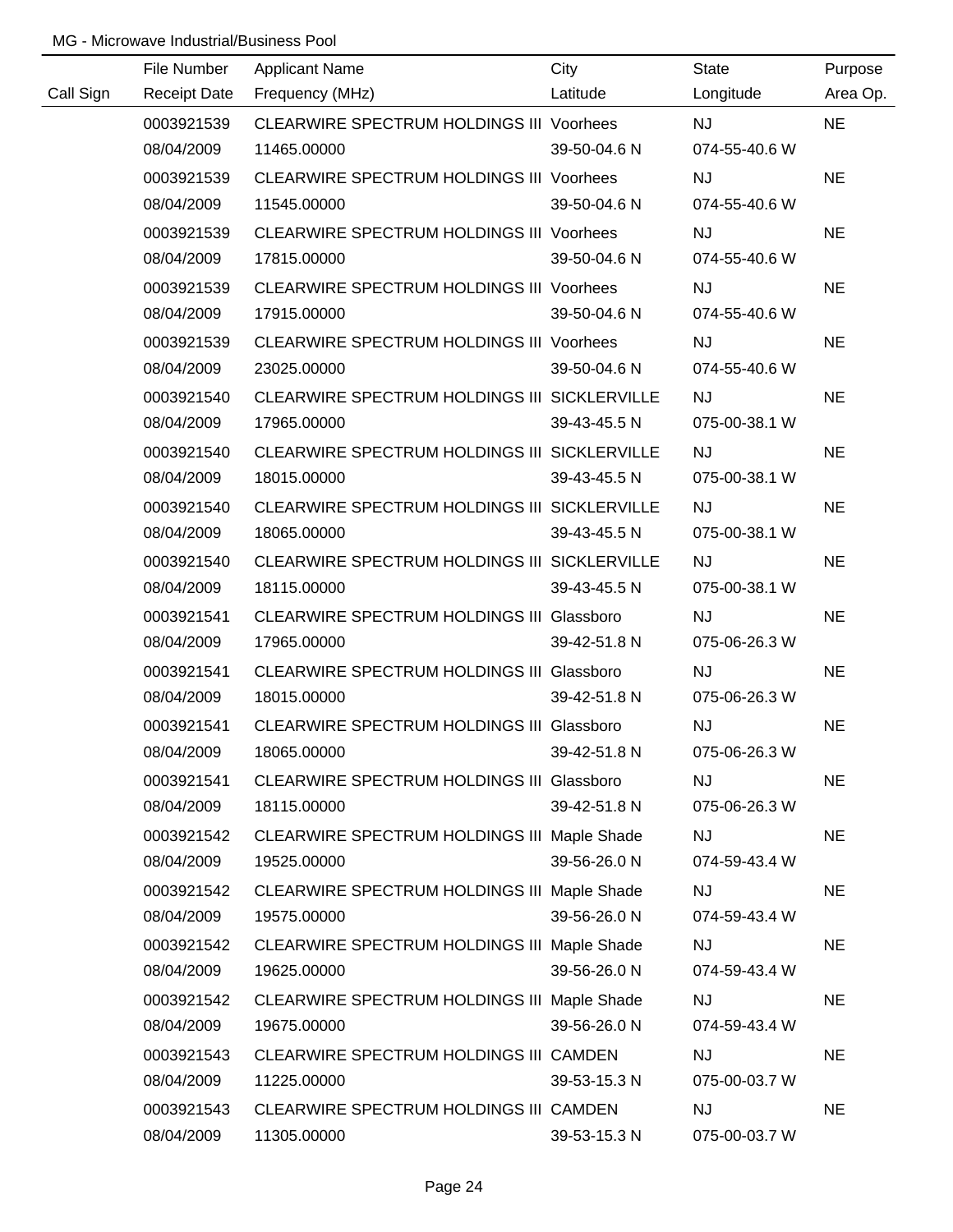| Call Sign | File Number | <b>Applicant Name</b>                                                    | City         | State                  | Purpose<br>Area Op. |
|-----------|-------------|--------------------------------------------------------------------------|--------------|------------------------|---------------------|
|           | 0003921539  | Receipt Date Frequency (MHz)<br>CLEARWIRE SPECTRUM HOLDINGS III Voorhees | Latitude     | Longitude<br><b>NJ</b> | <b>NE</b>           |
|           | 08/04/2009  | 11465.00000                                                              | 39-50-04.6 N | 074-55-40.6 W          |                     |
|           | 0003921539  | <b>CLEARWIRE SPECTRUM HOLDINGS III Voorhees</b>                          |              | <b>NJ</b>              | <b>NE</b>           |
|           | 08/04/2009  | 11545.00000                                                              | 39-50-04.6 N | 074-55-40.6 W          |                     |
|           |             |                                                                          |              |                        |                     |
|           | 0003921539  | CLEARWIRE SPECTRUM HOLDINGS III Voorhees                                 |              | <b>NJ</b>              | <b>NE</b>           |
|           | 08/04/2009  | 17815.00000                                                              | 39-50-04.6 N | 074-55-40.6 W          |                     |
|           | 0003921539  | CLEARWIRE SPECTRUM HOLDINGS III Voorhees                                 |              | <b>NJ</b>              | <b>NE</b>           |
|           | 08/04/2009  | 17915.00000                                                              | 39-50-04.6 N | 074-55-40.6 W          |                     |
|           | 0003921539  | CLEARWIRE SPECTRUM HOLDINGS III Voorhees                                 |              | <b>NJ</b>              | <b>NE</b>           |
|           | 08/04/2009  | 23025.00000                                                              | 39-50-04.6 N | 074-55-40.6 W          |                     |
|           | 0003921540  | CLEARWIRE SPECTRUM HOLDINGS III SICKLERVILLE                             |              | <b>NJ</b>              | <b>NE</b>           |
|           | 08/04/2009  | 17965.00000                                                              | 39-43-45.5 N | 075-00-38.1 W          |                     |
|           | 0003921540  | CLEARWIRE SPECTRUM HOLDINGS III SICKLERVILLE                             |              | <b>NJ</b>              | <b>NE</b>           |
|           | 08/04/2009  | 18015.00000                                                              | 39-43-45.5 N | 075-00-38.1 W          |                     |
|           | 0003921540  | CLEARWIRE SPECTRUM HOLDINGS III SICKLERVILLE                             |              | <b>NJ</b>              | <b>NE</b>           |
|           | 08/04/2009  | 18065.00000                                                              | 39-43-45.5 N | 075-00-38.1 W          |                     |
|           | 0003921540  | CLEARWIRE SPECTRUM HOLDINGS III SICKLERVILLE                             |              | <b>NJ</b>              | <b>NE</b>           |
|           | 08/04/2009  | 18115.00000                                                              | 39-43-45.5 N | 075-00-38.1 W          |                     |
|           | 0003921541  | CLEARWIRE SPECTRUM HOLDINGS III Glassboro                                |              | <b>NJ</b>              | <b>NE</b>           |
|           | 08/04/2009  | 17965.00000                                                              | 39-42-51.8 N | 075-06-26.3 W          |                     |
|           | 0003921541  | CLEARWIRE SPECTRUM HOLDINGS III Glassboro                                |              | <b>NJ</b>              | <b>NE</b>           |
|           | 08/04/2009  | 18015.00000                                                              | 39-42-51.8 N | 075-06-26.3 W          |                     |
|           | 0003921541  | CLEARWIRE SPECTRUM HOLDINGS III Glassboro                                |              | NJ                     | <b>NE</b>           |
|           | 08/04/2009  | 18065.00000                                                              | 39-42-51.8 N | 075-06-26.3 W          |                     |
|           | 0003921541  | CLEARWIRE SPECTRUM HOLDINGS III Glassboro                                |              | <b>NJ</b>              | <b>NE</b>           |
|           | 08/04/2009  | 18115.00000                                                              | 39-42-51.8 N | 075-06-26.3 W          |                     |
|           | 0003921542  | CLEARWIRE SPECTRUM HOLDINGS III Maple Shade                              |              | <b>NJ</b>              | <b>NE</b>           |
|           | 08/04/2009  | 19525.00000                                                              | 39-56-26.0 N | 074-59-43.4 W          |                     |
|           | 0003921542  | CLEARWIRE SPECTRUM HOLDINGS III Maple Shade                              |              | <b>NJ</b>              | <b>NE</b>           |
|           | 08/04/2009  | 19575.00000                                                              | 39-56-26.0 N | 074-59-43.4 W          |                     |
|           | 0003921542  | CLEARWIRE SPECTRUM HOLDINGS III Maple Shade                              |              | <b>NJ</b>              | <b>NE</b>           |
|           | 08/04/2009  | 19625.00000                                                              | 39-56-26.0 N | 074-59-43.4 W          |                     |
|           | 0003921542  | CLEARWIRE SPECTRUM HOLDINGS III Maple Shade                              |              | <b>NJ</b>              | <b>NE</b>           |
|           | 08/04/2009  | 19675.00000                                                              | 39-56-26.0 N | 074-59-43.4 W          |                     |
|           | 0003921543  | CLEARWIRE SPECTRUM HOLDINGS III CAMDEN                                   |              | NJ                     | <b>NE</b>           |
|           | 08/04/2009  | 11225.00000                                                              | 39-53-15.3 N | 075-00-03.7 W          |                     |
|           | 0003921543  | CLEARWIRE SPECTRUM HOLDINGS III CAMDEN                                   |              | NJ                     | <b>NE</b>           |
|           | 08/04/2009  | 11305.00000                                                              | 39-53-15.3 N | 075-00-03.7 W          |                     |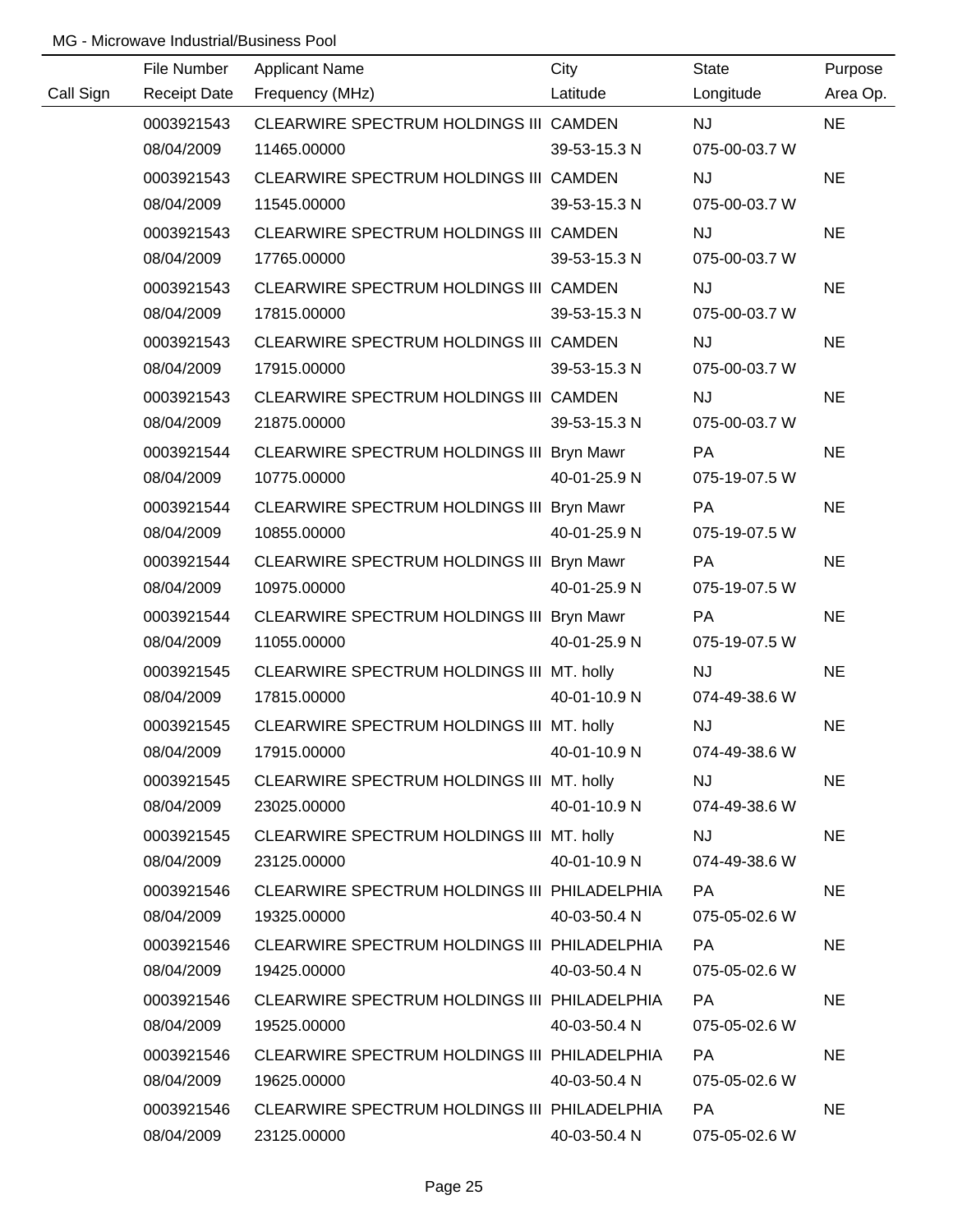|           | File Number | <b>Applicant Name</b>                                | City         | <b>State</b>  | Purpose   |
|-----------|-------------|------------------------------------------------------|--------------|---------------|-----------|
| Call Sign |             | Receipt Date Frequency (MHz)                         | Latitude     | Longitude     | Area Op.  |
|           | 0003921543  | CLEARWIRE SPECTRUM HOLDINGS III CAMDEN               |              | <b>NJ</b>     | <b>NE</b> |
|           | 08/04/2009  | 11465.00000                                          | 39-53-15.3 N | 075-00-03.7 W |           |
|           | 0003921543  | CLEARWIRE SPECTRUM HOLDINGS III CAMDEN               |              | <b>NJ</b>     | <b>NE</b> |
|           | 08/04/2009  | 11545.00000                                          | 39-53-15.3 N | 075-00-03.7 W |           |
|           | 0003921543  | CLEARWIRE SPECTRUM HOLDINGS III CAMDEN               |              | <b>NJ</b>     | <b>NE</b> |
|           | 08/04/2009  | 17765.00000                                          | 39-53-15.3 N | 075-00-03.7 W |           |
|           | 0003921543  | CLEARWIRE SPECTRUM HOLDINGS III CAMDEN               |              | <b>NJ</b>     | <b>NE</b> |
|           | 08/04/2009  | 17815.00000                                          | 39-53-15.3 N | 075-00-03.7 W |           |
|           | 0003921543  | CLEARWIRE SPECTRUM HOLDINGS III CAMDEN               |              | <b>NJ</b>     | <b>NE</b> |
|           | 08/04/2009  | 17915.00000                                          | 39-53-15.3 N | 075-00-03.7 W |           |
|           | 0003921543  | CLEARWIRE SPECTRUM HOLDINGS III CAMDEN               |              | <b>NJ</b>     | <b>NE</b> |
|           | 08/04/2009  | 21875.00000                                          | 39-53-15.3 N | 075-00-03.7 W |           |
|           | 0003921544  | CLEARWIRE SPECTRUM HOLDINGS III Bryn Mawr            |              | PA            | <b>NE</b> |
|           | 08/04/2009  | 10775.00000                                          | 40-01-25.9 N | 075-19-07.5 W |           |
|           | 0003921544  | CLEARWIRE SPECTRUM HOLDINGS III Bryn Mawr            |              | PA            | <b>NE</b> |
|           | 08/04/2009  | 10855.00000                                          | 40-01-25.9 N | 075-19-07.5 W |           |
|           | 0003921544  | CLEARWIRE SPECTRUM HOLDINGS III Bryn Mawr            |              | PA            | <b>NE</b> |
|           | 08/04/2009  | 10975.00000                                          | 40-01-25.9 N | 075-19-07.5 W |           |
|           | 0003921544  | CLEARWIRE SPECTRUM HOLDINGS III Bryn Mawr            |              | PA            | <b>NE</b> |
|           | 08/04/2009  | 11055.00000                                          | 40-01-25.9 N | 075-19-07.5 W |           |
|           | 0003921545  | CLEARWIRE SPECTRUM HOLDINGS III MT. holly            |              | <b>NJ</b>     | <b>NE</b> |
|           | 08/04/2009  | 17815.00000                                          | 40-01-10.9 N | 074-49-38.6 W |           |
|           |             | 0003921545 CLEARWIRE SPECTRUM HOLDINGS III MT. holly |              | <b>NJ</b>     | <b>NE</b> |
|           | 08/04/2009  | 17915.00000                                          | 40-01-10.9 N | 074-49-38.6 W |           |
|           | 0003921545  | CLEARWIRE SPECTRUM HOLDINGS III MT. holly            |              | NJ            | <b>NE</b> |
|           | 08/04/2009  | 23025.00000                                          | 40-01-10.9 N | 074-49-38.6 W |           |
|           | 0003921545  | CLEARWIRE SPECTRUM HOLDINGS III MT. holly            |              | <b>NJ</b>     | <b>NE</b> |
|           | 08/04/2009  | 23125.00000                                          | 40-01-10.9 N | 074-49-38.6 W |           |
|           | 0003921546  | CLEARWIRE SPECTRUM HOLDINGS III PHILADELPHIA         |              | PA            | <b>NE</b> |
|           | 08/04/2009  | 19325.00000                                          | 40-03-50.4 N | 075-05-02.6 W |           |
|           | 0003921546  | CLEARWIRE SPECTRUM HOLDINGS III PHILADELPHIA         |              | PA            | <b>NE</b> |
|           | 08/04/2009  | 19425.00000                                          | 40-03-50.4 N | 075-05-02.6 W |           |
|           | 0003921546  | CLEARWIRE SPECTRUM HOLDINGS III PHILADELPHIA         |              | PA            | <b>NE</b> |
|           | 08/04/2009  | 19525.00000                                          | 40-03-50.4 N | 075-05-02.6 W |           |
|           | 0003921546  | CLEARWIRE SPECTRUM HOLDINGS III PHILADELPHIA         |              | PA            | <b>NE</b> |
|           | 08/04/2009  | 19625.00000                                          | 40-03-50.4 N | 075-05-02.6 W |           |
|           | 0003921546  | CLEARWIRE SPECTRUM HOLDINGS III PHILADELPHIA         |              | PA            | <b>NE</b> |
|           | 08/04/2009  | 23125.00000                                          | 40-03-50.4 N | 075-05-02.6 W |           |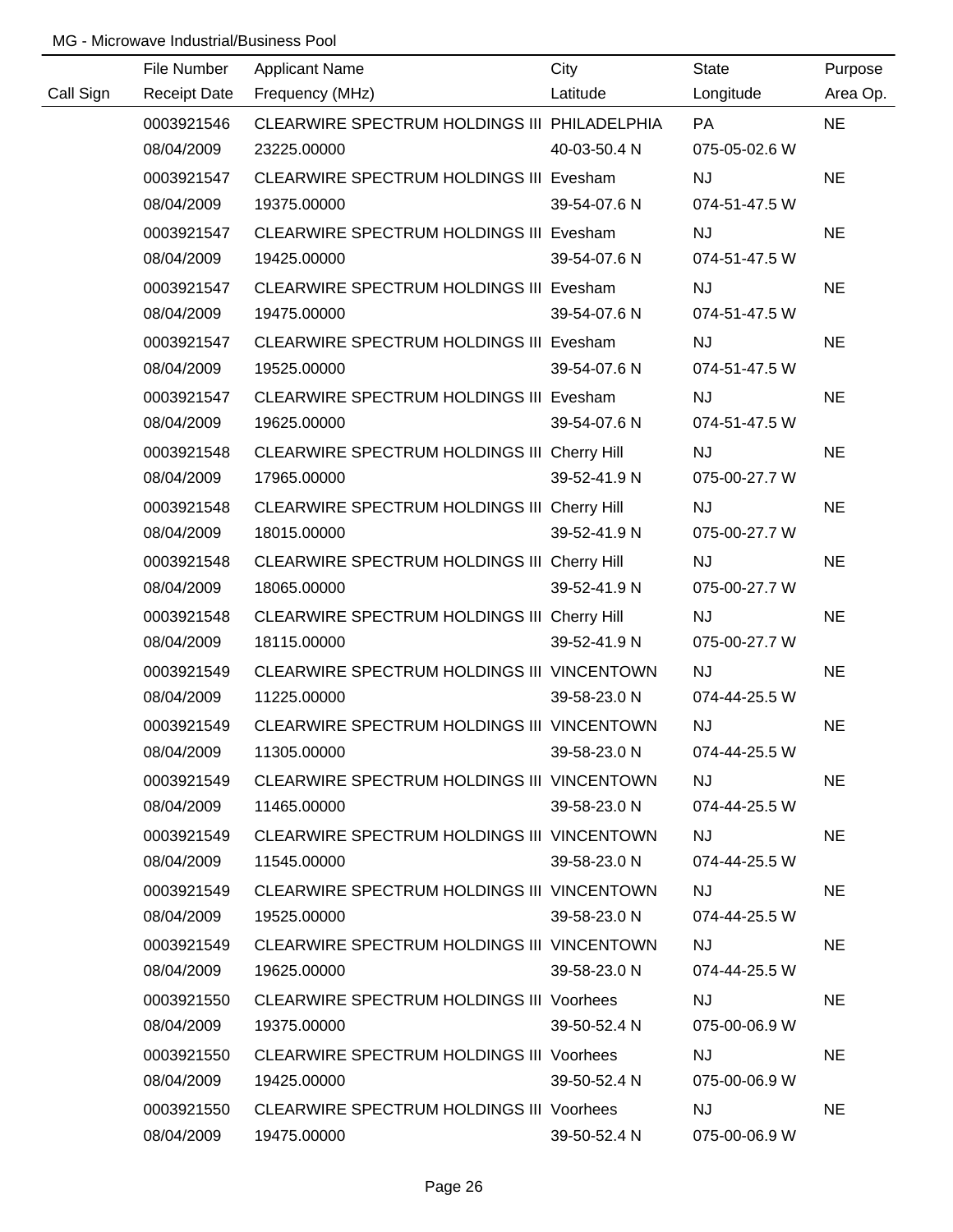| Call Sign | File Number<br><b>Receipt Date</b> | <b>Applicant Name</b><br>Frequency (MHz)     | City<br>Latitude | <b>State</b><br>Longitude | Purpose<br>Area Op. |
|-----------|------------------------------------|----------------------------------------------|------------------|---------------------------|---------------------|
|           |                                    | CLEARWIRE SPECTRUM HOLDINGS III PHILADELPHIA |                  | <b>PA</b>                 | <b>NE</b>           |
|           | 0003921546<br>08/04/2009           | 23225.00000                                  | 40-03-50.4 N     | 075-05-02.6 W             |                     |
|           | 0003921547                         | CLEARWIRE SPECTRUM HOLDINGS III Evesham      |                  | <b>NJ</b>                 | <b>NE</b>           |
|           | 08/04/2009                         | 19375.00000                                  | 39-54-07.6 N     | 074-51-47.5 W             |                     |
|           | 0003921547                         | CLEARWIRE SPECTRUM HOLDINGS III Evesham      |                  | <b>NJ</b>                 | <b>NE</b>           |
|           | 08/04/2009                         | 19425.00000                                  | 39-54-07.6 N     | 074-51-47.5 W             |                     |
|           | 0003921547                         | CLEARWIRE SPECTRUM HOLDINGS III Evesham      |                  | <b>NJ</b>                 | <b>NE</b>           |
|           | 08/04/2009                         | 19475.00000                                  | 39-54-07.6 N     | 074-51-47.5 W             |                     |
|           | 0003921547                         | CLEARWIRE SPECTRUM HOLDINGS III Evesham      |                  | <b>NJ</b>                 | <b>NE</b>           |
|           | 08/04/2009                         | 19525.00000                                  | 39-54-07.6 N     | 074-51-47.5 W             |                     |
|           | 0003921547                         | CLEARWIRE SPECTRUM HOLDINGS III Evesham      |                  | <b>NJ</b>                 | <b>NE</b>           |
|           | 08/04/2009                         | 19625.00000                                  | 39-54-07.6 N     | 074-51-47.5 W             |                     |
|           | 0003921548                         | CLEARWIRE SPECTRUM HOLDINGS III Cherry Hill  |                  | <b>NJ</b>                 | <b>NE</b>           |
|           | 08/04/2009                         | 17965.00000                                  | 39-52-41.9 N     | 075-00-27.7 W             |                     |
|           | 0003921548                         | CLEARWIRE SPECTRUM HOLDINGS III Cherry Hill  |                  | <b>NJ</b>                 | <b>NE</b>           |
|           | 08/04/2009                         | 18015.00000                                  | 39-52-41.9 N     | 075-00-27.7 W             |                     |
|           | 0003921548                         | CLEARWIRE SPECTRUM HOLDINGS III Cherry Hill  |                  | <b>NJ</b>                 | <b>NE</b>           |
|           | 08/04/2009                         | 18065.00000                                  | 39-52-41.9 N     | 075-00-27.7 W             |                     |
|           | 0003921548                         | CLEARWIRE SPECTRUM HOLDINGS III Cherry Hill  |                  | NJ                        | <b>NE</b>           |
|           | 08/04/2009                         | 18115.00000                                  | 39-52-41.9 N     | 075-00-27.7 W             |                     |
|           | 0003921549                         | CLEARWIRE SPECTRUM HOLDINGS III VINCENTOWN   |                  | NJ                        | <b>NE</b>           |
|           | 08/04/2009                         | 11225.00000                                  | 39-58-23.0 N     | 074-44-25.5 W             |                     |
|           | 0003921549                         | CLEARWIRE SPECTRUM HOLDINGS III VINCENTOWN   |                  | NJ                        | <b>NE</b>           |
|           | 08/04/2009                         | 11305.00000                                  | 39-58-23.0 N     | 074-44-25.5 W             |                     |
|           | 0003921549                         | CLEARWIRE SPECTRUM HOLDINGS III VINCENTOWN   |                  | <b>NJ</b>                 | <b>NE</b>           |
|           | 08/04/2009                         | 11465.00000                                  | 39-58-23.0 N     | 074-44-25.5 W             |                     |
|           | 0003921549                         | CLEARWIRE SPECTRUM HOLDINGS III VINCENTOWN   |                  | <b>NJ</b>                 | <b>NE</b>           |
|           | 08/04/2009                         | 11545.00000                                  | 39-58-23.0 N     | 074-44-25.5 W             |                     |
|           | 0003921549                         | CLEARWIRE SPECTRUM HOLDINGS III VINCENTOWN   |                  | <b>NJ</b>                 | <b>NE</b>           |
|           | 08/04/2009                         | 19525.00000                                  | 39-58-23.0 N     | 074-44-25.5 W             |                     |
|           | 0003921549                         | CLEARWIRE SPECTRUM HOLDINGS III VINCENTOWN   |                  | <b>NJ</b>                 | <b>NE</b>           |
|           | 08/04/2009                         | 19625.00000                                  | 39-58-23.0 N     | 074-44-25.5 W             |                     |
|           | 0003921550                         | CLEARWIRE SPECTRUM HOLDINGS III Voorhees     |                  | <b>NJ</b>                 | <b>NE</b>           |
|           | 08/04/2009                         | 19375.00000                                  | 39-50-52.4 N     | 075-00-06.9 W             |                     |
|           | 0003921550                         | CLEARWIRE SPECTRUM HOLDINGS III Voorhees     |                  | <b>NJ</b>                 | <b>NE</b>           |
|           | 08/04/2009                         | 19425.00000                                  | 39-50-52.4 N     | 075-00-06.9 W             |                     |
|           | 0003921550                         | CLEARWIRE SPECTRUM HOLDINGS III Voorhees     |                  | <b>NJ</b>                 | <b>NE</b>           |
|           | 08/04/2009                         | 19475.00000                                  | 39-50-52.4 N     | 075-00-06.9 W             |                     |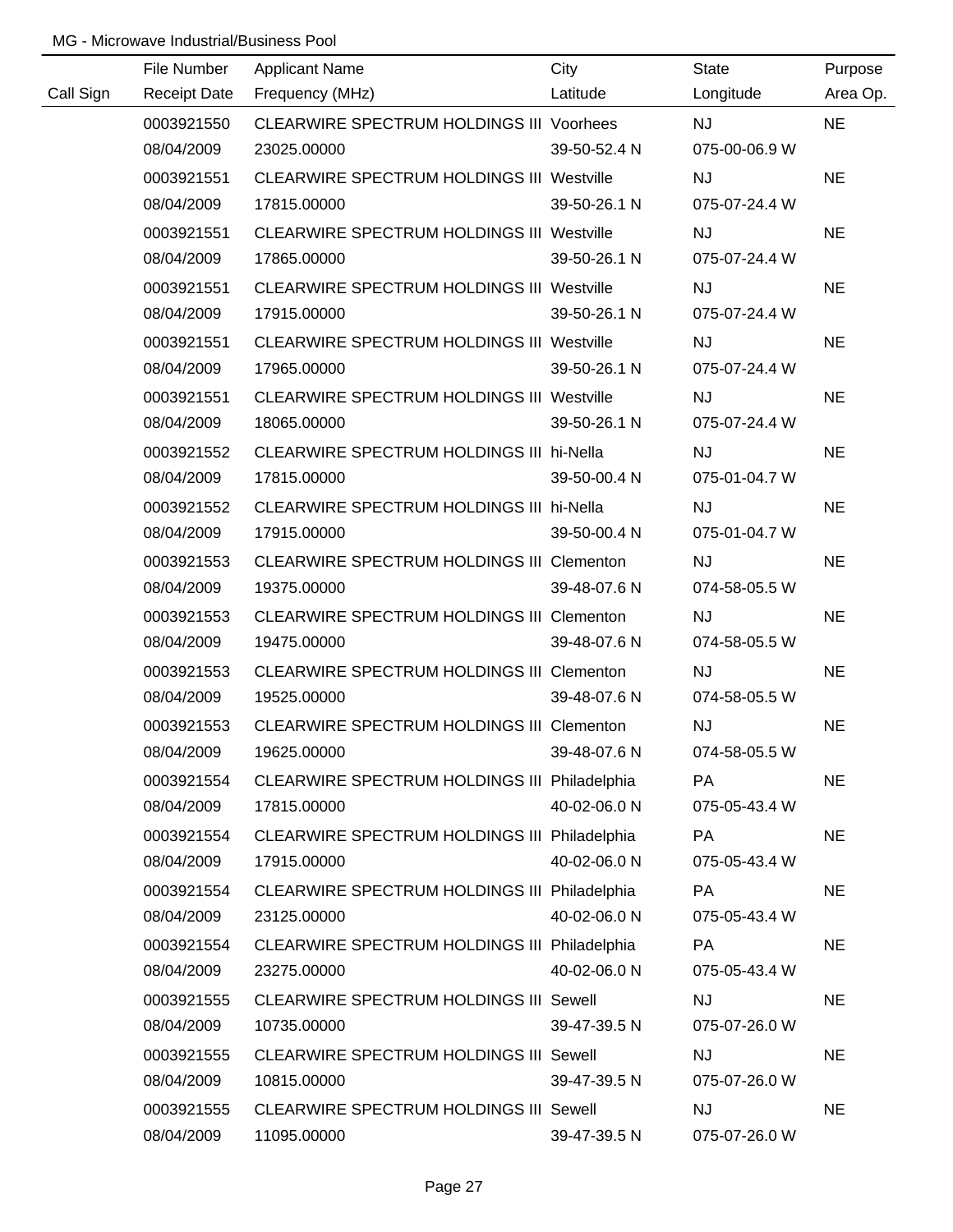|           | File Number         | <b>Applicant Name</b>                            | City         | <b>State</b>  | Purpose   |
|-----------|---------------------|--------------------------------------------------|--------------|---------------|-----------|
| Call Sign | <b>Receipt Date</b> | Frequency (MHz)                                  | Latitude     | Longitude     | Area Op.  |
|           | 0003921550          | CLEARWIRE SPECTRUM HOLDINGS III Voorhees         |              | <b>NJ</b>     | <b>NE</b> |
|           | 08/04/2009          | 23025.00000                                      | 39-50-52.4 N | 075-00-06.9 W |           |
|           | 0003921551          | <b>CLEARWIRE SPECTRUM HOLDINGS III Westville</b> |              | <b>NJ</b>     | <b>NE</b> |
|           | 08/04/2009          | 17815.00000                                      | 39-50-26.1 N | 075-07-24.4 W |           |
|           | 0003921551          | <b>CLEARWIRE SPECTRUM HOLDINGS III Westville</b> |              | <b>NJ</b>     | <b>NE</b> |
|           | 08/04/2009          | 17865.00000                                      | 39-50-26.1 N | 075-07-24.4 W |           |
|           | 0003921551          | CLEARWIRE SPECTRUM HOLDINGS III Westville        |              | <b>NJ</b>     | <b>NE</b> |
|           | 08/04/2009          | 17915.00000                                      | 39-50-26.1 N | 075-07-24.4 W |           |
|           | 0003921551          | <b>CLEARWIRE SPECTRUM HOLDINGS III Westville</b> |              | <b>NJ</b>     | <b>NE</b> |
|           | 08/04/2009          | 17965.00000                                      | 39-50-26.1 N | 075-07-24.4 W |           |
|           | 0003921551          | <b>CLEARWIRE SPECTRUM HOLDINGS III Westville</b> |              | <b>NJ</b>     | <b>NE</b> |
|           | 08/04/2009          | 18065.00000                                      | 39-50-26.1 N | 075-07-24.4 W |           |
|           | 0003921552          | CLEARWIRE SPECTRUM HOLDINGS III hi-Nella         |              | <b>NJ</b>     | <b>NE</b> |
|           | 08/04/2009          | 17815.00000                                      | 39-50-00.4 N | 075-01-04.7 W |           |
|           | 0003921552          | CLEARWIRE SPECTRUM HOLDINGS III hi-Nella         |              | <b>NJ</b>     | <b>NE</b> |
|           | 08/04/2009          | 17915.00000                                      | 39-50-00.4 N | 075-01-04.7 W |           |
|           | 0003921553          | CLEARWIRE SPECTRUM HOLDINGS III Clementon        |              | <b>NJ</b>     | <b>NE</b> |
|           | 08/04/2009          | 19375.00000                                      | 39-48-07.6 N | 074-58-05.5 W |           |
|           | 0003921553          | CLEARWIRE SPECTRUM HOLDINGS III Clementon        |              | <b>NJ</b>     | <b>NE</b> |
|           | 08/04/2009          | 19475.00000                                      | 39-48-07.6 N | 074-58-05.5 W |           |
|           | 0003921553          | CLEARWIRE SPECTRUM HOLDINGS III Clementon        |              | <b>NJ</b>     | <b>NE</b> |
|           | 08/04/2009          | 19525.00000                                      | 39-48-07.6 N | 074-58-05.5 W |           |
|           | 0003921553          | CLEARWIRE SPECTRUM HOLDINGS III Clementon        |              | <b>NJ</b>     | <b>NE</b> |
|           | 08/04/2009          | 19625.00000                                      | 39-48-07.6 N | 074-58-05.5 W |           |
|           | 0003921554          | CLEARWIRE SPECTRUM HOLDINGS III Philadelphia     |              | <b>PA</b>     | <b>NE</b> |
|           | 08/04/2009          | 17815.00000                                      | 40-02-06.0 N | 075-05-43.4 W |           |
|           | 0003921554          | CLEARWIRE SPECTRUM HOLDINGS III Philadelphia     |              | <b>PA</b>     | <b>NE</b> |
|           | 08/04/2009          | 17915.00000                                      | 40-02-06.0 N | 075-05-43.4 W |           |
|           | 0003921554          | CLEARWIRE SPECTRUM HOLDINGS III Philadelphia     |              | <b>PA</b>     | <b>NE</b> |
|           | 08/04/2009          | 23125.00000                                      | 40-02-06.0 N | 075-05-43.4 W |           |
|           | 0003921554          | CLEARWIRE SPECTRUM HOLDINGS III Philadelphia     |              | <b>PA</b>     | <b>NE</b> |
|           | 08/04/2009          | 23275.00000                                      | 40-02-06.0 N | 075-05-43.4 W |           |
|           | 0003921555          | <b>CLEARWIRE SPECTRUM HOLDINGS III Sewell</b>    |              | <b>NJ</b>     | <b>NE</b> |
|           | 08/04/2009          | 10735.00000                                      | 39-47-39.5 N | 075-07-26.0 W |           |
|           | 0003921555          | <b>CLEARWIRE SPECTRUM HOLDINGS III Sewell</b>    |              | <b>NJ</b>     | <b>NE</b> |
|           | 08/04/2009          | 10815.00000                                      | 39-47-39.5 N | 075-07-26.0 W |           |
|           | 0003921555          | <b>CLEARWIRE SPECTRUM HOLDINGS III Sewell</b>    |              | <b>NJ</b>     | <b>NE</b> |
|           | 08/04/2009          | 11095.00000                                      | 39-47-39.5 N | 075-07-26.0 W |           |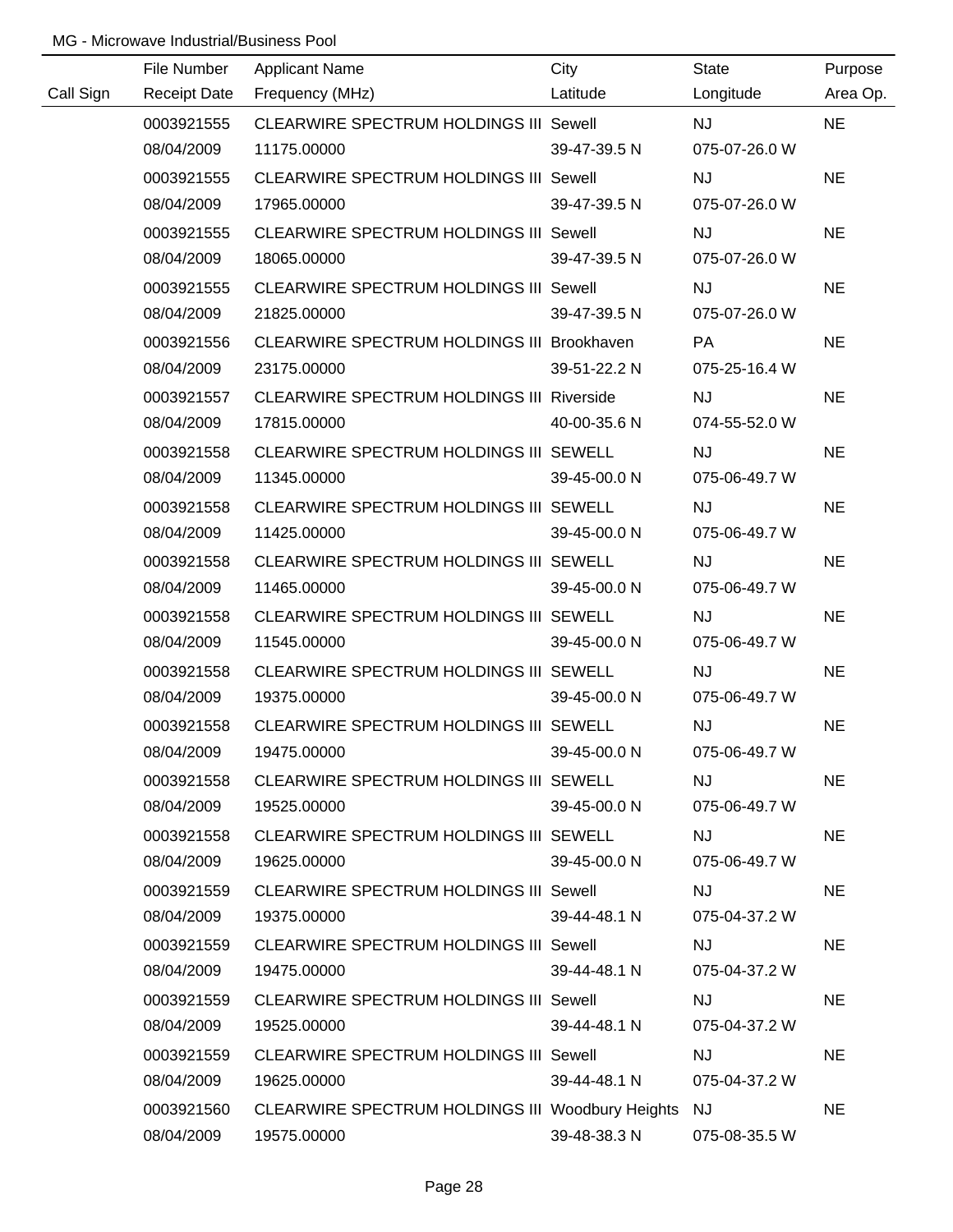|           | File Number         | <b>Applicant Name</b>                               | City         | State         | Purpose   |
|-----------|---------------------|-----------------------------------------------------|--------------|---------------|-----------|
| Call Sign | <b>Receipt Date</b> | Frequency (MHz)                                     | Latitude     | Longitude     | Area Op.  |
|           | 0003921555          | CLEARWIRE SPECTRUM HOLDINGS III Sewell              |              | <b>NJ</b>     | <b>NE</b> |
|           | 08/04/2009          | 11175.00000                                         | 39-47-39.5 N | 075-07-26.0 W |           |
|           | 0003921555          | <b>CLEARWIRE SPECTRUM HOLDINGS III Sewell</b>       |              | <b>NJ</b>     | <b>NE</b> |
|           | 08/04/2009          | 17965.00000                                         | 39-47-39.5 N | 075-07-26.0 W |           |
|           | 0003921555          | <b>CLEARWIRE SPECTRUM HOLDINGS III Sewell</b>       |              | <b>NJ</b>     | <b>NE</b> |
|           | 08/04/2009          | 18065.00000                                         | 39-47-39.5 N | 075-07-26.0 W |           |
|           | 0003921555          | CLEARWIRE SPECTRUM HOLDINGS III Sewell              |              | <b>NJ</b>     | <b>NE</b> |
|           | 08/04/2009          | 21825.00000                                         | 39-47-39.5 N | 075-07-26.0 W |           |
|           | 0003921556          | CLEARWIRE SPECTRUM HOLDINGS III Brookhaven          |              | <b>PA</b>     | <b>NE</b> |
|           | 08/04/2009          | 23175.00000                                         | 39-51-22.2 N | 075-25-16.4 W |           |
|           | 0003921557          | <b>CLEARWIRE SPECTRUM HOLDINGS III Riverside</b>    |              | <b>NJ</b>     | <b>NE</b> |
|           | 08/04/2009          | 17815.00000                                         | 40-00-35.6 N | 074-55-52.0 W |           |
|           | 0003921558          | CLEARWIRE SPECTRUM HOLDINGS III SEWELL              |              | <b>NJ</b>     | <b>NE</b> |
|           | 08/04/2009          | 11345.00000                                         | 39-45-00.0 N | 075-06-49.7 W |           |
|           | 0003921558          | CLEARWIRE SPECTRUM HOLDINGS III SEWELL              |              | <b>NJ</b>     | <b>NE</b> |
|           | 08/04/2009          | 11425.00000                                         | 39-45-00.0 N | 075-06-49.7 W |           |
|           | 0003921558          | CLEARWIRE SPECTRUM HOLDINGS III SEWELL              |              | <b>NJ</b>     | <b>NE</b> |
|           | 08/04/2009          | 11465.00000                                         | 39-45-00.0 N | 075-06-49.7 W |           |
|           | 0003921558          | CLEARWIRE SPECTRUM HOLDINGS III SEWELL              |              | <b>NJ</b>     | <b>NE</b> |
|           | 08/04/2009          | 11545.00000                                         | 39-45-00.0 N | 075-06-49.7 W |           |
|           | 0003921558          | CLEARWIRE SPECTRUM HOLDINGS III SEWELL              |              | NJ            | <b>NE</b> |
|           | 08/04/2009          | 19375.00000                                         | 39-45-00.0 N | 075-06-49.7 W |           |
|           | 0003921558          | CLEARWIRE SPECTRUM HOLDINGS III SEWELL              |              | <b>NJ</b>     | <b>NE</b> |
|           | 08/04/2009          | 19475.00000                                         | 39-45-00.0 N | 075-06-49.7 W |           |
|           | 0003921558          | CLEARWIRE SPECTRUM HOLDINGS III SEWELL              |              | <b>NJ</b>     | <b>NE</b> |
|           | 08/04/2009          | 19525.00000                                         | 39-45-00.0 N | 075-06-49.7 W |           |
|           | 0003921558          | CLEARWIRE SPECTRUM HOLDINGS III SEWELL              |              | <b>NJ</b>     | <b>NE</b> |
|           | 08/04/2009          | 19625.00000                                         | 39-45-00.0 N | 075-06-49.7 W |           |
|           | 0003921559          | <b>CLEARWIRE SPECTRUM HOLDINGS III Sewell</b>       |              | <b>NJ</b>     | <b>NE</b> |
|           | 08/04/2009          | 19375.00000                                         | 39-44-48.1 N | 075-04-37.2 W |           |
|           | 0003921559          | <b>CLEARWIRE SPECTRUM HOLDINGS III Sewell</b>       |              | <b>NJ</b>     | <b>NE</b> |
|           | 08/04/2009          | 19475.00000                                         | 39-44-48.1 N | 075-04-37.2 W |           |
|           | 0003921559          | <b>CLEARWIRE SPECTRUM HOLDINGS III Sewell</b>       |              | <b>NJ</b>     | <b>NE</b> |
|           | 08/04/2009          | 19525.00000                                         | 39-44-48.1 N | 075-04-37.2 W |           |
|           | 0003921559          | <b>CLEARWIRE SPECTRUM HOLDINGS III Sewell</b>       |              | <b>NJ</b>     | <b>NE</b> |
|           | 08/04/2009          | 19625.00000                                         | 39-44-48.1 N | 075-04-37.2 W |           |
|           | 0003921560          | CLEARWIRE SPECTRUM HOLDINGS III Woodbury Heights NJ |              |               | <b>NE</b> |
|           | 08/04/2009          | 19575.00000                                         | 39-48-38.3 N | 075-08-35.5 W |           |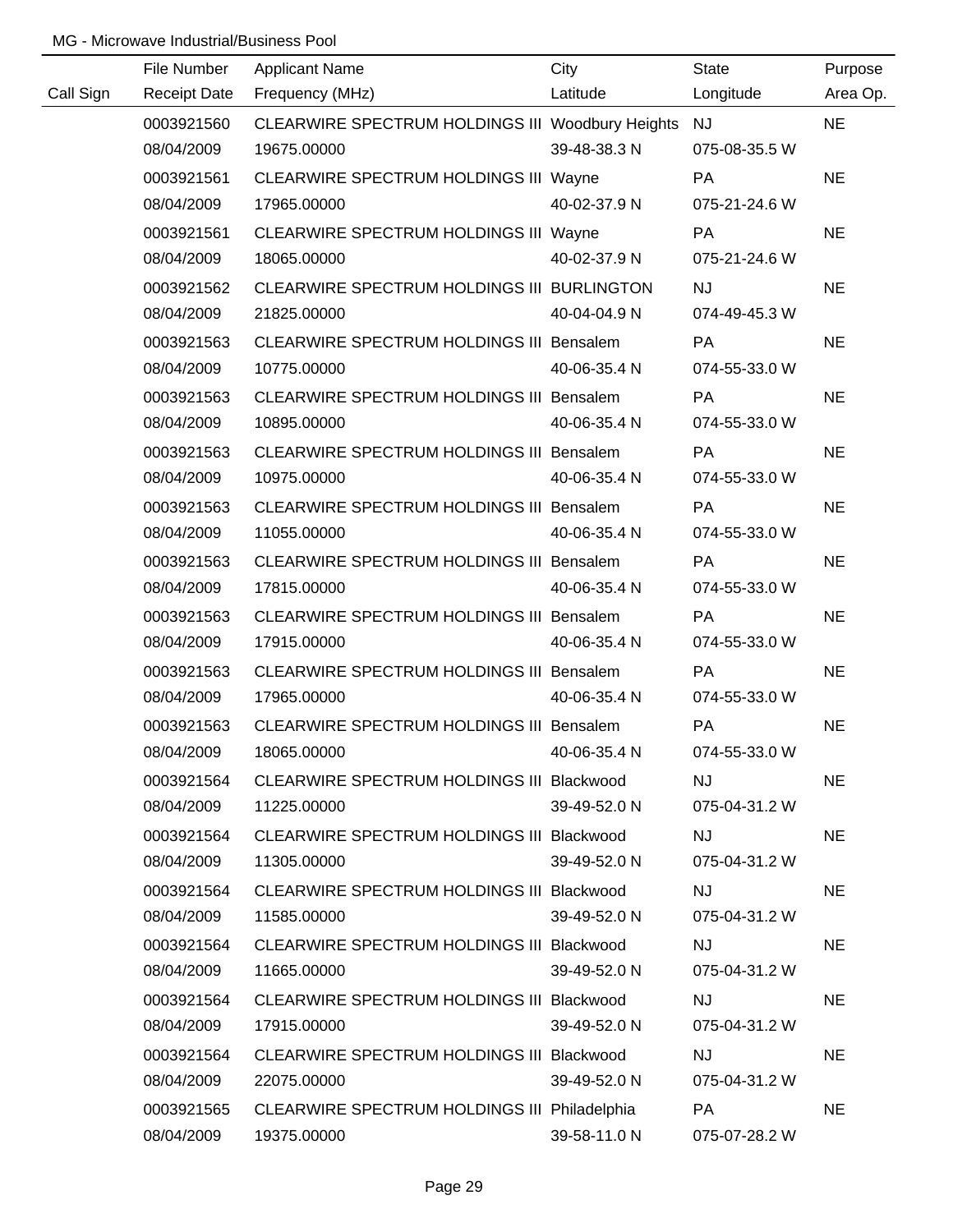|           | File Number         | <b>Applicant Name</b>                               | City         | <b>State</b>  | Purpose   |
|-----------|---------------------|-----------------------------------------------------|--------------|---------------|-----------|
| Call Sign | <b>Receipt Date</b> | Frequency (MHz)                                     | Latitude     | Longitude     | Area Op.  |
|           | 0003921560          | CLEARWIRE SPECTRUM HOLDINGS III Woodbury Heights NJ |              |               | <b>NE</b> |
|           | 08/04/2009          | 19675.00000                                         | 39-48-38.3 N | 075-08-35.5 W |           |
|           | 0003921561          | CLEARWIRE SPECTRUM HOLDINGS III Wayne               |              | PA            | <b>NE</b> |
|           | 08/04/2009          | 17965.00000                                         | 40-02-37.9 N | 075-21-24.6 W |           |
|           | 0003921561          | CLEARWIRE SPECTRUM HOLDINGS III Wayne               |              | PA            | <b>NE</b> |
|           | 08/04/2009          | 18065.00000                                         | 40-02-37.9 N | 075-21-24.6 W |           |
|           | 0003921562          | CLEARWIRE SPECTRUM HOLDINGS III BURLINGTON          |              | <b>NJ</b>     | <b>NE</b> |
|           | 08/04/2009          | 21825.00000                                         | 40-04-04.9 N | 074-49-45.3 W |           |
|           | 0003921563          | CLEARWIRE SPECTRUM HOLDINGS III Bensalem            |              | PA            | <b>NE</b> |
|           | 08/04/2009          | 10775.00000                                         | 40-06-35.4 N | 074-55-33.0 W |           |
|           | 0003921563          | CLEARWIRE SPECTRUM HOLDINGS III Bensalem            |              | PA            | <b>NE</b> |
|           | 08/04/2009          | 10895.00000                                         | 40-06-35.4 N | 074-55-33.0 W |           |
|           | 0003921563          | CLEARWIRE SPECTRUM HOLDINGS III Bensalem            |              | PA            | <b>NE</b> |
|           | 08/04/2009          | 10975.00000                                         | 40-06-35.4 N | 074-55-33.0 W |           |
|           | 0003921563          | CLEARWIRE SPECTRUM HOLDINGS III Bensalem            |              | PA            | <b>NE</b> |
|           | 08/04/2009          | 11055.00000                                         | 40-06-35.4 N | 074-55-33.0 W |           |
|           | 0003921563          | CLEARWIRE SPECTRUM HOLDINGS III Bensalem            |              | PA            | <b>NE</b> |
|           | 08/04/2009          | 17815.00000                                         | 40-06-35.4 N | 074-55-33.0 W |           |
|           | 0003921563          | CLEARWIRE SPECTRUM HOLDINGS III Bensalem            |              | <b>PA</b>     | <b>NE</b> |
|           | 08/04/2009          | 17915.00000                                         | 40-06-35.4 N | 074-55-33.0 W |           |
|           | 0003921563          | CLEARWIRE SPECTRUM HOLDINGS III Bensalem            |              | <b>PA</b>     | <b>NE</b> |
|           | 08/04/2009          | 17965.00000                                         | 40-06-35.4 N | 074-55-33.0 W |           |
|           | 0003921563          | CLEARWIRE SPECTRUM HOLDINGS III Bensalem            |              | PA            | <b>NE</b> |
|           | 08/04/2009          | 18065.00000                                         | 40-06-35.4 N | 074-55-33.0 W |           |
|           | 0003921564          | CLEARWIRE SPECTRUM HOLDINGS III Blackwood           |              | <b>NJ</b>     | <b>NE</b> |
|           | 08/04/2009          | 11225.00000                                         | 39-49-52.0 N | 075-04-31.2 W |           |
|           | 0003921564          | CLEARWIRE SPECTRUM HOLDINGS III Blackwood           |              | <b>NJ</b>     | <b>NE</b> |
|           | 08/04/2009          | 11305.00000                                         | 39-49-52.0 N | 075-04-31.2 W |           |
|           | 0003921564          | CLEARWIRE SPECTRUM HOLDINGS III Blackwood           |              | <b>NJ</b>     | <b>NE</b> |
|           | 08/04/2009          | 11585.00000                                         | 39-49-52.0 N | 075-04-31.2 W |           |
|           | 0003921564          | CLEARWIRE SPECTRUM HOLDINGS III Blackwood           |              | <b>NJ</b>     | <b>NE</b> |
|           | 08/04/2009          | 11665.00000                                         | 39-49-52.0 N | 075-04-31.2 W |           |
|           | 0003921564          | CLEARWIRE SPECTRUM HOLDINGS III Blackwood           |              | <b>NJ</b>     | <b>NE</b> |
|           | 08/04/2009          | 17915.00000                                         | 39-49-52.0 N | 075-04-31.2 W |           |
|           | 0003921564          | CLEARWIRE SPECTRUM HOLDINGS III Blackwood           |              | <b>NJ</b>     | <b>NE</b> |
|           | 08/04/2009          | 22075.00000                                         | 39-49-52.0 N | 075-04-31.2 W |           |
|           | 0003921565          | CLEARWIRE SPECTRUM HOLDINGS III Philadelphia        |              | PA            | <b>NE</b> |
|           | 08/04/2009          | 19375.00000                                         | 39-58-11.0 N | 075-07-28.2 W |           |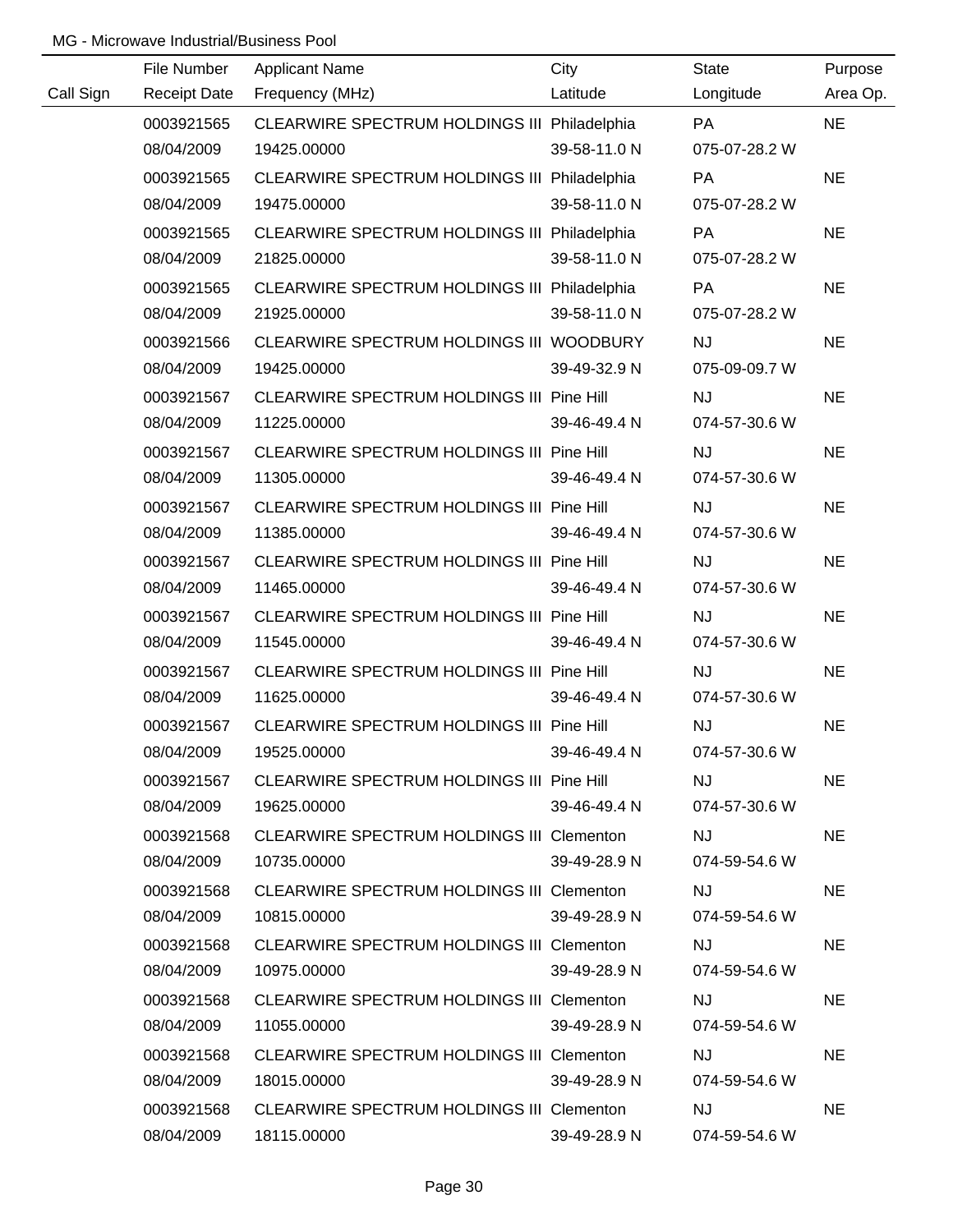|           | File Number         | <b>Applicant Name</b>                        | City         | State         | Purpose   |
|-----------|---------------------|----------------------------------------------|--------------|---------------|-----------|
| Call Sign | <b>Receipt Date</b> | Frequency (MHz)                              | Latitude     | Longitude     | Area Op.  |
|           | 0003921565          | CLEARWIRE SPECTRUM HOLDINGS III Philadelphia |              | PA            | <b>NE</b> |
|           | 08/04/2009          | 19425.00000                                  | 39-58-11.0 N | 075-07-28.2 W |           |
|           | 0003921565          | CLEARWIRE SPECTRUM HOLDINGS III Philadelphia |              | <b>PA</b>     | <b>NE</b> |
|           | 08/04/2009          | 19475.00000                                  | 39-58-11.0 N | 075-07-28.2 W |           |
|           | 0003921565          | CLEARWIRE SPECTRUM HOLDINGS III Philadelphia |              | PA            | <b>NE</b> |
|           | 08/04/2009          | 21825.00000                                  | 39-58-11.0 N | 075-07-28.2 W |           |
|           | 0003921565          | CLEARWIRE SPECTRUM HOLDINGS III Philadelphia |              | PA            | <b>NE</b> |
|           | 08/04/2009          | 21925.00000                                  | 39-58-11.0 N | 075-07-28.2 W |           |
|           | 0003921566          | CLEARWIRE SPECTRUM HOLDINGS III WOODBURY     |              | <b>NJ</b>     | <b>NE</b> |
|           | 08/04/2009          | 19425.00000                                  | 39-49-32.9 N | 075-09-09.7 W |           |
|           | 0003921567          | CLEARWIRE SPECTRUM HOLDINGS III Pine Hill    |              | <b>NJ</b>     | <b>NE</b> |
|           | 08/04/2009          | 11225.00000                                  | 39-46-49.4 N | 074-57-30.6 W |           |
|           | 0003921567          | CLEARWIRE SPECTRUM HOLDINGS III Pine Hill    |              | <b>NJ</b>     | <b>NE</b> |
|           | 08/04/2009          | 11305.00000                                  | 39-46-49.4 N | 074-57-30.6 W |           |
|           | 0003921567          | CLEARWIRE SPECTRUM HOLDINGS III Pine Hill    |              | <b>NJ</b>     | <b>NE</b> |
|           | 08/04/2009          | 11385.00000                                  | 39-46-49.4 N | 074-57-30.6 W |           |
|           | 0003921567          | CLEARWIRE SPECTRUM HOLDINGS III Pine Hill    |              | <b>NJ</b>     | <b>NE</b> |
|           | 08/04/2009          | 11465.00000                                  | 39-46-49.4 N | 074-57-30.6 W |           |
|           | 0003921567          | CLEARWIRE SPECTRUM HOLDINGS III Pine Hill    |              | NJ            | <b>NE</b> |
|           | 08/04/2009          | 11545.00000                                  | 39-46-49.4 N | 074-57-30.6 W |           |
|           | 0003921567          | CLEARWIRE SPECTRUM HOLDINGS III Pine Hill    |              | NJ            | <b>NE</b> |
|           | 08/04/2009          | 11625.00000                                  | 39-46-49.4 N | 074-57-30.6 W |           |
|           | 0003921567          | CLEARWIRE SPECTRUM HOLDINGS III Pine Hill    |              | <b>NJ</b>     | <b>NE</b> |
|           | 08/04/2009          | 19525.00000                                  | 39-46-49.4 N | 074-57-30.6 W |           |
|           | 0003921567          | CLEARWIRE SPECTRUM HOLDINGS III Pine Hill    |              | NJ            | <b>NE</b> |
|           | 08/04/2009          | 19625.00000                                  | 39-46-49.4 N | 074-57-30.6 W |           |
|           | 0003921568          | CLEARWIRE SPECTRUM HOLDINGS III Clementon    |              | <b>NJ</b>     | NE.       |
|           | 08/04/2009          | 10735.00000                                  | 39-49-28.9 N | 074-59-54.6 W |           |
|           | 0003921568          | CLEARWIRE SPECTRUM HOLDINGS III Clementon    |              | NJ.           | <b>NE</b> |
|           | 08/04/2009          | 10815.00000                                  | 39-49-28.9 N | 074-59-54.6 W |           |
|           | 0003921568          | CLEARWIRE SPECTRUM HOLDINGS III Clementon    |              | <b>NJ</b>     | <b>NE</b> |
|           | 08/04/2009          | 10975.00000                                  | 39-49-28.9 N | 074-59-54.6 W |           |
|           | 0003921568          | CLEARWIRE SPECTRUM HOLDINGS III Clementon    |              | <b>NJ</b>     | <b>NE</b> |
|           | 08/04/2009          | 11055.00000                                  | 39-49-28.9 N | 074-59-54.6 W |           |
|           | 0003921568          | CLEARWIRE SPECTRUM HOLDINGS III Clementon    |              | <b>NJ</b>     | <b>NE</b> |
|           | 08/04/2009          | 18015.00000                                  | 39-49-28.9 N | 074-59-54.6 W |           |
|           | 0003921568          | CLEARWIRE SPECTRUM HOLDINGS III Clementon    |              | <b>NJ</b>     | <b>NE</b> |
|           | 08/04/2009          | 18115.00000                                  | 39-49-28.9 N | 074-59-54.6 W |           |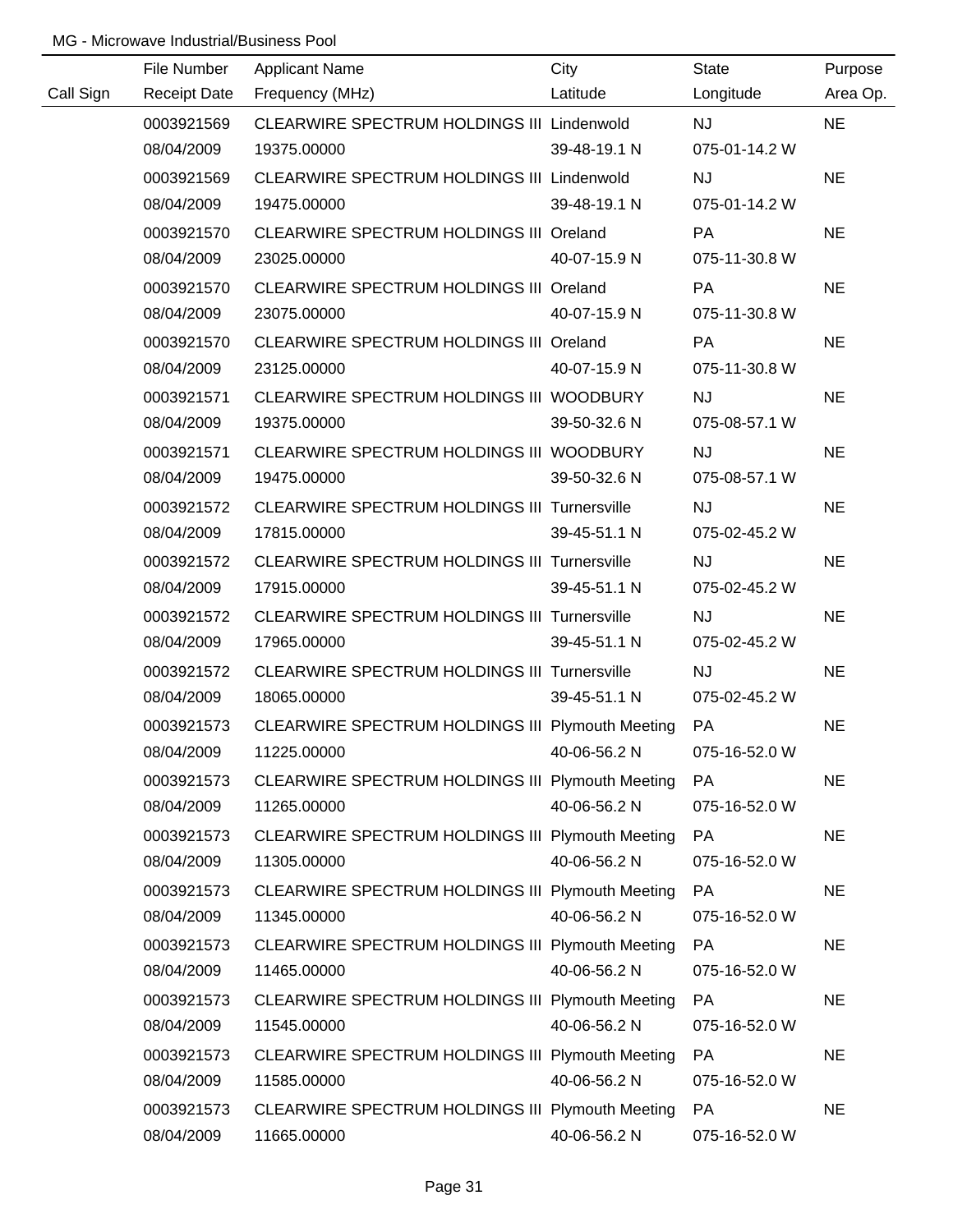|           | File Number         | <b>Applicant Name</b>                            | City         | <b>State</b>  | Purpose   |
|-----------|---------------------|--------------------------------------------------|--------------|---------------|-----------|
| Call Sign | <b>Receipt Date</b> | Frequency (MHz)                                  | Latitude     | Longitude     | Area Op.  |
|           | 0003921569          | CLEARWIRE SPECTRUM HOLDINGS III Lindenwold       |              | <b>NJ</b>     | <b>NE</b> |
|           | 08/04/2009          | 19375.00000                                      | 39-48-19.1 N | 075-01-14.2 W |           |
|           | 0003921569          | CLEARWIRE SPECTRUM HOLDINGS III Lindenwold       |              | <b>NJ</b>     | <b>NE</b> |
|           | 08/04/2009          | 19475.00000                                      | 39-48-19.1 N | 075-01-14.2 W |           |
|           | 0003921570          | CLEARWIRE SPECTRUM HOLDINGS III Oreland          |              | <b>PA</b>     | <b>NE</b> |
|           | 08/04/2009          | 23025.00000                                      | 40-07-15.9 N | 075-11-30.8 W |           |
|           | 0003921570          | CLEARWIRE SPECTRUM HOLDINGS III Oreland          |              | <b>PA</b>     | <b>NE</b> |
|           | 08/04/2009          | 23075.00000                                      | 40-07-15.9 N | 075-11-30.8 W |           |
|           | 0003921570          | CLEARWIRE SPECTRUM HOLDINGS III Oreland          |              | PA            | <b>NE</b> |
|           | 08/04/2009          | 23125.00000                                      | 40-07-15.9 N | 075-11-30.8 W |           |
|           | 0003921571          | CLEARWIRE SPECTRUM HOLDINGS III WOODBURY         |              | <b>NJ</b>     | <b>NE</b> |
|           | 08/04/2009          | 19375.00000                                      | 39-50-32.6 N | 075-08-57.1 W |           |
|           | 0003921571          | CLEARWIRE SPECTRUM HOLDINGS III WOODBURY         |              | <b>NJ</b>     | <b>NE</b> |
|           | 08/04/2009          | 19475.00000                                      | 39-50-32.6 N | 075-08-57.1 W |           |
|           | 0003921572          | CLEARWIRE SPECTRUM HOLDINGS III Turnersville     |              | <b>NJ</b>     | <b>NE</b> |
|           | 08/04/2009          | 17815.00000                                      | 39-45-51.1 N | 075-02-45.2 W |           |
|           | 0003921572          | CLEARWIRE SPECTRUM HOLDINGS III Turnersville     |              | <b>NJ</b>     | <b>NE</b> |
|           | 08/04/2009          | 17915.00000                                      | 39-45-51.1 N | 075-02-45.2 W |           |
|           | 0003921572          | CLEARWIRE SPECTRUM HOLDINGS III Turnersville     |              | <b>NJ</b>     | <b>NE</b> |
|           | 08/04/2009          | 17965.00000                                      | 39-45-51.1 N | 075-02-45.2 W |           |
|           | 0003921572          | CLEARWIRE SPECTRUM HOLDINGS III Turnersville     |              | <b>NJ</b>     | <b>NE</b> |
|           | 08/04/2009          | 18065.00000                                      | 39-45-51.1 N | 075-02-45.2 W |           |
|           | 0003921573          | CLEARWIRE SPECTRUM HOLDINGS III Plymouth Meeting |              | PA            | <b>NE</b> |
|           | 08/04/2009          | 11225.00000                                      | 40-06-56.2 N | 075-16-52.0 W |           |
|           | 0003921573          | CLEARWIRE SPECTRUM HOLDINGS III Plymouth Meeting |              | PA            | <b>NE</b> |
|           | 08/04/2009          | 11265.00000                                      | 40-06-56.2 N | 075-16-52.0 W |           |
|           | 0003921573          | CLEARWIRE SPECTRUM HOLDINGS III Plymouth Meeting |              | <b>PA</b>     | <b>NE</b> |
|           | 08/04/2009          | 11305.00000                                      | 40-06-56.2 N | 075-16-52.0 W |           |
|           | 0003921573          | CLEARWIRE SPECTRUM HOLDINGS III Plymouth Meeting |              | <b>PA</b>     | <b>NE</b> |
|           | 08/04/2009          | 11345.00000                                      | 40-06-56.2 N | 075-16-52.0 W |           |
|           | 0003921573          | CLEARWIRE SPECTRUM HOLDINGS III Plymouth Meeting |              | <b>PA</b>     | <b>NE</b> |
|           | 08/04/2009          | 11465.00000                                      | 40-06-56.2 N | 075-16-52.0 W |           |
|           | 0003921573          | CLEARWIRE SPECTRUM HOLDINGS III Plymouth Meeting |              | <b>PA</b>     | <b>NE</b> |
|           | 08/04/2009          | 11545.00000                                      | 40-06-56.2 N | 075-16-52.0 W |           |
|           | 0003921573          | CLEARWIRE SPECTRUM HOLDINGS III Plymouth Meeting |              | <b>PA</b>     | <b>NE</b> |
|           | 08/04/2009          | 11585.00000                                      | 40-06-56.2 N | 075-16-52.0 W |           |
|           | 0003921573          | CLEARWIRE SPECTRUM HOLDINGS III Plymouth Meeting |              | PA            | <b>NE</b> |
|           | 08/04/2009          | 11665.00000                                      | 40-06-56.2 N | 075-16-52.0 W |           |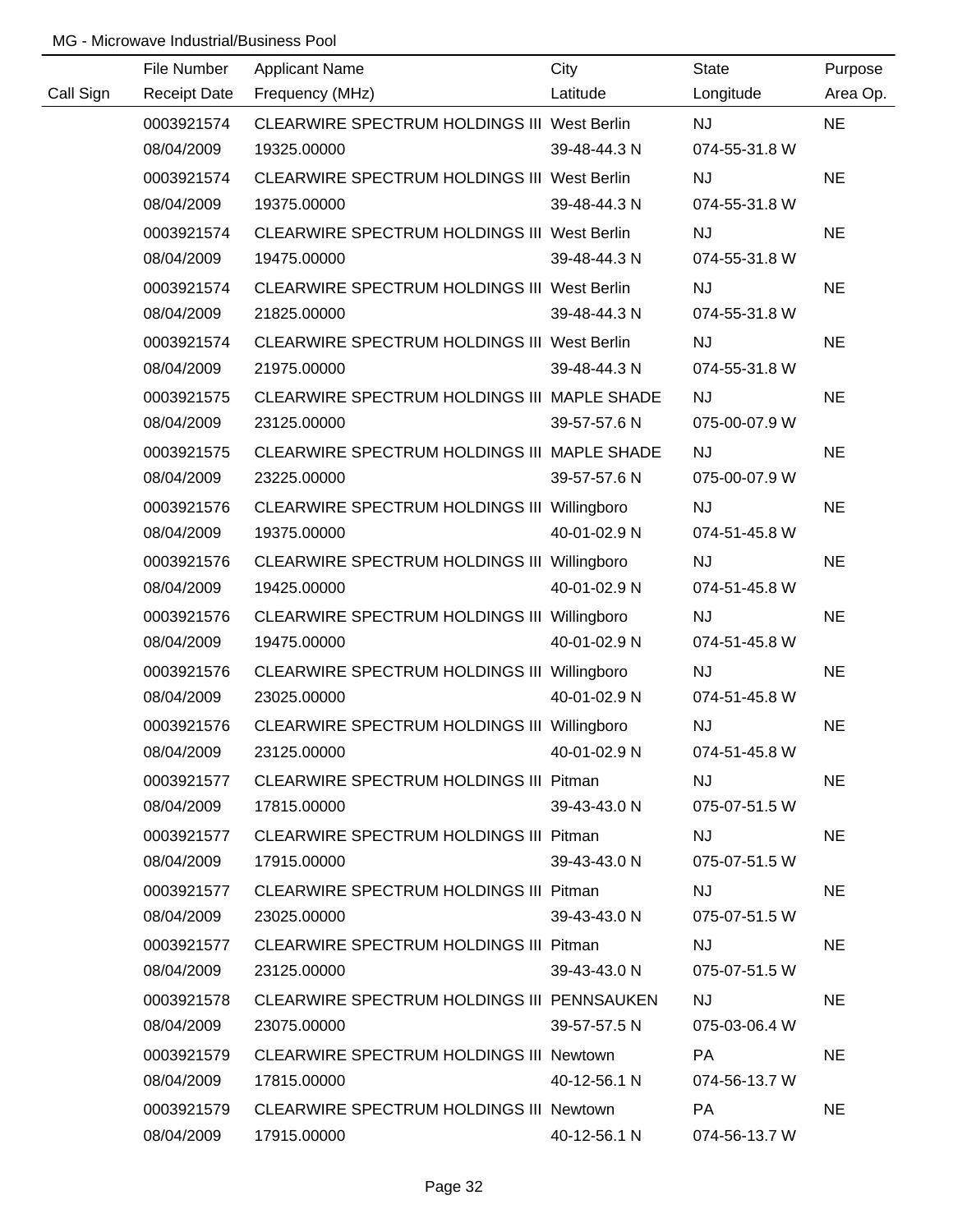|           | File Number         | <b>Applicant Name</b>                       | City         | <b>State</b>  | Purpose   |
|-----------|---------------------|---------------------------------------------|--------------|---------------|-----------|
| Call Sign | <b>Receipt Date</b> | Frequency (MHz)                             | Latitude     | Longitude     | Area Op.  |
|           | 0003921574          | CLEARWIRE SPECTRUM HOLDINGS III West Berlin |              | <b>NJ</b>     | <b>NE</b> |
|           | 08/04/2009          | 19325.00000                                 | 39-48-44.3 N | 074-55-31.8 W |           |
|           | 0003921574          | CLEARWIRE SPECTRUM HOLDINGS III West Berlin |              | <b>NJ</b>     | <b>NE</b> |
|           | 08/04/2009          | 19375.00000                                 | 39-48-44.3 N | 074-55-31.8 W |           |
|           | 0003921574          | CLEARWIRE SPECTRUM HOLDINGS III West Berlin |              | <b>NJ</b>     | <b>NE</b> |
|           | 08/04/2009          | 19475.00000                                 | 39-48-44.3 N | 074-55-31.8 W |           |
|           | 0003921574          | CLEARWIRE SPECTRUM HOLDINGS III West Berlin |              | <b>NJ</b>     | <b>NE</b> |
|           | 08/04/2009          | 21825.00000                                 | 39-48-44.3 N | 074-55-31.8 W |           |
|           | 0003921574          | CLEARWIRE SPECTRUM HOLDINGS III West Berlin |              | <b>NJ</b>     | <b>NE</b> |
|           | 08/04/2009          | 21975.00000                                 | 39-48-44.3 N | 074-55-31.8 W |           |
|           | 0003921575          | CLEARWIRE SPECTRUM HOLDINGS III MAPLE SHADE |              | <b>NJ</b>     | <b>NE</b> |
|           | 08/04/2009          | 23125.00000                                 | 39-57-57.6 N | 075-00-07.9 W |           |
|           | 0003921575          | CLEARWIRE SPECTRUM HOLDINGS III MAPLE SHADE |              | <b>NJ</b>     | <b>NE</b> |
|           | 08/04/2009          | 23225.00000                                 | 39-57-57.6 N | 075-00-07.9 W |           |
|           | 0003921576          | CLEARWIRE SPECTRUM HOLDINGS III Willingboro |              | <b>NJ</b>     | <b>NE</b> |
|           | 08/04/2009          | 19375.00000                                 | 40-01-02.9 N | 074-51-45.8 W |           |
|           | 0003921576          | CLEARWIRE SPECTRUM HOLDINGS III Willingboro |              | <b>NJ</b>     | <b>NE</b> |
|           | 08/04/2009          | 19425.00000                                 | 40-01-02.9 N | 074-51-45.8 W |           |
|           | 0003921576          | CLEARWIRE SPECTRUM HOLDINGS III Willingboro |              | NJ            | <b>NE</b> |
|           | 08/04/2009          | 19475.00000                                 | 40-01-02.9 N | 074-51-45.8 W |           |
|           | 0003921576          | CLEARWIRE SPECTRUM HOLDINGS III Willingboro |              | <b>NJ</b>     | <b>NE</b> |
|           | 08/04/2009          | 23025.00000                                 | 40-01-02.9 N | 074-51-45.8 W |           |
|           | 0003921576          | CLEARWIRE SPECTRUM HOLDINGS III Willingboro |              | <b>NJ</b>     | <b>NE</b> |
|           | 08/04/2009          | 23125.00000                                 | 40-01-02.9 N | 074-51-45.8 W |           |
|           | 0003921577          | CLEARWIRE SPECTRUM HOLDINGS III Pitman      |              | <b>NJ</b>     | <b>NE</b> |
|           | 08/04/2009          | 17815.00000                                 | 39-43-43.0 N | 075-07-51.5 W |           |
|           | 0003921577          | CLEARWIRE SPECTRUM HOLDINGS III Pitman      |              | <b>NJ</b>     | <b>NE</b> |
|           | 08/04/2009          | 17915.00000                                 | 39-43-43.0 N | 075-07-51.5 W |           |
|           | 0003921577          | CLEARWIRE SPECTRUM HOLDINGS III Pitman      |              | NJ.           | <b>NE</b> |
|           | 08/04/2009          | 23025.00000                                 | 39-43-43.0 N | 075-07-51.5 W |           |
|           | 0003921577          | CLEARWIRE SPECTRUM HOLDINGS III Pitman      |              | NJ.           | <b>NE</b> |
|           | 08/04/2009          | 23125.00000                                 | 39-43-43.0 N | 075-07-51.5 W |           |
|           | 0003921578          | CLEARWIRE SPECTRUM HOLDINGS III PENNSAUKEN  |              | <b>NJ</b>     | <b>NE</b> |
|           | 08/04/2009          | 23075.00000                                 | 39-57-57.5 N | 075-03-06.4 W |           |
|           | 0003921579          | CLEARWIRE SPECTRUM HOLDINGS III Newtown     |              | PA            | <b>NE</b> |
|           | 08/04/2009          | 17815.00000                                 | 40-12-56.1 N | 074-56-13.7 W |           |
|           | 0003921579          | CLEARWIRE SPECTRUM HOLDINGS III Newtown     |              | PA            | <b>NE</b> |
|           | 08/04/2009          | 17915.00000                                 | 40-12-56.1 N | 074-56-13.7 W |           |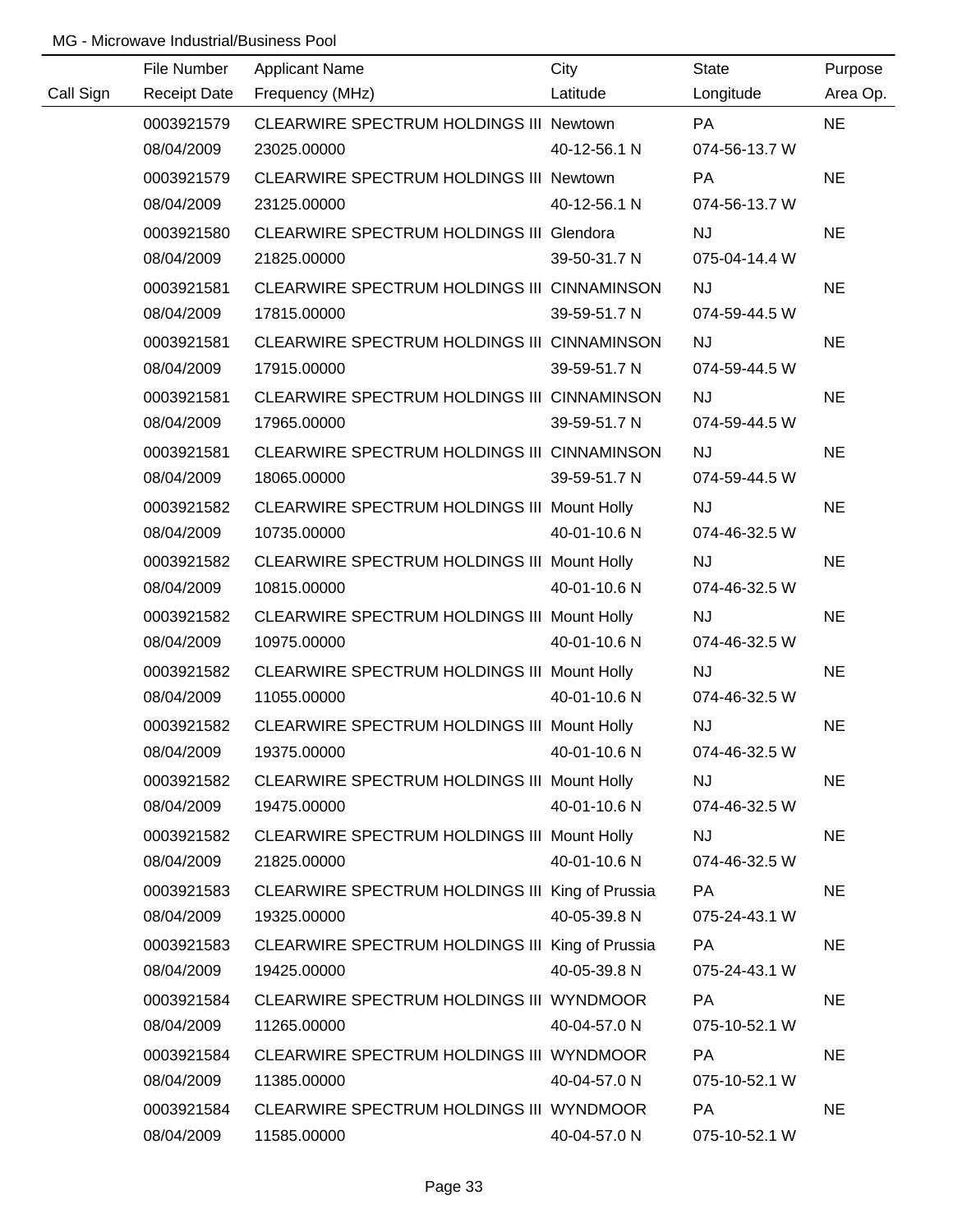| Call Sign<br>Area Op.<br><b>Receipt Date</b><br>Frequency (MHz)<br>Latitude<br>Longitude<br>CLEARWIRE SPECTRUM HOLDINGS III Newtown<br><b>NE</b><br>0003921579<br><b>PA</b><br>08/04/2009<br>23025.00000<br>40-12-56.1 N<br>074-56-13.7 W<br><b>NE</b><br>0003921579<br>CLEARWIRE SPECTRUM HOLDINGS III Newtown<br>PA<br>074-56-13.7 W<br>08/04/2009<br>23125.00000<br>40-12-56.1 N<br><b>NE</b><br><b>CLEARWIRE SPECTRUM HOLDINGS III Glendora</b><br><b>NJ</b><br>0003921580<br>075-04-14.4 W<br>08/04/2009<br>21825.00000<br>39-50-31.7 N<br><b>NE</b><br>0003921581<br>CLEARWIRE SPECTRUM HOLDINGS III CINNAMINSON<br><b>NJ</b><br>08/04/2009<br>17815.00000<br>39-59-51.7 N<br>074-59-44.5 W<br>CLEARWIRE SPECTRUM HOLDINGS III CINNAMINSON<br><b>NJ</b><br><b>NE</b><br>0003921581<br>08/04/2009<br>17915.00000<br>39-59-51.7 N<br>074-59-44.5 W<br>NJ<br>0003921581<br>CLEARWIRE SPECTRUM HOLDINGS III CINNAMINSON<br><b>NE</b><br>08/04/2009<br>17965.00000<br>39-59-51.7 N<br>074-59-44.5 W<br>0003921581<br>CLEARWIRE SPECTRUM HOLDINGS III CINNAMINSON<br><b>NJ</b><br><b>NE</b><br>08/04/2009<br>18065.00000<br>39-59-51.7 N<br>074-59-44.5 W | File Number | <b>Applicant Name</b> | City | <b>State</b> | Purpose |
|-----------------------------------------------------------------------------------------------------------------------------------------------------------------------------------------------------------------------------------------------------------------------------------------------------------------------------------------------------------------------------------------------------------------------------------------------------------------------------------------------------------------------------------------------------------------------------------------------------------------------------------------------------------------------------------------------------------------------------------------------------------------------------------------------------------------------------------------------------------------------------------------------------------------------------------------------------------------------------------------------------------------------------------------------------------------------------------------------------------------------------------------------------------|-------------|-----------------------|------|--------------|---------|
|                                                                                                                                                                                                                                                                                                                                                                                                                                                                                                                                                                                                                                                                                                                                                                                                                                                                                                                                                                                                                                                                                                                                                           |             |                       |      |              |         |
|                                                                                                                                                                                                                                                                                                                                                                                                                                                                                                                                                                                                                                                                                                                                                                                                                                                                                                                                                                                                                                                                                                                                                           |             |                       |      |              |         |
|                                                                                                                                                                                                                                                                                                                                                                                                                                                                                                                                                                                                                                                                                                                                                                                                                                                                                                                                                                                                                                                                                                                                                           |             |                       |      |              |         |
|                                                                                                                                                                                                                                                                                                                                                                                                                                                                                                                                                                                                                                                                                                                                                                                                                                                                                                                                                                                                                                                                                                                                                           |             |                       |      |              |         |
|                                                                                                                                                                                                                                                                                                                                                                                                                                                                                                                                                                                                                                                                                                                                                                                                                                                                                                                                                                                                                                                                                                                                                           |             |                       |      |              |         |
|                                                                                                                                                                                                                                                                                                                                                                                                                                                                                                                                                                                                                                                                                                                                                                                                                                                                                                                                                                                                                                                                                                                                                           |             |                       |      |              |         |
|                                                                                                                                                                                                                                                                                                                                                                                                                                                                                                                                                                                                                                                                                                                                                                                                                                                                                                                                                                                                                                                                                                                                                           |             |                       |      |              |         |
|                                                                                                                                                                                                                                                                                                                                                                                                                                                                                                                                                                                                                                                                                                                                                                                                                                                                                                                                                                                                                                                                                                                                                           |             |                       |      |              |         |
|                                                                                                                                                                                                                                                                                                                                                                                                                                                                                                                                                                                                                                                                                                                                                                                                                                                                                                                                                                                                                                                                                                                                                           |             |                       |      |              |         |
|                                                                                                                                                                                                                                                                                                                                                                                                                                                                                                                                                                                                                                                                                                                                                                                                                                                                                                                                                                                                                                                                                                                                                           |             |                       |      |              |         |
|                                                                                                                                                                                                                                                                                                                                                                                                                                                                                                                                                                                                                                                                                                                                                                                                                                                                                                                                                                                                                                                                                                                                                           |             |                       |      |              |         |
|                                                                                                                                                                                                                                                                                                                                                                                                                                                                                                                                                                                                                                                                                                                                                                                                                                                                                                                                                                                                                                                                                                                                                           |             |                       |      |              |         |
|                                                                                                                                                                                                                                                                                                                                                                                                                                                                                                                                                                                                                                                                                                                                                                                                                                                                                                                                                                                                                                                                                                                                                           |             |                       |      |              |         |
|                                                                                                                                                                                                                                                                                                                                                                                                                                                                                                                                                                                                                                                                                                                                                                                                                                                                                                                                                                                                                                                                                                                                                           |             |                       |      |              |         |
|                                                                                                                                                                                                                                                                                                                                                                                                                                                                                                                                                                                                                                                                                                                                                                                                                                                                                                                                                                                                                                                                                                                                                           |             |                       |      |              |         |
| 0003921582<br>CLEARWIRE SPECTRUM HOLDINGS III Mount Holly<br><b>NJ</b><br><b>NE</b>                                                                                                                                                                                                                                                                                                                                                                                                                                                                                                                                                                                                                                                                                                                                                                                                                                                                                                                                                                                                                                                                       |             |                       |      |              |         |
| 40-01-10.6 N<br>08/04/2009<br>10735.00000<br>074-46-32.5 W                                                                                                                                                                                                                                                                                                                                                                                                                                                                                                                                                                                                                                                                                                                                                                                                                                                                                                                                                                                                                                                                                                |             |                       |      |              |         |
| <b>NE</b><br>0003921582<br>CLEARWIRE SPECTRUM HOLDINGS III Mount Holly<br><b>NJ</b>                                                                                                                                                                                                                                                                                                                                                                                                                                                                                                                                                                                                                                                                                                                                                                                                                                                                                                                                                                                                                                                                       |             |                       |      |              |         |
| 40-01-10.6 N<br>08/04/2009<br>10815.00000<br>074-46-32.5 W                                                                                                                                                                                                                                                                                                                                                                                                                                                                                                                                                                                                                                                                                                                                                                                                                                                                                                                                                                                                                                                                                                |             |                       |      |              |         |
| NJ<br>0003921582<br>CLEARWIRE SPECTRUM HOLDINGS III Mount Holly<br><b>NE</b>                                                                                                                                                                                                                                                                                                                                                                                                                                                                                                                                                                                                                                                                                                                                                                                                                                                                                                                                                                                                                                                                              |             |                       |      |              |         |
| 08/04/2009<br>40-01-10.6 N<br>10975.00000<br>074-46-32.5 W                                                                                                                                                                                                                                                                                                                                                                                                                                                                                                                                                                                                                                                                                                                                                                                                                                                                                                                                                                                                                                                                                                |             |                       |      |              |         |
| NJ<br><b>NE</b><br>0003921582<br>CLEARWIRE SPECTRUM HOLDINGS III Mount Holly                                                                                                                                                                                                                                                                                                                                                                                                                                                                                                                                                                                                                                                                                                                                                                                                                                                                                                                                                                                                                                                                              |             |                       |      |              |         |
| 40-01-10.6 N<br>08/04/2009<br>11055.00000<br>074-46-32.5 W                                                                                                                                                                                                                                                                                                                                                                                                                                                                                                                                                                                                                                                                                                                                                                                                                                                                                                                                                                                                                                                                                                |             |                       |      |              |         |
| 0003921582<br><b>NJ</b><br><b>NE</b><br>CLEARWIRE SPECTRUM HOLDINGS III Mount Holly                                                                                                                                                                                                                                                                                                                                                                                                                                                                                                                                                                                                                                                                                                                                                                                                                                                                                                                                                                                                                                                                       |             |                       |      |              |         |
| 08/04/2009<br>19375.00000<br>40-01-10.6 N<br>074-46-32.5 W                                                                                                                                                                                                                                                                                                                                                                                                                                                                                                                                                                                                                                                                                                                                                                                                                                                                                                                                                                                                                                                                                                |             |                       |      |              |         |
| 0003921582<br>CLEARWIRE SPECTRUM HOLDINGS III Mount Holly<br><b>NJ</b><br><b>NE</b>                                                                                                                                                                                                                                                                                                                                                                                                                                                                                                                                                                                                                                                                                                                                                                                                                                                                                                                                                                                                                                                                       |             |                       |      |              |         |
| 40-01-10.6 N<br>08/04/2009<br>074-46-32.5 W<br>19475.00000                                                                                                                                                                                                                                                                                                                                                                                                                                                                                                                                                                                                                                                                                                                                                                                                                                                                                                                                                                                                                                                                                                |             |                       |      |              |         |
| 0003921582<br><b>NJ</b><br><b>NE</b><br>CLEARWIRE SPECTRUM HOLDINGS III Mount Holly                                                                                                                                                                                                                                                                                                                                                                                                                                                                                                                                                                                                                                                                                                                                                                                                                                                                                                                                                                                                                                                                       |             |                       |      |              |         |
| 40-01-10.6 N<br>08/04/2009<br>21825.00000<br>074-46-32.5 W                                                                                                                                                                                                                                                                                                                                                                                                                                                                                                                                                                                                                                                                                                                                                                                                                                                                                                                                                                                                                                                                                                |             |                       |      |              |         |
| 0003921583<br>CLEARWIRE SPECTRUM HOLDINGS III King of Prussia<br><b>NE</b><br>PA                                                                                                                                                                                                                                                                                                                                                                                                                                                                                                                                                                                                                                                                                                                                                                                                                                                                                                                                                                                                                                                                          |             |                       |      |              |         |
| 40-05-39.8 N<br>08/04/2009<br>19325.00000<br>075-24-43.1 W                                                                                                                                                                                                                                                                                                                                                                                                                                                                                                                                                                                                                                                                                                                                                                                                                                                                                                                                                                                                                                                                                                |             |                       |      |              |         |
| 0003921583<br>CLEARWIRE SPECTRUM HOLDINGS III King of Prussia<br><b>NE</b><br>PA                                                                                                                                                                                                                                                                                                                                                                                                                                                                                                                                                                                                                                                                                                                                                                                                                                                                                                                                                                                                                                                                          |             |                       |      |              |         |
| 08/04/2009<br>40-05-39.8 N<br>19425.00000<br>075-24-43.1 W                                                                                                                                                                                                                                                                                                                                                                                                                                                                                                                                                                                                                                                                                                                                                                                                                                                                                                                                                                                                                                                                                                |             |                       |      |              |         |
| 0003921584<br>CLEARWIRE SPECTRUM HOLDINGS III WYNDMOOR<br><b>PA</b><br><b>NE</b>                                                                                                                                                                                                                                                                                                                                                                                                                                                                                                                                                                                                                                                                                                                                                                                                                                                                                                                                                                                                                                                                          |             |                       |      |              |         |
| 08/04/2009<br>11265.00000<br>40-04-57.0 N<br>075-10-52.1 W                                                                                                                                                                                                                                                                                                                                                                                                                                                                                                                                                                                                                                                                                                                                                                                                                                                                                                                                                                                                                                                                                                |             |                       |      |              |         |
| 0003921584<br>CLEARWIRE SPECTRUM HOLDINGS III WYNDMOOR<br>PA<br><b>NE</b><br>40-04-57.0 N<br>075-10-52.1 W                                                                                                                                                                                                                                                                                                                                                                                                                                                                                                                                                                                                                                                                                                                                                                                                                                                                                                                                                                                                                                                |             |                       |      |              |         |
| 08/04/2009<br>11385.00000                                                                                                                                                                                                                                                                                                                                                                                                                                                                                                                                                                                                                                                                                                                                                                                                                                                                                                                                                                                                                                                                                                                                 |             |                       |      |              |         |
| <b>NE</b><br>0003921584<br>CLEARWIRE SPECTRUM HOLDINGS III WYNDMOOR<br>PA<br>08/04/2009<br>11585.00000<br>40-04-57.0 N<br>075-10-52.1 W                                                                                                                                                                                                                                                                                                                                                                                                                                                                                                                                                                                                                                                                                                                                                                                                                                                                                                                                                                                                                   |             |                       |      |              |         |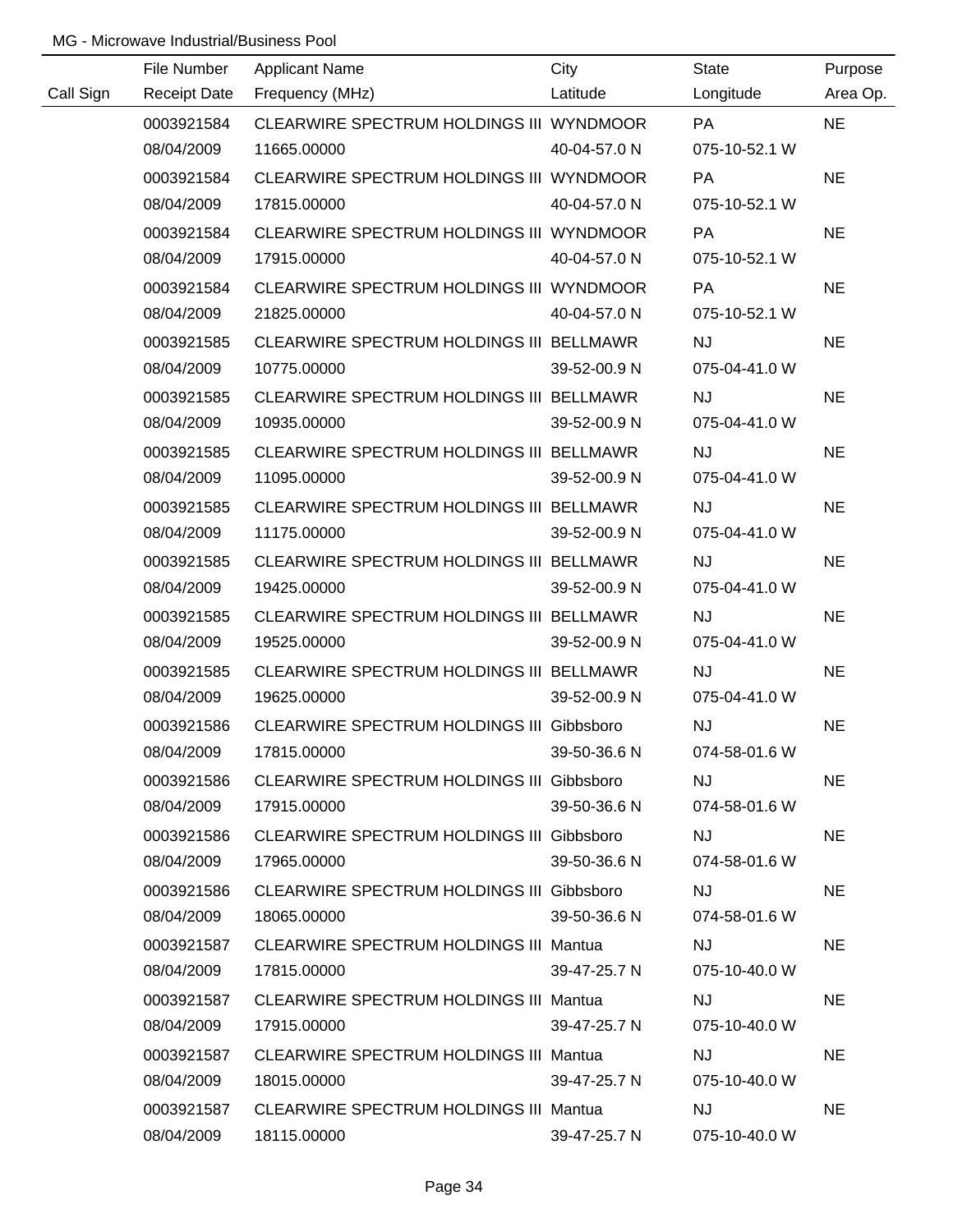|           | File Number         | <b>Applicant Name</b>                            | City         | <b>State</b>  | Purpose   |
|-----------|---------------------|--------------------------------------------------|--------------|---------------|-----------|
| Call Sign | <b>Receipt Date</b> | Frequency (MHz)                                  | Latitude     | Longitude     | Area Op.  |
|           | 0003921584          | CLEARWIRE SPECTRUM HOLDINGS III WYNDMOOR         |              | PA            | <b>NE</b> |
|           | 08/04/2009          | 11665.00000                                      | 40-04-57.0 N | 075-10-52.1 W |           |
|           | 0003921584          | CLEARWIRE SPECTRUM HOLDINGS III WYNDMOOR         |              | PA            | <b>NE</b> |
|           | 08/04/2009          | 17815.00000                                      | 40-04-57.0 N | 075-10-52.1 W |           |
|           | 0003921584          | CLEARWIRE SPECTRUM HOLDINGS III WYNDMOOR         |              | PA            | <b>NE</b> |
|           | 08/04/2009          | 17915.00000                                      | 40-04-57.0 N | 075-10-52.1 W |           |
|           | 0003921584          | CLEARWIRE SPECTRUM HOLDINGS III WYNDMOOR         |              | <b>PA</b>     | <b>NE</b> |
|           | 08/04/2009          | 21825.00000                                      | 40-04-57.0 N | 075-10-52.1 W |           |
|           | 0003921585          | CLEARWIRE SPECTRUM HOLDINGS III BELLMAWR         |              | <b>NJ</b>     | <b>NE</b> |
|           | 08/04/2009          | 10775.00000                                      | 39-52-00.9 N | 075-04-41.0 W |           |
|           | 0003921585          | CLEARWIRE SPECTRUM HOLDINGS III BELLMAWR         |              | <b>NJ</b>     | <b>NE</b> |
|           | 08/04/2009          | 10935.00000                                      | 39-52-00.9 N | 075-04-41.0 W |           |
|           | 0003921585          | CLEARWIRE SPECTRUM HOLDINGS III BELLMAWR         |              | <b>NJ</b>     | <b>NE</b> |
|           | 08/04/2009          | 11095.00000                                      | 39-52-00.9 N | 075-04-41.0 W |           |
|           | 0003921585          | CLEARWIRE SPECTRUM HOLDINGS III BELLMAWR         |              | <b>NJ</b>     | <b>NE</b> |
|           | 08/04/2009          | 11175.00000                                      | 39-52-00.9 N | 075-04-41.0 W |           |
|           | 0003921585          | CLEARWIRE SPECTRUM HOLDINGS III BELLMAWR         |              | <b>NJ</b>     | <b>NE</b> |
|           | 08/04/2009          | 19425.00000                                      | 39-52-00.9 N | 075-04-41.0 W |           |
|           | 0003921585          | CLEARWIRE SPECTRUM HOLDINGS III BELLMAWR         |              | <b>NJ</b>     | <b>NE</b> |
|           | 08/04/2009          | 19525.00000                                      | 39-52-00.9 N | 075-04-41.0 W |           |
|           | 0003921585          | CLEARWIRE SPECTRUM HOLDINGS III BELLMAWR         |              | <b>NJ</b>     | <b>NE</b> |
|           | 08/04/2009          | 19625.00000                                      | 39-52-00.9 N | 075-04-41.0 W |           |
|           | 0003921586          | CLEARWIRE SPECTRUM HOLDINGS III Gibbsboro        |              | <b>NJ</b>     | <b>NE</b> |
|           | 08/04/2009          | 17815.00000                                      | 39-50-36.6 N | 074-58-01.6 W |           |
|           | 0003921586          | CLEARWIRE SPECTRUM HOLDINGS III Gibbsboro        |              | <b>NJ</b>     | <b>NE</b> |
|           | 08/04/2009          | 17915.00000                                      | 39-50-36.6 N | 074-58-01.6 W |           |
|           | 0003921586          | <b>CLEARWIRE SPECTRUM HOLDINGS III Gibbsboro</b> |              | <b>NJ</b>     | <b>NE</b> |
|           | 08/04/2009          | 17965.00000                                      | 39-50-36.6 N | 074-58-01.6 W |           |
|           | 0003921586          | <b>CLEARWIRE SPECTRUM HOLDINGS III Gibbsboro</b> |              | <b>NJ</b>     | <b>NE</b> |
|           | 08/04/2009          | 18065.00000                                      | 39-50-36.6 N | 074-58-01.6 W |           |
|           | 0003921587          | <b>CLEARWIRE SPECTRUM HOLDINGS III Mantua</b>    |              | <b>NJ</b>     | <b>NE</b> |
|           | 08/04/2009          | 17815.00000                                      | 39-47-25.7 N | 075-10-40.0 W |           |
|           | 0003921587          | <b>CLEARWIRE SPECTRUM HOLDINGS III Mantua</b>    |              | <b>NJ</b>     | <b>NE</b> |
|           | 08/04/2009          | 17915.00000                                      | 39-47-25.7 N | 075-10-40.0 W |           |
|           | 0003921587          | <b>CLEARWIRE SPECTRUM HOLDINGS III Mantua</b>    |              | <b>NJ</b>     | <b>NE</b> |
|           | 08/04/2009          | 18015.00000                                      | 39-47-25.7 N | 075-10-40.0 W |           |
|           | 0003921587          | CLEARWIRE SPECTRUM HOLDINGS III Mantua           |              | <b>NJ</b>     | <b>NE</b> |
|           | 08/04/2009          | 18115.00000                                      | 39-47-25.7 N | 075-10-40.0 W |           |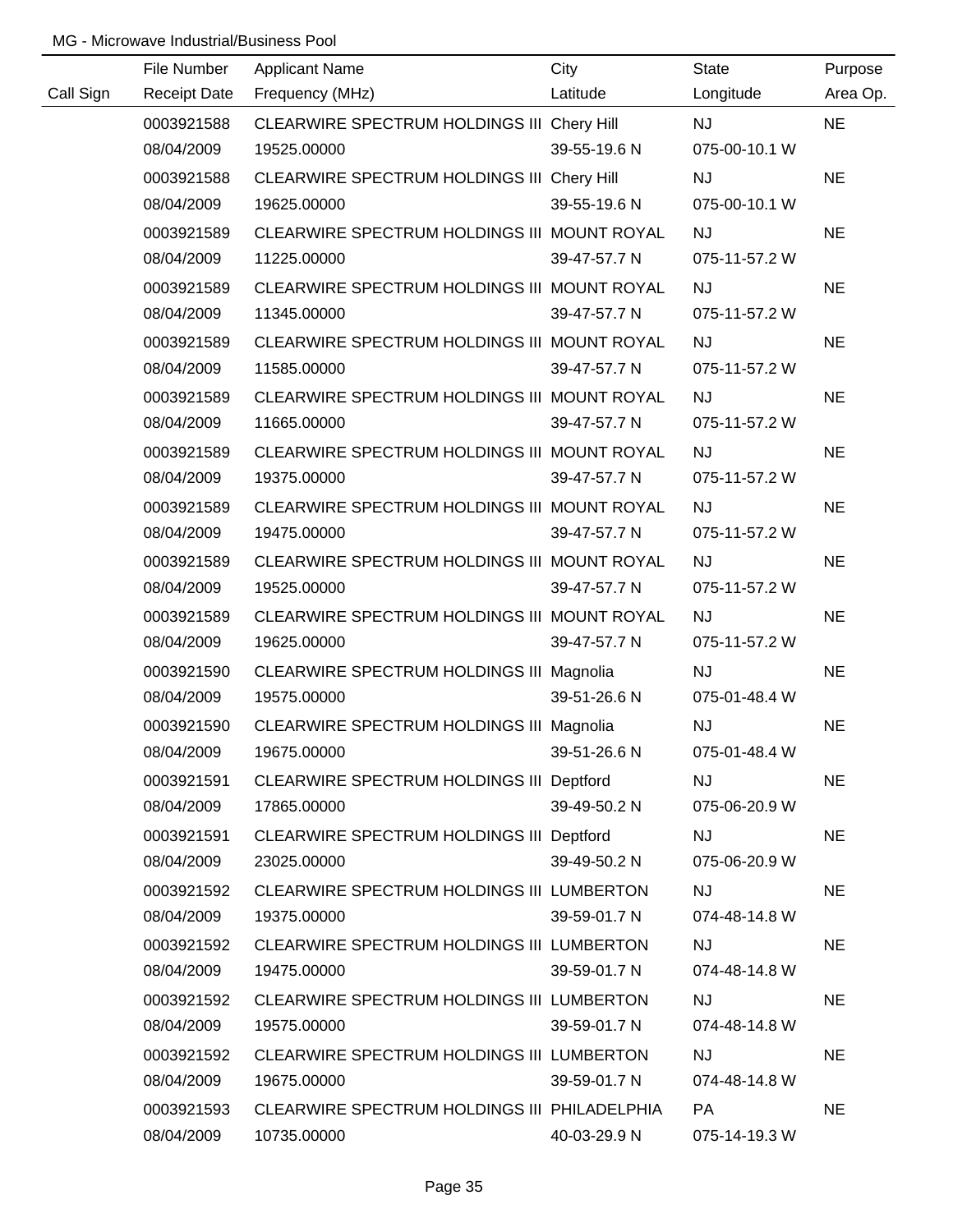|           | File Number         | <b>Applicant Name</b>                        | City         | <b>State</b>  | Purpose   |
|-----------|---------------------|----------------------------------------------|--------------|---------------|-----------|
| Call Sign | <b>Receipt Date</b> | Frequency (MHz)                              | Latitude     | Longitude     | Area Op.  |
|           | 0003921588          | CLEARWIRE SPECTRUM HOLDINGS III Chery Hill   |              | <b>NJ</b>     | <b>NE</b> |
|           | 08/04/2009          | 19525.00000                                  | 39-55-19.6 N | 075-00-10.1 W |           |
|           | 0003921588          | CLEARWIRE SPECTRUM HOLDINGS III Chery Hill   |              | <b>NJ</b>     | <b>NE</b> |
|           | 08/04/2009          | 19625.00000                                  | 39-55-19.6 N | 075-00-10.1 W |           |
|           | 0003921589          | CLEARWIRE SPECTRUM HOLDINGS III MOUNT ROYAL  |              | <b>NJ</b>     | <b>NE</b> |
|           | 08/04/2009          | 11225.00000                                  | 39-47-57.7 N | 075-11-57.2 W |           |
|           | 0003921589          | CLEARWIRE SPECTRUM HOLDINGS III MOUNT ROYAL  |              | <b>NJ</b>     | <b>NE</b> |
|           | 08/04/2009          | 11345.00000                                  | 39-47-57.7 N | 075-11-57.2 W |           |
|           | 0003921589          | CLEARWIRE SPECTRUM HOLDINGS III MOUNT ROYAL  |              | <b>NJ</b>     | <b>NE</b> |
|           | 08/04/2009          | 11585.00000                                  | 39-47-57.7 N | 075-11-57.2 W |           |
|           | 0003921589          | CLEARWIRE SPECTRUM HOLDINGS III MOUNT ROYAL  |              | <b>NJ</b>     | <b>NE</b> |
|           | 08/04/2009          | 11665.00000                                  | 39-47-57.7 N | 075-11-57.2 W |           |
|           | 0003921589          | CLEARWIRE SPECTRUM HOLDINGS III MOUNT ROYAL  |              | <b>NJ</b>     | <b>NE</b> |
|           | 08/04/2009          | 19375.00000                                  | 39-47-57.7 N | 075-11-57.2 W |           |
|           | 0003921589          | CLEARWIRE SPECTRUM HOLDINGS III MOUNT ROYAL  |              | <b>NJ</b>     | <b>NE</b> |
|           | 08/04/2009          | 19475.00000                                  | 39-47-57.7 N | 075-11-57.2 W |           |
|           | 0003921589          | CLEARWIRE SPECTRUM HOLDINGS III MOUNT ROYAL  |              | <b>NJ</b>     | <b>NE</b> |
|           | 08/04/2009          | 19525.00000                                  | 39-47-57.7 N | 075-11-57.2 W |           |
|           | 0003921589          | CLEARWIRE SPECTRUM HOLDINGS III MOUNT ROYAL  |              | <b>NJ</b>     | <b>NE</b> |
|           | 08/04/2009          | 19625.00000                                  | 39-47-57.7 N | 075-11-57.2 W |           |
|           | 0003921590          | CLEARWIRE SPECTRUM HOLDINGS III Magnolia     |              | <b>NJ</b>     | <b>NE</b> |
|           | 08/04/2009          | 19575.00000                                  | 39-51-26.6 N | 075-01-48.4 W |           |
|           | 0003921590          | CLEARWIRE SPECTRUM HOLDINGS III Magnolia     |              | <b>NJ</b>     | <b>NE</b> |
|           | 08/04/2009          | 19675.00000                                  | 39-51-26.6 N | 075-01-48.4 W |           |
|           | 0003921591          | CLEARWIRE SPECTRUM HOLDINGS III Deptford     |              | <b>NJ</b>     | <b>NE</b> |
|           | 08/04/2009          | 17865.00000                                  | 39-49-50.2 N | 075-06-20.9 W |           |
|           | 0003921591          | CLEARWIRE SPECTRUM HOLDINGS III Deptford     |              | <b>NJ</b>     | <b>NE</b> |
|           | 08/04/2009          | 23025.00000                                  | 39-49-50.2 N | 075-06-20.9 W |           |
|           | 0003921592          | CLEARWIRE SPECTRUM HOLDINGS III LUMBERTON    |              | <b>NJ</b>     | <b>NE</b> |
|           | 08/04/2009          | 19375.00000                                  | 39-59-01.7 N | 074-48-14.8 W |           |
|           | 0003921592          | CLEARWIRE SPECTRUM HOLDINGS III LUMBERTON    |              | <b>NJ</b>     | <b>NE</b> |
|           | 08/04/2009          | 19475.00000                                  | 39-59-01.7 N | 074-48-14.8 W |           |
|           | 0003921592          | CLEARWIRE SPECTRUM HOLDINGS III LUMBERTON    |              | <b>NJ</b>     | <b>NE</b> |
|           | 08/04/2009          | 19575.00000                                  | 39-59-01.7 N | 074-48-14.8 W |           |
|           | 0003921592          | CLEARWIRE SPECTRUM HOLDINGS III LUMBERTON    |              | <b>NJ</b>     | <b>NE</b> |
|           | 08/04/2009          | 19675.00000                                  | 39-59-01.7 N | 074-48-14.8 W |           |
|           | 0003921593          | CLEARWIRE SPECTRUM HOLDINGS III PHILADELPHIA |              | PA            | <b>NE</b> |
|           | 08/04/2009          | 10735.00000                                  | 40-03-29.9 N | 075-14-19.3 W |           |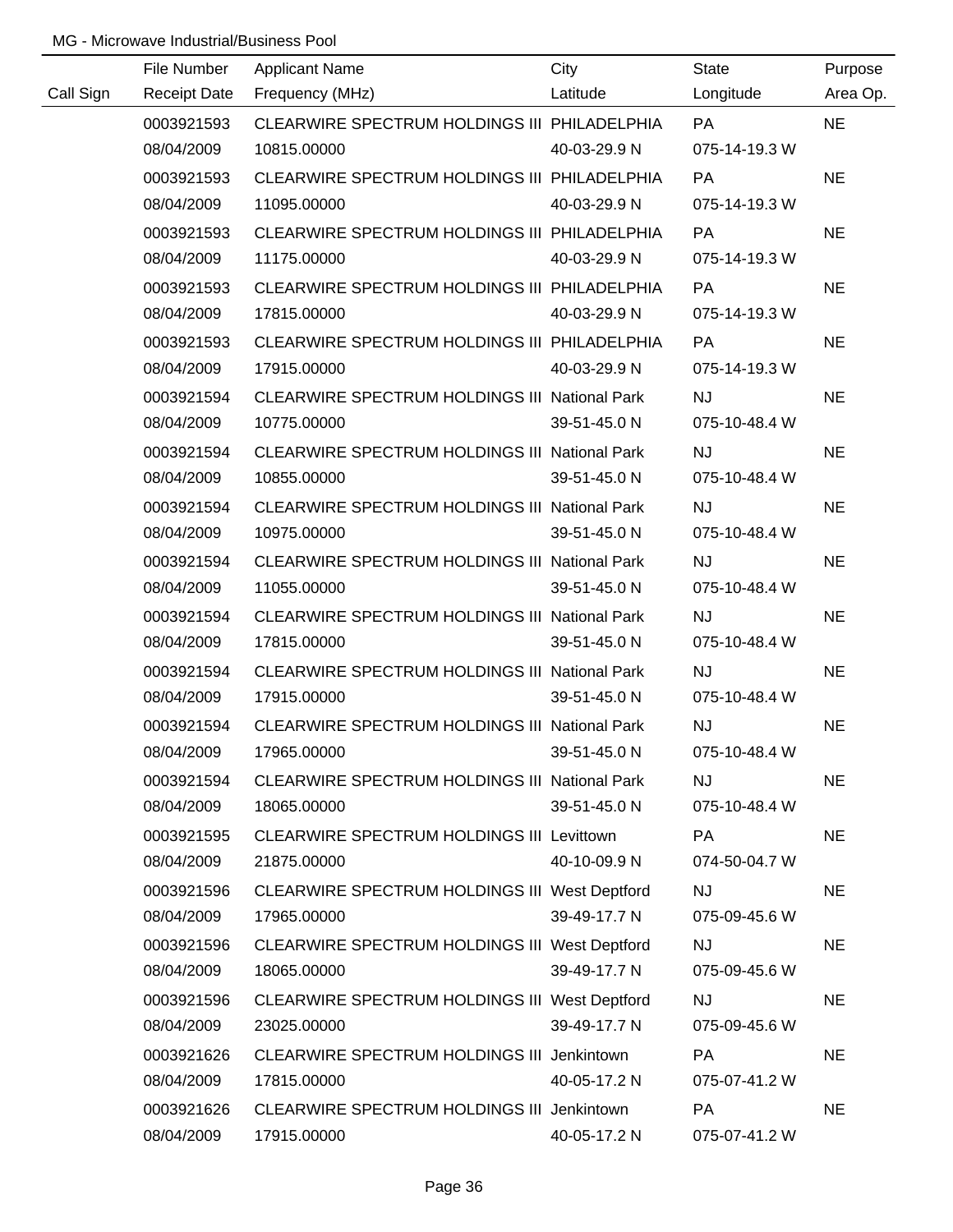|           | File Number         | <b>Applicant Name</b>                                | City         | <b>State</b>  | Purpose   |
|-----------|---------------------|------------------------------------------------------|--------------|---------------|-----------|
| Call Sign | <b>Receipt Date</b> | Frequency (MHz)                                      | Latitude     | Longitude     | Area Op.  |
|           | 0003921593          | CLEARWIRE SPECTRUM HOLDINGS III PHILADELPHIA         |              | <b>PA</b>     | <b>NE</b> |
|           | 08/04/2009          | 10815.00000                                          | 40-03-29.9 N | 075-14-19.3 W |           |
|           | 0003921593          | CLEARWIRE SPECTRUM HOLDINGS III PHILADELPHIA         |              | <b>PA</b>     | <b>NE</b> |
|           | 08/04/2009          | 11095.00000                                          | 40-03-29.9 N | 075-14-19.3 W |           |
|           | 0003921593          | CLEARWIRE SPECTRUM HOLDINGS III PHILADELPHIA         |              | PA            | <b>NE</b> |
|           | 08/04/2009          | 11175.00000                                          | 40-03-29.9 N | 075-14-19.3 W |           |
|           | 0003921593          | CLEARWIRE SPECTRUM HOLDINGS III PHILADELPHIA         |              | PA            | <b>NE</b> |
|           | 08/04/2009          | 17815.00000                                          | 40-03-29.9 N | 075-14-19.3 W |           |
|           | 0003921593          | CLEARWIRE SPECTRUM HOLDINGS III PHILADELPHIA         |              | PA            | <b>NE</b> |
|           | 08/04/2009          | 17915.00000                                          | 40-03-29.9 N | 075-14-19.3 W |           |
|           | 0003921594          | <b>CLEARWIRE SPECTRUM HOLDINGS III National Park</b> |              | <b>NJ</b>     | <b>NE</b> |
|           | 08/04/2009          | 10775.00000                                          | 39-51-45.0 N | 075-10-48.4 W |           |
|           | 0003921594          | CLEARWIRE SPECTRUM HOLDINGS III National Park        |              | <b>NJ</b>     | <b>NE</b> |
|           | 08/04/2009          | 10855.00000                                          | 39-51-45.0 N | 075-10-48.4 W |           |
|           | 0003921594          | CLEARWIRE SPECTRUM HOLDINGS III National Park        |              | <b>NJ</b>     | <b>NE</b> |
|           | 08/04/2009          | 10975.00000                                          | 39-51-45.0 N | 075-10-48.4 W |           |
|           | 0003921594          | <b>CLEARWIRE SPECTRUM HOLDINGS III National Park</b> |              | <b>NJ</b>     | <b>NE</b> |
|           | 08/04/2009          | 11055.00000                                          | 39-51-45.0 N | 075-10-48.4 W |           |
|           | 0003921594          | <b>CLEARWIRE SPECTRUM HOLDINGS III National Park</b> |              | <b>NJ</b>     | <b>NE</b> |
|           | 08/04/2009          | 17815.00000                                          | 39-51-45.0 N | 075-10-48.4 W |           |
|           | 0003921594          | <b>CLEARWIRE SPECTRUM HOLDINGS III National Park</b> |              | <b>NJ</b>     | <b>NE</b> |
|           | 08/04/2009          | 17915.00000                                          | 39-51-45.0 N | 075-10-48.4 W |           |
|           | 0003921594          | <b>CLEARWIRE SPECTRUM HOLDINGS III National Park</b> |              | <b>NJ</b>     | <b>NE</b> |
|           | 08/04/2009          | 17965.00000                                          | 39-51-45.0 N | 075-10-48.4 W |           |
|           | 0003921594          | <b>CLEARWIRE SPECTRUM HOLDINGS III National Park</b> |              | <b>NJ</b>     | <b>NE</b> |
|           | 08/04/2009          | 18065.00000                                          | 39-51-45.0 N | 075-10-48.4 W |           |
|           | 0003921595          | <b>CLEARWIRE SPECTRUM HOLDINGS III Levittown</b>     |              | PA            | <b>NE</b> |
|           | 08/04/2009          | 21875.00000                                          | 40-10-09.9 N | 074-50-04.7 W |           |
|           | 0003921596          | CLEARWIRE SPECTRUM HOLDINGS III West Deptford        |              | <b>NJ</b>     | <b>NE</b> |
|           | 08/04/2009          | 17965.00000                                          | 39-49-17.7 N | 075-09-45.6 W |           |
|           | 0003921596          | CLEARWIRE SPECTRUM HOLDINGS III West Deptford        |              | <b>NJ</b>     | <b>NE</b> |
|           | 08/04/2009          | 18065.00000                                          | 39-49-17.7 N | 075-09-45.6 W |           |
|           | 0003921596          | CLEARWIRE SPECTRUM HOLDINGS III West Deptford        |              | <b>NJ</b>     | <b>NE</b> |
|           | 08/04/2009          | 23025.00000                                          | 39-49-17.7 N | 075-09-45.6 W |           |
|           | 0003921626          | CLEARWIRE SPECTRUM HOLDINGS III Jenkintown           |              | <b>PA</b>     | <b>NE</b> |
|           | 08/04/2009          | 17815.00000                                          | 40-05-17.2 N | 075-07-41.2 W |           |
|           | 0003921626          | CLEARWIRE SPECTRUM HOLDINGS III Jenkintown           |              | PA            | <b>NE</b> |
|           | 08/04/2009          | 17915.00000                                          | 40-05-17.2 N | 075-07-41.2 W |           |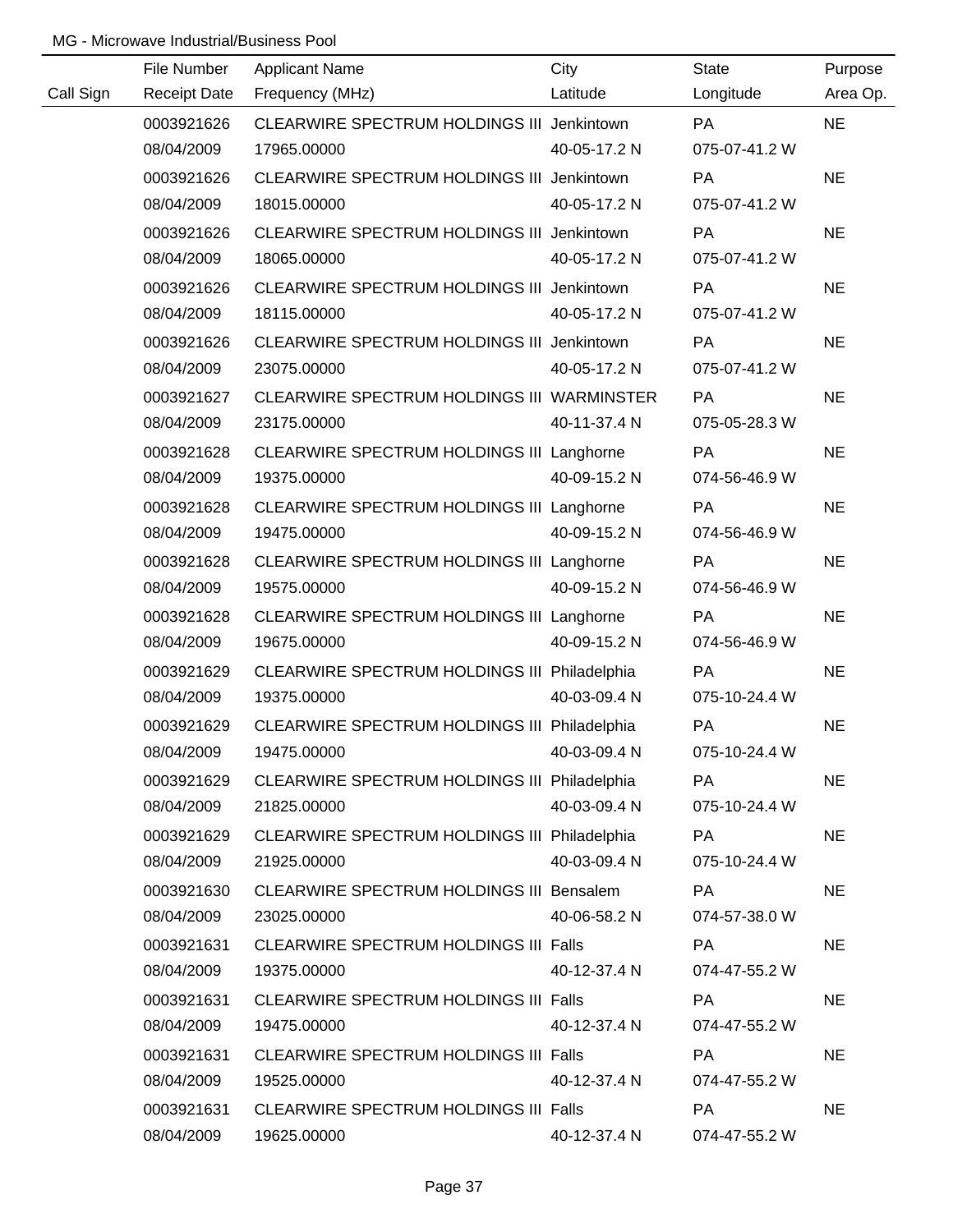|           | File Number         | <b>Applicant Name</b>                        | City         | <b>State</b>  | Purpose   |
|-----------|---------------------|----------------------------------------------|--------------|---------------|-----------|
| Call Sign | <b>Receipt Date</b> | Frequency (MHz)                              | Latitude     | Longitude     | Area Op.  |
|           | 0003921626          | CLEARWIRE SPECTRUM HOLDINGS III Jenkintown   |              | <b>PA</b>     | <b>NE</b> |
|           | 08/04/2009          | 17965.00000                                  | 40-05-17.2 N | 075-07-41.2 W |           |
|           | 0003921626          | CLEARWIRE SPECTRUM HOLDINGS III Jenkintown   |              | PA            | <b>NE</b> |
|           | 08/04/2009          | 18015.00000                                  | 40-05-17.2 N | 075-07-41.2 W |           |
|           | 0003921626          | CLEARWIRE SPECTRUM HOLDINGS III Jenkintown   |              | <b>PA</b>     | <b>NE</b> |
|           | 08/04/2009          | 18065.00000                                  | 40-05-17.2 N | 075-07-41.2 W |           |
|           | 0003921626          | CLEARWIRE SPECTRUM HOLDINGS III Jenkintown   |              | PA            | <b>NE</b> |
|           | 08/04/2009          | 18115.00000                                  | 40-05-17.2 N | 075-07-41.2 W |           |
|           | 0003921626          | CLEARWIRE SPECTRUM HOLDINGS III Jenkintown   |              | <b>PA</b>     | <b>NE</b> |
|           | 08/04/2009          | 23075.00000                                  | 40-05-17.2 N | 075-07-41.2 W |           |
|           | 0003921627          | CLEARWIRE SPECTRUM HOLDINGS III WARMINSTER   |              | PA            | <b>NE</b> |
|           | 08/04/2009          | 23175.00000                                  | 40-11-37.4 N | 075-05-28.3 W |           |
|           | 0003921628          | CLEARWIRE SPECTRUM HOLDINGS III Langhorne    |              | PA            | <b>NE</b> |
|           | 08/04/2009          | 19375.00000                                  | 40-09-15.2 N | 074-56-46.9 W |           |
|           | 0003921628          | CLEARWIRE SPECTRUM HOLDINGS III Langhorne    |              | PA            | <b>NE</b> |
|           | 08/04/2009          | 19475.00000                                  | 40-09-15.2 N | 074-56-46.9 W |           |
|           | 0003921628          | CLEARWIRE SPECTRUM HOLDINGS III Langhorne    |              | <b>PA</b>     | <b>NE</b> |
|           | 08/04/2009          | 19575.00000                                  | 40-09-15.2 N | 074-56-46.9 W |           |
|           | 0003921628          | CLEARWIRE SPECTRUM HOLDINGS III Langhorne    |              | PA            | <b>NE</b> |
|           | 08/04/2009          | 19675.00000                                  | 40-09-15.2 N | 074-56-46.9 W |           |
|           | 0003921629          | CLEARWIRE SPECTRUM HOLDINGS III Philadelphia |              | PA            | <b>NE</b> |
|           | 08/04/2009          | 19375.00000                                  | 40-03-09.4 N | 075-10-24.4 W |           |
|           | 0003921629          | CLEARWIRE SPECTRUM HOLDINGS III Philadelphia |              | PA            | <b>NE</b> |
|           | 08/04/2009          | 19475.00000                                  | 40-03-09.4 N | 075-10-24.4 W |           |
|           | 0003921629          | CLEARWIRE SPECTRUM HOLDINGS III Philadelphia |              | PA            | <b>NE</b> |
|           | 08/04/2009          | 21825.00000                                  | 40-03-09.4 N | 075-10-24.4 W |           |
|           | 0003921629          | CLEARWIRE SPECTRUM HOLDINGS III Philadelphia |              | PA            | <b>NE</b> |
|           | 08/04/2009          | 21925.00000                                  | 40-03-09.4 N | 075-10-24.4 W |           |
|           | 0003921630          | CLEARWIRE SPECTRUM HOLDINGS III Bensalem     |              | PA            | <b>NE</b> |
|           | 08/04/2009          | 23025.00000                                  | 40-06-58.2 N | 074-57-38.0 W |           |
|           | 0003921631          | CLEARWIRE SPECTRUM HOLDINGS III Falls        |              | PA            | <b>NE</b> |
|           | 08/04/2009          | 19375.00000                                  | 40-12-37.4 N | 074-47-55.2 W |           |
|           | 0003921631          | <b>CLEARWIRE SPECTRUM HOLDINGS III Falls</b> |              | PA            | <b>NE</b> |
|           | 08/04/2009          | 19475.00000                                  | 40-12-37.4 N | 074-47-55.2 W |           |
|           | 0003921631          | CLEARWIRE SPECTRUM HOLDINGS III Falls        |              | PA            | <b>NE</b> |
|           | 08/04/2009          | 19525.00000                                  | 40-12-37.4 N | 074-47-55.2 W |           |
|           | 0003921631          | <b>CLEARWIRE SPECTRUM HOLDINGS III Falls</b> |              | PA            | <b>NE</b> |
|           | 08/04/2009          | 19625.00000                                  | 40-12-37.4 N | 074-47-55.2 W |           |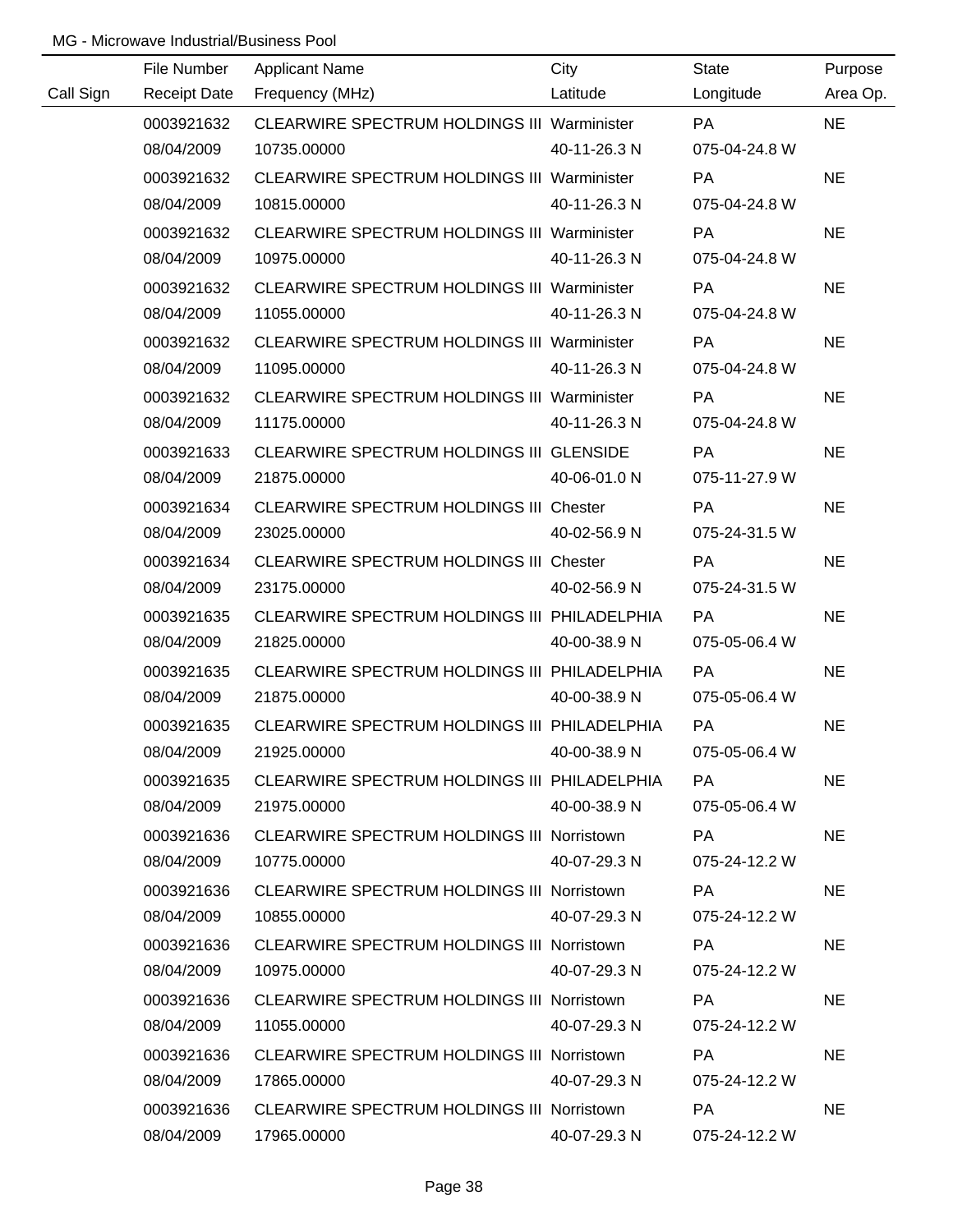|           | File Number         | <b>Applicant Name</b>                              | City         | <b>State</b>  | Purpose   |
|-----------|---------------------|----------------------------------------------------|--------------|---------------|-----------|
| Call Sign | <b>Receipt Date</b> | Frequency (MHz)                                    | Latitude     | Longitude     | Area Op.  |
|           | 0003921632          | CLEARWIRE SPECTRUM HOLDINGS III Warminister        |              | PA            | <b>NE</b> |
|           | 08/04/2009          | 10735.00000                                        | 40-11-26.3 N | 075-04-24.8 W |           |
|           | 0003921632          | CLEARWIRE SPECTRUM HOLDINGS III Warminister        |              | <b>PA</b>     | <b>NE</b> |
|           | 08/04/2009          | 10815.00000                                        | 40-11-26.3 N | 075-04-24.8 W |           |
|           | 0003921632          | <b>CLEARWIRE SPECTRUM HOLDINGS III Warminister</b> |              | <b>PA</b>     | <b>NE</b> |
|           | 08/04/2009          | 10975.00000                                        | 40-11-26.3 N | 075-04-24.8 W |           |
|           | 0003921632          | <b>CLEARWIRE SPECTRUM HOLDINGS III Warminister</b> |              | <b>PA</b>     | <b>NE</b> |
|           | 08/04/2009          | 11055.00000                                        | 40-11-26.3 N | 075-04-24.8 W |           |
|           | 0003921632          | <b>CLEARWIRE SPECTRUM HOLDINGS III Warminister</b> |              | <b>PA</b>     | <b>NE</b> |
|           | 08/04/2009          | 11095.00000                                        | 40-11-26.3 N | 075-04-24.8 W |           |
|           | 0003921632          | <b>CLEARWIRE SPECTRUM HOLDINGS III Warminister</b> |              | PA            | <b>NE</b> |
|           | 08/04/2009          | 11175.00000                                        | 40-11-26.3 N | 075-04-24.8 W |           |
|           | 0003921633          | CLEARWIRE SPECTRUM HOLDINGS III GLENSIDE           |              | PA            | <b>NE</b> |
|           | 08/04/2009          | 21875.00000                                        | 40-06-01.0 N | 075-11-27.9 W |           |
|           | 0003921634          | <b>CLEARWIRE SPECTRUM HOLDINGS III Chester</b>     |              | <b>PA</b>     | <b>NE</b> |
|           | 08/04/2009          | 23025.00000                                        | 40-02-56.9 N | 075-24-31.5 W |           |
|           | 0003921634          | <b>CLEARWIRE SPECTRUM HOLDINGS III Chester</b>     |              | PA            | <b>NE</b> |
|           | 08/04/2009          | 23175.00000                                        | 40-02-56.9 N | 075-24-31.5 W |           |
|           | 0003921635          | CLEARWIRE SPECTRUM HOLDINGS III PHILADELPHIA       |              | PA            | <b>NE</b> |
|           | 08/04/2009          | 21825.00000                                        | 40-00-38.9 N | 075-05-06.4 W |           |
|           | 0003921635          | CLEARWIRE SPECTRUM HOLDINGS III PHILADELPHIA       |              | PA            | <b>NE</b> |
|           | 08/04/2009          | 21875.00000                                        | 40-00-38.9 N | 075-05-06.4 W |           |
|           | 0003921635          | CLEARWIRE SPECTRUM HOLDINGS III PHILADELPHIA       |              | PA            | <b>NE</b> |
|           | 08/04/2009          | 21925.00000                                        | 40-00-38.9 N | 075-05-06.4 W |           |
|           | 0003921635          | CLEARWIRE SPECTRUM HOLDINGS III PHILADELPHIA       |              | PA.           | <b>NE</b> |
|           | 08/04/2009          | 21975.00000                                        | 40-00-38.9 N | 075-05-06.4 W |           |
|           | 0003921636          | CLEARWIRE SPECTRUM HOLDINGS III Norristown         |              | PA            | <b>NE</b> |
|           | 08/04/2009          | 10775.00000                                        | 40-07-29.3 N | 075-24-12.2 W |           |
|           | 0003921636          | <b>CLEARWIRE SPECTRUM HOLDINGS III Norristown</b>  |              | PA            | <b>NE</b> |
|           | 08/04/2009          | 10855.00000                                        | 40-07-29.3 N | 075-24-12.2 W |           |
|           | 0003921636          | <b>CLEARWIRE SPECTRUM HOLDINGS III Norristown</b>  |              | <b>PA</b>     | <b>NE</b> |
|           | 08/04/2009          | 10975.00000                                        | 40-07-29.3 N | 075-24-12.2 W |           |
|           | 0003921636          | <b>CLEARWIRE SPECTRUM HOLDINGS III Norristown</b>  |              | <b>PA</b>     | <b>NE</b> |
|           | 08/04/2009          | 11055.00000                                        | 40-07-29.3 N | 075-24-12.2 W |           |
|           | 0003921636          | <b>CLEARWIRE SPECTRUM HOLDINGS III Norristown</b>  |              | <b>PA</b>     | <b>NE</b> |
|           | 08/04/2009          | 17865.00000                                        | 40-07-29.3 N | 075-24-12.2 W |           |
|           | 0003921636          | <b>CLEARWIRE SPECTRUM HOLDINGS III Norristown</b>  |              | <b>PA</b>     | <b>NE</b> |
|           | 08/04/2009          | 17965.00000                                        | 40-07-29.3 N | 075-24-12.2 W |           |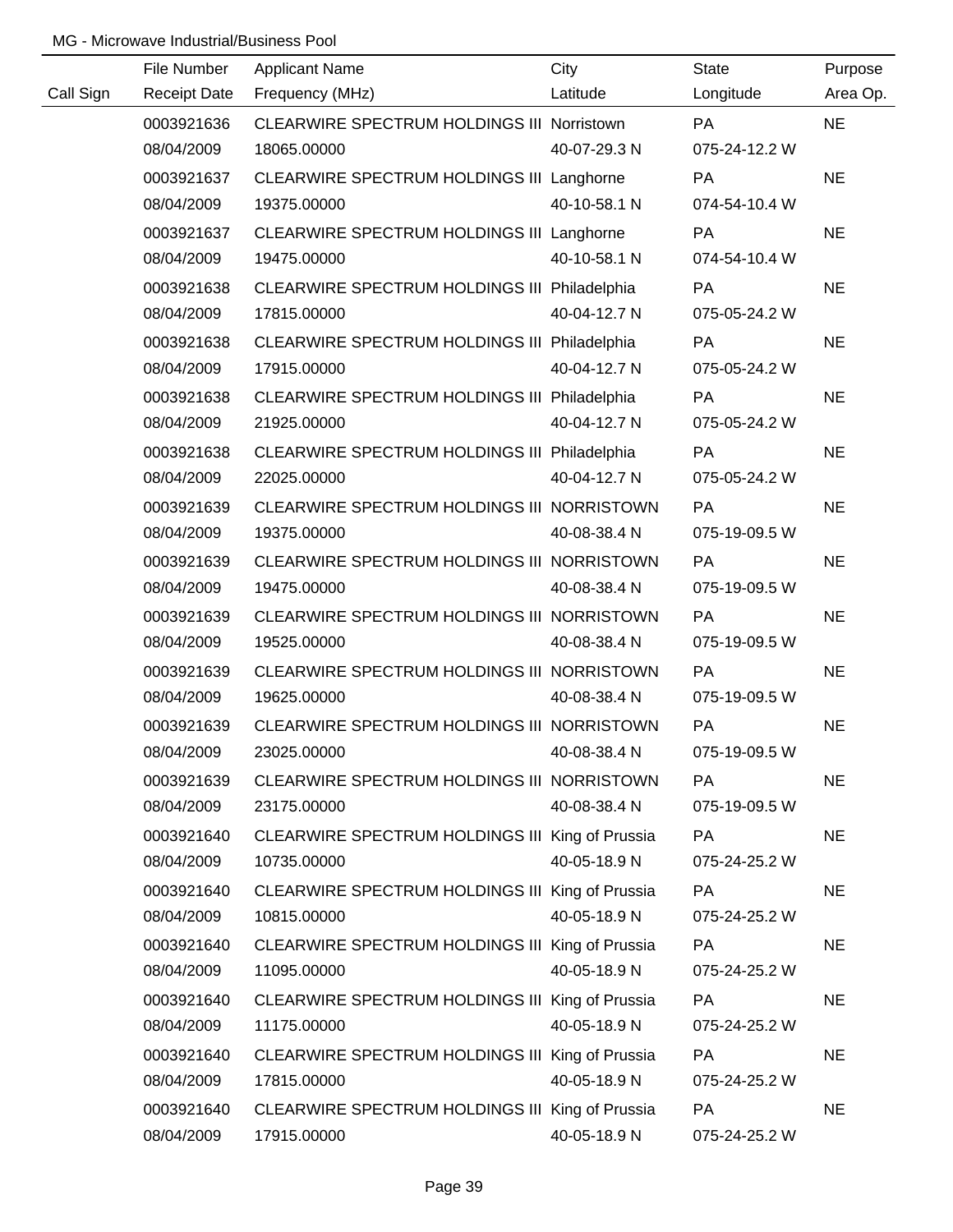|           | File Number         | <b>Applicant Name</b>                           | City         | State         | Purpose   |
|-----------|---------------------|-------------------------------------------------|--------------|---------------|-----------|
| Call Sign | <b>Receipt Date</b> | Frequency (MHz)                                 | Latitude     | Longitude     | Area Op.  |
|           | 0003921636          | CLEARWIRE SPECTRUM HOLDINGS III Norristown      |              | <b>PA</b>     | <b>NE</b> |
|           | 08/04/2009          | 18065.00000                                     | 40-07-29.3 N | 075-24-12.2 W |           |
|           | 0003921637          | CLEARWIRE SPECTRUM HOLDINGS III Langhorne       |              | PA            | <b>NE</b> |
|           | 08/04/2009          | 19375.00000                                     | 40-10-58.1 N | 074-54-10.4 W |           |
|           | 0003921637          | CLEARWIRE SPECTRUM HOLDINGS III Langhorne       |              | <b>PA</b>     | <b>NE</b> |
|           | 08/04/2009          | 19475.00000                                     | 40-10-58.1 N | 074-54-10.4 W |           |
|           | 0003921638          | CLEARWIRE SPECTRUM HOLDINGS III Philadelphia    |              | PA            | <b>NE</b> |
|           | 08/04/2009          | 17815.00000                                     | 40-04-12.7 N | 075-05-24.2 W |           |
|           | 0003921638          | CLEARWIRE SPECTRUM HOLDINGS III Philadelphia    |              | PA            | <b>NE</b> |
|           | 08/04/2009          | 17915.00000                                     | 40-04-12.7 N | 075-05-24.2 W |           |
|           | 0003921638          | CLEARWIRE SPECTRUM HOLDINGS III Philadelphia    |              | PA            | <b>NE</b> |
|           | 08/04/2009          | 21925.00000                                     | 40-04-12.7 N | 075-05-24.2 W |           |
|           | 0003921638          | CLEARWIRE SPECTRUM HOLDINGS III Philadelphia    |              | PA            | <b>NE</b> |
|           | 08/04/2009          | 22025.00000                                     | 40-04-12.7 N | 075-05-24.2 W |           |
|           | 0003921639          | CLEARWIRE SPECTRUM HOLDINGS III NORRISTOWN      |              | PA            | <b>NE</b> |
|           | 08/04/2009          | 19375.00000                                     | 40-08-38.4 N | 075-19-09.5 W |           |
|           | 0003921639          | CLEARWIRE SPECTRUM HOLDINGS III NORRISTOWN      |              | PA            | <b>NE</b> |
|           | 08/04/2009          | 19475.00000                                     | 40-08-38.4 N | 075-19-09.5 W |           |
|           | 0003921639          | CLEARWIRE SPECTRUM HOLDINGS III NORRISTOWN      |              | PA            | <b>NE</b> |
|           | 08/04/2009          | 19525.00000                                     | 40-08-38.4 N | 075-19-09.5 W |           |
|           | 0003921639          | CLEARWIRE SPECTRUM HOLDINGS III NORRISTOWN      |              | PA            | <b>NE</b> |
|           | 08/04/2009          | 19625.00000                                     | 40-08-38.4 N | 075-19-09.5 W |           |
|           | 0003921639          | CLEARWIRE SPECTRUM HOLDINGS III NORRISTOWN      |              | PA            | <b>NE</b> |
|           | 08/04/2009          | 23025.00000                                     | 40-08-38.4 N | 075-19-09.5 W |           |
|           | 0003921639          | CLEARWIRE SPECTRUM HOLDINGS III NORRISTOWN      |              | PA            | <b>NE</b> |
|           | 08/04/2009          | 23175.00000                                     | 40-08-38.4 N | 075-19-09.5 W |           |
|           | 0003921640          | CLEARWIRE SPECTRUM HOLDINGS III King of Prussia |              | PA            | <b>NE</b> |
|           | 08/04/2009          | 10735.00000                                     | 40-05-18.9 N | 075-24-25.2 W |           |
|           | 0003921640          | CLEARWIRE SPECTRUM HOLDINGS III King of Prussia |              | PA            | <b>NE</b> |
|           | 08/04/2009          | 10815.00000                                     | 40-05-18.9 N | 075-24-25.2 W |           |
|           | 0003921640          | CLEARWIRE SPECTRUM HOLDINGS III King of Prussia |              | <b>PA</b>     | <b>NE</b> |
|           | 08/04/2009          | 11095.00000                                     | 40-05-18.9 N | 075-24-25.2 W |           |
|           | 0003921640          | CLEARWIRE SPECTRUM HOLDINGS III King of Prussia |              | PA            | <b>NE</b> |
|           | 08/04/2009          | 11175.00000                                     | 40-05-18.9 N | 075-24-25.2 W |           |
|           | 0003921640          | CLEARWIRE SPECTRUM HOLDINGS III King of Prussia |              | PA            | <b>NE</b> |
|           | 08/04/2009          | 17815.00000                                     | 40-05-18.9 N | 075-24-25.2 W |           |
|           | 0003921640          | CLEARWIRE SPECTRUM HOLDINGS III King of Prussia |              | PA            | <b>NE</b> |
|           | 08/04/2009          | 17915.00000                                     | 40-05-18.9 N | 075-24-25.2 W |           |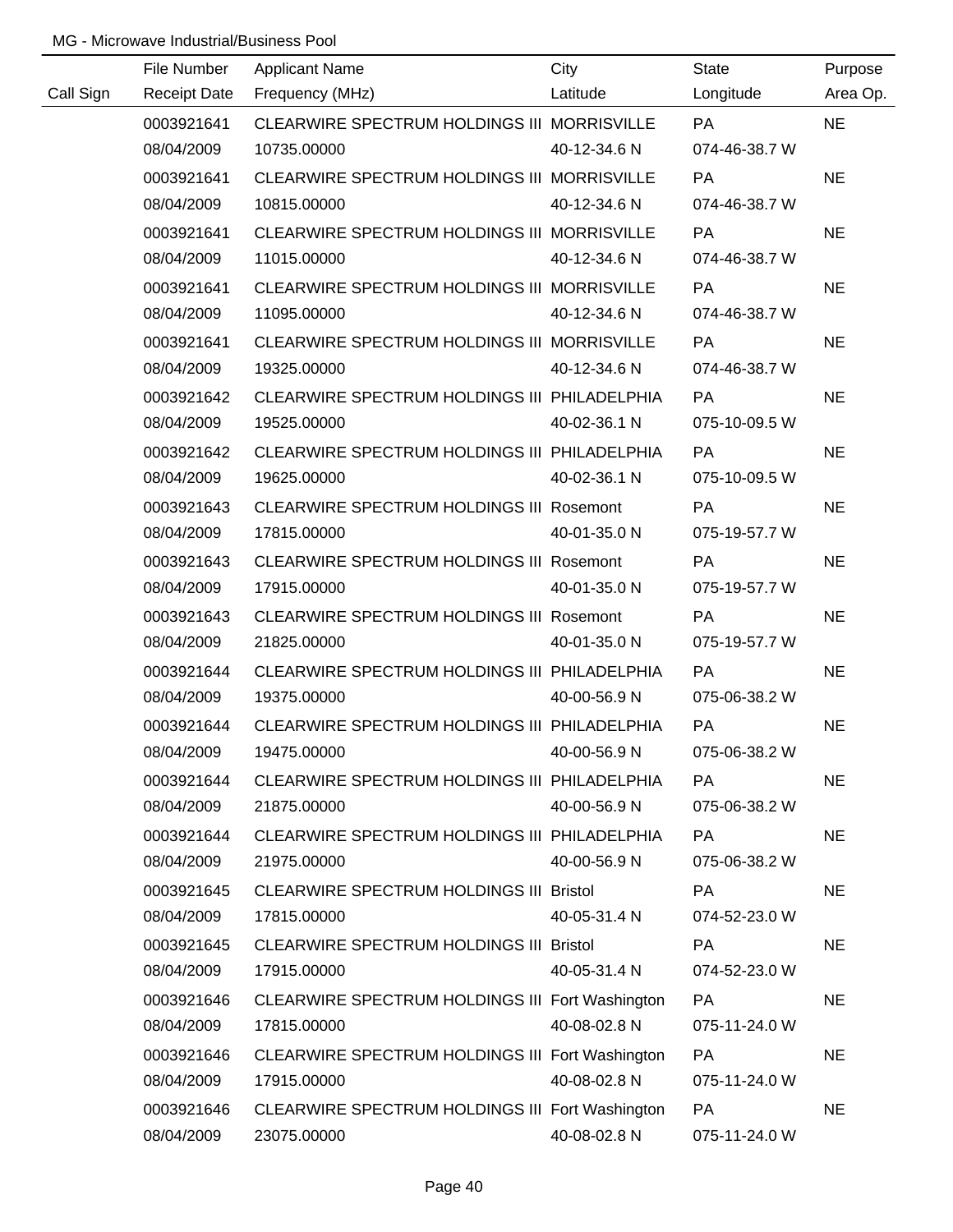|           | File Number         | <b>Applicant Name</b>                           | City         | <b>State</b>  | Purpose   |
|-----------|---------------------|-------------------------------------------------|--------------|---------------|-----------|
| Call Sign | <b>Receipt Date</b> | Frequency (MHz)                                 | Latitude     | Longitude     | Area Op.  |
|           | 0003921641          | CLEARWIRE SPECTRUM HOLDINGS III MORRISVILLE     |              | PA            | <b>NE</b> |
|           | 08/04/2009          | 10735.00000                                     | 40-12-34.6 N | 074-46-38.7 W |           |
|           | 0003921641          | CLEARWIRE SPECTRUM HOLDINGS III MORRISVILLE     |              | <b>PA</b>     | <b>NE</b> |
|           | 08/04/2009          | 10815.00000                                     | 40-12-34.6 N | 074-46-38.7 W |           |
|           | 0003921641          | CLEARWIRE SPECTRUM HOLDINGS III MORRISVILLE     |              | <b>PA</b>     | <b>NE</b> |
|           | 08/04/2009          | 11015.00000                                     | 40-12-34.6 N | 074-46-38.7 W |           |
|           | 0003921641          | CLEARWIRE SPECTRUM HOLDINGS III MORRISVILLE     |              | <b>PA</b>     | <b>NE</b> |
|           | 08/04/2009          | 11095.00000                                     | 40-12-34.6 N | 074-46-38.7 W |           |
|           | 0003921641          | CLEARWIRE SPECTRUM HOLDINGS III MORRISVILLE     |              | PA            | <b>NE</b> |
|           | 08/04/2009          | 19325.00000                                     | 40-12-34.6 N | 074-46-38.7 W |           |
|           | 0003921642          | CLEARWIRE SPECTRUM HOLDINGS III PHILADELPHIA    |              | <b>PA</b>     | <b>NE</b> |
|           | 08/04/2009          | 19525.00000                                     | 40-02-36.1 N | 075-10-09.5 W |           |
|           | 0003921642          | CLEARWIRE SPECTRUM HOLDINGS III PHILADELPHIA    |              | <b>PA</b>     | <b>NE</b> |
|           | 08/04/2009          | 19625.00000                                     | 40-02-36.1 N | 075-10-09.5 W |           |
|           | 0003921643          | CLEARWIRE SPECTRUM HOLDINGS III Rosemont        |              | PA            | <b>NE</b> |
|           | 08/04/2009          | 17815.00000                                     | 40-01-35.0 N | 075-19-57.7 W |           |
|           | 0003921643          | <b>CLEARWIRE SPECTRUM HOLDINGS III Rosemont</b> |              | <b>PA</b>     | <b>NE</b> |
|           | 08/04/2009          | 17915.00000                                     | 40-01-35.0 N | 075-19-57.7 W |           |
|           | 0003921643          | <b>CLEARWIRE SPECTRUM HOLDINGS III Rosemont</b> |              | PA            | <b>NE</b> |
|           | 08/04/2009          | 21825.00000                                     | 40-01-35.0 N | 075-19-57.7 W |           |
|           | 0003921644          | CLEARWIRE SPECTRUM HOLDINGS III PHILADELPHIA    |              | PA            | <b>NE</b> |
|           | 08/04/2009          | 19375.00000                                     | 40-00-56.9 N | 075-06-38.2 W |           |
|           | 0003921644          | CLEARWIRE SPECTRUM HOLDINGS III PHILADELPHIA    |              | PA            | <b>NE</b> |
|           | 08/04/2009          | 19475.00000                                     | 40-00-56.9 N | 075-06-38.2 W |           |
|           | 0003921644          | CLEARWIRE SPECTRUM HOLDINGS III PHILADELPHIA    |              | <b>PA</b>     | <b>NE</b> |
|           | 08/04/2009          | 21875.00000                                     | 40-00-56.9 N | 075-06-38.2 W |           |
|           | 0003921644          | CLEARWIRE SPECTRUM HOLDINGS III PHILADELPHIA    |              | <b>PA</b>     | <b>NE</b> |
|           | 08/04/2009          | 21975.00000                                     | 40-00-56.9 N | 075-06-38.2 W |           |
|           | 0003921645          | <b>CLEARWIRE SPECTRUM HOLDINGS III Bristol</b>  |              | PA            | <b>NE</b> |
|           | 08/04/2009          | 17815.00000                                     | 40-05-31.4 N | 074-52-23.0 W |           |
|           | 0003921645          | CLEARWIRE SPECTRUM HOLDINGS III Bristol         |              | <b>PA</b>     | <b>NE</b> |
|           | 08/04/2009          | 17915.00000                                     | 40-05-31.4 N | 074-52-23.0 W |           |
|           | 0003921646          | CLEARWIRE SPECTRUM HOLDINGS III Fort Washington |              | <b>PA</b>     | <b>NE</b> |
|           | 08/04/2009          | 17815.00000                                     | 40-08-02.8 N | 075-11-24.0 W |           |
|           | 0003921646          | CLEARWIRE SPECTRUM HOLDINGS III Fort Washington |              | <b>PA</b>     | <b>NE</b> |
|           | 08/04/2009          | 17915.00000                                     | 40-08-02.8 N | 075-11-24.0 W |           |
|           | 0003921646          | CLEARWIRE SPECTRUM HOLDINGS III Fort Washington |              | PA            | <b>NE</b> |
|           | 08/04/2009          | 23075.00000                                     | 40-08-02.8 N | 075-11-24.0 W |           |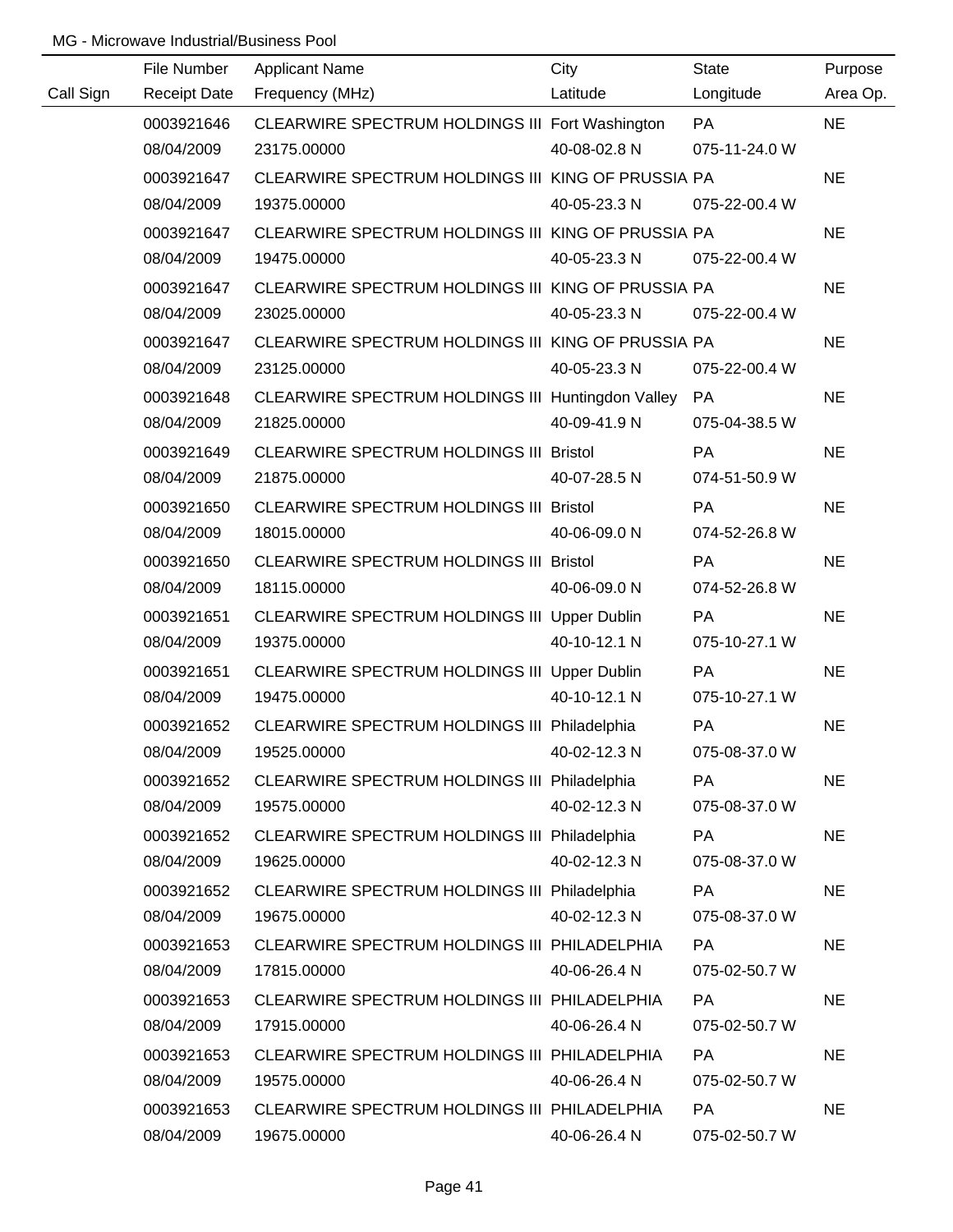|           | File Number         | <b>Applicant Name</b>                              | City         | <b>State</b>  | Purpose   |
|-----------|---------------------|----------------------------------------------------|--------------|---------------|-----------|
| Call Sign | <b>Receipt Date</b> | Frequency (MHz)                                    | Latitude     | Longitude     | Area Op.  |
|           | 0003921646          | CLEARWIRE SPECTRUM HOLDINGS III Fort Washington    |              | <b>PA</b>     | <b>NE</b> |
|           | 08/04/2009          | 23175.00000                                        | 40-08-02.8 N | 075-11-24.0 W |           |
|           | 0003921647          | CLEARWIRE SPECTRUM HOLDINGS III KING OF PRUSSIA PA |              |               | <b>NE</b> |
|           | 08/04/2009          | 19375.00000                                        | 40-05-23.3 N | 075-22-00.4 W |           |
|           | 0003921647          | CLEARWIRE SPECTRUM HOLDINGS III KING OF PRUSSIA PA |              |               | <b>NE</b> |
|           | 08/04/2009          | 19475.00000                                        | 40-05-23.3 N | 075-22-00.4 W |           |
|           | 0003921647          | CLEARWIRE SPECTRUM HOLDINGS III KING OF PRUSSIA PA |              |               | <b>NE</b> |
|           | 08/04/2009          | 23025.00000                                        | 40-05-23.3 N | 075-22-00.4 W |           |
|           | 0003921647          | CLEARWIRE SPECTRUM HOLDINGS III KING OF PRUSSIA PA |              |               | <b>NE</b> |
|           | 08/04/2009          | 23125.00000                                        | 40-05-23.3 N | 075-22-00.4 W |           |
|           | 0003921648          | CLEARWIRE SPECTRUM HOLDINGS III Huntingdon Valley  |              | PA            | <b>NE</b> |
|           | 08/04/2009          | 21825.00000                                        | 40-09-41.9 N | 075-04-38.5 W |           |
|           | 0003921649          | CLEARWIRE SPECTRUM HOLDINGS III Bristol            |              | <b>PA</b>     | <b>NE</b> |
|           | 08/04/2009          | 21875.00000                                        | 40-07-28.5 N | 074-51-50.9 W |           |
|           | 0003921650          | CLEARWIRE SPECTRUM HOLDINGS III Bristol            |              | <b>PA</b>     | <b>NE</b> |
|           | 08/04/2009          | 18015.00000                                        | 40-06-09.0 N | 074-52-26.8 W |           |
|           | 0003921650          | CLEARWIRE SPECTRUM HOLDINGS III Bristol            |              | <b>PA</b>     | <b>NE</b> |
|           | 08/04/2009          | 18115.00000                                        | 40-06-09.0 N | 074-52-26.8 W |           |
|           | 0003921651          | CLEARWIRE SPECTRUM HOLDINGS III Upper Dublin       |              | <b>PA</b>     | <b>NE</b> |
|           | 08/04/2009          | 19375.00000                                        | 40-10-12.1 N | 075-10-27.1 W |           |
|           | 0003921651          | CLEARWIRE SPECTRUM HOLDINGS III Upper Dublin       |              | PA            | <b>NE</b> |
|           | 08/04/2009          | 19475.00000                                        | 40-10-12.1 N | 075-10-27.1 W |           |
|           | 0003921652          | CLEARWIRE SPECTRUM HOLDINGS III Philadelphia       |              | PA            | <b>NE</b> |
|           | 08/04/2009          | 19525.00000                                        | 40-02-12.3 N | 075-08-37.0 W |           |
|           | 0003921652          | CLEARWIRE SPECTRUM HOLDINGS III Philadelphia       |              | <b>PA</b>     | <b>NE</b> |
|           | 08/04/2009          | 19575.00000                                        | 40-02-12.3 N | 075-08-37.0 W |           |
|           | 0003921652          | CLEARWIRE SPECTRUM HOLDINGS III Philadelphia       |              | PA            | <b>NE</b> |
|           | 08/04/2009          | 19625.00000                                        | 40-02-12.3 N | 075-08-37.0 W |           |
|           | 0003921652          | CLEARWIRE SPECTRUM HOLDINGS III Philadelphia       |              | PA            | <b>NE</b> |
|           | 08/04/2009          | 19675.00000                                        | 40-02-12.3 N | 075-08-37.0 W |           |
|           | 0003921653          | CLEARWIRE SPECTRUM HOLDINGS III PHILADELPHIA       |              | PA            | <b>NE</b> |
|           | 08/04/2009          | 17815.00000                                        | 40-06-26.4 N | 075-02-50.7 W |           |
|           | 0003921653          | CLEARWIRE SPECTRUM HOLDINGS III PHILADELPHIA       |              | PA            | <b>NE</b> |
|           | 08/04/2009          | 17915.00000                                        | 40-06-26.4 N | 075-02-50.7 W |           |
|           | 0003921653          | CLEARWIRE SPECTRUM HOLDINGS III PHILADELPHIA       |              | <b>PA</b>     | <b>NE</b> |
|           | 08/04/2009          | 19575.00000                                        | 40-06-26.4 N | 075-02-50.7 W |           |
|           | 0003921653          | CLEARWIRE SPECTRUM HOLDINGS III PHILADELPHIA       |              | <b>PA</b>     | <b>NE</b> |
|           | 08/04/2009          | 19675.00000                                        | 40-06-26.4 N | 075-02-50.7 W |           |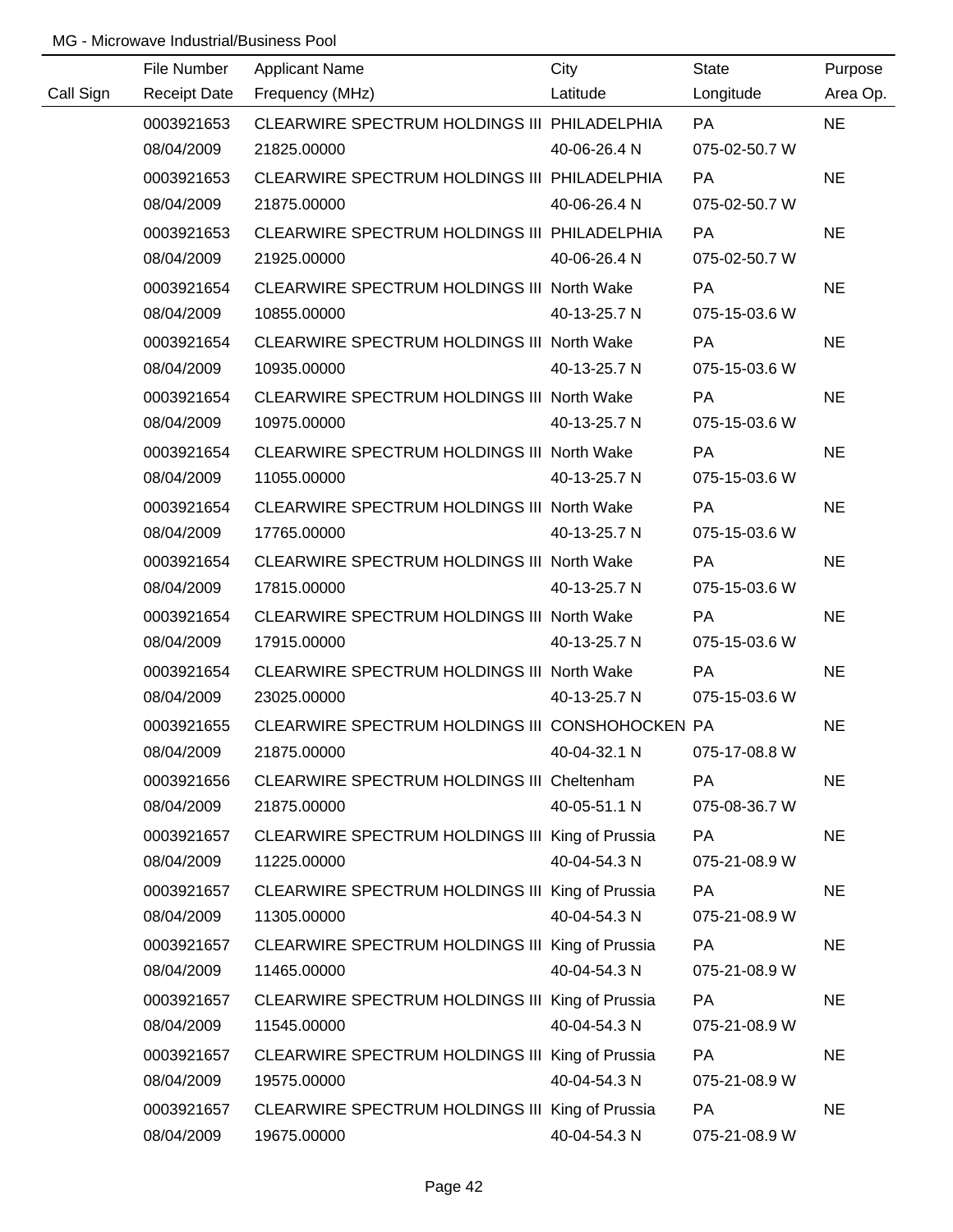|           | File Number         | <b>Applicant Name</b>                           | City         | <b>State</b>  | Purpose   |
|-----------|---------------------|-------------------------------------------------|--------------|---------------|-----------|
| Call Sign | <b>Receipt Date</b> | Frequency (MHz)                                 | Latitude     | Longitude     | Area Op.  |
|           | 0003921653          | CLEARWIRE SPECTRUM HOLDINGS III PHILADELPHIA    |              | <b>PA</b>     | <b>NE</b> |
|           | 08/04/2009          | 21825.00000                                     | 40-06-26.4 N | 075-02-50.7 W |           |
|           | 0003921653          | CLEARWIRE SPECTRUM HOLDINGS III PHILADELPHIA    |              | PA            | <b>NE</b> |
|           | 08/04/2009          | 21875.00000                                     | 40-06-26.4 N | 075-02-50.7 W |           |
|           | 0003921653          | CLEARWIRE SPECTRUM HOLDINGS III PHILADELPHIA    |              | <b>PA</b>     | <b>NE</b> |
|           | 08/04/2009          | 21925.00000                                     | 40-06-26.4 N | 075-02-50.7 W |           |
|           | 0003921654          | CLEARWIRE SPECTRUM HOLDINGS III North Wake      |              | <b>PA</b>     | <b>NE</b> |
|           | 08/04/2009          | 10855.00000                                     | 40-13-25.7 N | 075-15-03.6 W |           |
|           | 0003921654          | CLEARWIRE SPECTRUM HOLDINGS III North Wake      |              | PA            | <b>NE</b> |
|           | 08/04/2009          | 10935.00000                                     | 40-13-25.7 N | 075-15-03.6 W |           |
|           | 0003921654          | CLEARWIRE SPECTRUM HOLDINGS III North Wake      |              | PA            | <b>NE</b> |
|           | 08/04/2009          | 10975.00000                                     | 40-13-25.7 N | 075-15-03.6 W |           |
|           | 0003921654          | CLEARWIRE SPECTRUM HOLDINGS III North Wake      |              | PA            | <b>NE</b> |
|           | 08/04/2009          | 11055.00000                                     | 40-13-25.7 N | 075-15-03.6 W |           |
|           | 0003921654          | CLEARWIRE SPECTRUM HOLDINGS III North Wake      |              | PA            | <b>NE</b> |
|           | 08/04/2009          | 17765.00000                                     | 40-13-25.7 N | 075-15-03.6 W |           |
|           | 0003921654          | CLEARWIRE SPECTRUM HOLDINGS III North Wake      |              | PA            | <b>NE</b> |
|           | 08/04/2009          | 17815.00000                                     | 40-13-25.7 N | 075-15-03.6 W |           |
|           | 0003921654          | CLEARWIRE SPECTRUM HOLDINGS III North Wake      |              | PA            | <b>NE</b> |
|           | 08/04/2009          | 17915.00000                                     | 40-13-25.7 N | 075-15-03.6 W |           |
|           | 0003921654          | CLEARWIRE SPECTRUM HOLDINGS III North Wake      |              | PA            | <b>NE</b> |
|           | 08/04/2009          | 23025.00000                                     | 40-13-25.7 N | 075-15-03.6 W |           |
|           | 0003921655          | CLEARWIRE SPECTRUM HOLDINGS III CONSHOHOCKEN PA |              |               | <b>NE</b> |
|           | 08/04/2009          | 21875.00000                                     | 40-04-32.1 N | 075-17-08.8 W |           |
|           | 0003921656          | CLEARWIRE SPECTRUM HOLDINGS III Cheltenham      |              | PA            | <b>NE</b> |
|           | 08/04/2009          | 21875.00000                                     | 40-05-51.1 N | 075-08-36.7 W |           |
|           | 0003921657          | CLEARWIRE SPECTRUM HOLDINGS III King of Prussia |              | PA            | <b>NE</b> |
|           | 08/04/2009          | 11225.00000                                     | 40-04-54.3 N | 075-21-08.9 W |           |
|           | 0003921657          | CLEARWIRE SPECTRUM HOLDINGS III King of Prussia |              | <b>PA</b>     | <b>NE</b> |
|           | 08/04/2009          | 11305.00000                                     | 40-04-54.3 N | 075-21-08.9 W |           |
|           | 0003921657          | CLEARWIRE SPECTRUM HOLDINGS III King of Prussia |              | <b>PA</b>     | <b>NE</b> |
|           | 08/04/2009          | 11465.00000                                     | 40-04-54.3 N | 075-21-08.9 W |           |
|           | 0003921657          | CLEARWIRE SPECTRUM HOLDINGS III King of Prussia |              | PA            | <b>NE</b> |
|           | 08/04/2009          | 11545.00000                                     | 40-04-54.3 N | 075-21-08.9 W |           |
|           | 0003921657          | CLEARWIRE SPECTRUM HOLDINGS III King of Prussia |              | PA            | <b>NE</b> |
|           | 08/04/2009          | 19575.00000                                     | 40-04-54.3 N | 075-21-08.9 W |           |
|           | 0003921657          | CLEARWIRE SPECTRUM HOLDINGS III King of Prussia |              | PA            | <b>NE</b> |
|           | 08/04/2009          | 19675.00000                                     | 40-04-54.3 N | 075-21-08.9 W |           |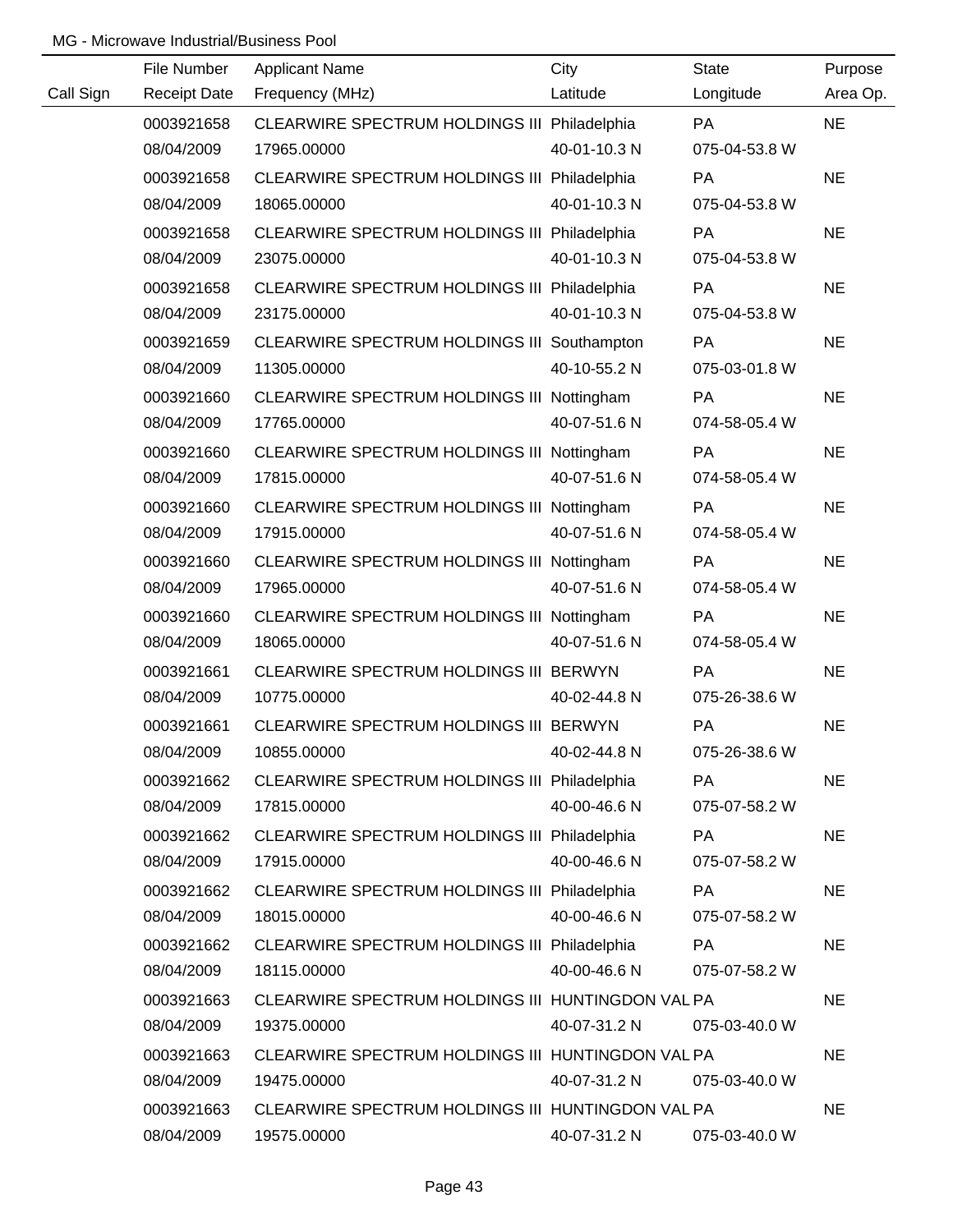|           | File Number         | <b>Applicant Name</b>                             | City         | <b>State</b>  | Purpose   |
|-----------|---------------------|---------------------------------------------------|--------------|---------------|-----------|
| Call Sign | <b>Receipt Date</b> | Frequency (MHz)                                   | Latitude     | Longitude     | Area Op.  |
|           | 0003921658          | CLEARWIRE SPECTRUM HOLDINGS III Philadelphia      |              | <b>PA</b>     | <b>NE</b> |
|           | 08/04/2009          | 17965.00000                                       | 40-01-10.3 N | 075-04-53.8 W |           |
|           | 0003921658          | CLEARWIRE SPECTRUM HOLDINGS III Philadelphia      |              | PA            | <b>NE</b> |
|           | 08/04/2009          | 18065.00000                                       | 40-01-10.3 N | 075-04-53.8 W |           |
|           | 0003921658          | CLEARWIRE SPECTRUM HOLDINGS III Philadelphia      |              | PA            | <b>NE</b> |
|           | 08/04/2009          | 23075.00000                                       | 40-01-10.3 N | 075-04-53.8 W |           |
|           | 0003921658          | CLEARWIRE SPECTRUM HOLDINGS III Philadelphia      |              | PA            | <b>NE</b> |
|           | 08/04/2009          | 23175.00000                                       | 40-01-10.3 N | 075-04-53.8 W |           |
|           | 0003921659          | CLEARWIRE SPECTRUM HOLDINGS III Southampton       |              | PA            | <b>NE</b> |
|           | 08/04/2009          | 11305.00000                                       | 40-10-55.2 N | 075-03-01.8 W |           |
|           | 0003921660          | CLEARWIRE SPECTRUM HOLDINGS III Nottingham        |              | PA            | <b>NE</b> |
|           | 08/04/2009          | 17765.00000                                       | 40-07-51.6 N | 074-58-05.4 W |           |
|           | 0003921660          | CLEARWIRE SPECTRUM HOLDINGS III Nottingham        |              | PA            | <b>NE</b> |
|           | 08/04/2009          | 17815.00000                                       | 40-07-51.6 N | 074-58-05.4 W |           |
|           | 0003921660          | CLEARWIRE SPECTRUM HOLDINGS III Nottingham        |              | PA            | <b>NE</b> |
|           | 08/04/2009          | 17915.00000                                       | 40-07-51.6 N | 074-58-05.4 W |           |
|           | 0003921660          | CLEARWIRE SPECTRUM HOLDINGS III Nottingham        |              | <b>PA</b>     | <b>NE</b> |
|           | 08/04/2009          | 17965.00000                                       | 40-07-51.6 N | 074-58-05.4 W |           |
|           | 0003921660          | CLEARWIRE SPECTRUM HOLDINGS III Nottingham        |              | PA            | <b>NE</b> |
|           | 08/04/2009          | 18065.00000                                       | 40-07-51.6 N | 074-58-05.4 W |           |
|           | 0003921661          | CLEARWIRE SPECTRUM HOLDINGS III BERWYN            |              | PA            | <b>NE</b> |
|           | 08/04/2009          | 10775.00000                                       | 40-02-44.8 N | 075-26-38.6 W |           |
|           | 0003921661          | CLEARWIRE SPECTRUM HOLDINGS III BERWYN            |              | PA            | <b>NE</b> |
|           | 08/04/2009          | 10855.00000                                       | 40-02-44.8 N | 075-26-38.6 W |           |
|           | 0003921662          | CLEARWIRE SPECTRUM HOLDINGS III Philadelphia      |              | <b>PA</b>     | <b>NE</b> |
|           | 08/04/2009          | 17815.00000                                       | 40-00-46.6 N | 075-07-58.2 W |           |
|           | 0003921662          | CLEARWIRE SPECTRUM HOLDINGS III Philadelphia      |              | PA            | <b>NE</b> |
|           | 08/04/2009          | 17915.00000                                       | 40-00-46.6 N | 075-07-58.2 W |           |
|           | 0003921662          | CLEARWIRE SPECTRUM HOLDINGS III Philadelphia      |              | PA            | <b>NE</b> |
|           | 08/04/2009          | 18015.00000                                       | 40-00-46.6 N | 075-07-58.2 W |           |
|           | 0003921662          | CLEARWIRE SPECTRUM HOLDINGS III Philadelphia      |              | <b>PA</b>     | <b>NE</b> |
|           | 08/04/2009          | 18115.00000                                       | 40-00-46.6 N | 075-07-58.2 W |           |
|           | 0003921663          | CLEARWIRE SPECTRUM HOLDINGS III HUNTINGDON VAL PA |              |               | <b>NE</b> |
|           | 08/04/2009          | 19375.00000                                       | 40-07-31.2 N | 075-03-40.0 W |           |
|           | 0003921663          | CLEARWIRE SPECTRUM HOLDINGS III HUNTINGDON VAL PA |              |               | <b>NE</b> |
|           | 08/04/2009          | 19475.00000                                       | 40-07-31.2 N | 075-03-40.0 W |           |
|           | 0003921663          | CLEARWIRE SPECTRUM HOLDINGS III HUNTINGDON VAL PA |              |               | <b>NE</b> |
|           | 08/04/2009          | 19575.00000                                       | 40-07-31.2 N | 075-03-40.0 W |           |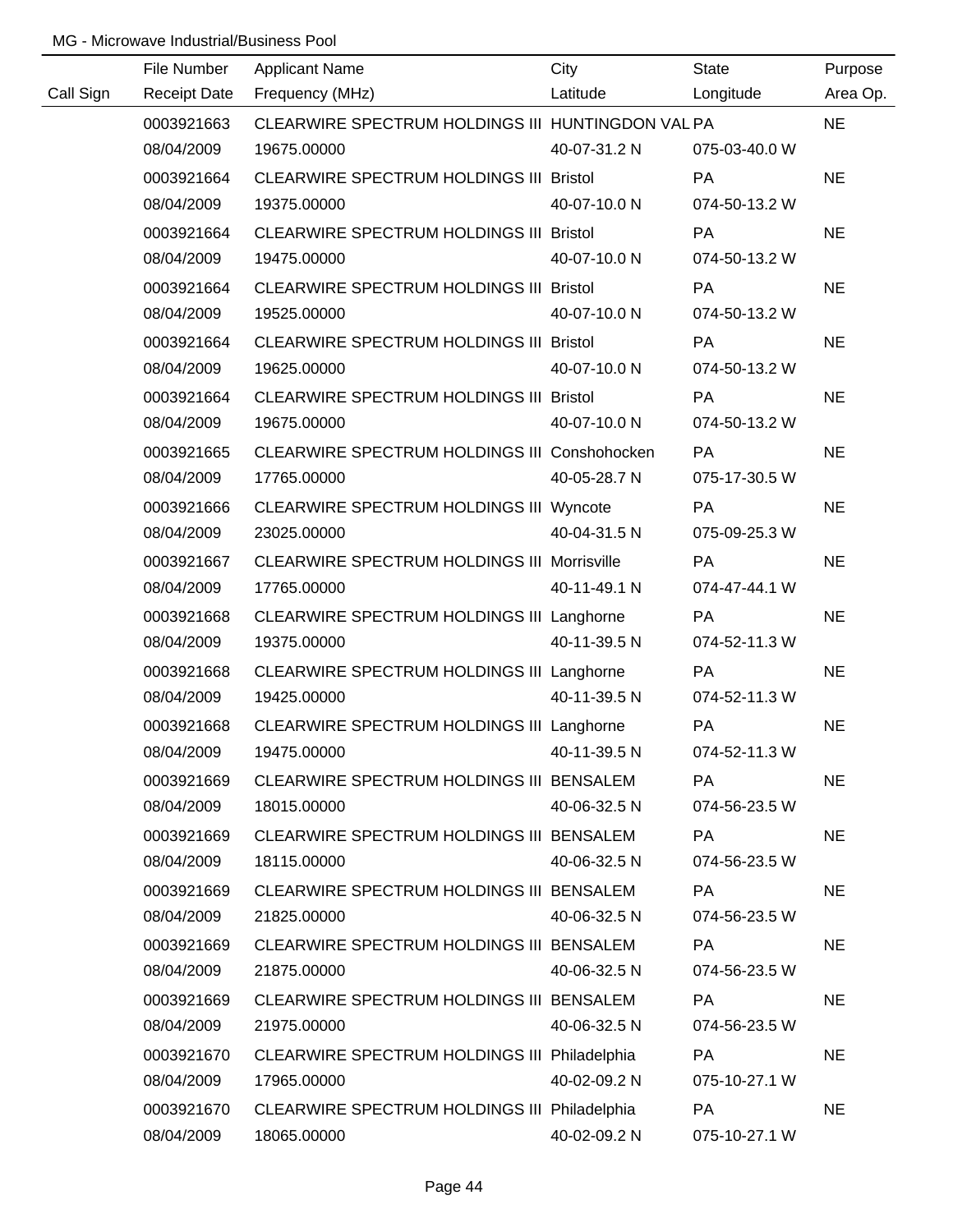|           | File Number | <b>Applicant Name</b>                              | City         | State         | Purpose   |
|-----------|-------------|----------------------------------------------------|--------------|---------------|-----------|
| Call Sign |             | Receipt Date Frequency (MHz)                       | Latitude     | Longitude     | Area Op.  |
|           | 0003921663  | CLEARWIRE SPECTRUM HOLDINGS III HUNTINGDON VAL PA  |              |               | <b>NE</b> |
|           | 08/04/2009  | 19675.00000                                        | 40-07-31.2 N | 075-03-40.0 W |           |
|           | 0003921664  | CLEARWIRE SPECTRUM HOLDINGS III Bristol            |              | PA            | <b>NE</b> |
|           | 08/04/2009  | 19375.00000                                        | 40-07-10.0 N | 074-50-13.2 W |           |
|           | 0003921664  | CLEARWIRE SPECTRUM HOLDINGS III Bristol            |              | <b>PA</b>     | <b>NE</b> |
|           | 08/04/2009  | 19475.00000                                        | 40-07-10.0 N | 074-50-13.2 W |           |
|           | 0003921664  | CLEARWIRE SPECTRUM HOLDINGS III Bristol            |              | PA            | <b>NE</b> |
|           | 08/04/2009  | 19525.00000                                        | 40-07-10.0 N | 074-50-13.2 W |           |
|           | 0003921664  | CLEARWIRE SPECTRUM HOLDINGS III Bristol            |              | PA            | <b>NE</b> |
|           | 08/04/2009  | 19625.00000                                        | 40-07-10.0 N | 074-50-13.2 W |           |
|           | 0003921664  | CLEARWIRE SPECTRUM HOLDINGS III Bristol            |              | PA            | <b>NE</b> |
|           | 08/04/2009  | 19675.00000                                        | 40-07-10.0 N | 074-50-13.2 W |           |
|           | 0003921665  | CLEARWIRE SPECTRUM HOLDINGS III Conshohocken       |              | PA            | <b>NE</b> |
|           | 08/04/2009  | 17765.00000                                        | 40-05-28.7 N | 075-17-30.5 W |           |
|           | 0003921666  | CLEARWIRE SPECTRUM HOLDINGS III Wyncote            |              | PA            | <b>NE</b> |
|           | 08/04/2009  | 23025.00000                                        | 40-04-31.5 N | 075-09-25.3 W |           |
|           | 0003921667  | <b>CLEARWIRE SPECTRUM HOLDINGS III Morrisville</b> |              | <b>PA</b>     | <b>NE</b> |
|           | 08/04/2009  | 17765.00000                                        | 40-11-49.1 N | 074-47-44.1 W |           |
|           | 0003921668  | CLEARWIRE SPECTRUM HOLDINGS III Langhorne          |              | PA            | <b>NE</b> |
|           | 08/04/2009  | 19375.00000                                        | 40-11-39.5 N | 074-52-11.3 W |           |
|           | 0003921668  | CLEARWIRE SPECTRUM HOLDINGS III Langhorne          |              | PA            | <b>NE</b> |
|           | 08/04/2009  | 19425.00000                                        | 40-11-39.5 N | 074-52-11.3 W |           |
|           | 0003921668  | CLEARWIRE SPECTRUM HOLDINGS III Langhorne          |              | PA            | <b>NE</b> |
|           | 08/04/2009  | 19475.00000                                        | 40-11-39.5 N | 074-52-11.3 W |           |
|           | 0003921669  | CLEARWIRE SPECTRUM HOLDINGS III BENSALEM           |              | <b>PA</b>     | <b>NE</b> |
|           | 08/04/2009  | 18015.00000                                        | 40-06-32.5 N | 074-56-23.5 W |           |
|           | 0003921669  | CLEARWIRE SPECTRUM HOLDINGS III BENSALEM           |              | PA            | <b>NE</b> |
|           | 08/04/2009  | 18115.00000                                        | 40-06-32.5 N | 074-56-23.5 W |           |
|           | 0003921669  | CLEARWIRE SPECTRUM HOLDINGS III BENSALEM           |              | PA            | <b>NE</b> |
|           | 08/04/2009  | 21825.00000                                        | 40-06-32.5 N | 074-56-23.5 W |           |
|           | 0003921669  | CLEARWIRE SPECTRUM HOLDINGS III BENSALEM           |              | PA            | <b>NE</b> |
|           | 08/04/2009  | 21875.00000                                        | 40-06-32.5 N | 074-56-23.5 W |           |
|           | 0003921669  | CLEARWIRE SPECTRUM HOLDINGS III BENSALEM           |              | PA            | <b>NE</b> |
|           | 08/04/2009  | 21975.00000                                        | 40-06-32.5 N | 074-56-23.5 W |           |
|           | 0003921670  | CLEARWIRE SPECTRUM HOLDINGS III Philadelphia       |              | PA            | <b>NE</b> |
|           | 08/04/2009  | 17965.00000                                        | 40-02-09.2 N | 075-10-27.1 W |           |
|           | 0003921670  | CLEARWIRE SPECTRUM HOLDINGS III Philadelphia       |              | PA            | <b>NE</b> |
|           | 08/04/2009  | 18065.00000                                        | 40-02-09.2 N | 075-10-27.1 W |           |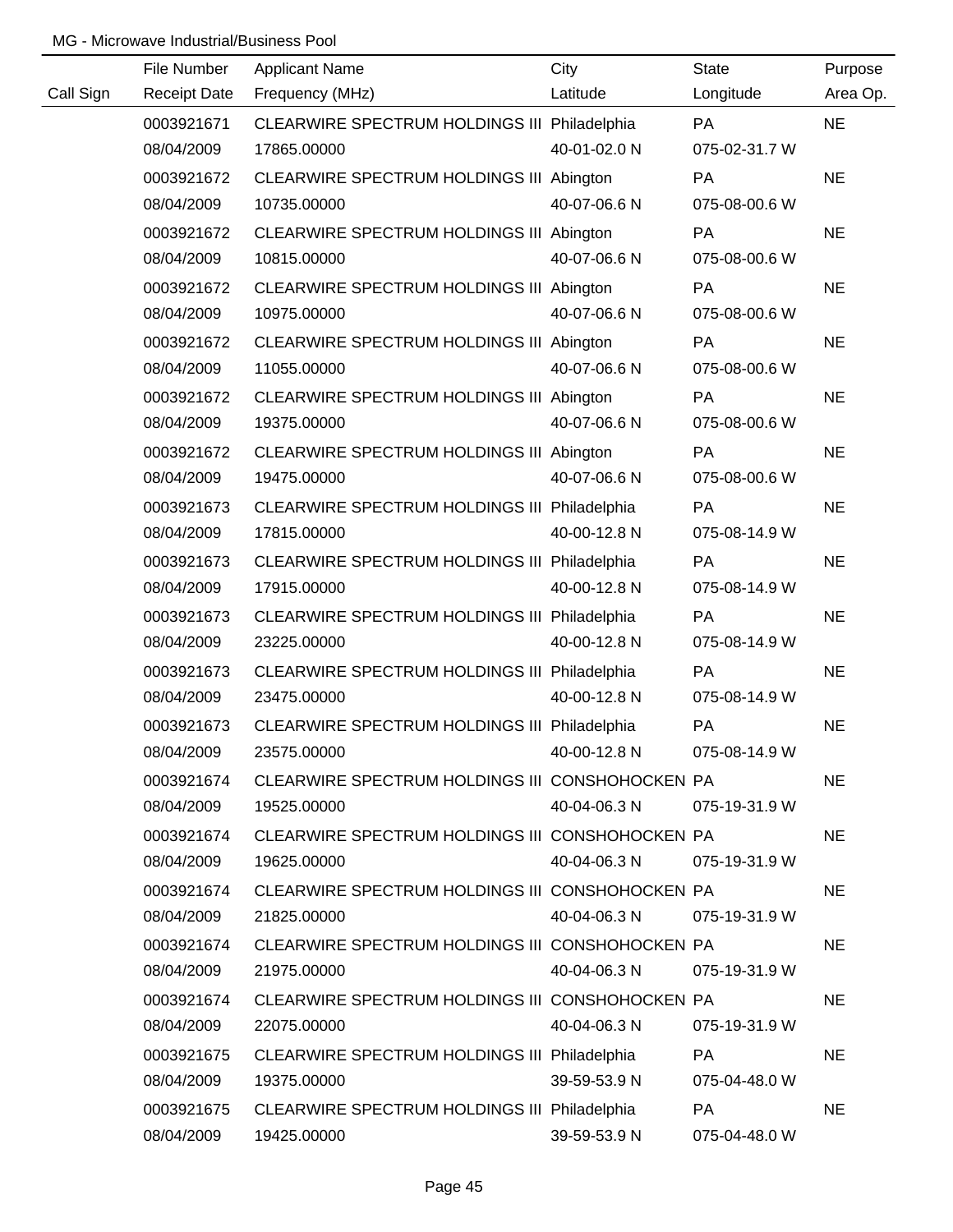|           | File Number         | <b>Applicant Name</b>                           | City         | <b>State</b>  | Purpose   |
|-----------|---------------------|-------------------------------------------------|--------------|---------------|-----------|
| Call Sign | <b>Receipt Date</b> | Frequency (MHz)                                 | Latitude     | Longitude     | Area Op.  |
|           | 0003921671          | CLEARWIRE SPECTRUM HOLDINGS III Philadelphia    |              | <b>PA</b>     | <b>NE</b> |
|           | 08/04/2009          | 17865.00000                                     | 40-01-02.0 N | 075-02-31.7 W |           |
|           | 0003921672          | CLEARWIRE SPECTRUM HOLDINGS III Abington        |              | PA            | <b>NE</b> |
|           | 08/04/2009          | 10735.00000                                     | 40-07-06.6 N | 075-08-00.6 W |           |
|           | 0003921672          | CLEARWIRE SPECTRUM HOLDINGS III Abington        |              | <b>PA</b>     | <b>NE</b> |
|           | 08/04/2009          | 10815.00000                                     | 40-07-06.6 N | 075-08-00.6 W |           |
|           | 0003921672          | CLEARWIRE SPECTRUM HOLDINGS III Abington        |              | PA            | <b>NE</b> |
|           | 08/04/2009          | 10975.00000                                     | 40-07-06.6 N | 075-08-00.6 W |           |
|           | 0003921672          | CLEARWIRE SPECTRUM HOLDINGS III Abington        |              | PA            | <b>NE</b> |
|           | 08/04/2009          | 11055.00000                                     | 40-07-06.6 N | 075-08-00.6 W |           |
|           | 0003921672          | CLEARWIRE SPECTRUM HOLDINGS III Abington        |              | PA            | <b>NE</b> |
|           | 08/04/2009          | 19375.00000                                     | 40-07-06.6 N | 075-08-00.6 W |           |
|           | 0003921672          | CLEARWIRE SPECTRUM HOLDINGS III Abington        |              | PA            | <b>NE</b> |
|           | 08/04/2009          | 19475.00000                                     | 40-07-06.6 N | 075-08-00.6 W |           |
|           | 0003921673          | CLEARWIRE SPECTRUM HOLDINGS III Philadelphia    |              | PA            | <b>NE</b> |
|           | 08/04/2009          | 17815.00000                                     | 40-00-12.8 N | 075-08-14.9 W |           |
|           | 0003921673          | CLEARWIRE SPECTRUM HOLDINGS III Philadelphia    |              | PA            | <b>NE</b> |
|           | 08/04/2009          | 17915.00000                                     | 40-00-12.8 N | 075-08-14.9 W |           |
|           | 0003921673          | CLEARWIRE SPECTRUM HOLDINGS III Philadelphia    |              | PA            | <b>NE</b> |
|           | 08/04/2009          | 23225.00000                                     | 40-00-12.8 N | 075-08-14.9 W |           |
|           | 0003921673          | CLEARWIRE SPECTRUM HOLDINGS III Philadelphia    |              | PA            | <b>NE</b> |
|           | 08/04/2009          | 23475.00000                                     | 40-00-12.8 N | 075-08-14.9 W |           |
|           | 0003921673          | CLEARWIRE SPECTRUM HOLDINGS III Philadelphia    |              | PA            | <b>NE</b> |
|           | 08/04/2009          | 23575.00000                                     | 40-00-12.8 N | 075-08-14.9 W |           |
|           | 0003921674          | CLEARWIRE SPECTRUM HOLDINGS III CONSHOHOCKEN PA |              |               | <b>NE</b> |
|           | 08/04/2009          | 19525.00000                                     | 40-04-06.3 N | 075-19-31.9 W |           |
|           | 0003921674          | CLEARWIRE SPECTRUM HOLDINGS III CONSHOHOCKEN PA |              |               | <b>NE</b> |
|           | 08/04/2009          | 19625.00000                                     | 40-04-06.3 N | 075-19-31.9 W |           |
|           | 0003921674          | CLEARWIRE SPECTRUM HOLDINGS III CONSHOHOCKEN PA |              |               | <b>NE</b> |
|           | 08/04/2009          | 21825.00000                                     | 40-04-06.3 N | 075-19-31.9 W |           |
|           | 0003921674          | CLEARWIRE SPECTRUM HOLDINGS III CONSHOHOCKEN PA |              |               | <b>NE</b> |
|           | 08/04/2009          | 21975.00000                                     | 40-04-06.3 N | 075-19-31.9 W |           |
|           | 0003921674          | CLEARWIRE SPECTRUM HOLDINGS III CONSHOHOCKEN PA |              |               | <b>NE</b> |
|           | 08/04/2009          | 22075.00000                                     | 40-04-06.3 N | 075-19-31.9 W |           |
|           | 0003921675          | CLEARWIRE SPECTRUM HOLDINGS III Philadelphia    |              | <b>PA</b>     | <b>NE</b> |
|           | 08/04/2009          | 19375.00000                                     | 39-59-53.9 N | 075-04-48.0 W |           |
|           | 0003921675          | CLEARWIRE SPECTRUM HOLDINGS III Philadelphia    |              | PA            | <b>NE</b> |
|           | 08/04/2009          | 19425.00000                                     | 39-59-53.9 N | 075-04-48.0 W |           |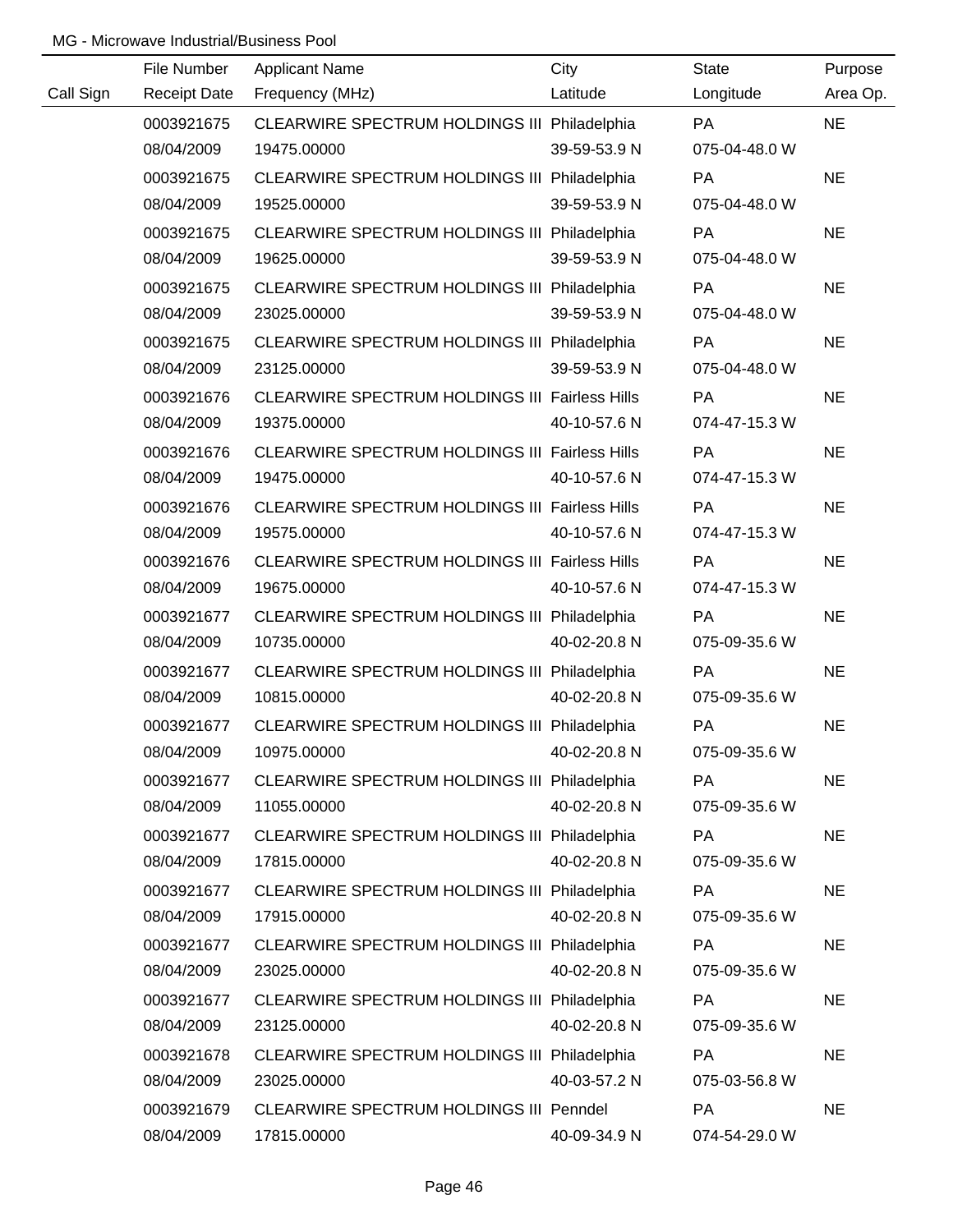|           | File Number         | <b>Applicant Name</b>                                 | City         | <b>State</b>  | Purpose   |
|-----------|---------------------|-------------------------------------------------------|--------------|---------------|-----------|
| Call Sign | <b>Receipt Date</b> | Frequency (MHz)                                       | Latitude     | Longitude     | Area Op.  |
|           | 0003921675          | CLEARWIRE SPECTRUM HOLDINGS III Philadelphia          |              | <b>PA</b>     | <b>NE</b> |
|           | 08/04/2009          | 19475.00000                                           | 39-59-53.9 N | 075-04-48.0 W |           |
|           | 0003921675          | CLEARWIRE SPECTRUM HOLDINGS III Philadelphia          |              | PA            | <b>NE</b> |
|           | 08/04/2009          | 19525.00000                                           | 39-59-53.9 N | 075-04-48.0 W |           |
|           | 0003921675          | CLEARWIRE SPECTRUM HOLDINGS III Philadelphia          |              | PA            | <b>NE</b> |
|           | 08/04/2009          | 19625.00000                                           | 39-59-53.9 N | 075-04-48.0 W |           |
|           | 0003921675          | CLEARWIRE SPECTRUM HOLDINGS III Philadelphia          |              | PA            | <b>NE</b> |
|           | 08/04/2009          | 23025.00000                                           | 39-59-53.9 N | 075-04-48.0 W |           |
|           | 0003921675          | CLEARWIRE SPECTRUM HOLDINGS III Philadelphia          |              | PA            | <b>NE</b> |
|           | 08/04/2009          | 23125.00000                                           | 39-59-53.9 N | 075-04-48.0 W |           |
|           | 0003921676          | <b>CLEARWIRE SPECTRUM HOLDINGS III Fairless Hills</b> |              | PA            | <b>NE</b> |
|           | 08/04/2009          | 19375.00000                                           | 40-10-57.6 N | 074-47-15.3 W |           |
|           | 0003921676          | <b>CLEARWIRE SPECTRUM HOLDINGS III Fairless Hills</b> |              | PA            | <b>NE</b> |
|           | 08/04/2009          | 19475.00000                                           | 40-10-57.6 N | 074-47-15.3 W |           |
|           | 0003921676          | CLEARWIRE SPECTRUM HOLDINGS III Fairless Hills        |              | PA            | <b>NE</b> |
|           | 08/04/2009          | 19575.00000                                           | 40-10-57.6 N | 074-47-15.3 W |           |
|           | 0003921676          | CLEARWIRE SPECTRUM HOLDINGS III Fairless Hills        |              | PA            | <b>NE</b> |
|           | 08/04/2009          | 19675.00000                                           | 40-10-57.6 N | 074-47-15.3 W |           |
|           | 0003921677          | CLEARWIRE SPECTRUM HOLDINGS III Philadelphia          |              | PA            | <b>NE</b> |
|           | 08/04/2009          | 10735.00000                                           | 40-02-20.8 N | 075-09-35.6 W |           |
|           | 0003921677          | CLEARWIRE SPECTRUM HOLDINGS III Philadelphia          |              | PA            | <b>NE</b> |
|           | 08/04/2009          | 10815.00000                                           | 40-02-20.8 N | 075-09-35.6 W |           |
|           | 0003921677          | CLEARWIRE SPECTRUM HOLDINGS III Philadelphia          |              | PA            | <b>NE</b> |
|           | 08/04/2009          | 10975.00000                                           | 40-02-20.8 N | 075-09-35.6 W |           |
|           | 0003921677          | CLEARWIRE SPECTRUM HOLDINGS III Philadelphia          |              | PA            | <b>NE</b> |
|           | 08/04/2009          | 11055.00000                                           | 40-02-20.8 N | 075-09-35.6 W |           |
|           | 0003921677          | CLEARWIRE SPECTRUM HOLDINGS III Philadelphia          |              | PA            | <b>NE</b> |
|           | 08/04/2009          | 17815.00000                                           | 40-02-20.8 N | 075-09-35.6 W |           |
|           | 0003921677          | CLEARWIRE SPECTRUM HOLDINGS III Philadelphia          |              | <b>PA</b>     | <b>NE</b> |
|           | 08/04/2009          | 17915.00000                                           | 40-02-20.8 N | 075-09-35.6 W |           |
|           | 0003921677          | CLEARWIRE SPECTRUM HOLDINGS III Philadelphia          |              | <b>PA</b>     | <b>NE</b> |
|           | 08/04/2009          | 23025.00000                                           | 40-02-20.8 N | 075-09-35.6 W |           |
|           | 0003921677          | CLEARWIRE SPECTRUM HOLDINGS III Philadelphia          |              | PA            | <b>NE</b> |
|           | 08/04/2009          | 23125.00000                                           | 40-02-20.8 N | 075-09-35.6 W |           |
|           | 0003921678          | CLEARWIRE SPECTRUM HOLDINGS III Philadelphia          |              | PA            | <b>NE</b> |
|           | 08/04/2009          | 23025.00000                                           | 40-03-57.2 N | 075-03-56.8 W |           |
|           | 0003921679          | <b>CLEARWIRE SPECTRUM HOLDINGS III Penndel</b>        |              | PA            | <b>NE</b> |
|           | 08/04/2009          | 17815.00000                                           | 40-09-34.9 N | 074-54-29.0 W |           |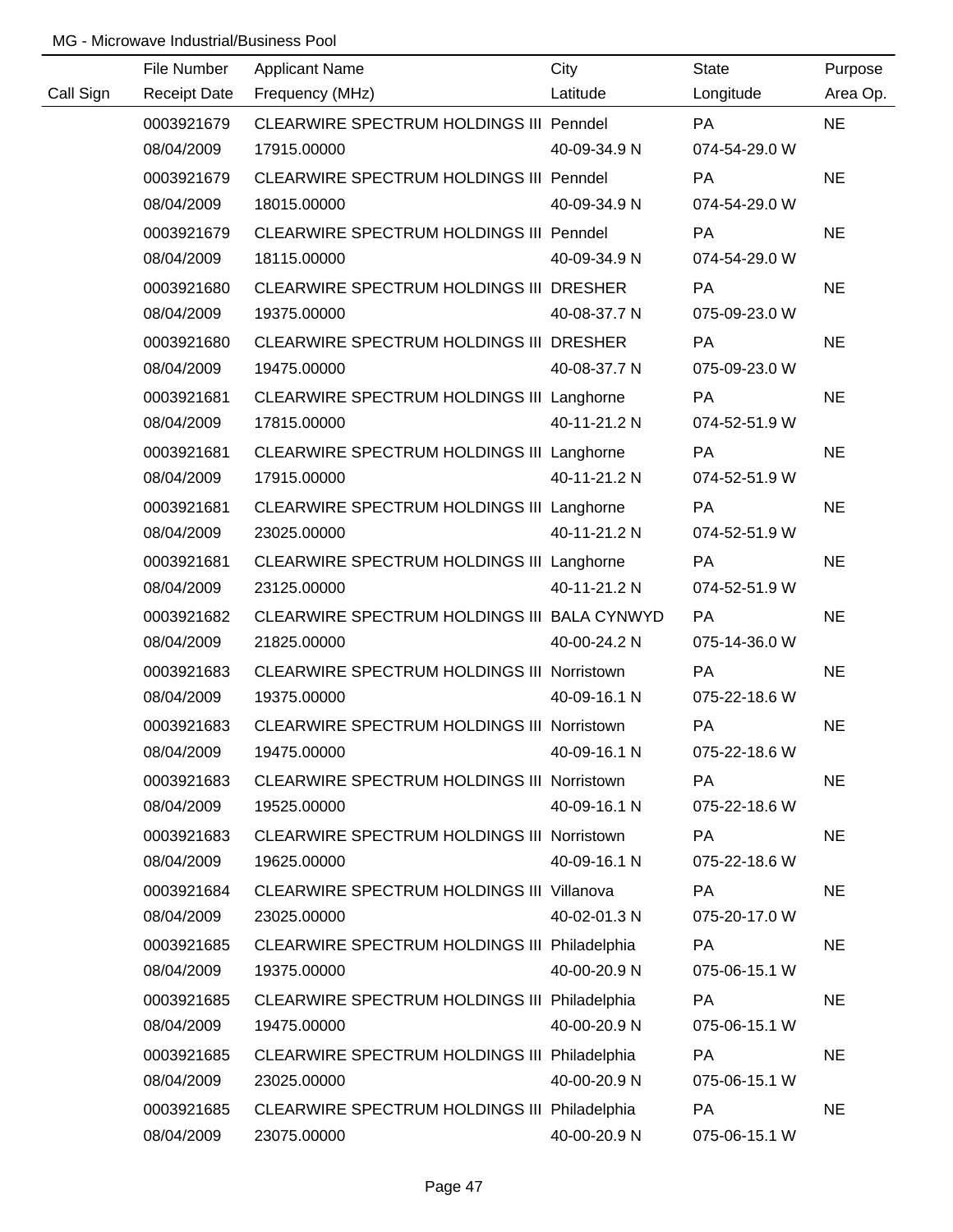|           | File Number         | <b>Applicant Name</b>                             | City         | <b>State</b>  | Purpose   |
|-----------|---------------------|---------------------------------------------------|--------------|---------------|-----------|
| Call Sign | <b>Receipt Date</b> | Frequency (MHz)                                   | Latitude     | Longitude     | Area Op.  |
|           | 0003921679          | CLEARWIRE SPECTRUM HOLDINGS III Penndel           |              | <b>PA</b>     | <b>NE</b> |
|           | 08/04/2009          | 17915.00000                                       | 40-09-34.9 N | 074-54-29.0 W |           |
|           | 0003921679          | CLEARWIRE SPECTRUM HOLDINGS III Penndel           |              | PA            | <b>NE</b> |
|           | 08/04/2009          | 18015.00000                                       | 40-09-34.9 N | 074-54-29.0 W |           |
|           | 0003921679          | CLEARWIRE SPECTRUM HOLDINGS III Penndel           |              | <b>PA</b>     | <b>NE</b> |
|           | 08/04/2009          | 18115.00000                                       | 40-09-34.9 N | 074-54-29.0 W |           |
|           | 0003921680          | CLEARWIRE SPECTRUM HOLDINGS III DRESHER           |              | <b>PA</b>     | <b>NE</b> |
|           | 08/04/2009          | 19375.00000                                       | 40-08-37.7 N | 075-09-23.0 W |           |
|           | 0003921680          | CLEARWIRE SPECTRUM HOLDINGS III DRESHER           |              | PA            | <b>NE</b> |
|           | 08/04/2009          | 19475.00000                                       | 40-08-37.7 N | 075-09-23.0 W |           |
|           | 0003921681          | CLEARWIRE SPECTRUM HOLDINGS III Langhorne         |              | PA            | <b>NE</b> |
|           | 08/04/2009          | 17815.00000                                       | 40-11-21.2 N | 074-52-51.9 W |           |
|           | 0003921681          | CLEARWIRE SPECTRUM HOLDINGS III Langhorne         |              | PA            | <b>NE</b> |
|           | 08/04/2009          | 17915.00000                                       | 40-11-21.2 N | 074-52-51.9 W |           |
|           | 0003921681          | CLEARWIRE SPECTRUM HOLDINGS III Langhorne         |              | PA            | <b>NE</b> |
|           | 08/04/2009          | 23025.00000                                       | 40-11-21.2 N | 074-52-51.9 W |           |
|           | 0003921681          | CLEARWIRE SPECTRUM HOLDINGS III Langhorne         |              | PA            | <b>NE</b> |
|           | 08/04/2009          | 23125.00000                                       | 40-11-21.2 N | 074-52-51.9 W |           |
|           | 0003921682          | CLEARWIRE SPECTRUM HOLDINGS III BALA CYNWYD       |              | PA            | <b>NE</b> |
|           | 08/04/2009          | 21825.00000                                       | 40-00-24.2 N | 075-14-36.0 W |           |
|           | 0003921683          | <b>CLEARWIRE SPECTRUM HOLDINGS III Norristown</b> |              | PA            | <b>NE</b> |
|           | 08/04/2009          | 19375.00000                                       | 40-09-16.1 N | 075-22-18.6 W |           |
|           | 0003921683          | CLEARWIRE SPECTRUM HOLDINGS III Norristown        |              | PA            | <b>NE</b> |
|           | 08/04/2009          | 19475.00000                                       | 40-09-16.1 N | 075-22-18.6 W |           |
|           | 0003921683          | CLEARWIRE SPECTRUM HOLDINGS III Norristown        |              | PA            | <b>NE</b> |
|           | 08/04/2009          | 19525.00000                                       | 40-09-16.1 N | 075-22-18.6 W |           |
|           | 0003921683          | CLEARWIRE SPECTRUM HOLDINGS III Norristown        |              | PA            | <b>NE</b> |
|           | 08/04/2009          | 19625.00000                                       | 40-09-16.1 N | 075-22-18.6 W |           |
|           | 0003921684          | <b>CLEARWIRE SPECTRUM HOLDINGS III Villanova</b>  |              | PA            | <b>NE</b> |
|           | 08/04/2009          | 23025.00000                                       | 40-02-01.3 N | 075-20-17.0 W |           |
|           | 0003921685          | CLEARWIRE SPECTRUM HOLDINGS III Philadelphia      |              | <b>PA</b>     | <b>NE</b> |
|           | 08/04/2009          | 19375.00000                                       | 40-00-20.9 N | 075-06-15.1 W |           |
|           | 0003921685          | CLEARWIRE SPECTRUM HOLDINGS III Philadelphia      |              | <b>PA</b>     | <b>NE</b> |
|           | 08/04/2009          | 19475.00000                                       | 40-00-20.9 N | 075-06-15.1 W |           |
|           | 0003921685          | CLEARWIRE SPECTRUM HOLDINGS III Philadelphia      |              | PA            | <b>NE</b> |
|           | 08/04/2009          | 23025.00000                                       | 40-00-20.9 N | 075-06-15.1 W |           |
|           | 0003921685          | CLEARWIRE SPECTRUM HOLDINGS III Philadelphia      |              | <b>PA</b>     | <b>NE</b> |
|           | 08/04/2009          | 23075.00000                                       | 40-00-20.9 N | 075-06-15.1 W |           |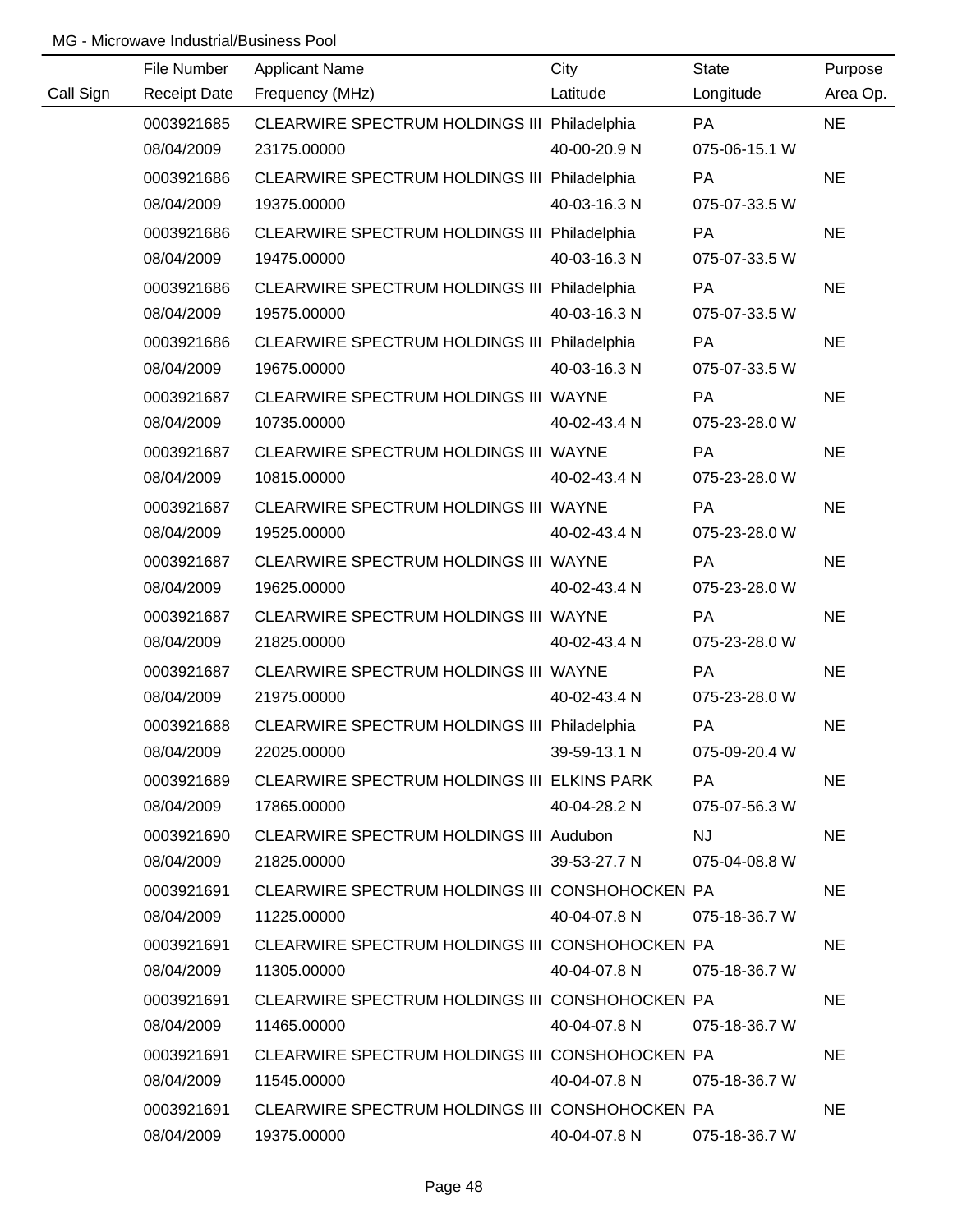|           | File Number | <b>Applicant Name</b>                           | City         | State         | Purpose   |
|-----------|-------------|-------------------------------------------------|--------------|---------------|-----------|
| Call Sign |             | Receipt Date Frequency (MHz)                    | Latitude     | Longitude     | Area Op.  |
|           | 0003921685  | CLEARWIRE SPECTRUM HOLDINGS III Philadelphia    |              | <b>PA</b>     | <b>NE</b> |
|           | 08/04/2009  | 23175.00000                                     | 40-00-20.9 N | 075-06-15.1 W |           |
|           | 0003921686  | CLEARWIRE SPECTRUM HOLDINGS III Philadelphia    |              | PA            | <b>NE</b> |
|           | 08/04/2009  | 19375.00000                                     | 40-03-16.3 N | 075-07-33.5 W |           |
|           | 0003921686  | CLEARWIRE SPECTRUM HOLDINGS III Philadelphia    |              | PA            | <b>NE</b> |
|           | 08/04/2009  | 19475.00000                                     | 40-03-16.3 N | 075-07-33.5 W |           |
|           | 0003921686  | CLEARWIRE SPECTRUM HOLDINGS III Philadelphia    |              | PA            | <b>NE</b> |
|           | 08/04/2009  | 19575.00000                                     | 40-03-16.3 N | 075-07-33.5 W |           |
|           | 0003921686  | CLEARWIRE SPECTRUM HOLDINGS III Philadelphia    |              | PA            | <b>NE</b> |
|           | 08/04/2009  | 19675.00000                                     | 40-03-16.3 N | 075-07-33.5 W |           |
|           | 0003921687  | CLEARWIRE SPECTRUM HOLDINGS III WAYNE           |              | <b>PA</b>     | <b>NE</b> |
|           | 08/04/2009  | 10735.00000                                     | 40-02-43.4 N | 075-23-28.0 W |           |
|           | 0003921687  | CLEARWIRE SPECTRUM HOLDINGS III WAYNE           |              | PA            | <b>NE</b> |
|           | 08/04/2009  | 10815.00000                                     | 40-02-43.4 N | 075-23-28.0 W |           |
|           | 0003921687  | CLEARWIRE SPECTRUM HOLDINGS III WAYNE           |              | <b>PA</b>     | <b>NE</b> |
|           | 08/04/2009  | 19525.00000                                     | 40-02-43.4 N | 075-23-28.0 W |           |
|           | 0003921687  | CLEARWIRE SPECTRUM HOLDINGS III WAYNE           |              | <b>PA</b>     | <b>NE</b> |
|           | 08/04/2009  | 19625.00000                                     | 40-02-43.4 N | 075-23-28.0 W |           |
|           | 0003921687  | CLEARWIRE SPECTRUM HOLDINGS III WAYNE           |              | <b>PA</b>     | <b>NE</b> |
|           | 08/04/2009  | 21825.00000                                     | 40-02-43.4 N | 075-23-28.0 W |           |
|           | 0003921687  | CLEARWIRE SPECTRUM HOLDINGS III WAYNE           |              | PA            | <b>NE</b> |
|           | 08/04/2009  | 21975.00000                                     | 40-02-43.4 N | 075-23-28.0 W |           |
|           | 0003921688  | CLEARWIRE SPECTRUM HOLDINGS III Philadelphia    |              | PA            | <b>NE</b> |
|           | 08/04/2009  | 22025.00000                                     | 39-59-13.1 N | 075-09-20.4 W |           |
|           | 0003921689  | CLEARWIRE SPECTRUM HOLDINGS III ELKINS PARK     |              | PA.           | <b>NE</b> |
|           | 08/04/2009  | 17865.00000                                     | 40-04-28.2 N | 075-07-56.3 W |           |
|           | 0003921690  | CLEARWIRE SPECTRUM HOLDINGS III Audubon         |              | NJ.           | <b>NE</b> |
|           | 08/04/2009  | 21825.00000                                     | 39-53-27.7 N | 075-04-08.8 W |           |
|           | 0003921691  | CLEARWIRE SPECTRUM HOLDINGS III CONSHOHOCKEN PA |              |               | NE.       |
|           | 08/04/2009  | 11225.00000                                     | 40-04-07.8 N | 075-18-36.7 W |           |
|           | 0003921691  | CLEARWIRE SPECTRUM HOLDINGS III CONSHOHOCKEN PA |              |               | <b>NE</b> |
|           | 08/04/2009  | 11305.00000                                     | 40-04-07.8 N | 075-18-36.7 W |           |
|           | 0003921691  | CLEARWIRE SPECTRUM HOLDINGS III CONSHOHOCKEN PA |              |               | <b>NE</b> |
|           | 08/04/2009  | 11465.00000                                     | 40-04-07.8 N | 075-18-36.7 W |           |
|           | 0003921691  | CLEARWIRE SPECTRUM HOLDINGS III CONSHOHOCKEN PA |              |               | NE.       |
|           | 08/04/2009  | 11545.00000                                     | 40-04-07.8 N | 075-18-36.7 W |           |
|           | 0003921691  | CLEARWIRE SPECTRUM HOLDINGS III CONSHOHOCKEN PA |              |               | <b>NE</b> |
|           | 08/04/2009  | 19375.00000                                     | 40-04-07.8 N | 075-18-36.7 W |           |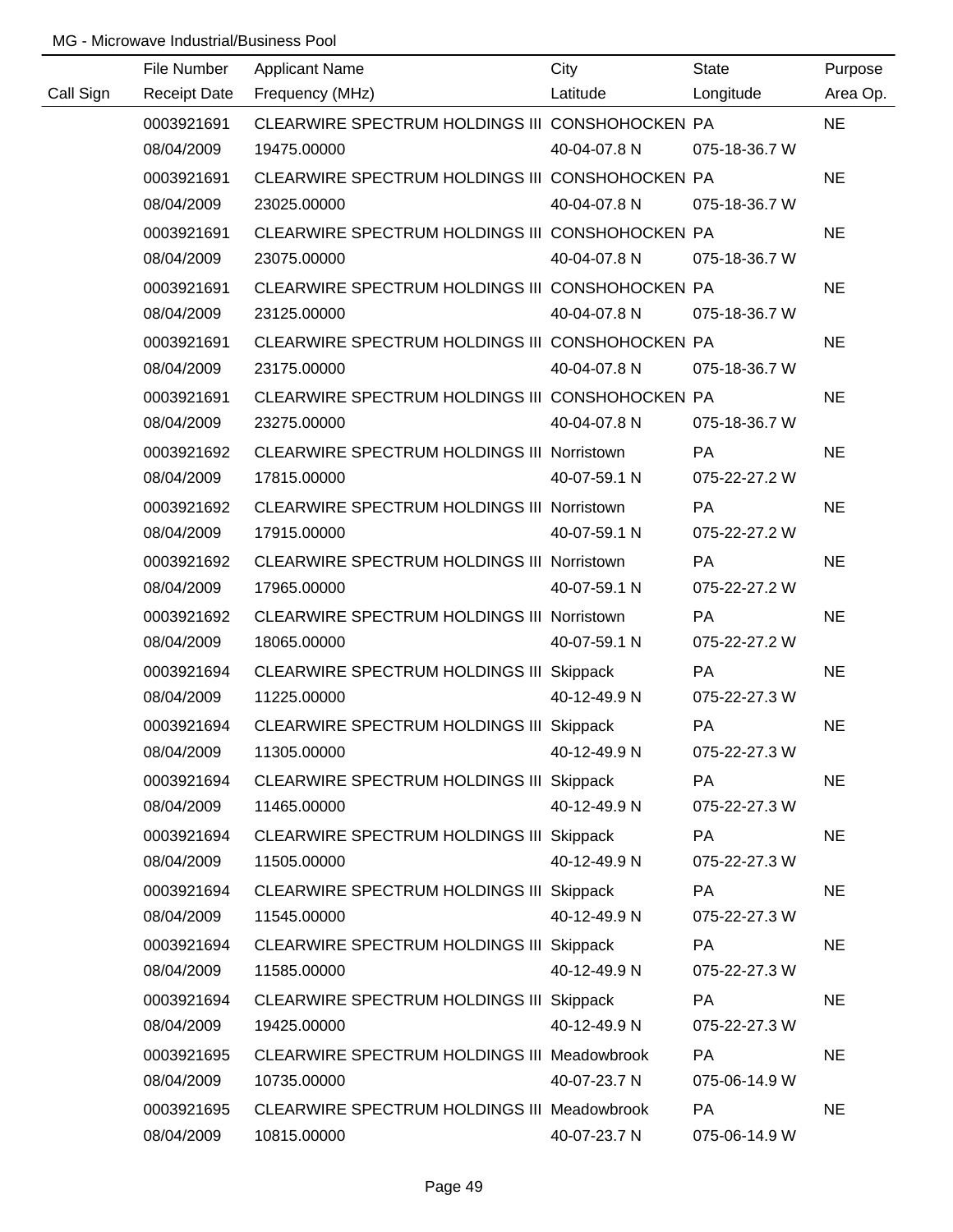|           | File Number | <b>Applicant Name</b>                             | City         | <b>State</b>  | Purpose   |
|-----------|-------------|---------------------------------------------------|--------------|---------------|-----------|
| Call Sign |             | Receipt Date Frequency (MHz)                      | Latitude     | Longitude     | Area Op.  |
|           | 0003921691  | CLEARWIRE SPECTRUM HOLDINGS III CONSHOHOCKEN PA   |              |               | <b>NE</b> |
|           | 08/04/2009  | 19475.00000                                       | 40-04-07.8 N | 075-18-36.7 W |           |
|           | 0003921691  | CLEARWIRE SPECTRUM HOLDINGS III CONSHOHOCKEN PA   |              |               | <b>NE</b> |
|           | 08/04/2009  | 23025.00000                                       | 40-04-07.8 N | 075-18-36.7 W |           |
|           | 0003921691  | CLEARWIRE SPECTRUM HOLDINGS III CONSHOHOCKEN PA   |              |               | <b>NE</b> |
|           | 08/04/2009  | 23075.00000                                       | 40-04-07.8 N | 075-18-36.7 W |           |
|           | 0003921691  | CLEARWIRE SPECTRUM HOLDINGS III CONSHOHOCKEN PA   |              |               | <b>NE</b> |
|           | 08/04/2009  | 23125.00000                                       | 40-04-07.8 N | 075-18-36.7 W |           |
|           | 0003921691  | CLEARWIRE SPECTRUM HOLDINGS III CONSHOHOCKEN PA   |              |               | <b>NE</b> |
|           | 08/04/2009  | 23175.00000                                       | 40-04-07.8 N | 075-18-36.7 W |           |
|           | 0003921691  | CLEARWIRE SPECTRUM HOLDINGS III CONSHOHOCKEN PA   |              |               | <b>NE</b> |
|           | 08/04/2009  | 23275.00000                                       | 40-04-07.8 N | 075-18-36.7 W |           |
|           | 0003921692  | CLEARWIRE SPECTRUM HOLDINGS III Norristown        |              | PA            | <b>NE</b> |
|           | 08/04/2009  | 17815.00000                                       | 40-07-59.1 N | 075-22-27.2 W |           |
|           | 0003921692  | CLEARWIRE SPECTRUM HOLDINGS III Norristown        |              | PA            | <b>NE</b> |
|           | 08/04/2009  | 17915.00000                                       | 40-07-59.1 N | 075-22-27.2 W |           |
|           | 0003921692  | CLEARWIRE SPECTRUM HOLDINGS III Norristown        |              | <b>PA</b>     | <b>NE</b> |
|           | 08/04/2009  | 17965.00000                                       | 40-07-59.1 N | 075-22-27.2 W |           |
|           | 0003921692  | <b>CLEARWIRE SPECTRUM HOLDINGS III Norristown</b> |              | PA            | <b>NE</b> |
|           | 08/04/2009  | 18065.00000                                       | 40-07-59.1 N | 075-22-27.2 W |           |
|           | 0003921694  | CLEARWIRE SPECTRUM HOLDINGS III Skippack          |              | <b>PA</b>     | <b>NE</b> |
|           | 08/04/2009  | 11225.00000                                       | 40-12-49.9 N | 075-22-27.3 W |           |
|           | 0003921694  | CLEARWIRE SPECTRUM HOLDINGS III Skippack          |              | PA            | <b>NE</b> |
|           | 08/04/2009  | 11305.00000                                       | 40-12-49.9 N | 075-22-27.3 W |           |
|           | 0003921694  | CLEARWIRE SPECTRUM HOLDINGS III Skippack          |              | <b>PA</b>     | <b>NE</b> |
|           | 08/04/2009  | 11465.00000                                       | 40-12-49.9 N | 075-22-27.3 W |           |
|           | 0003921694  | CLEARWIRE SPECTRUM HOLDINGS III Skippack          |              | PA            | <b>NE</b> |
|           | 08/04/2009  | 11505.00000                                       | 40-12-49.9 N | 075-22-27.3 W |           |
|           | 0003921694  | CLEARWIRE SPECTRUM HOLDINGS III Skippack          |              | PA            | <b>NE</b> |
|           | 08/04/2009  | 11545.00000                                       | 40-12-49.9 N | 075-22-27.3 W |           |
|           | 0003921694  | CLEARWIRE SPECTRUM HOLDINGS III Skippack          |              | PA            | <b>NE</b> |
|           | 08/04/2009  | 11585.00000                                       | 40-12-49.9 N | 075-22-27.3 W |           |
|           | 0003921694  | CLEARWIRE SPECTRUM HOLDINGS III Skippack          |              | <b>PA</b>     | <b>NE</b> |
|           | 08/04/2009  | 19425.00000                                       | 40-12-49.9 N | 075-22-27.3 W |           |
|           | 0003921695  | CLEARWIRE SPECTRUM HOLDINGS III Meadowbrook       |              | PA            | <b>NE</b> |
|           | 08/04/2009  | 10735.00000                                       | 40-07-23.7 N | 075-06-14.9 W |           |
|           | 0003921695  | CLEARWIRE SPECTRUM HOLDINGS III Meadowbrook       |              | <b>PA</b>     | <b>NE</b> |
|           | 08/04/2009  | 10815.00000                                       | 40-07-23.7 N | 075-06-14.9 W |           |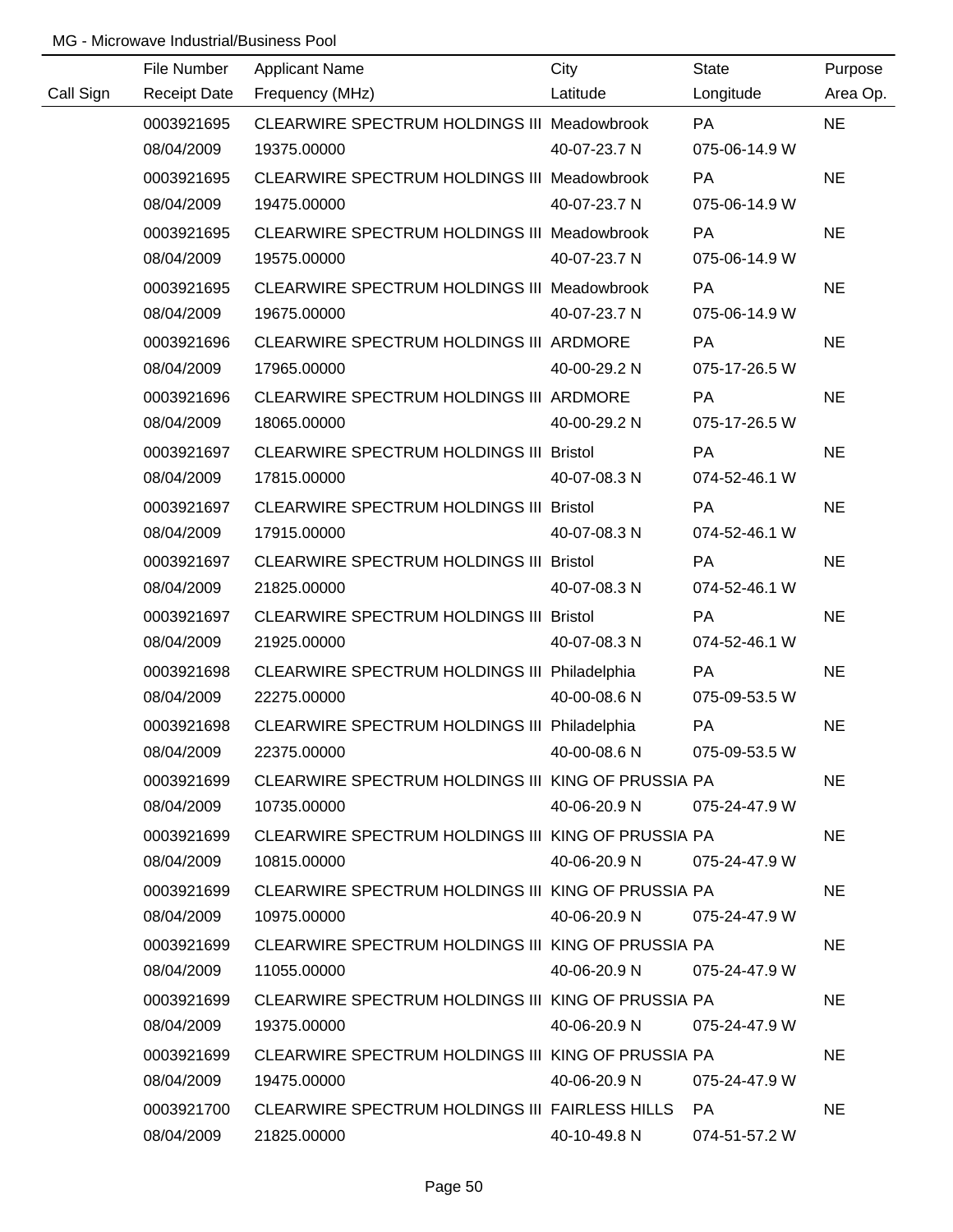| Call Sign | File Number              | <b>Applicant Name</b><br>Receipt Date Frequency (MHz)             | City<br>Latitude | State<br>Longitude | Purpose<br>Area Op. |
|-----------|--------------------------|-------------------------------------------------------------------|------------------|--------------------|---------------------|
|           | 0003921695               | CLEARWIRE SPECTRUM HOLDINGS III Meadowbrook                       |                  | PA                 | <b>NE</b>           |
|           | 08/04/2009               | 19375.00000                                                       | 40-07-23.7 N     | 075-06-14.9 W      |                     |
|           | 0003921695               | CLEARWIRE SPECTRUM HOLDINGS III Meadowbrook                       |                  | <b>PA</b>          | <b>NE</b>           |
|           | 08/04/2009               | 19475.00000                                                       | 40-07-23.7 N     | 075-06-14.9 W      |                     |
|           | 0003921695               | CLEARWIRE SPECTRUM HOLDINGS III Meadowbrook                       |                  | <b>PA</b>          | <b>NE</b>           |
|           | 08/04/2009               | 19575.00000                                                       | 40-07-23.7 N     | 075-06-14.9 W      |                     |
|           | 0003921695               | CLEARWIRE SPECTRUM HOLDINGS III Meadowbrook                       |                  | PA                 | <b>NE</b>           |
|           | 08/04/2009               | 19675.00000                                                       | 40-07-23.7 N     | 075-06-14.9 W      |                     |
|           | 0003921696               | CLEARWIRE SPECTRUM HOLDINGS III ARDMORE                           |                  | PA                 | <b>NE</b>           |
|           | 08/04/2009               | 17965.00000                                                       | 40-00-29.2 N     | 075-17-26.5 W      |                     |
|           | 0003921696               | CLEARWIRE SPECTRUM HOLDINGS III ARDMORE                           |                  | PA                 | <b>NE</b>           |
|           | 08/04/2009               | 18065.00000                                                       | 40-00-29.2 N     | 075-17-26.5 W      |                     |
|           | 0003921697               | CLEARWIRE SPECTRUM HOLDINGS III Bristol                           |                  | PA                 | <b>NE</b>           |
|           | 08/04/2009               | 17815.00000                                                       | 40-07-08.3 N     | 074-52-46.1 W      |                     |
|           | 0003921697               | <b>CLEARWIRE SPECTRUM HOLDINGS III Bristol</b>                    |                  | PA                 | <b>NE</b>           |
|           | 08/04/2009               | 17915.00000                                                       | 40-07-08.3 N     | 074-52-46.1 W      |                     |
|           | 0003921697               | CLEARWIRE SPECTRUM HOLDINGS III Bristol                           |                  | <b>PA</b>          | <b>NE</b>           |
|           | 08/04/2009               | 21825.00000                                                       | 40-07-08.3 N     | 074-52-46.1 W      |                     |
|           | 0003921697               | CLEARWIRE SPECTRUM HOLDINGS III Bristol                           |                  | <b>PA</b>          | <b>NE</b>           |
|           | 08/04/2009               | 21925.00000                                                       | 40-07-08.3 N     | 074-52-46.1 W      |                     |
|           | 0003921698               | CLEARWIRE SPECTRUM HOLDINGS III Philadelphia                      |                  | PA                 | <b>NE</b>           |
|           | 08/04/2009               | 22275.00000                                                       | 40-00-08.6 N     | 075-09-53.5 W      |                     |
|           | 0003921698               | CLEARWIRE SPECTRUM HOLDINGS III Philadelphia                      |                  | PA                 | <b>NE</b>           |
|           | 08/04/2009               | 22375.00000                                                       | 40-00-08.6 N     | 075-09-53.5 W      |                     |
|           | 0003921699               | CLEARWIRE SPECTRUM HOLDINGS III KING OF PRUSSIA PA                |                  |                    | <b>NE</b>           |
|           | 08/04/2009               | 10735.00000                                                       | 40-06-20.9 N     | 075-24-47.9 W      |                     |
|           | 0003921699               | CLEARWIRE SPECTRUM HOLDINGS III KING OF PRUSSIA PA                |                  |                    | <b>NE</b>           |
|           | 08/04/2009               | 10815.00000                                                       | 40-06-20.9 N     | 075-24-47.9 W      |                     |
|           | 0003921699               | CLEARWIRE SPECTRUM HOLDINGS III KING OF PRUSSIA PA                |                  |                    | <b>NE</b>           |
|           | 08/04/2009               | 10975.00000                                                       | 40-06-20.9 N     | 075-24-47.9 W      |                     |
|           | 0003921699               | CLEARWIRE SPECTRUM HOLDINGS III KING OF PRUSSIA PA                |                  |                    | <b>NE</b>           |
|           | 08/04/2009               | 11055.00000                                                       | 40-06-20.9 N     | 075-24-47.9 W      |                     |
|           | 0003921699<br>08/04/2009 | CLEARWIRE SPECTRUM HOLDINGS III KING OF PRUSSIA PA<br>19375.00000 | 40-06-20.9 N     | 075-24-47.9 W      | <b>NE</b>           |
|           | 0003921699               | CLEARWIRE SPECTRUM HOLDINGS III KING OF PRUSSIA PA                |                  |                    | NE.                 |
|           | 08/04/2009               | 19475.00000                                                       | 40-06-20.9 N     | 075-24-47.9 W      |                     |
|           | 0003921700               | CLEARWIRE SPECTRUM HOLDINGS III FAIRLESS HILLS PA                 |                  |                    | <b>NE</b>           |
|           | 08/04/2009               | 21825.00000                                                       | 40-10-49.8 N     | 074-51-57.2 W      |                     |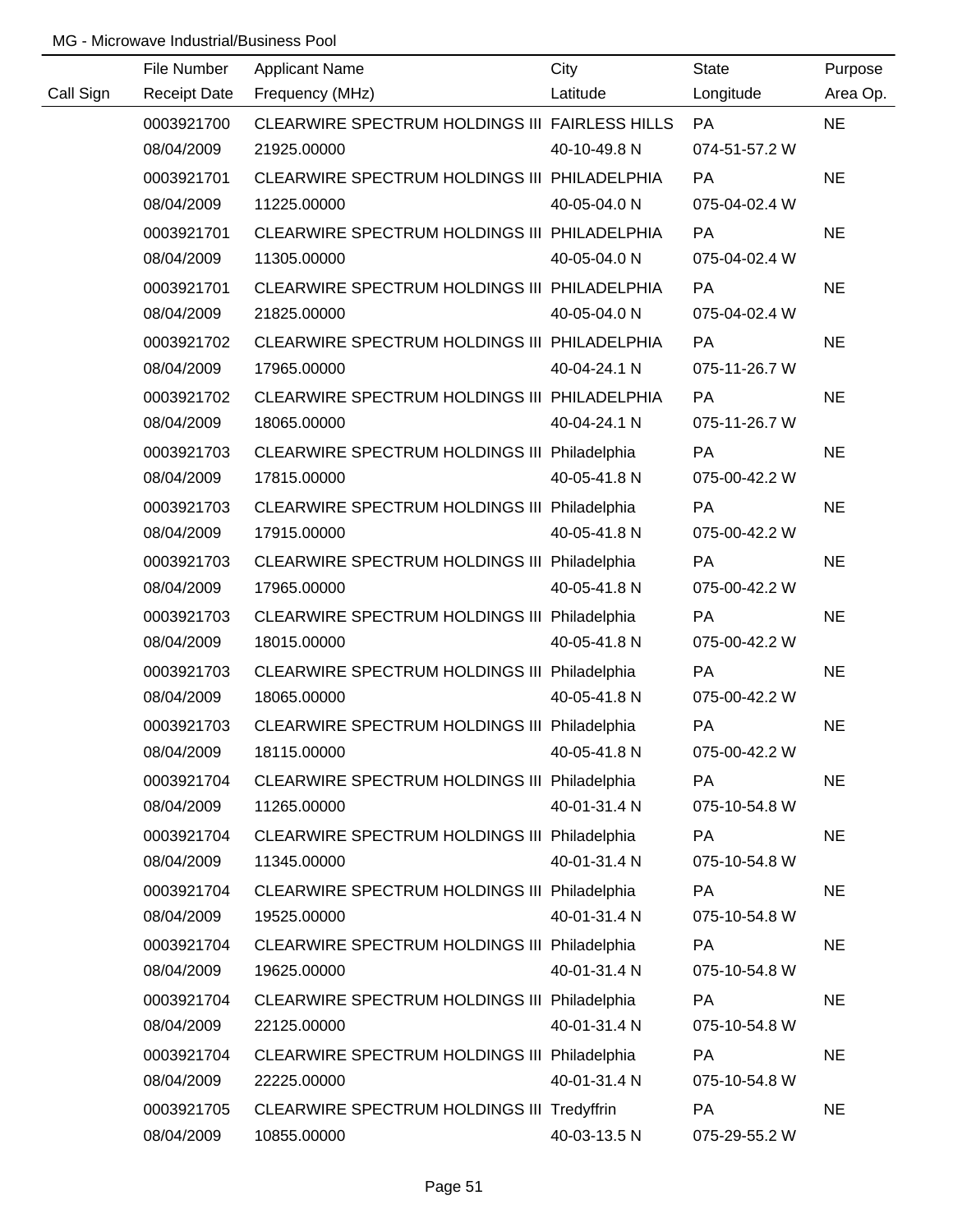|           | File Number | <b>Applicant Name</b>                          | City         | State         | Purpose   |
|-----------|-------------|------------------------------------------------|--------------|---------------|-----------|
| Call Sign |             | Receipt Date Frequency (MHz)                   | Latitude     | Longitude     | Area Op.  |
|           | 0003921700  | CLEARWIRE SPECTRUM HOLDINGS III FAIRLESS HILLS |              | <b>PA</b>     | <b>NE</b> |
|           | 08/04/2009  | 21925.00000                                    | 40-10-49.8 N | 074-51-57.2 W |           |
|           | 0003921701  | CLEARWIRE SPECTRUM HOLDINGS III PHILADELPHIA   |              | <b>PA</b>     | <b>NE</b> |
|           | 08/04/2009  | 11225.00000                                    | 40-05-04.0 N | 075-04-02.4 W |           |
|           | 0003921701  | CLEARWIRE SPECTRUM HOLDINGS III PHILADELPHIA   |              | <b>PA</b>     | <b>NE</b> |
|           | 08/04/2009  | 11305.00000                                    | 40-05-04.0 N | 075-04-02.4 W |           |
|           | 0003921701  | CLEARWIRE SPECTRUM HOLDINGS III PHILADELPHIA   |              | PA            | <b>NE</b> |
|           | 08/04/2009  | 21825.00000                                    | 40-05-04.0 N | 075-04-02.4 W |           |
|           | 0003921702  | CLEARWIRE SPECTRUM HOLDINGS III PHILADELPHIA   |              | <b>PA</b>     | <b>NE</b> |
|           | 08/04/2009  | 17965.00000                                    | 40-04-24.1 N | 075-11-26.7 W |           |
|           | 0003921702  | CLEARWIRE SPECTRUM HOLDINGS III PHILADELPHIA   |              | <b>PA</b>     | <b>NE</b> |
|           | 08/04/2009  | 18065.00000                                    | 40-04-24.1 N | 075-11-26.7 W |           |
|           | 0003921703  | CLEARWIRE SPECTRUM HOLDINGS III Philadelphia   |              | PA            | <b>NE</b> |
|           | 08/04/2009  | 17815.00000                                    | 40-05-41.8 N | 075-00-42.2 W |           |
|           | 0003921703  | CLEARWIRE SPECTRUM HOLDINGS III Philadelphia   |              | PA            | <b>NE</b> |
|           | 08/04/2009  | 17915.00000                                    | 40-05-41.8 N | 075-00-42.2 W |           |
|           | 0003921703  | CLEARWIRE SPECTRUM HOLDINGS III Philadelphia   |              | <b>PA</b>     | <b>NE</b> |
|           | 08/04/2009  | 17965.00000                                    | 40-05-41.8 N | 075-00-42.2 W |           |
|           | 0003921703  | CLEARWIRE SPECTRUM HOLDINGS III Philadelphia   |              | <b>PA</b>     | <b>NE</b> |
|           | 08/04/2009  | 18015.00000                                    | 40-05-41.8 N | 075-00-42.2 W |           |
|           | 0003921703  | CLEARWIRE SPECTRUM HOLDINGS III Philadelphia   |              | PA            | <b>NE</b> |
|           | 08/04/2009  | 18065.00000                                    | 40-05-41.8 N | 075-00-42.2 W |           |
|           | 0003921703  | CLEARWIRE SPECTRUM HOLDINGS III Philadelphia   |              | PA            | <b>NE</b> |
|           | 08/04/2009  | 18115.00000                                    | 40-05-41.8 N | 075-00-42.2 W |           |
|           | 0003921704  | CLEARWIRE SPECTRUM HOLDINGS III Philadelphia   |              | <b>PA</b>     | <b>NE</b> |
|           | 08/04/2009  | 11265.00000                                    | 40-01-31.4 N | 075-10-54.8 W |           |
|           | 0003921704  | CLEARWIRE SPECTRUM HOLDINGS III Philadelphia   |              | PA            | <b>NE</b> |
|           | 08/04/2009  | 11345.00000                                    | 40-01-31.4 N | 075-10-54.8 W |           |
|           | 0003921704  | CLEARWIRE SPECTRUM HOLDINGS III Philadelphia   |              | PA            | <b>NE</b> |
|           | 08/04/2009  | 19525.00000                                    | 40-01-31.4 N | 075-10-54.8 W |           |
|           | 0003921704  | CLEARWIRE SPECTRUM HOLDINGS III Philadelphia   |              | PA            | <b>NE</b> |
|           | 08/04/2009  | 19625.00000                                    | 40-01-31.4 N | 075-10-54.8 W |           |
|           | 0003921704  | CLEARWIRE SPECTRUM HOLDINGS III Philadelphia   |              | <b>PA</b>     | <b>NE</b> |
|           | 08/04/2009  | 22125.00000                                    | 40-01-31.4 N | 075-10-54.8 W |           |
|           | 0003921704  | CLEARWIRE SPECTRUM HOLDINGS III Philadelphia   |              | PA            | <b>NE</b> |
|           | 08/04/2009  | 22225.00000                                    | 40-01-31.4 N | 075-10-54.8 W |           |
|           | 0003921705  | CLEARWIRE SPECTRUM HOLDINGS III Tredyffrin     |              | PA            | <b>NE</b> |
|           | 08/04/2009  | 10855.00000                                    | 40-03-13.5 N | 075-29-55.2 W |           |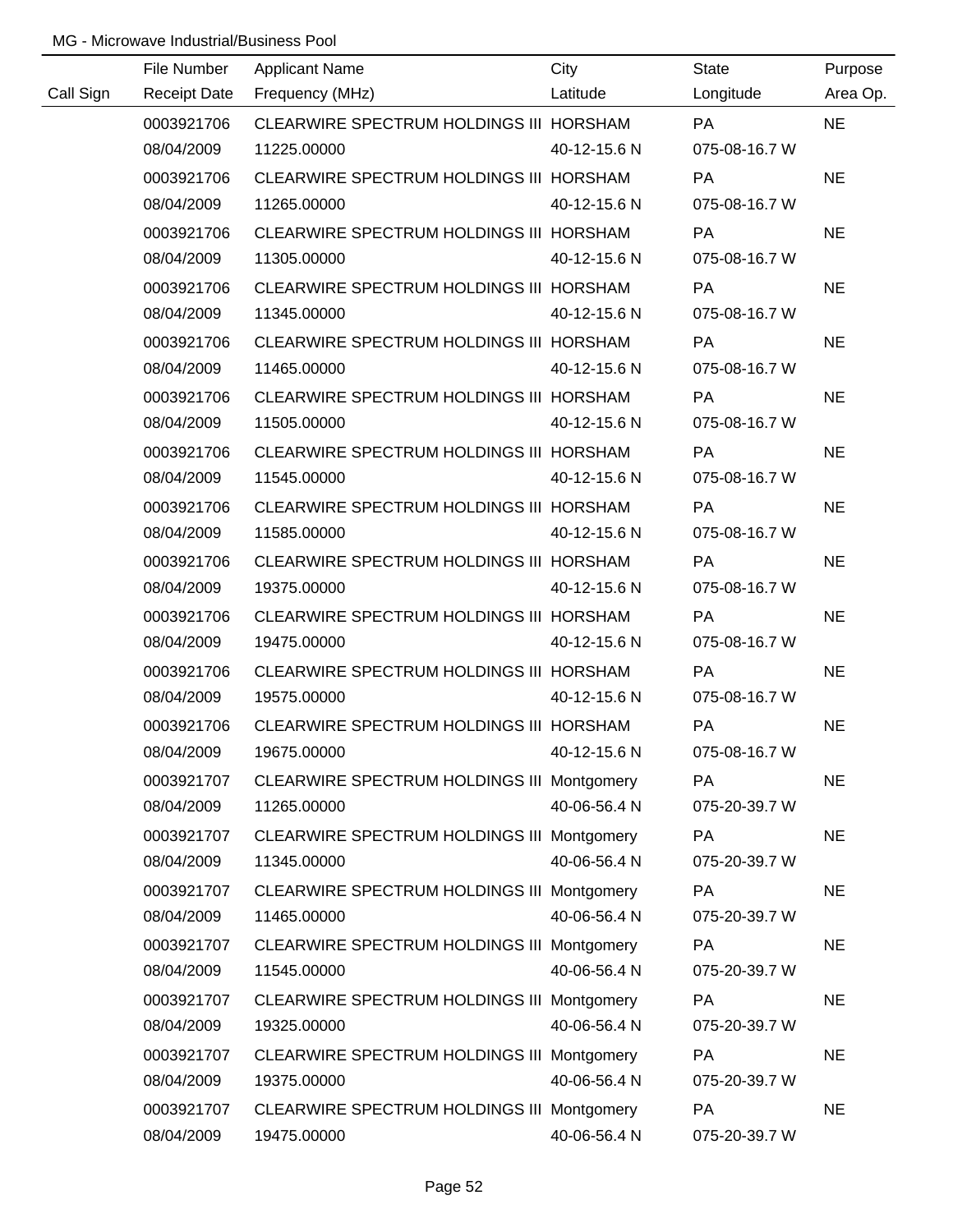|           | File Number         | <b>Applicant Name</b>                      | City         | <b>State</b>  | Purpose   |
|-----------|---------------------|--------------------------------------------|--------------|---------------|-----------|
| Call Sign | <b>Receipt Date</b> | Frequency (MHz)                            | Latitude     | Longitude     | Area Op.  |
|           | 0003921706          | CLEARWIRE SPECTRUM HOLDINGS III HORSHAM    |              | PA            | <b>NE</b> |
|           | 08/04/2009          | 11225.00000                                | 40-12-15.6 N | 075-08-16.7 W |           |
|           | 0003921706          | CLEARWIRE SPECTRUM HOLDINGS III HORSHAM    |              | <b>PA</b>     | <b>NE</b> |
|           | 08/04/2009          | 11265.00000                                | 40-12-15.6 N | 075-08-16.7 W |           |
|           | 0003921706          | CLEARWIRE SPECTRUM HOLDINGS III HORSHAM    |              | <b>PA</b>     | <b>NE</b> |
|           | 08/04/2009          | 11305.00000                                | 40-12-15.6 N | 075-08-16.7 W |           |
|           | 0003921706          | CLEARWIRE SPECTRUM HOLDINGS III HORSHAM    |              | <b>PA</b>     | <b>NE</b> |
|           | 08/04/2009          | 11345.00000                                | 40-12-15.6 N | 075-08-16.7 W |           |
|           | 0003921706          | CLEARWIRE SPECTRUM HOLDINGS III HORSHAM    |              | <b>PA</b>     | <b>NE</b> |
|           | 08/04/2009          | 11465.00000                                | 40-12-15.6 N | 075-08-16.7 W |           |
|           | 0003921706          | CLEARWIRE SPECTRUM HOLDINGS III HORSHAM    |              | PA            | <b>NE</b> |
|           | 08/04/2009          | 11505.00000                                | 40-12-15.6 N | 075-08-16.7 W |           |
|           | 0003921706          | CLEARWIRE SPECTRUM HOLDINGS III HORSHAM    |              | PA            | <b>NE</b> |
|           | 08/04/2009          | 11545.00000                                | 40-12-15.6 N | 075-08-16.7 W |           |
|           | 0003921706          | CLEARWIRE SPECTRUM HOLDINGS III HORSHAM    |              | PA            | <b>NE</b> |
|           | 08/04/2009          | 11585.00000                                | 40-12-15.6 N | 075-08-16.7 W |           |
|           | 0003921706          | CLEARWIRE SPECTRUM HOLDINGS III HORSHAM    |              | <b>PA</b>     | <b>NE</b> |
|           | 08/04/2009          | 19375.00000                                | 40-12-15.6 N | 075-08-16.7 W |           |
|           | 0003921706          | CLEARWIRE SPECTRUM HOLDINGS III HORSHAM    |              | PA            | <b>NE</b> |
|           | 08/04/2009          | 19475.00000                                | 40-12-15.6 N | 075-08-16.7 W |           |
|           | 0003921706          | CLEARWIRE SPECTRUM HOLDINGS III HORSHAM    |              | PA            | <b>NE</b> |
|           | 08/04/2009          | 19575.00000                                | 40-12-15.6 N | 075-08-16.7 W |           |
|           | 0003921706          | CLEARWIRE SPECTRUM HOLDINGS III HORSHAM    |              | PA            | <b>NE</b> |
|           | 08/04/2009          | 19675.00000                                | 40-12-15.6 N | 075-08-16.7 W |           |
|           | 0003921707          | CLEARWIRE SPECTRUM HOLDINGS III Montgomery |              | PA            | <b>NE</b> |
|           | 08/04/2009          | 11265.00000                                | 40-06-56.4 N | 075-20-39.7 W |           |
|           | 0003921707          | CLEARWIRE SPECTRUM HOLDINGS III Montgomery |              | PA            | <b>NE</b> |
|           | 08/04/2009          | 11345.00000                                | 40-06-56.4 N | 075-20-39.7 W |           |
|           | 0003921707          | CLEARWIRE SPECTRUM HOLDINGS III Montgomery |              | PA            | <b>NE</b> |
|           | 08/04/2009          | 11465.00000                                | 40-06-56.4 N | 075-20-39.7 W |           |
|           | 0003921707          | CLEARWIRE SPECTRUM HOLDINGS III Montgomery |              | PA            | <b>NE</b> |
|           | 08/04/2009          | 11545.00000                                | 40-06-56.4 N | 075-20-39.7 W |           |
|           | 0003921707          | CLEARWIRE SPECTRUM HOLDINGS III Montgomery |              | PA            | <b>NE</b> |
|           | 08/04/2009          | 19325.00000                                | 40-06-56.4 N | 075-20-39.7 W |           |
|           | 0003921707          | CLEARWIRE SPECTRUM HOLDINGS III Montgomery |              | PA            | <b>NE</b> |
|           | 08/04/2009          | 19375.00000                                | 40-06-56.4 N | 075-20-39.7 W |           |
|           | 0003921707          | CLEARWIRE SPECTRUM HOLDINGS III Montgomery |              | PA            | <b>NE</b> |
|           | 08/04/2009          | 19475.00000                                | 40-06-56.4 N | 075-20-39.7 W |           |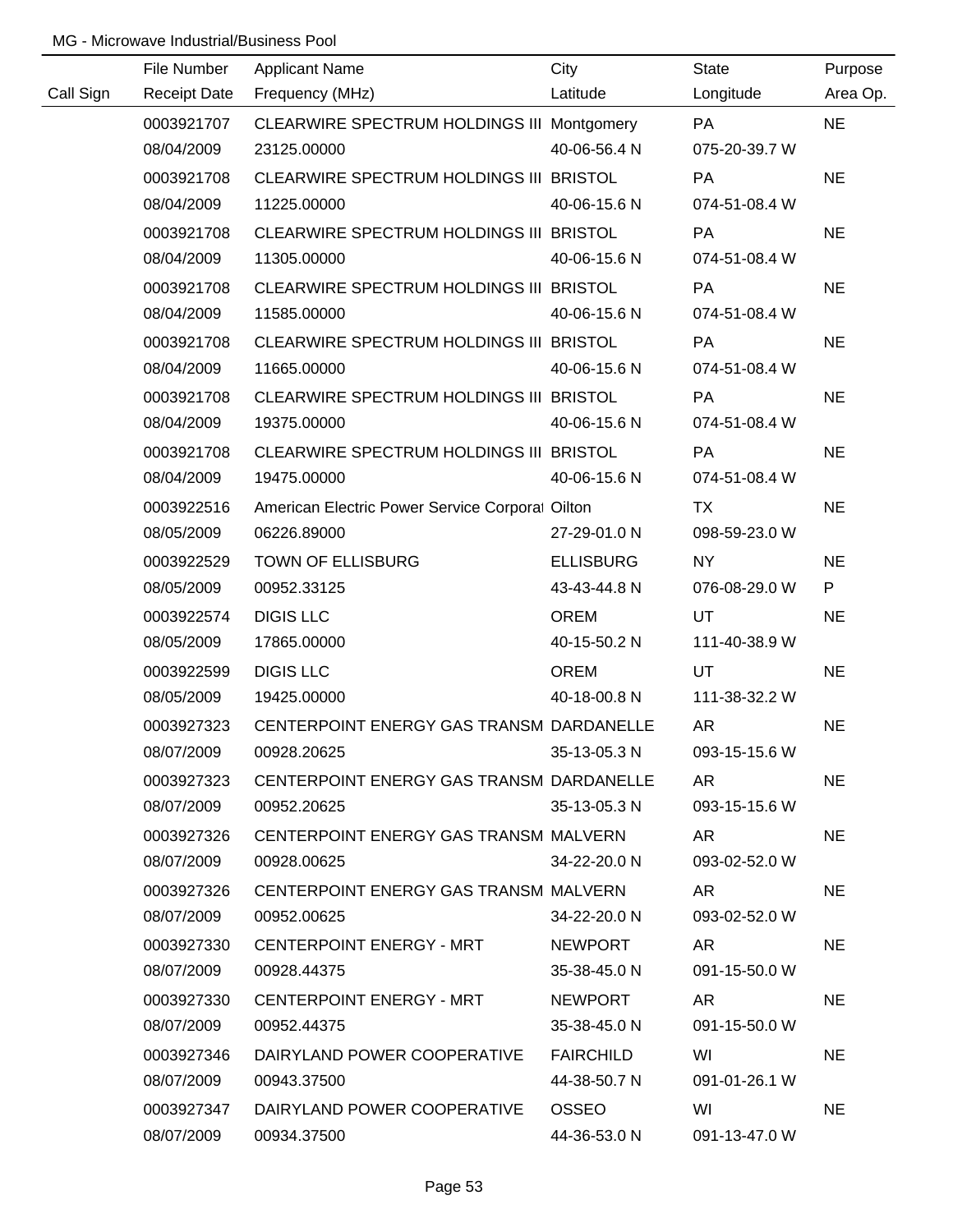|           | File Number         | <b>Applicant Name</b>                           | City             | <b>State</b>  | Purpose   |
|-----------|---------------------|-------------------------------------------------|------------------|---------------|-----------|
| Call Sign | <b>Receipt Date</b> | Frequency (MHz)                                 | Latitude         | Longitude     | Area Op.  |
|           | 0003921707          | CLEARWIRE SPECTRUM HOLDINGS III Montgomery      |                  | PA            | <b>NE</b> |
|           | 08/04/2009          | 23125.00000                                     | 40-06-56.4 N     | 075-20-39.7 W |           |
|           | 0003921708          | CLEARWIRE SPECTRUM HOLDINGS III BRISTOL         |                  | PA            | <b>NE</b> |
|           | 08/04/2009          | 11225.00000                                     | 40-06-15.6 N     | 074-51-08.4 W |           |
|           | 0003921708          | CLEARWIRE SPECTRUM HOLDINGS III BRISTOL         |                  | <b>PA</b>     | <b>NE</b> |
|           | 08/04/2009          | 11305.00000                                     | 40-06-15.6 N     | 074-51-08.4 W |           |
|           | 0003921708          | CLEARWIRE SPECTRUM HOLDINGS III BRISTOL         |                  | PA            | <b>NE</b> |
|           | 08/04/2009          | 11585.00000                                     | 40-06-15.6 N     | 074-51-08.4 W |           |
|           | 0003921708          | CLEARWIRE SPECTRUM HOLDINGS III BRISTOL         |                  | PA            | <b>NE</b> |
|           | 08/04/2009          | 11665.00000                                     | 40-06-15.6 N     | 074-51-08.4 W |           |
|           | 0003921708          | CLEARWIRE SPECTRUM HOLDINGS III BRISTOL         |                  | PA            | <b>NE</b> |
|           | 08/04/2009          | 19375.00000                                     | 40-06-15.6 N     | 074-51-08.4 W |           |
|           | 0003921708          | CLEARWIRE SPECTRUM HOLDINGS III BRISTOL         |                  | PA            | <b>NE</b> |
|           | 08/04/2009          | 19475.00000                                     | 40-06-15.6 N     | 074-51-08.4 W |           |
|           | 0003922516          | American Electric Power Service Corporal Oilton |                  | TX            | <b>NE</b> |
|           | 08/05/2009          | 06226.89000                                     | 27-29-01.0 N     | 098-59-23.0 W |           |
|           | 0003922529          | TOWN OF ELLISBURG                               | <b>ELLISBURG</b> | NY            | <b>NE</b> |
|           | 08/05/2009          | 00952.33125                                     | 43-43-44.8 N     | 076-08-29.0 W | P         |
|           | 0003922574          | <b>DIGIS LLC</b>                                | <b>OREM</b>      | <b>UT</b>     | <b>NE</b> |
|           | 08/05/2009          | 17865.00000                                     | 40-15-50.2 N     | 111-40-38.9 W |           |
|           | 0003922599          | <b>DIGIS LLC</b>                                | <b>OREM</b>      | UT            | <b>NE</b> |
|           | 08/05/2009          | 19425.00000                                     | 40-18-00.8 N     | 111-38-32.2 W |           |
|           | 0003927323          | CENTERPOINT ENERGY GAS TRANSM DARDANELLE        |                  | <b>AR</b>     | <b>NE</b> |
|           | 08/07/2009          | 00928.20625                                     | 35-13-05.3 N     | 093-15-15.6 W |           |
|           | 0003927323          | CENTERPOINT ENERGY GAS TRANSM DARDANELLE        |                  | AR.           | <b>NE</b> |
|           | 08/07/2009          | 00952.20625                                     | 35-13-05.3 N     | 093-15-15.6 W |           |
|           | 0003927326          | CENTERPOINT ENERGY GAS TRANSM MALVERN           |                  | AR            | <b>NE</b> |
|           | 08/07/2009          | 00928.00625                                     | 34-22-20.0 N     | 093-02-52.0 W |           |
|           | 0003927326          | CENTERPOINT ENERGY GAS TRANSM MALVERN           |                  | AR            | <b>NE</b> |
|           | 08/07/2009          | 00952.00625                                     | 34-22-20.0 N     | 093-02-52.0 W |           |
|           | 0003927330          | CENTERPOINT ENERGY - MRT                        | <b>NEWPORT</b>   | AR            | <b>NE</b> |
|           | 08/07/2009          | 00928.44375                                     | 35-38-45.0 N     | 091-15-50.0 W |           |
|           | 0003927330          | CENTERPOINT ENERGY - MRT                        | NEWPORT          | AR.           | <b>NE</b> |
|           | 08/07/2009          | 00952.44375                                     | 35-38-45.0 N     | 091-15-50.0 W |           |
|           | 0003927346          | DAIRYLAND POWER COOPERATIVE                     | FAIRCHILD        | WI            | <b>NE</b> |
|           | 08/07/2009          | 00943.37500                                     | 44-38-50.7 N     | 091-01-26.1 W |           |
|           | 0003927347          | DAIRYLAND POWER COOPERATIVE                     | OSSEO            | WI            | <b>NE</b> |
|           | 08/07/2009          | 00934.37500                                     | 44-36-53.0 N     | 091-13-47.0 W |           |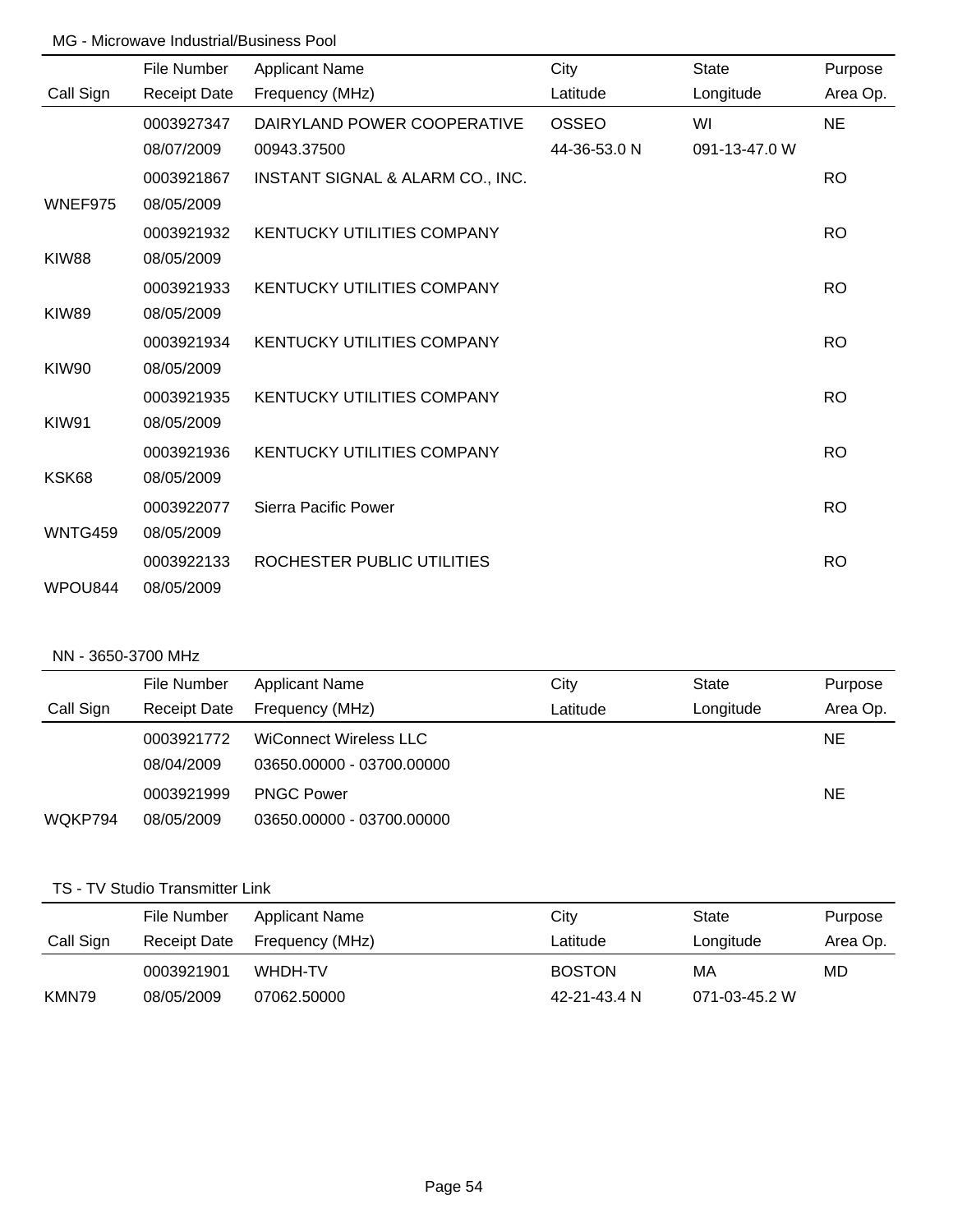|                | File Number         | <b>Applicant Name</b>             | City         | <b>State</b>  | Purpose   |
|----------------|---------------------|-----------------------------------|--------------|---------------|-----------|
| Call Sign      | <b>Receipt Date</b> | Frequency (MHz)                   | Latitude     | Longitude     | Area Op.  |
|                | 0003927347          | DAIRYLAND POWER COOPERATIVE       | <b>OSSEO</b> | WI            | <b>NE</b> |
|                | 08/07/2009          | 00943.37500                       | 44-36-53.0 N | 091-13-47.0 W |           |
|                | 0003921867          | INSTANT SIGNAL & ALARM CO., INC.  |              |               | <b>RO</b> |
| WNEF975        | 08/05/2009          |                                   |              |               |           |
|                | 0003921932          | <b>KENTUCKY UTILITIES COMPANY</b> |              |               | <b>RO</b> |
| <b>KIW88</b>   | 08/05/2009          |                                   |              |               |           |
|                | 0003921933          | <b>KENTUCKY UTILITIES COMPANY</b> |              |               | <b>RO</b> |
| <b>KIW89</b>   | 08/05/2009          |                                   |              |               |           |
|                | 0003921934          | <b>KENTUCKY UTILITIES COMPANY</b> |              |               | <b>RO</b> |
| KIW90          | 08/05/2009          |                                   |              |               |           |
|                | 0003921935          | <b>KENTUCKY UTILITIES COMPANY</b> |              |               | <b>RO</b> |
| KIW91          | 08/05/2009          |                                   |              |               |           |
|                | 0003921936          | <b>KENTUCKY UTILITIES COMPANY</b> |              |               | <b>RO</b> |
| KSK68          | 08/05/2009          |                                   |              |               |           |
|                | 0003922077          | Sierra Pacific Power              |              |               | <b>RO</b> |
| <b>WNTG459</b> | 08/05/2009          |                                   |              |               |           |
|                | 0003922133          | ROCHESTER PUBLIC UTILITIES        |              |               | <b>RO</b> |
| WPOU844        | 08/05/2009          |                                   |              |               |           |

### NN - 3650-3700 MHz

|           | File Number         | <b>Applicant Name</b>     | City     | <b>State</b> | Purpose   |
|-----------|---------------------|---------------------------|----------|--------------|-----------|
| Call Sign | <b>Receipt Date</b> | Frequency (MHz)           | Latitude | Longitude    | Area Op.  |
|           | 0003921772          | WiConnect Wireless LLC    |          |              | <b>NE</b> |
|           | 08/04/2009          | 03650.00000 - 03700.00000 |          |              |           |
|           | 0003921999          | <b>PNGC Power</b>         |          |              | <b>NE</b> |
| WQKP794   | 08/05/2009          | 03650.00000 - 03700.00000 |          |              |           |

### TS - TV Studio Transmitter Link

|           | File Number  | Applicant Name  | City          | State         | Purpose  |
|-----------|--------------|-----------------|---------------|---------------|----------|
| Call Sign | Receipt Date | Frequency (MHz) | Latitude      | Longitude     | Area Op. |
|           | 0003921901   | WHDH-TV         | <b>BOSTON</b> | МA            | MD       |
| KMN79     | 08/05/2009   | 07062.50000     | 42-21-43.4 N  | 071-03-45.2 W |          |